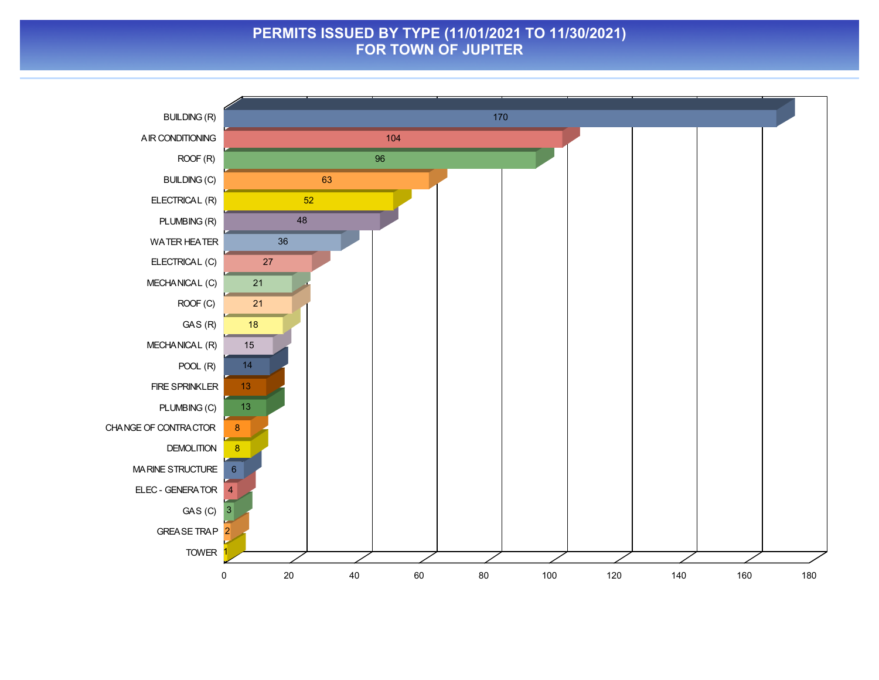#### **PERMITS ISSUED BY TYPE (11/01/2021 TO 11/30/2021) FOR TOWN OF JUPITER**

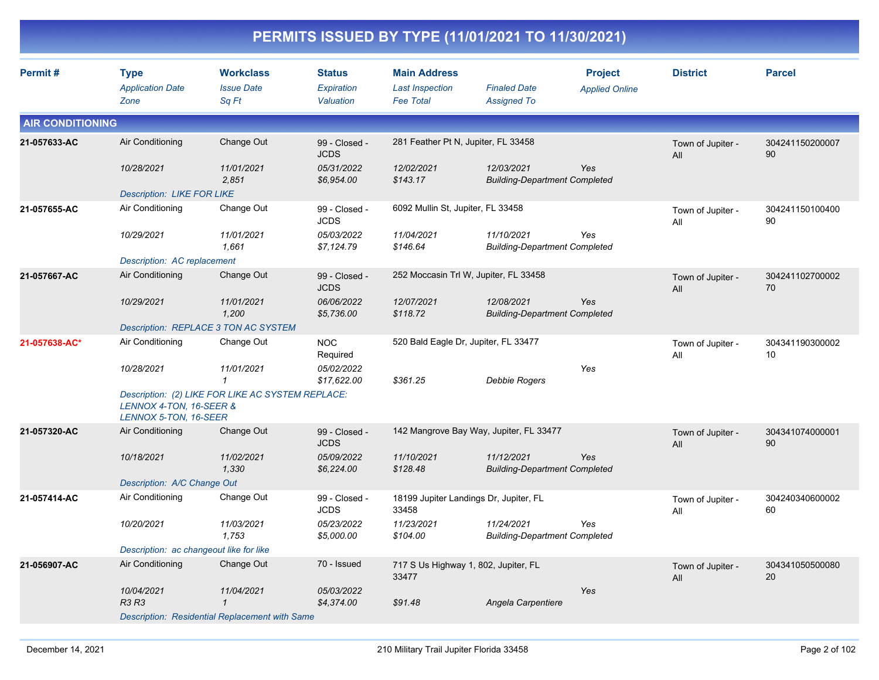|                         |                                                  |                                                   |                                          |                                                                   | PERMITS ISSUED BY TYPE (11/01/2021 TO 11/30/2021)  |                                         |                          |                       |
|-------------------------|--------------------------------------------------|---------------------------------------------------|------------------------------------------|-------------------------------------------------------------------|----------------------------------------------------|-----------------------------------------|--------------------------|-----------------------|
| Permit#                 | <b>Type</b><br><b>Application Date</b><br>Zone   | <b>Workclass</b><br><b>Issue Date</b><br>Sq Ft    | <b>Status</b><br>Expiration<br>Valuation | <b>Main Address</b><br><b>Last Inspection</b><br><b>Fee Total</b> | <b>Finaled Date</b><br><b>Assigned To</b>          | <b>Project</b><br><b>Applied Online</b> | <b>District</b>          | <b>Parcel</b>         |
| <b>AIR CONDITIONING</b> |                                                  |                                                   |                                          |                                                                   |                                                    |                                         |                          |                       |
| 21-057633-AC            | Air Conditioning                                 | Change Out                                        | 99 - Closed -<br><b>JCDS</b>             | 281 Feather Pt N, Jupiter, FL 33458                               |                                                    |                                         | Town of Jupiter -<br>All | 304241150200007<br>90 |
|                         | 10/28/2021                                       | 11/01/2021<br>2,851                               | 05/31/2022<br>\$6,954.00                 | 12/02/2021<br>\$143.17                                            | 12/03/2021<br><b>Building-Department Completed</b> | Yes                                     |                          |                       |
|                         | <b>Description: LIKE FOR LIKE</b>                |                                                   |                                          |                                                                   |                                                    |                                         |                          |                       |
| 21-057655-AC            | Air Conditioning                                 | Change Out                                        | 99 - Closed -<br><b>JCDS</b>             | 6092 Mullin St, Jupiter, FL 33458                                 |                                                    |                                         | Town of Jupiter -<br>All | 304241150100400<br>90 |
|                         | 10/29/2021                                       | 11/01/2021<br>1,661                               | 05/03/2022<br>\$7,124.79                 | 11/04/2021<br>\$146.64                                            | 11/10/2021<br><b>Building-Department Completed</b> | Yes                                     |                          |                       |
|                         | Description: AC replacement                      |                                                   |                                          |                                                                   |                                                    |                                         |                          |                       |
| 21-057667-AC            | Air Conditioning                                 | Change Out                                        | 99 - Closed -<br><b>JCDS</b>             |                                                                   | 252 Moccasin Trl W, Jupiter, FL 33458              |                                         | Town of Jupiter -<br>All | 304241102700002<br>70 |
|                         | 10/29/2021                                       | 11/01/2021<br>1,200                               | 06/06/2022<br>\$5,736.00                 | 12/07/2021<br>\$118.72                                            | 12/08/2021<br><b>Building-Department Completed</b> | Yes                                     |                          |                       |
|                         |                                                  | Description: REPLACE 3 TON AC SYSTEM              |                                          |                                                                   |                                                    |                                         |                          |                       |
| 21-057638-AC*           | Air Conditioning                                 | Change Out                                        | <b>NOC</b><br>Required                   |                                                                   | 520 Bald Eagle Dr, Jupiter, FL 33477               |                                         | Town of Jupiter -<br>All | 304341190300002<br>10 |
|                         | 10/28/2021                                       | 11/01/2021<br>$\mathbf{1}$                        | 05/02/2022<br>\$17,622.00                | \$361.25                                                          | Debbie Rogers                                      | Yes                                     |                          |                       |
|                         | LENNOX 4-TON, 16-SEER &<br>LENNOX 5-TON, 16-SEER | Description: (2) LIKE FOR LIKE AC SYSTEM REPLACE: |                                          |                                                                   |                                                    |                                         |                          |                       |
| 21-057320-AC            | Air Conditioning                                 | Change Out                                        | 99 - Closed -<br><b>JCDS</b>             |                                                                   | 142 Mangrove Bay Way, Jupiter, FL 33477            |                                         | Town of Jupiter -<br>All | 304341074000001<br>90 |
|                         | 10/18/2021                                       | 11/02/2021<br>1,330                               | 05/09/2022<br>\$6,224.00                 | 11/10/2021<br>\$128.48                                            | 11/12/2021<br><b>Building-Department Completed</b> | Yes                                     |                          |                       |
|                         | Description: A/C Change Out                      |                                                   |                                          |                                                                   |                                                    |                                         |                          |                       |
| 21-057414-AC            | Air Conditioning                                 | Change Out                                        | 99 - Closed -<br><b>JCDS</b>             | 33458                                                             | 18199 Jupiter Landings Dr, Jupiter, FL             |                                         | Town of Jupiter -<br>All | 304240340600002<br>60 |
|                         | 10/20/2021                                       | 11/03/2021<br>1,753                               | 05/23/2022<br>\$5,000.00                 | 11/23/2021<br>\$104.00                                            | 11/24/2021<br><b>Building-Department Completed</b> | Yes                                     |                          |                       |
|                         | Description: ac changeout like for like          |                                                   |                                          |                                                                   |                                                    |                                         |                          |                       |
| 21-056907-AC            | Air Conditioning                                 | Change Out                                        | 70 - Issued                              | 33477                                                             | 717 S Us Highway 1, 802, Jupiter, FL               |                                         | Town of Jupiter -<br>All | 304341050500080<br>20 |
|                         | 10/04/2021<br><b>R3 R3</b>                       | 11/04/2021<br>$\mathbf{1}$                        | 05/03/2022<br>\$4,374.00                 | \$91.48                                                           | Angela Carpentiere                                 | Yes                                     |                          |                       |
|                         |                                                  | Description: Residential Replacement with Same    |                                          |                                                                   |                                                    |                                         |                          |                       |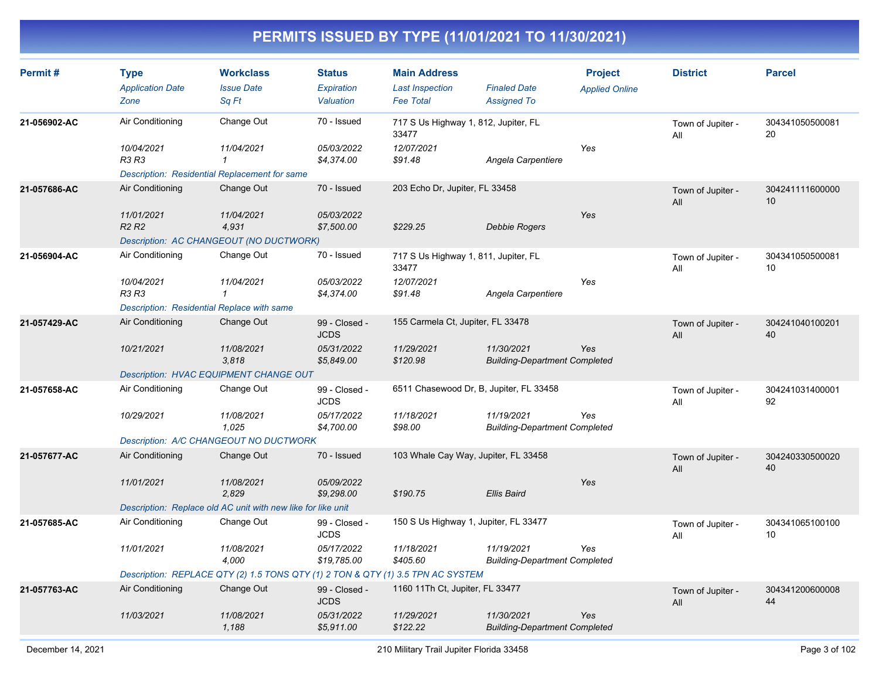| Permit#      | <b>Type</b><br><b>Application Date</b><br>Zone                                                                          | <b>Workclass</b><br><b>Issue Date</b><br>Sq Ft                                                                       | <b>Status</b><br>Expiration<br>Valuation                  | <b>Main Address</b><br><b>Last Inspection</b><br><b>Fee Total</b>      | <b>Finaled Date</b><br><b>Assigned To</b>          | <b>Project</b><br><b>Applied Online</b> | <b>District</b>          | <b>Parcel</b>         |
|--------------|-------------------------------------------------------------------------------------------------------------------------|----------------------------------------------------------------------------------------------------------------------|-----------------------------------------------------------|------------------------------------------------------------------------|----------------------------------------------------|-----------------------------------------|--------------------------|-----------------------|
| 21-056902-AC | Air Conditioning<br>10/04/2021<br>R3 R3                                                                                 | Change Out<br>11/04/2021<br>$\mathbf{1}$                                                                             | 70 - Issued<br>05/03/2022<br>\$4,374.00                   | 717 S Us Highway 1, 812, Jupiter, FL<br>33477<br>12/07/2021<br>\$91.48 | Angela Carpentiere                                 | Yes                                     | Town of Jupiter -<br>All | 304341050500081<br>20 |
| 21-057686-AC | <b>Description: Residential Replacement for same</b><br>Air Conditioning<br>11/01/2021<br>R <sub>2</sub> R <sub>2</sub> | Change Out<br>11/04/2021<br>4,931<br>Description: AC CHANGEOUT (NO DUCTWORK)                                         | 70 - Issued<br>05/03/2022<br>\$7,500.00                   | 203 Echo Dr, Jupiter, FL 33458<br>\$229.25                             | Debbie Rogers                                      | Yes                                     | Town of Jupiter -<br>All | 304241111600000<br>10 |
| 21-056904-AC | Air Conditioning<br>10/04/2021<br><b>R3 R3</b><br>Description: Residential Replace with same                            | Change Out<br>11/04/2021<br>$\mathcal I$                                                                             | 70 - Issued<br>05/03/2022<br>\$4,374.00                   | 717 S Us Highway 1, 811, Jupiter, FL<br>33477<br>12/07/2021<br>\$91.48 | Angela Carpentiere                                 | Yes                                     | Town of Jupiter -<br>All | 304341050500081<br>10 |
| 21-057429-AC | Air Conditioning<br>10/21/2021                                                                                          | Change Out<br>11/08/2021<br>3,818<br><b>Description: HVAC EQUIPMENT CHANGE OUT</b>                                   | 99 - Closed -<br><b>JCDS</b><br>05/31/2022<br>\$5,849.00  | 155 Carmela Ct, Jupiter, FL 33478<br>11/29/2021<br>\$120.98            | 11/30/2021<br><b>Building-Department Completed</b> | Yes                                     | Town of Jupiter -<br>All | 304241040100201<br>40 |
| 21-057658-AC | Air Conditioning<br>10/29/2021                                                                                          | Change Out<br>11/08/2021<br>1,025<br>Description: A/C CHANGEOUT NO DUCTWORK                                          | 99 - Closed -<br><b>JCDS</b><br>05/17/2022<br>\$4,700.00  | 6511 Chasewood Dr, B, Jupiter, FL 33458<br>11/18/2021<br>\$98.00       | 11/19/2021<br><b>Building-Department Completed</b> | Yes                                     | Town of Jupiter -<br>All | 304241031400001<br>92 |
| 21-057677-AC | Air Conditioning<br>11/01/2021                                                                                          | Change Out<br>11/08/2021<br>2,829<br>Description: Replace old AC unit with new like for like unit                    | 70 - Issued<br>05/09/2022<br>\$9,298.00                   | 103 Whale Cay Way, Jupiter, FL 33458<br>\$190.75                       | <b>Ellis Baird</b>                                 | Yes                                     | Town of Jupiter -<br>All | 304240330500020<br>40 |
| 21-057685-AC | Air Conditioning<br>11/01/2021                                                                                          | Change Out<br>11/08/2021<br>4,000<br>Description: REPLACE QTY (2) 1.5 TONS QTY (1) 2 TON & QTY (1) 3.5 TPN AC SYSTEM | 99 - Closed -<br><b>JCDS</b><br>05/17/2022<br>\$19,785.00 | 150 S Us Highway 1, Jupiter, FL 33477<br>11/18/2021<br>\$405.60        | 11/19/2021<br><b>Building-Department Completed</b> | Yes                                     | Town of Jupiter -<br>All | 304341065100100<br>10 |
| 21-057763-AC | Air Conditioning<br>11/03/2021                                                                                          | Change Out<br>11/08/2021<br>1,188                                                                                    | 99 - Closed -<br><b>JCDS</b><br>05/31/2022<br>\$5,911.00  | 1160 11Th Ct, Jupiter, FL 33477<br>11/29/2021<br>\$122.22              | 11/30/2021<br><b>Building-Department Completed</b> | Yes                                     | Town of Jupiter -<br>All | 304341200600008<br>44 |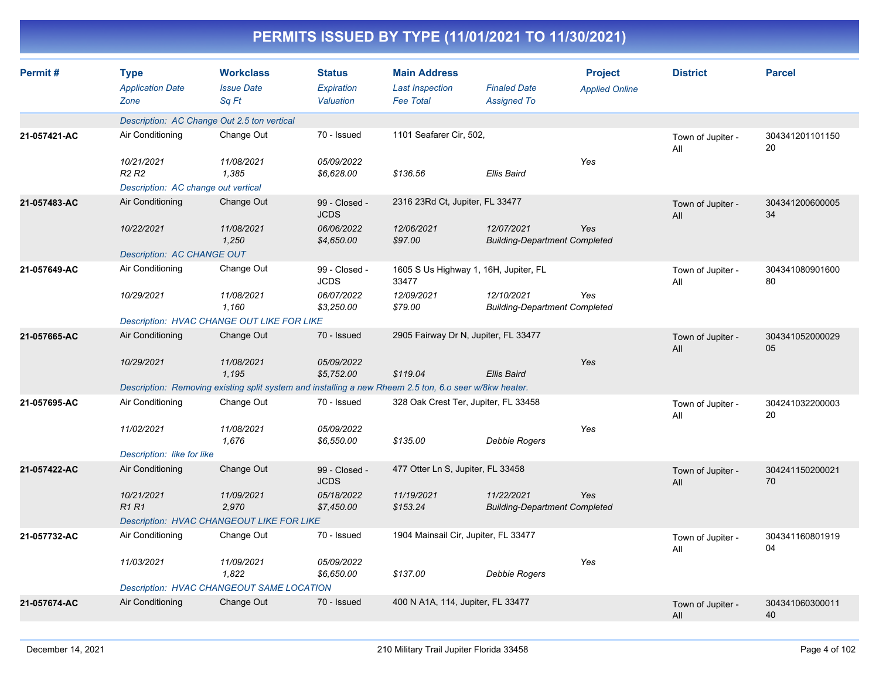| Permit#      | <b>Type</b><br><b>Application Date</b><br>Zone | <b>Workclass</b><br><b>Issue Date</b><br>Sa Ft   | <b>Status</b><br>Expiration<br>Valuation | <b>Main Address</b><br><b>Last Inspection</b><br><b>Fee Total</b>                                      | <b>Finaled Date</b><br><b>Assigned To</b>          | <b>Project</b><br><b>Applied Online</b> | <b>District</b>          | <b>Parcel</b>         |
|--------------|------------------------------------------------|--------------------------------------------------|------------------------------------------|--------------------------------------------------------------------------------------------------------|----------------------------------------------------|-----------------------------------------|--------------------------|-----------------------|
|              |                                                | Description: AC Change Out 2.5 ton vertical      |                                          |                                                                                                        |                                                    |                                         |                          |                       |
| 21-057421-AC | Air Conditioning                               | Change Out                                       | 70 - Issued                              | 1101 Seafarer Cir, 502,                                                                                |                                                    |                                         | Town of Jupiter -<br>All | 304341201101150<br>20 |
|              | 10/21/2021<br>R <sub>2</sub> R <sub>2</sub>    | 11/08/2021<br>1.385                              | 05/09/2022<br>\$6,628.00                 | \$136.56                                                                                               | <b>Ellis Baird</b>                                 | Yes                                     |                          |                       |
|              | Description: AC change out vertical            |                                                  |                                          |                                                                                                        |                                                    |                                         |                          |                       |
| 21-057483-AC | Air Conditioning                               | Change Out                                       | 99 - Closed -<br><b>JCDS</b>             | 2316 23Rd Ct, Jupiter, FL 33477                                                                        |                                                    |                                         | Town of Jupiter -<br>All | 304341200600005<br>34 |
|              | 10/22/2021                                     | 11/08/2021<br>1,250                              | 06/06/2022<br>\$4,650.00                 | 12/06/2021<br>\$97.00                                                                                  | 12/07/2021<br><b>Building-Department Completed</b> | Yes                                     |                          |                       |
|              | <b>Description: AC CHANGE OUT</b>              |                                                  |                                          |                                                                                                        |                                                    |                                         |                          |                       |
| 21-057649-AC | Air Conditioning                               | Change Out                                       | 99 - Closed -<br><b>JCDS</b>             | 1605 S Us Highway 1, 16H, Jupiter, FL<br>33477                                                         |                                                    |                                         | Town of Jupiter -<br>All | 304341080901600<br>80 |
|              | 10/29/2021                                     | 11/08/2021<br>1,160                              | 06/07/2022<br>\$3,250.00                 | 12/09/2021<br>\$79.00                                                                                  | 12/10/2021<br><b>Building-Department Completed</b> | Yes                                     |                          |                       |
|              |                                                | Description: HVAC CHANGE OUT LIKE FOR LIKE       |                                          |                                                                                                        |                                                    |                                         |                          |                       |
| 21-057665-AC | Air Conditioning                               | Change Out                                       | 70 - Issued                              | 2905 Fairway Dr N, Jupiter, FL 33477                                                                   |                                                    |                                         | Town of Jupiter -<br>All | 304341052000029<br>05 |
|              | 10/29/2021                                     | 11/08/2021<br>1,195                              | 05/09/2022<br>\$5,752.00                 | \$119.04                                                                                               | Ellis Baird                                        | Yes                                     |                          |                       |
|              |                                                |                                                  |                                          | Description: Removing existing split system and installing a new Rheem 2.5 ton, 6.0 seer w/8kw heater. |                                                    |                                         |                          |                       |
| 21-057695-AC | Air Conditioning                               | Change Out                                       | 70 - Issued                              | 328 Oak Crest Ter, Jupiter, FL 33458                                                                   |                                                    |                                         | Town of Jupiter -<br>All | 304241032200003<br>20 |
|              | 11/02/2021                                     | 11/08/2021<br>1,676                              | 05/09/2022<br>\$6,550.00                 | \$135.00                                                                                               | <b>Debbie Rogers</b>                               | Yes                                     |                          |                       |
|              | Description: like for like                     |                                                  |                                          |                                                                                                        |                                                    |                                         |                          |                       |
| 21-057422-AC | Air Conditioning                               | Change Out                                       | 99 - Closed -<br><b>JCDS</b>             | 477 Otter Ln S, Jupiter, FL 33458                                                                      |                                                    |                                         | Town of Jupiter -<br>All | 304241150200021<br>70 |
|              | 10/21/2021<br><b>R1R1</b>                      | 11/09/2021<br>2,970                              | 05/18/2022<br>\$7,450.00                 | 11/19/2021<br>\$153.24                                                                                 | 11/22/2021<br><b>Building-Department Completed</b> | Yes                                     |                          |                       |
|              |                                                | <b>Description: HVAC CHANGEOUT LIKE FOR LIKE</b> |                                          |                                                                                                        |                                                    |                                         |                          |                       |
| 21-057732-AC | Air Conditioning                               | Change Out                                       | 70 - Issued                              | 1904 Mainsail Cir, Jupiter, FL 33477                                                                   |                                                    |                                         | Town of Jupiter -<br>All | 304341160801919<br>04 |
|              | 11/03/2021                                     | 11/09/2021<br>1.822                              | 05/09/2022<br>\$6,650.00                 | \$137.00                                                                                               | Debbie Rogers                                      | Yes                                     |                          |                       |
|              |                                                | Description: HVAC CHANGEOUT SAME LOCATION        |                                          |                                                                                                        |                                                    |                                         |                          |                       |
| 21-057674-AC | Air Conditioning                               | Change Out                                       | 70 - Issued                              | 400 N A1A, 114, Jupiter, FL 33477                                                                      |                                                    |                                         | Town of Jupiter -<br>All | 304341060300011<br>40 |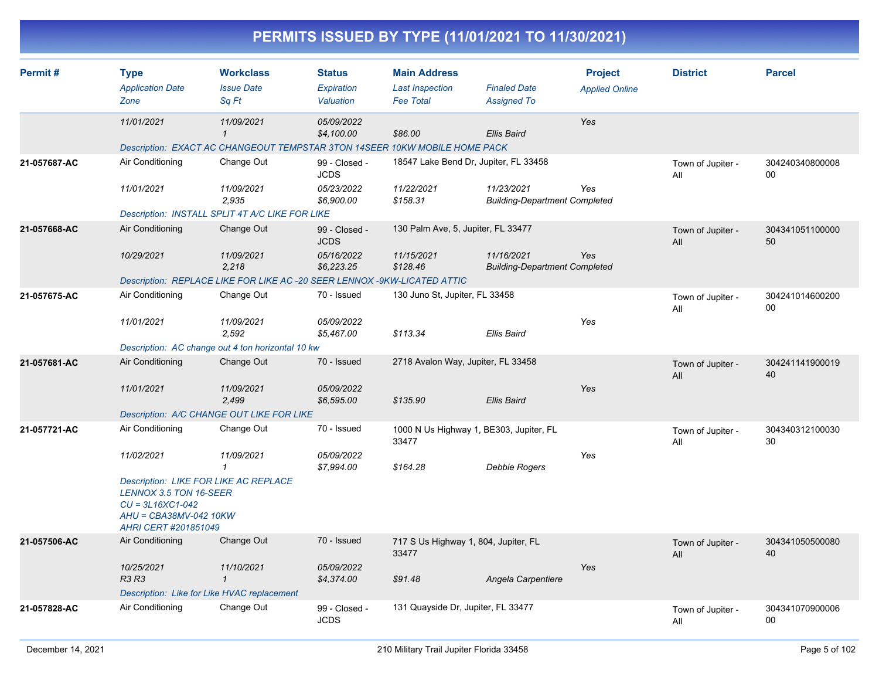| Permit#      | <b>Type</b>                                                                                           | <b>Workclass</b>                                                           | <b>Status</b>                | <b>Main Address</b>                              |                                                    | <b>Project</b>        | <b>District</b>          | <b>Parcel</b>             |
|--------------|-------------------------------------------------------------------------------------------------------|----------------------------------------------------------------------------|------------------------------|--------------------------------------------------|----------------------------------------------------|-----------------------|--------------------------|---------------------------|
|              | <b>Application Date</b><br>Zone                                                                       | <b>Issue Date</b><br>Sq Ft                                                 | Expiration<br>Valuation      | <b>Last Inspection</b><br><b>Fee Total</b>       | <b>Finaled Date</b><br><b>Assigned To</b>          | <b>Applied Online</b> |                          |                           |
|              |                                                                                                       |                                                                            |                              |                                                  |                                                    |                       |                          |                           |
|              | 11/01/2021                                                                                            | 11/09/2021<br>$\mathbf{1}$                                                 | 05/09/2022<br>\$4,100.00     | \$86.00                                          | <b>Ellis Baird</b>                                 | Yes                   |                          |                           |
|              |                                                                                                       | Description: EXACT AC CHANGEOUT TEMPSTAR 3TON 14SEER 10KW MOBILE HOME PACK |                              |                                                  |                                                    |                       |                          |                           |
| 21-057687-AC | Air Conditioning                                                                                      | Change Out                                                                 | 99 - Closed -<br><b>JCDS</b> | 18547 Lake Bend Dr, Jupiter, FL 33458            |                                                    |                       | Town of Jupiter -<br>All | 304240340800008<br>$00\,$ |
|              | 11/01/2021                                                                                            | 11/09/2021<br>2,935                                                        | 05/23/2022<br>\$6,900.00     | 11/22/2021<br>\$158.31                           | 11/23/2021<br><b>Building-Department Completed</b> | Yes                   |                          |                           |
|              |                                                                                                       | Description: INSTALL SPLIT 4T A/C LIKE FOR LIKE                            |                              |                                                  |                                                    |                       |                          |                           |
| 21-057668-AC | Air Conditioning                                                                                      | Change Out                                                                 | 99 - Closed -<br><b>JCDS</b> | 130 Palm Ave, 5, Jupiter, FL 33477               |                                                    |                       | Town of Jupiter -<br>All | 304341051100000<br>50     |
|              | 10/29/2021                                                                                            | 11/09/2021<br>2,218                                                        | 05/16/2022<br>\$6,223.25     | 11/15/2021<br>\$128.46                           | 11/16/2021<br><b>Building-Department Completed</b> | Yes                   |                          |                           |
|              |                                                                                                       | Description: REPLACE LIKE FOR LIKE AC -20 SEER LENNOX -9KW-LICATED ATTIC   |                              |                                                  |                                                    |                       |                          |                           |
| 21-057675-AC | Air Conditioning                                                                                      | Change Out                                                                 | 70 - Issued                  | 130 Juno St, Jupiter, FL 33458                   |                                                    |                       | Town of Jupiter -<br>All | 304241014600200<br>$00\,$ |
|              | 11/01/2021                                                                                            | 11/09/2021<br>2,592                                                        | 05/09/2022<br>\$5,467.00     | \$113.34                                         | Ellis Baird                                        | Yes                   |                          |                           |
|              |                                                                                                       | Description: AC change out 4 ton horizontal 10 kw                          |                              |                                                  |                                                    |                       |                          |                           |
| 21-057681-AC | Air Conditioning                                                                                      | Change Out                                                                 | 70 - Issued                  | 2718 Avalon Way, Jupiter, FL 33458               |                                                    |                       | Town of Jupiter -<br>All | 304241141900019<br>40     |
|              | 11/01/2021                                                                                            | 11/09/2021<br>2,499                                                        | 05/09/2022<br>\$6,595.00     | \$135.90                                         | <b>Ellis Baird</b>                                 | Yes                   |                          |                           |
|              |                                                                                                       | Description: A/C CHANGE OUT LIKE FOR LIKE                                  |                              |                                                  |                                                    |                       |                          |                           |
| 21-057721-AC | Air Conditioning                                                                                      | Change Out                                                                 | 70 - Issued                  | 1000 N Us Highway 1, BE303, Jupiter, FL<br>33477 |                                                    |                       | Town of Jupiter -<br>All | 304340312100030<br>30     |
|              | 11/02/2021                                                                                            | 11/09/2021<br>1                                                            | 05/09/2022<br>\$7,994.00     | \$164.28                                         | <b>Debbie Rogers</b>                               | Yes                   |                          |                           |
|              | <b>LENNOX 3.5 TON 16-SEER</b><br>$CU = 3L16XC1-042$<br>AHU = CBA38MV-042 10KW<br>AHRI CERT #201851049 | <b>Description: LIKE FOR LIKE AC REPLACE</b>                               |                              |                                                  |                                                    |                       |                          |                           |
| 21-057506-AC | Air Conditioning                                                                                      | Change Out                                                                 | 70 - Issued                  | 717 S Us Highway 1, 804, Jupiter, FL<br>33477    |                                                    |                       | Town of Jupiter -<br>All | 304341050500080<br>40     |
|              | 10/25/2021<br><b>R3 R3</b>                                                                            | 11/10/2021<br>$\mathbf{1}$                                                 | 05/09/2022<br>\$4,374.00     | \$91.48                                          | Angela Carpentiere                                 | Yes                   |                          |                           |
|              |                                                                                                       | Description: Like for Like HVAC replacement                                |                              |                                                  |                                                    |                       |                          |                           |
| 21-057828-AC | Air Conditioning                                                                                      | Change Out                                                                 | 99 - Closed -<br><b>JCDS</b> | 131 Quayside Dr, Jupiter, FL 33477               |                                                    |                       | Town of Jupiter -<br>All | 304341070900006<br>$00\,$ |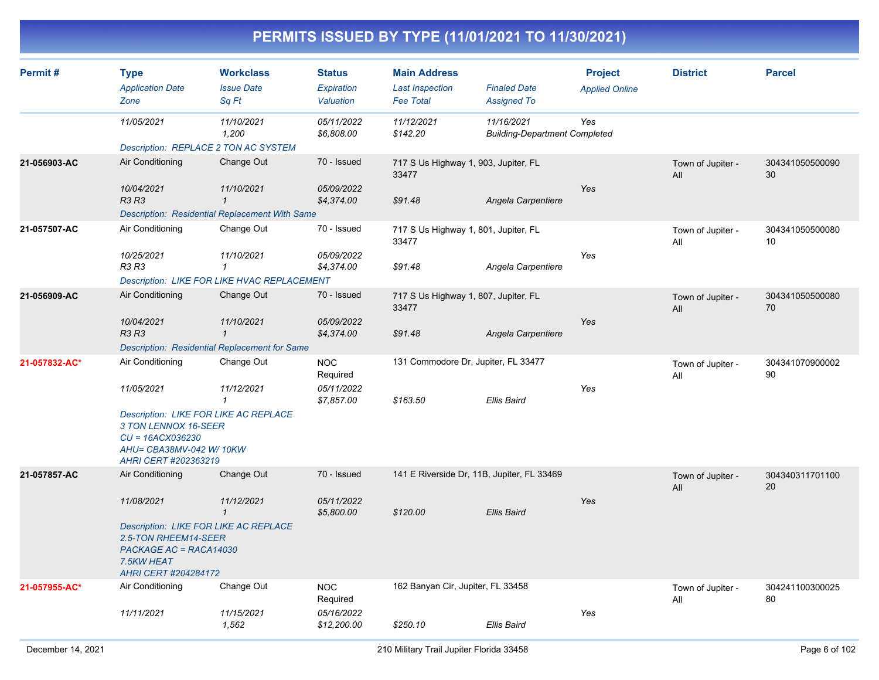| Permit#       | <b>Type</b><br><b>Application Date</b><br>Zone                                                                                          | <b>Workclass</b><br><b>Issue Date</b><br>Sq Ft        | <b>Status</b><br>Expiration<br>Valuation | <b>Main Address</b><br><b>Last Inspection</b><br><b>Fee Total</b> | <b>Finaled Date</b><br><b>Assigned To</b>          | <b>Project</b><br><b>Applied Online</b> | <b>District</b>          | <b>Parcel</b>         |
|---------------|-----------------------------------------------------------------------------------------------------------------------------------------|-------------------------------------------------------|------------------------------------------|-------------------------------------------------------------------|----------------------------------------------------|-----------------------------------------|--------------------------|-----------------------|
|               | 11/05/2021                                                                                                                              | 11/10/2021<br>1,200                                   | 05/11/2022<br>\$6,808.00                 | 11/12/2021<br>\$142.20                                            | 11/16/2021<br><b>Building-Department Completed</b> | Yes                                     |                          |                       |
|               | Description: REPLACE 2 TON AC SYSTEM                                                                                                    |                                                       |                                          |                                                                   |                                                    |                                         |                          |                       |
| 21-056903-AC  | Air Conditioning                                                                                                                        | Change Out                                            | 70 - Issued                              | 717 S Us Highway 1, 903, Jupiter, FL<br>33477                     |                                                    |                                         | Town of Jupiter -<br>All | 304341050500090<br>30 |
|               | 10/04/2021<br><b>R3 R3</b>                                                                                                              | 11/10/2021<br>$\mathcal I$                            | 05/09/2022<br>\$4,374.00                 | \$91.48                                                           | Angela Carpentiere                                 | Yes                                     |                          |                       |
|               |                                                                                                                                         | <b>Description: Residential Replacement With Same</b> |                                          |                                                                   |                                                    |                                         |                          |                       |
| 21-057507-AC  | Air Conditioning                                                                                                                        | Change Out                                            | 70 - Issued                              | 717 S Us Highway 1, 801, Jupiter, FL<br>33477                     |                                                    |                                         | Town of Jupiter -<br>All | 304341050500080<br>10 |
|               | 10/25/2021<br>R3 R3                                                                                                                     | 11/10/2021<br>$\mathbf{1}$                            | 05/09/2022<br>\$4,374.00                 | \$91.48                                                           | Angela Carpentiere                                 | Yes                                     |                          |                       |
|               |                                                                                                                                         | <b>Description: LIKE FOR LIKE HVAC REPLACEMENT</b>    |                                          |                                                                   |                                                    |                                         |                          |                       |
| 21-056909-AC  | Air Conditioning                                                                                                                        | Change Out                                            | 70 - Issued                              | 717 S Us Highway 1, 807, Jupiter, FL<br>33477                     |                                                    |                                         | Town of Jupiter -<br>All | 304341050500080<br>70 |
|               | 10/04/2021<br><b>R3 R3</b>                                                                                                              | 11/10/2021<br>$\mathbf{1}$                            | 05/09/2022<br>\$4,374.00                 | \$91.48                                                           | Angela Carpentiere                                 | Yes                                     |                          |                       |
|               |                                                                                                                                         | Description: Residential Replacement for Same         |                                          |                                                                   |                                                    |                                         |                          |                       |
| 21-057832-AC* | Air Conditioning                                                                                                                        | Change Out                                            | <b>NOC</b><br>Required                   | 131 Commodore Dr, Jupiter, FL 33477                               |                                                    |                                         | Town of Jupiter -<br>All | 304341070900002<br>90 |
|               | 11/05/2021                                                                                                                              | 11/12/2021<br>1                                       | 05/11/2022<br>\$7,857.00                 | \$163.50                                                          | <b>Ellis Baird</b>                                 | Yes                                     |                          |                       |
|               | Description: LIKE FOR LIKE AC REPLACE<br>3 TON LENNOX 16-SEER<br>$CU = 16ACX036230$<br>AHU= CBA38MV-042 W/ 10KW<br>AHRI CERT #202363219 |                                                       |                                          |                                                                   |                                                    |                                         |                          |                       |
| 21-057857-AC  | Air Conditioning                                                                                                                        | Change Out                                            | 70 - Issued                              | 141 E Riverside Dr, 11B, Jupiter, FL 33469                        |                                                    |                                         | Town of Jupiter -<br>All | 304340311701100<br>20 |
|               | 11/08/2021                                                                                                                              | 11/12/2021<br>$\mathbf{1}$                            | 05/11/2022<br>\$5,800.00                 | \$120.00                                                          | <b>Ellis Baird</b>                                 | Yes                                     |                          |                       |
|               | <b>Description: LIKE FOR LIKE AC REPLACE</b><br>2.5-TON RHEEM14-SEER<br>PACKAGE AC = RACA14030<br>7.5KW HEAT<br>AHRI CERT #204284172    |                                                       |                                          |                                                                   |                                                    |                                         |                          |                       |
| 21-057955-AC* | Air Conditioning                                                                                                                        | Change Out                                            | <b>NOC</b><br>Required                   | 162 Banyan Cir, Jupiter, FL 33458                                 |                                                    |                                         | Town of Jupiter -<br>All | 304241100300025<br>80 |
|               | 11/11/2021                                                                                                                              | 11/15/2021<br>1,562                                   | 05/16/2022<br>\$12,200.00                | \$250.10                                                          | Ellis Baird                                        | Yes                                     |                          |                       |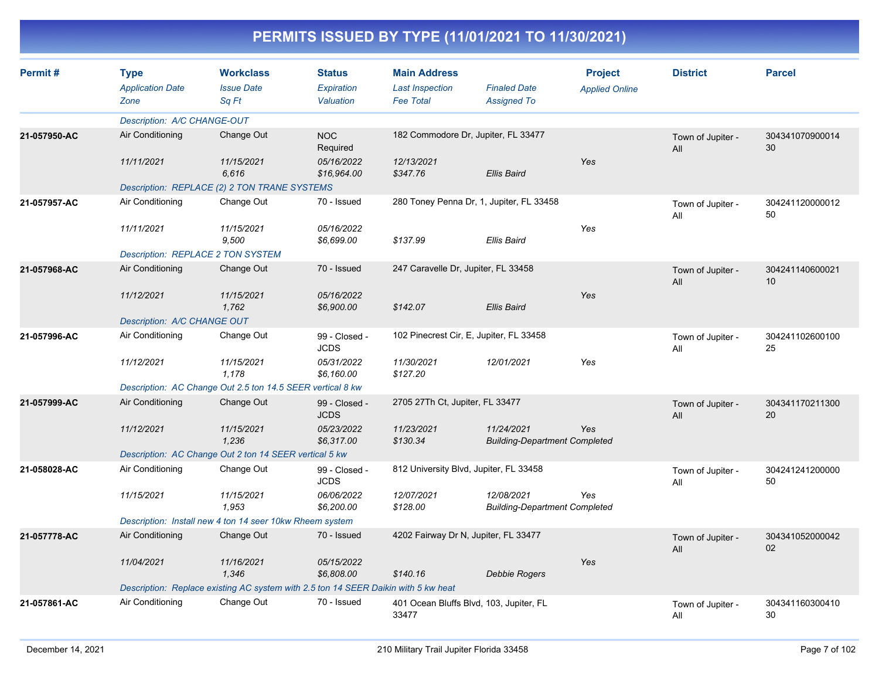| Permit#      | <b>Type</b><br><b>Application Date</b><br>Zone | <b>Workclass</b><br><b>Issue Date</b><br>Sa Ft                                     | <b>Status</b><br>Expiration<br>Valuation | <b>Main Address</b><br><b>Last Inspection</b><br><b>Fee Total</b> | <b>Finaled Date</b><br><b>Assigned To</b>          | <b>Project</b><br><b>Applied Online</b> | <b>District</b>          | <b>Parcel</b>         |
|--------------|------------------------------------------------|------------------------------------------------------------------------------------|------------------------------------------|-------------------------------------------------------------------|----------------------------------------------------|-----------------------------------------|--------------------------|-----------------------|
|              | Description: A/C CHANGE-OUT                    |                                                                                    |                                          |                                                                   |                                                    |                                         |                          |                       |
| 21-057950-AC | Air Conditioning                               | Change Out                                                                         | <b>NOC</b><br>Required                   |                                                                   | 182 Commodore Dr, Jupiter, FL 33477                |                                         | Town of Jupiter -<br>All | 304341070900014<br>30 |
|              | 11/11/2021                                     | 11/15/2021<br>6.616                                                                | 05/16/2022<br>\$16,964.00                | 12/13/2021<br>\$347.76                                            | <b>Ellis Baird</b>                                 | Yes                                     |                          |                       |
|              |                                                | Description: REPLACE (2) 2 TON TRANE SYSTEMS                                       |                                          |                                                                   |                                                    |                                         |                          |                       |
| 21-057957-AC | Air Conditioning                               | Change Out                                                                         | 70 - Issued                              |                                                                   | 280 Toney Penna Dr, 1, Jupiter, FL 33458           |                                         | Town of Jupiter -<br>All | 304241120000012<br>50 |
|              | 11/11/2021                                     | 11/15/2021<br>9.500                                                                | 05/16/2022<br>\$6,699.00                 | \$137.99                                                          | <b>Ellis Baird</b>                                 | Yes                                     |                          |                       |
|              |                                                | <b>Description: REPLACE 2 TON SYSTEM</b>                                           |                                          |                                                                   |                                                    |                                         |                          |                       |
| 21-057968-AC | Air Conditioning                               | Change Out                                                                         | 70 - Issued                              | 247 Caravelle Dr, Jupiter, FL 33458                               |                                                    |                                         | Town of Jupiter -<br>All | 304241140600021<br>10 |
|              | 11/12/2021                                     | 11/15/2021<br>1,762                                                                | 05/16/2022<br>\$6,900.00                 | \$142.07                                                          | <b>Ellis Baird</b>                                 | Yes                                     |                          |                       |
|              | Description: A/C CHANGE OUT                    |                                                                                    |                                          |                                                                   |                                                    |                                         |                          |                       |
| 21-057996-AC | Air Conditioning                               | Change Out                                                                         | 99 - Closed -<br><b>JCDS</b>             |                                                                   | 102 Pinecrest Cir, E, Jupiter, FL 33458            |                                         | Town of Jupiter -<br>All | 304241102600100<br>25 |
|              | 11/12/2021                                     | 11/15/2021<br>1.178                                                                | 05/31/2022<br>\$6,160.00                 | 11/30/2021<br>\$127.20                                            | 12/01/2021                                         | Yes                                     |                          |                       |
|              |                                                | Description: AC Change Out 2.5 ton 14.5 SEER vertical 8 kw                         |                                          |                                                                   |                                                    |                                         |                          |                       |
| 21-057999-AC | Air Conditioning                               | Change Out                                                                         | 99 - Closed -<br><b>JCDS</b>             | 2705 27Th Ct, Jupiter, FL 33477                                   |                                                    |                                         | Town of Jupiter -<br>All | 304341170211300<br>20 |
|              | 11/12/2021                                     | 11/15/2021<br>1.236                                                                | 05/23/2022<br>\$6.317.00                 | 11/23/2021<br>\$130.34                                            | 11/24/2021<br><b>Building-Department Completed</b> | Yes                                     |                          |                       |
|              |                                                | Description: AC Change Out 2 ton 14 SEER vertical 5 kw                             |                                          |                                                                   |                                                    |                                         |                          |                       |
| 21-058028-AC | Air Conditioning                               | Change Out                                                                         | 99 - Closed -<br><b>JCDS</b>             | 812 University Blvd, Jupiter, FL 33458                            |                                                    |                                         | Town of Jupiter -<br>All | 304241241200000<br>50 |
|              | 11/15/2021                                     | 11/15/2021<br>1,953                                                                | 06/06/2022<br>\$6,200.00                 | 12/07/2021<br>\$128.00                                            | 12/08/2021<br><b>Building-Department Completed</b> | Yes                                     |                          |                       |
|              |                                                | Description: Install new 4 ton 14 seer 10kw Rheem system                           |                                          |                                                                   |                                                    |                                         |                          |                       |
| 21-057778-AC | Air Conditioning                               | Change Out                                                                         | 70 - Issued                              | 4202 Fairway Dr N, Jupiter, FL 33477                              |                                                    |                                         | Town of Jupiter -<br>All | 304341052000042<br>02 |
|              | 11/04/2021                                     | 11/16/2021<br>1,346                                                                | 05/15/2022<br>\$6,808.00                 | \$140.16                                                          | Debbie Rogers                                      | Yes                                     |                          |                       |
|              |                                                | Description: Replace existing AC system with 2.5 ton 14 SEER Daikin with 5 kw heat |                                          |                                                                   |                                                    |                                         |                          |                       |
| 21-057861-AC | Air Conditioning                               | Change Out                                                                         | 70 - Issued                              | 33477                                                             | 401 Ocean Bluffs Blvd, 103, Jupiter, FL            |                                         | Town of Jupiter -<br>All | 304341160300410<br>30 |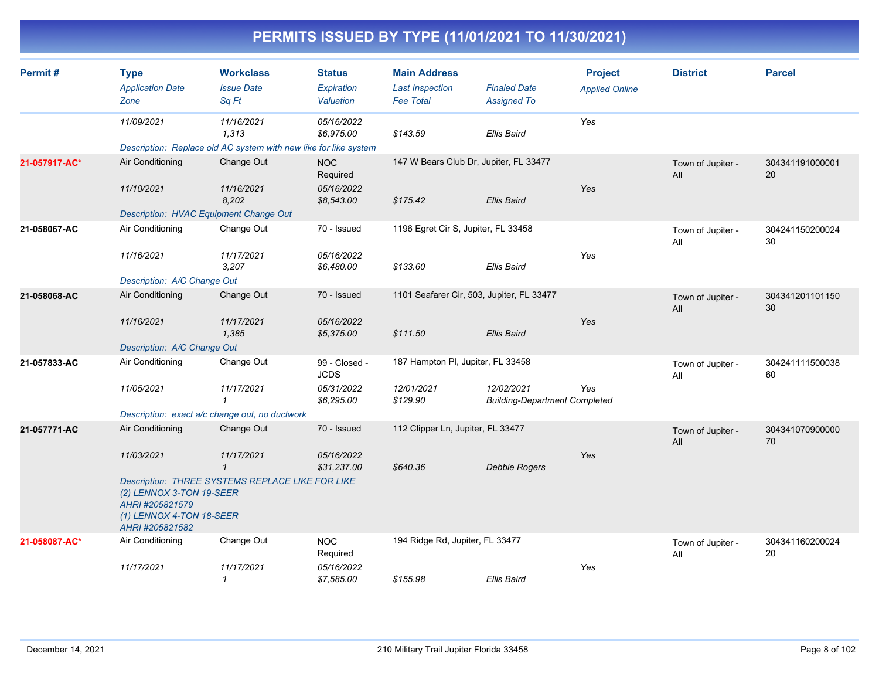| Permit#       | <b>Type</b><br><b>Application Date</b><br>Zone                                             | <b>Workclass</b><br><b>Issue Date</b><br>Sq Ft                                          | <b>Status</b><br><b>Expiration</b><br>Valuation | <b>Main Address</b><br><b>Last Inspection</b><br><b>Fee Total</b> | <b>Finaled Date</b><br><b>Assigned To</b>          | <b>Project</b><br><b>Applied Online</b> | <b>District</b>          | <b>Parcel</b>         |
|---------------|--------------------------------------------------------------------------------------------|-----------------------------------------------------------------------------------------|-------------------------------------------------|-------------------------------------------------------------------|----------------------------------------------------|-----------------------------------------|--------------------------|-----------------------|
|               | 11/09/2021                                                                                 | 11/16/2021<br>1,313<br>Description: Replace old AC system with new like for like system | 05/16/2022<br>\$6,975.00                        | \$143.59                                                          | <b>Ellis Baird</b>                                 | Yes                                     |                          |                       |
| 21-057917-AC* | Air Conditioning                                                                           | Change Out                                                                              | <b>NOC</b><br>Required                          | 147 W Bears Club Dr, Jupiter, FL 33477                            |                                                    |                                         | Town of Jupiter -<br>All | 304341191000001<br>20 |
|               | 11/10/2021                                                                                 | 11/16/2021<br>8,202                                                                     | 05/16/2022<br>\$8,543.00                        | \$175.42                                                          | Ellis Baird                                        | Yes                                     |                          |                       |
|               | Description: HVAC Equipment Change Out                                                     |                                                                                         |                                                 |                                                                   |                                                    |                                         |                          |                       |
| 21-058067-AC  | Air Conditioning                                                                           | Change Out                                                                              | 70 - Issued                                     | 1196 Egret Cir S, Jupiter, FL 33458                               |                                                    |                                         | Town of Jupiter -<br>All | 304241150200024<br>30 |
|               | 11/16/2021                                                                                 | 11/17/2021<br>3,207                                                                     | 05/16/2022<br>\$6,480.00                        | \$133.60                                                          | Ellis Baird                                        | Yes                                     |                          |                       |
|               | Description: A/C Change Out                                                                |                                                                                         |                                                 |                                                                   |                                                    |                                         |                          |                       |
| 21-058068-AC  | Air Conditioning                                                                           | Change Out                                                                              | 70 - Issued                                     | 1101 Seafarer Cir, 503, Jupiter, FL 33477                         |                                                    |                                         | Town of Jupiter -<br>All | 304341201101150<br>30 |
|               | 11/16/2021                                                                                 | 11/17/2021<br>1,385                                                                     | 05/16/2022<br>\$5,375.00                        | \$111.50                                                          | Ellis Baird                                        | Yes                                     |                          |                       |
|               | Description: A/C Change Out                                                                |                                                                                         |                                                 |                                                                   |                                                    |                                         |                          |                       |
| 21-057833-AC  | Air Conditioning                                                                           | Change Out                                                                              | 99 - Closed -<br><b>JCDS</b>                    | 187 Hampton PI, Jupiter, FL 33458                                 |                                                    |                                         | Town of Jupiter -<br>All | 304241111500038<br>60 |
|               | 11/05/2021                                                                                 | 11/17/2021<br>$\mathbf{1}$                                                              | 05/31/2022<br>\$6,295.00                        | 12/01/2021<br>\$129.90                                            | 12/02/2021<br><b>Building-Department Completed</b> | Yes                                     |                          |                       |
|               | Description: exact a/c change out, no ductwork                                             |                                                                                         |                                                 |                                                                   |                                                    |                                         |                          |                       |
| 21-057771-AC  | Air Conditioning                                                                           | Change Out                                                                              | 70 - Issued                                     | 112 Clipper Ln, Jupiter, FL 33477                                 |                                                    |                                         | Town of Jupiter -<br>All | 304341070900000<br>70 |
|               | 11/03/2021                                                                                 | 11/17/2021<br>$\mathbf{1}$                                                              | 05/16/2022<br>\$31,237.00                       | \$640.36                                                          | <b>Debbie Rogers</b>                               | Yes                                     |                          |                       |
|               | (2) LENNOX 3-TON 19-SEER<br>AHRI #205821579<br>(1) LENNOX 4-TON 18-SEER<br>AHRI #205821582 | Description: THREE SYSTEMS REPLACE LIKE FOR LIKE                                        |                                                 |                                                                   |                                                    |                                         |                          |                       |
| 21-058087-AC* | Air Conditioning                                                                           | Change Out                                                                              | <b>NOC</b><br>Required                          | 194 Ridge Rd, Jupiter, FL 33477                                   |                                                    |                                         | Town of Jupiter -<br>All | 304341160200024<br>20 |
|               | 11/17/2021                                                                                 | 11/17/2021<br>$\mathbf{1}$                                                              | 05/16/2022<br>\$7,585.00                        | \$155.98                                                          | <b>Ellis Baird</b>                                 | Yes                                     |                          |                       |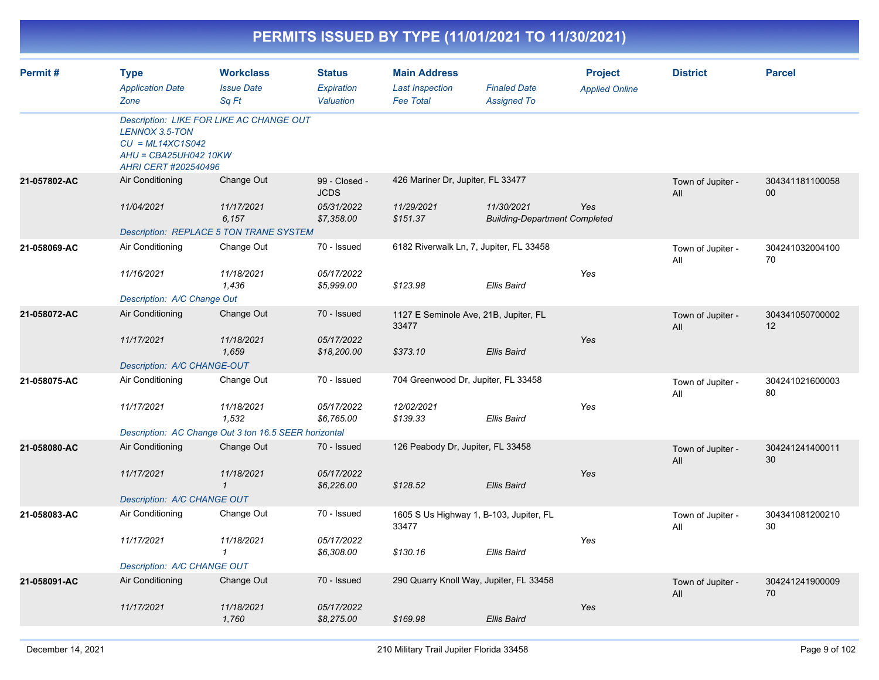|              |                                                                                       |                                                                                            |                                                          |                                                                   | PERMITS ISSUED BY TYPE (11/01/2021 TO 11/30/2021)             |                                         |                          |                       |
|--------------|---------------------------------------------------------------------------------------|--------------------------------------------------------------------------------------------|----------------------------------------------------------|-------------------------------------------------------------------|---------------------------------------------------------------|-----------------------------------------|--------------------------|-----------------------|
| Permit#      | <b>Type</b><br><b>Application Date</b><br>Zone                                        | <b>Workclass</b><br><b>Issue Date</b><br>Sq Ft                                             | <b>Status</b><br>Expiration<br>Valuation                 | <b>Main Address</b><br><b>Last Inspection</b><br><b>Fee Total</b> | <b>Finaled Date</b><br><b>Assigned To</b>                     | <b>Project</b><br><b>Applied Online</b> | <b>District</b>          | <b>Parcel</b>         |
|              | LENNOX 3.5-TON<br>$CU = ML14XC1SO42$<br>AHU = CBA25UH042 10KW<br>AHRI CERT #202540496 | Description: LIKE FOR LIKE AC CHANGE OUT                                                   |                                                          |                                                                   |                                                               |                                         |                          |                       |
| 21-057802-AC | Air Conditioning<br>11/04/2021                                                        | Change Out<br>11/17/2021<br>6,157<br>Description: REPLACE 5 TON TRANE SYSTEM               | 99 - Closed -<br><b>JCDS</b><br>05/31/2022<br>\$7,358.00 | 426 Mariner Dr, Jupiter, FL 33477<br>11/29/2021<br>\$151.37       | 11/30/2021<br><b>Building-Department Completed</b>            | Yes                                     | Town of Jupiter -<br>All | 304341181100058<br>00 |
| 21-058069-AC | Air Conditioning<br>11/16/2021<br>Description: A/C Change Out                         | Change Out<br>11/18/2021<br>1,436                                                          | 70 - Issued<br>05/17/2022<br>\$5,999.00                  | \$123.98                                                          | 6182 Riverwalk Ln, 7, Jupiter, FL 33458<br><b>Ellis Baird</b> | Yes                                     | Town of Jupiter -<br>All | 304241032004100<br>70 |
| 21-058072-AC | Air Conditioning<br>11/17/2021<br>Description: A/C CHANGE-OUT                         | Change Out<br>11/18/2021<br>1,659                                                          | 70 - Issued<br>05/17/2022<br>\$18,200.00                 | 33477<br>\$373.10                                                 | 1127 E Seminole Ave, 21B, Jupiter, FL<br><b>Ellis Baird</b>   | Yes                                     | Town of Jupiter -<br>All | 304341050700002<br>12 |
| 21-058075-AC | Air Conditioning<br>11/17/2021                                                        | Change Out<br>11/18/2021<br>1,532<br>Description: AC Change Out 3 ton 16.5 SEER horizontal | 70 - Issued<br>05/17/2022<br>\$6,765.00                  | 12/02/2021<br>\$139.33                                            | 704 Greenwood Dr, Jupiter, FL 33458<br><b>Ellis Baird</b>     | Yes                                     | Town of Jupiter -<br>All | 304241021600003<br>80 |
| 21-058080-AC | Air Conditioning<br>11/17/2021<br>Description: A/C CHANGE OUT                         | Change Out<br>11/18/2021<br>$\mathbf{1}$                                                   | 70 - Issued<br>05/17/2022<br>\$6,226.00                  | 126 Peabody Dr, Jupiter, FL 33458<br>\$128.52                     | <b>Ellis Baird</b>                                            | Yes                                     | Town of Jupiter -<br>All | 304241241400011<br>30 |
| 21-058083-AC | Air Conditioning<br>11/17/2021<br>Description: A/C CHANGE OUT                         | Change Out<br>11/18/2021                                                                   | 70 - Issued<br>05/17/2022<br>\$6,308.00                  | 33477<br>\$130.16                                                 | 1605 S Us Highway 1, B-103, Jupiter, FL<br>Ellis Baird        | Yes                                     | Town of Jupiter -<br>All | 304341081200210<br>30 |
| 21-058091-AC | Air Conditioning<br>11/17/2021                                                        | Change Out<br>11/18/2021<br>1,760                                                          | 70 - Issued<br>05/17/2022<br>\$8,275.00                  | \$169.98                                                          | 290 Quarry Knoll Way, Jupiter, FL 33458<br>Ellis Baird        | Yes                                     | Town of Jupiter -<br>All | 304241241900009<br>70 |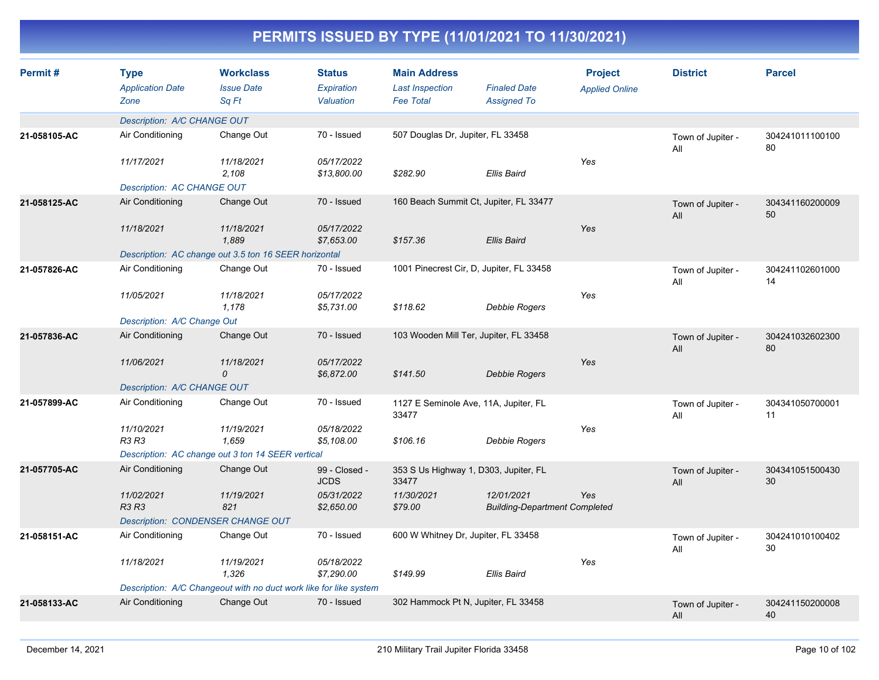| Permit#      | <b>Type</b><br><b>Application Date</b><br>Zone | <b>Workclass</b><br><b>Issue Date</b><br>Sq Ft                    | <b>Status</b><br><b>Expiration</b><br>Valuation | <b>Main Address</b><br><b>Last Inspection</b><br><b>Fee Total</b> | <b>Finaled Date</b><br><b>Assigned To</b>          | <b>Project</b><br><b>Applied Online</b> | <b>District</b>          | <b>Parcel</b>         |
|--------------|------------------------------------------------|-------------------------------------------------------------------|-------------------------------------------------|-------------------------------------------------------------------|----------------------------------------------------|-----------------------------------------|--------------------------|-----------------------|
|              | Description: A/C CHANGE OUT                    |                                                                   |                                                 |                                                                   |                                                    |                                         |                          |                       |
| 21-058105-AC | Air Conditioning                               | Change Out                                                        | 70 - Issued                                     | 507 Douglas Dr, Jupiter, FL 33458                                 |                                                    |                                         | Town of Jupiter -<br>All | 304241011100100<br>80 |
|              | 11/17/2021                                     | 11/18/2021<br>2.108                                               | 05/17/2022<br>\$13,800.00                       | \$282.90                                                          | <b>Ellis Baird</b>                                 | Yes                                     |                          |                       |
|              | Description: AC CHANGE OUT                     |                                                                   |                                                 |                                                                   |                                                    |                                         |                          |                       |
| 21-058125-AC | Air Conditioning                               | Change Out                                                        | 70 - Issued                                     |                                                                   | 160 Beach Summit Ct, Jupiter, FL 33477             |                                         | Town of Jupiter -<br>All | 304341160200009<br>50 |
|              | 11/18/2021                                     | 11/18/2021<br>1,889                                               | 05/17/2022<br>\$7,653.00                        | \$157.36                                                          | Ellis Baird                                        | Yes                                     |                          |                       |
|              |                                                | Description: AC change out 3.5 ton 16 SEER horizontal             |                                                 |                                                                   |                                                    |                                         |                          |                       |
| 21-057826-AC | Air Conditioning                               | Change Out                                                        | 70 - Issued                                     |                                                                   | 1001 Pinecrest Cir, D, Jupiter, FL 33458           |                                         | Town of Jupiter -<br>All | 304241102601000<br>14 |
|              | 11/05/2021                                     | 11/18/2021<br>1.178                                               | 05/17/2022<br>\$5,731.00                        | \$118.62                                                          | Debbie Rogers                                      | Yes                                     |                          |                       |
|              | Description: A/C Change Out                    |                                                                   |                                                 |                                                                   |                                                    |                                         |                          |                       |
| 21-057836-AC | Air Conditioning                               | Change Out                                                        | 70 - Issued                                     |                                                                   | 103 Wooden Mill Ter, Jupiter, FL 33458             |                                         | Town of Jupiter -<br>All | 304241032602300<br>80 |
|              | 11/06/2021                                     | 11/18/2021<br>$\mathcal{O}$                                       | 05/17/2022<br>\$6,872.00                        | \$141.50                                                          | Debbie Rogers                                      | Yes                                     |                          |                       |
|              | Description: A/C CHANGE OUT                    |                                                                   |                                                 |                                                                   |                                                    |                                         |                          |                       |
| 21-057899-AC | Air Conditioning                               | Change Out                                                        | 70 - Issued                                     | 33477                                                             | 1127 E Seminole Ave, 11A, Jupiter, FL              |                                         | Town of Jupiter -<br>All | 304341050700001<br>11 |
|              | 11/10/2021<br>R3 R3                            | 11/19/2021<br>1,659                                               | 05/18/2022<br>\$5,108.00                        | \$106.16                                                          | Debbie Rogers                                      | Yes                                     |                          |                       |
|              |                                                | Description: AC change out 3 ton 14 SEER vertical                 |                                                 |                                                                   |                                                    |                                         |                          |                       |
| 21-057705-AC | Air Conditioning                               | Change Out                                                        | 99 - Closed -<br><b>JCDS</b>                    | 33477                                                             | 353 S Us Highway 1, D303, Jupiter, FL              |                                         | Town of Jupiter -<br>All | 304341051500430<br>30 |
|              | 11/02/2021<br><b>R3 R3</b>                     | 11/19/2021<br>821                                                 | 05/31/2022<br>\$2,650.00                        | 11/30/2021<br>\$79.00                                             | 12/01/2021<br><b>Building-Department Completed</b> | Yes                                     |                          |                       |
|              |                                                | <b>Description: CONDENSER CHANGE OUT</b>                          |                                                 |                                                                   |                                                    |                                         |                          |                       |
| 21-058151-AC | Air Conditioning                               | Change Out                                                        | 70 - Issued                                     | 600 W Whitney Dr, Jupiter, FL 33458                               |                                                    |                                         | Town of Jupiter -<br>All | 304241010100402<br>30 |
|              | 11/18/2021                                     | 11/19/2021<br>1.326                                               | 05/18/2022<br>\$7,290.00                        | \$149.99                                                          | <b>Ellis Baird</b>                                 | Yes                                     |                          |                       |
|              |                                                | Description: A/C Changeout with no duct work like for like system |                                                 |                                                                   |                                                    |                                         |                          |                       |
| 21-058133-AC | Air Conditioning                               | Change Out                                                        | 70 - Issued                                     |                                                                   | 302 Hammock Pt N, Jupiter, FL 33458                |                                         | Town of Jupiter -<br>All | 304241150200008<br>40 |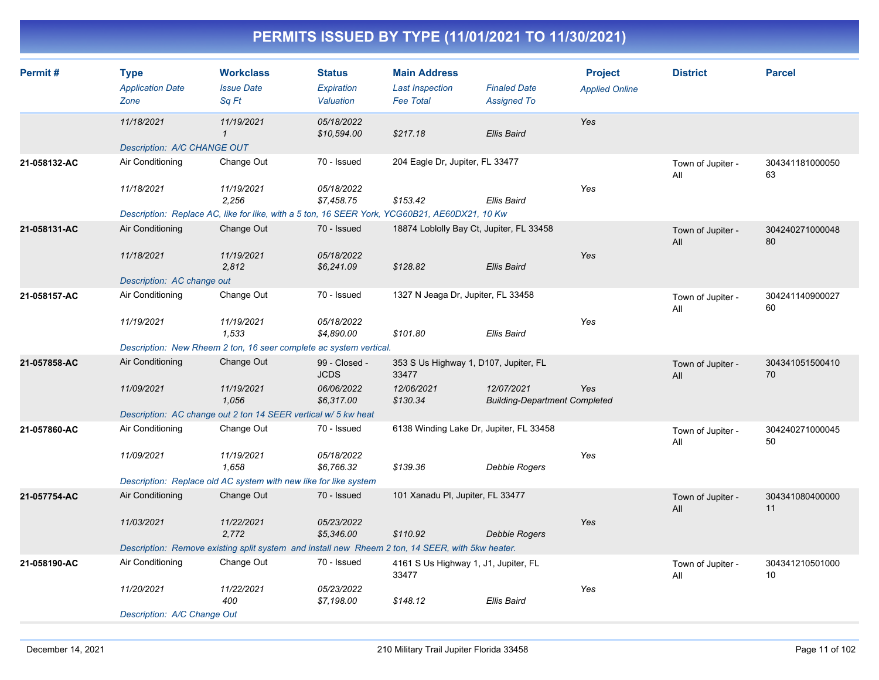| Permit#      | <b>Type</b><br><b>Application Date</b><br>Zone | <b>Workclass</b><br><b>Issue Date</b><br>Sq Ft                                                   | <b>Status</b><br><b>Expiration</b><br>Valuation | <b>Main Address</b><br><b>Last Inspection</b><br><b>Fee Total</b> | <b>Finaled Date</b><br><b>Assigned To</b>          | <b>Project</b><br><b>Applied Online</b> | <b>District</b>          | <b>Parcel</b>         |
|--------------|------------------------------------------------|--------------------------------------------------------------------------------------------------|-------------------------------------------------|-------------------------------------------------------------------|----------------------------------------------------|-----------------------------------------|--------------------------|-----------------------|
|              | 11/18/2021                                     | 11/19/2021<br>$\mathbf{\mathcal{L}}$                                                             | 05/18/2022<br>\$10,594.00                       | \$217.18                                                          | <b>Ellis Baird</b>                                 | Yes                                     |                          |                       |
|              | Description: A/C CHANGE OUT                    |                                                                                                  |                                                 |                                                                   |                                                    |                                         |                          |                       |
| 21-058132-AC | Air Conditioning                               | Change Out                                                                                       | 70 - Issued                                     | 204 Eagle Dr, Jupiter, FL 33477                                   |                                                    |                                         | Town of Jupiter -<br>All | 304341181000050<br>63 |
|              | 11/18/2021                                     | 11/19/2021                                                                                       | 05/18/2022                                      |                                                                   |                                                    | Yes                                     |                          |                       |
|              |                                                | 2,256                                                                                            | \$7,458.75                                      | \$153.42                                                          | Ellis Baird                                        |                                         |                          |                       |
|              |                                                | Description: Replace AC, like for like, with a 5 ton, 16 SEER York, YCG60B21, AE60DX21, 10 Kw    |                                                 |                                                                   |                                                    |                                         |                          |                       |
| 21-058131-AC | Air Conditioning                               | Change Out                                                                                       | 70 - Issued                                     | 18874 Loblolly Bay Ct, Jupiter, FL 33458                          |                                                    |                                         | Town of Jupiter -<br>All | 304240271000048<br>80 |
|              | 11/18/2021                                     | 11/19/2021<br>2,812                                                                              | 05/18/2022<br>\$6,241.09                        | \$128.82                                                          | <b>Ellis Baird</b>                                 | Yes                                     |                          |                       |
|              | Description: AC change out                     |                                                                                                  |                                                 |                                                                   |                                                    |                                         |                          |                       |
| 21-058157-AC | Air Conditioning                               | Change Out                                                                                       | 70 - Issued                                     | 1327 N Jeaga Dr, Jupiter, FL 33458                                |                                                    |                                         | Town of Jupiter -<br>All | 304241140900027<br>60 |
|              | 11/19/2021                                     | 11/19/2021<br>1,533                                                                              | 05/18/2022<br>\$4,890.00                        | \$101.80                                                          | Ellis Baird                                        | Yes                                     |                          |                       |
|              |                                                | Description: New Rheem 2 ton, 16 seer complete ac system vertical.                               |                                                 |                                                                   |                                                    |                                         |                          |                       |
| 21-057858-AC | Air Conditioning                               | Change Out                                                                                       | 99 - Closed -<br><b>JCDS</b>                    | 353 S Us Highway 1, D107, Jupiter, FL<br>33477                    |                                                    |                                         | Town of Jupiter -<br>All | 304341051500410<br>70 |
|              | 11/09/2021                                     | 11/19/2021<br>1,056                                                                              | 06/06/2022<br>\$6,317.00                        | 12/06/2021<br>\$130.34                                            | 12/07/2021<br><b>Building-Department Completed</b> | Yes                                     |                          |                       |
|              |                                                | Description: AC change out 2 ton 14 SEER vertical w/ 5 kw heat                                   |                                                 |                                                                   |                                                    |                                         |                          |                       |
| 21-057860-AC | Air Conditioning                               | Change Out                                                                                       | 70 - Issued                                     | 6138 Winding Lake Dr, Jupiter, FL 33458                           |                                                    |                                         | Town of Jupiter -<br>All | 304240271000045<br>50 |
|              | 11/09/2021                                     | 11/19/2021<br>1,658                                                                              | 05/18/2022<br>\$6,766.32                        | \$139.36                                                          | Debbie Rogers                                      | Yes                                     |                          |                       |
|              |                                                | Description: Replace old AC system with new like for like system                                 |                                                 |                                                                   |                                                    |                                         |                          |                       |
| 21-057754-AC | Air Conditioning                               | Change Out                                                                                       | 70 - Issued                                     | 101 Xanadu PI, Jupiter, FL 33477                                  |                                                    |                                         | Town of Jupiter -<br>All | 304341080400000<br>11 |
|              | 11/03/2021                                     | 11/22/2021<br>2.772                                                                              | 05/23/2022<br>\$5,346.00                        | \$110.92                                                          | <b>Debbie Rogers</b>                               | Yes                                     |                          |                       |
|              |                                                | Description: Remove existing split system and install new Rheem 2 ton, 14 SEER, with 5kw heater. |                                                 |                                                                   |                                                    |                                         |                          |                       |
| 21-058190-AC | Air Conditioning                               | Change Out                                                                                       | 70 - Issued                                     | 4161 S Us Highway 1, J1, Jupiter, FL<br>33477                     |                                                    |                                         | Town of Jupiter -<br>All | 304341210501000<br>10 |
|              | 11/20/2021                                     | 11/22/2021<br>400                                                                                | 05/23/2022<br>\$7,198.00                        | \$148.12                                                          | Ellis Baird                                        | Yes                                     |                          |                       |
|              | Description: A/C Change Out                    |                                                                                                  |                                                 |                                                                   |                                                    |                                         |                          |                       |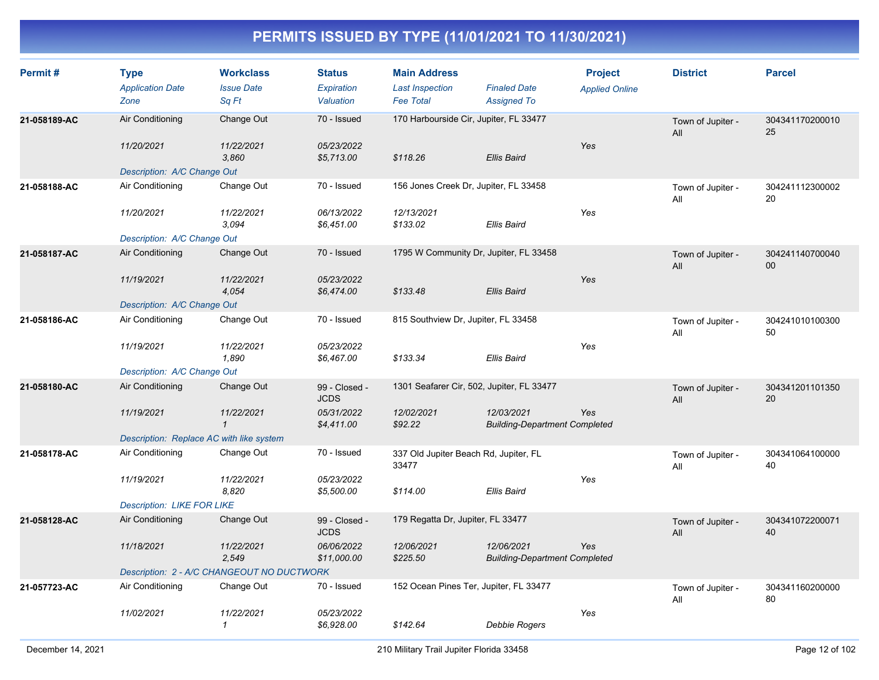| Permit#      | <b>Type</b><br><b>Application Date</b><br>Zone | <b>Workclass</b><br><b>Issue Date</b><br>Sq Ft | <b>Status</b><br>Expiration<br>Valuation | <b>Main Address</b><br><b>Last Inspection</b><br><b>Fee Total</b> | <b>Finaled Date</b><br><b>Assigned To</b>          | <b>Project</b><br><b>Applied Online</b> | <b>District</b>          | <b>Parcel</b>             |
|--------------|------------------------------------------------|------------------------------------------------|------------------------------------------|-------------------------------------------------------------------|----------------------------------------------------|-----------------------------------------|--------------------------|---------------------------|
| 21-058189-AC | Air Conditioning                               | Change Out                                     | 70 - Issued                              | 170 Harbourside Cir, Jupiter, FL 33477                            |                                                    |                                         | Town of Jupiter -<br>All | 304341170200010<br>25     |
|              | 11/20/2021                                     | 11/22/2021<br>3,860                            | 05/23/2022<br>\$5,713.00                 | \$118.26                                                          | <b>Ellis Baird</b>                                 | Yes                                     |                          |                           |
|              | Description: A/C Change Out                    |                                                |                                          |                                                                   |                                                    |                                         |                          |                           |
| 21-058188-AC | Air Conditioning                               | Change Out                                     | 70 - Issued                              | 156 Jones Creek Dr, Jupiter, FL 33458                             |                                                    |                                         | Town of Jupiter -<br>All | 304241112300002<br>20     |
|              | 11/20/2021                                     | 11/22/2021<br>3.094                            | 06/13/2022<br>\$6,451.00                 | 12/13/2021<br>\$133.02                                            | Ellis Baird                                        | Yes                                     |                          |                           |
|              | Description: A/C Change Out                    |                                                |                                          |                                                                   |                                                    |                                         |                          |                           |
| 21-058187-AC | Air Conditioning                               | Change Out                                     | 70 - Issued                              | 1795 W Community Dr, Jupiter, FL 33458                            |                                                    |                                         | Town of Jupiter -<br>All | 304241140700040<br>$00\,$ |
|              | 11/19/2021                                     | 11/22/2021<br>4,054                            | 05/23/2022<br>\$6,474.00                 | \$133.48                                                          | <b>Ellis Baird</b>                                 | Yes                                     |                          |                           |
|              | Description: A/C Change Out                    |                                                |                                          |                                                                   |                                                    |                                         |                          |                           |
| 21-058186-AC | Air Conditioning                               | Change Out                                     | 70 - Issued                              | 815 Southview Dr, Jupiter, FL 33458                               |                                                    |                                         | Town of Jupiter -<br>All | 304241010100300<br>50     |
|              | 11/19/2021                                     | 11/22/2021<br>1,890                            | 05/23/2022<br>\$6,467.00                 | \$133.34                                                          | <b>Ellis Baird</b>                                 | Yes                                     |                          |                           |
|              | Description: A/C Change Out                    |                                                |                                          |                                                                   |                                                    |                                         |                          |                           |
| 21-058180-AC | Air Conditioning                               | Change Out                                     | 99 - Closed -<br><b>JCDS</b>             | 1301 Seafarer Cir, 502, Jupiter, FL 33477                         |                                                    |                                         | Town of Jupiter -<br>All | 304341201101350<br>20     |
|              | 11/19/2021                                     | 11/22/2021<br>$\mathbf{1}$                     | 05/31/2022<br>\$4,411.00                 | 12/02/2021<br>\$92.22                                             | 12/03/2021<br><b>Building-Department Completed</b> | Yes                                     |                          |                           |
|              | Description: Replace AC with like system       |                                                |                                          |                                                                   |                                                    |                                         |                          |                           |
| 21-058178-AC | Air Conditioning                               | Change Out                                     | 70 - Issued                              | 337 Old Jupiter Beach Rd, Jupiter, FL<br>33477                    |                                                    |                                         | Town of Jupiter -<br>All | 304341064100000<br>40     |
|              | 11/19/2021                                     | 11/22/2021<br>8,820                            | 05/23/2022<br>\$5,500.00                 | \$114.00                                                          | <b>Ellis Baird</b>                                 | Yes                                     |                          |                           |
|              | <b>Description: LIKE FOR LIKE</b>              |                                                |                                          |                                                                   |                                                    |                                         |                          |                           |
| 21-058128-AC | Air Conditioning                               | Change Out                                     | 99 - Closed -<br><b>JCDS</b>             | 179 Regatta Dr, Jupiter, FL 33477                                 |                                                    |                                         | Town of Jupiter -<br>All | 304341072200071<br>40     |
|              | 11/18/2021                                     | 11/22/2021<br>2,549                            | 06/06/2022<br>\$11,000.00                | 12/06/2021<br>\$225.50                                            | 12/06/2021<br><b>Building-Department Completed</b> | Yes                                     |                          |                           |
|              |                                                | Description: 2 - A/C CHANGEOUT NO DUCTWORK     |                                          |                                                                   |                                                    |                                         |                          |                           |
| 21-057723-AC | Air Conditioning                               | Change Out                                     | 70 - Issued                              | 152 Ocean Pines Ter, Jupiter, FL 33477                            |                                                    |                                         | Town of Jupiter -<br>All | 304341160200000<br>80     |
|              | 11/02/2021                                     | 11/22/2021<br>$\mathbf{1}$                     | 05/23/2022<br>\$6,928.00                 | \$142.64                                                          | Debbie Rogers                                      | Yes                                     |                          |                           |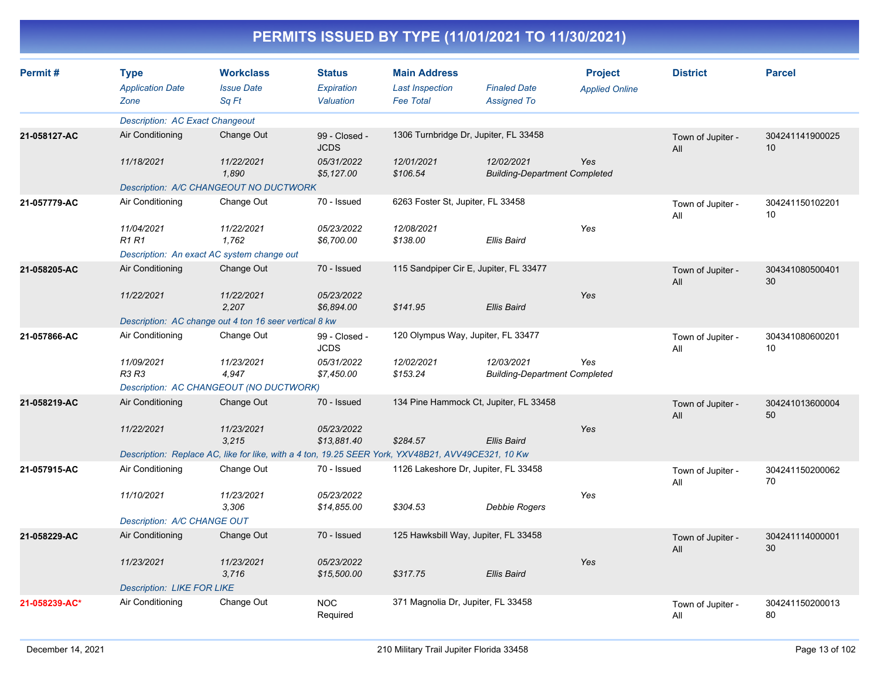| Permit#       | <b>Type</b><br><b>Application Date</b>                                                             | <b>Workclass</b><br><b>Issue Date</b> | <b>Status</b><br>Expiration  | <b>Main Address</b><br><b>Last Inspection</b> | <b>Finaled Date</b>                                | <b>Project</b>        | <b>District</b>          | <b>Parcel</b>         |
|---------------|----------------------------------------------------------------------------------------------------|---------------------------------------|------------------------------|-----------------------------------------------|----------------------------------------------------|-----------------------|--------------------------|-----------------------|
|               | Zone                                                                                               | Sq Ft                                 | Valuation                    | <b>Fee Total</b>                              | <b>Assigned To</b>                                 | <b>Applied Online</b> |                          |                       |
|               | <b>Description: AC Exact Changeout</b>                                                             |                                       |                              |                                               |                                                    |                       |                          |                       |
| 21-058127-AC  | Air Conditioning                                                                                   | Change Out                            | 99 - Closed -<br><b>JCDS</b> | 1306 Turnbridge Dr, Jupiter, FL 33458         |                                                    |                       | Town of Jupiter -<br>All | 304241141900025<br>10 |
|               | 11/18/2021                                                                                         | 11/22/2021<br>1,890                   | 05/31/2022<br>\$5,127.00     | 12/01/2021<br>\$106.54                        | 12/02/2021<br><b>Building-Department Completed</b> | Yes                   |                          |                       |
|               | Description: A/C CHANGEOUT NO DUCTWORK                                                             |                                       |                              |                                               |                                                    |                       |                          |                       |
| 21-057779-AC  | Air Conditioning                                                                                   | Change Out                            | 70 - Issued                  | 6263 Foster St, Jupiter, FL 33458             |                                                    |                       | Town of Jupiter -<br>All | 304241150102201<br>10 |
|               | 11/04/2021<br><b>R1R1</b>                                                                          | 11/22/2021<br>1,762                   | 05/23/2022<br>\$6,700.00     | 12/08/2021<br>\$138.00                        | <b>Ellis Baird</b>                                 | Yes                   |                          |                       |
|               | Description: An exact AC system change out                                                         |                                       |                              |                                               |                                                    |                       |                          |                       |
| 21-058205-AC  | Air Conditioning                                                                                   | Change Out                            | 70 - Issued                  | 115 Sandpiper Cir E, Jupiter, FL 33477        |                                                    |                       | Town of Jupiter -<br>All | 304341080500401<br>30 |
|               | 11/22/2021                                                                                         | 11/22/2021<br>2,207                   | 05/23/2022<br>\$6,894.00     | \$141.95                                      | <b>Ellis Baird</b>                                 | Yes                   |                          |                       |
|               | Description: AC change out 4 ton 16 seer vertical 8 kw                                             |                                       |                              |                                               |                                                    |                       |                          |                       |
| 21-057866-AC  | Air Conditioning                                                                                   | Change Out                            | 99 - Closed -<br><b>JCDS</b> | 120 Olympus Way, Jupiter, FL 33477            |                                                    |                       | Town of Jupiter -<br>All | 304341080600201<br>10 |
|               | 11/09/2021<br>R3 R3                                                                                | 11/23/2021<br>4,947                   | 05/31/2022<br>\$7,450.00     | 12/02/2021<br>\$153.24                        | 12/03/2021<br><b>Building-Department Completed</b> | Yes                   |                          |                       |
|               | Description: AC CHANGEOUT (NO DUCTWORK)                                                            |                                       |                              |                                               |                                                    |                       |                          |                       |
| 21-058219-AC  | Air Conditioning                                                                                   | Change Out                            | 70 - Issued                  | 134 Pine Hammock Ct, Jupiter, FL 33458        |                                                    |                       | Town of Jupiter -<br>All | 304241013600004<br>50 |
|               | 11/22/2021                                                                                         | 11/23/2021<br>3,215                   | 05/23/2022<br>\$13,881.40    | \$284.57                                      | Ellis Baird                                        | Yes                   |                          |                       |
|               | Description: Replace AC, like for like, with a 4 ton, 19.25 SEER York, YXV48B21, AVV49CE321, 10 Kw |                                       |                              |                                               |                                                    |                       |                          |                       |
| 21-057915-AC  | Air Conditioning                                                                                   | Change Out                            | 70 - Issued                  | 1126 Lakeshore Dr, Jupiter, FL 33458          |                                                    |                       | Town of Jupiter -<br>All | 304241150200062<br>70 |
|               | 11/10/2021                                                                                         | 11/23/2021<br>3.306                   | 05/23/2022<br>\$14,855.00    | \$304.53                                      | Debbie Rogers                                      | Yes                   |                          |                       |
|               | Description: A/C CHANGE OUT                                                                        |                                       |                              |                                               |                                                    |                       |                          |                       |
| 21-058229-AC  | Air Conditioning                                                                                   | Change Out                            | 70 - Issued                  | 125 Hawksbill Way, Jupiter, FL 33458          |                                                    |                       | Town of Jupiter -<br>All | 304241114000001<br>30 |
|               | 11/23/2021                                                                                         | 11/23/2021<br>3.716                   | 05/23/2022<br>\$15,500.00    | \$317.75                                      | <b>Ellis Baird</b>                                 | Yes                   |                          |                       |
|               | <b>Description: LIKE FOR LIKE</b>                                                                  |                                       |                              |                                               |                                                    |                       |                          |                       |
| 21-058239-AC* | Air Conditioning                                                                                   | Change Out                            | <b>NOC</b><br>Required       | 371 Magnolia Dr, Jupiter, FL 33458            |                                                    |                       | Town of Jupiter -<br>All | 304241150200013<br>80 |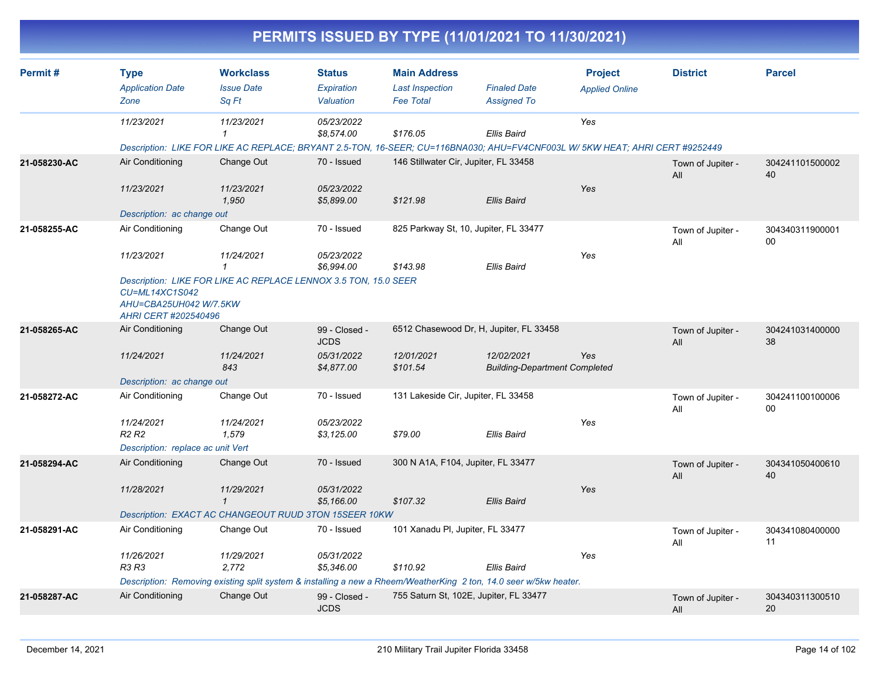|              |                                                                                                                                     |                                                       |                                          |                                                                   | PERMITS ISSUED BY TYPE (11/01/2021 TO 11/30/2021)                                                                 |                                                                                                                              |                          |                       |
|--------------|-------------------------------------------------------------------------------------------------------------------------------------|-------------------------------------------------------|------------------------------------------|-------------------------------------------------------------------|-------------------------------------------------------------------------------------------------------------------|------------------------------------------------------------------------------------------------------------------------------|--------------------------|-----------------------|
| Permit#      | <b>Type</b><br><b>Application Date</b><br>Zone                                                                                      | <b>Workclass</b><br><b>Issue Date</b><br>Sq Ft        | <b>Status</b><br>Expiration<br>Valuation | <b>Main Address</b><br><b>Last Inspection</b><br><b>Fee Total</b> | <b>Finaled Date</b><br><b>Assigned To</b>                                                                         | <b>Project</b><br><b>Applied Online</b>                                                                                      | <b>District</b>          | <b>Parcel</b>         |
|              | 11/23/2021                                                                                                                          | 11/23/2021                                            | 05/23/2022<br>\$8,574.00                 | \$176.05                                                          | Ellis Baird                                                                                                       | Yes                                                                                                                          |                          |                       |
|              |                                                                                                                                     |                                                       |                                          |                                                                   |                                                                                                                   | Description: LIKE FOR LIKE AC REPLACE; BRYANT 2.5-TON, 16-SEER; CU=116BNA030; AHU=FV4CNF003L W/ 5KW HEAT; AHRI CERT #9252449 |                          |                       |
| 21-058230-AC | Air Conditioning                                                                                                                    | Change Out                                            | 70 - Issued                              | 146 Stillwater Cir, Jupiter, FL 33458                             |                                                                                                                   |                                                                                                                              | Town of Jupiter -<br>All | 304241101500002<br>40 |
|              | 11/23/2021                                                                                                                          | 11/23/2021<br>1,950                                   | 05/23/2022<br>\$5,899.00                 | \$121.98                                                          | Ellis Baird                                                                                                       | Yes                                                                                                                          |                          |                       |
|              | Description: ac change out                                                                                                          |                                                       |                                          |                                                                   |                                                                                                                   |                                                                                                                              |                          |                       |
| 21-058255-AC | Air Conditioning                                                                                                                    | Change Out                                            | 70 - Issued                              |                                                                   | 825 Parkway St, 10, Jupiter, FL 33477                                                                             |                                                                                                                              | Town of Jupiter -<br>All | 304340311900001<br>00 |
|              | 11/23/2021                                                                                                                          | 11/24/2021                                            | 05/23/2022<br>\$6,994.00                 | \$143.98                                                          | Ellis Baird                                                                                                       | Yes                                                                                                                          |                          |                       |
|              | Description: LIKE FOR LIKE AC REPLACE LENNOX 3.5 TON, 15.0 SEER<br>CU=ML14XC1S042<br>AHU=CBA25UH042 W/7.5KW<br>AHRI CERT #202540496 |                                                       |                                          |                                                                   |                                                                                                                   |                                                                                                                              |                          |                       |
| 21-058265-AC | Air Conditioning                                                                                                                    | Change Out                                            | 99 - Closed -<br><b>JCDS</b>             |                                                                   | 6512 Chasewood Dr, H, Jupiter, FL 33458                                                                           |                                                                                                                              | Town of Jupiter -<br>All | 304241031400000<br>38 |
|              | 11/24/2021                                                                                                                          | 11/24/2021<br>843                                     | 05/31/2022<br>\$4,877.00                 | 12/01/2021<br>\$101.54                                            | 12/02/2021<br><b>Building-Department Completed</b>                                                                | Yes                                                                                                                          |                          |                       |
|              | Description: ac change out                                                                                                          |                                                       |                                          |                                                                   |                                                                                                                   |                                                                                                                              |                          |                       |
| 21-058272-AC | Air Conditioning                                                                                                                    | Change Out                                            | 70 - Issued                              | 131 Lakeside Cir, Jupiter, FL 33458                               |                                                                                                                   |                                                                                                                              | Town of Jupiter -<br>All | 304241100100006<br>00 |
|              | 11/24/2021<br>R <sub>2</sub> R <sub>2</sub>                                                                                         | 11/24/2021<br>1,579                                   | 05/23/2022<br>\$3,125.00                 | \$79.00                                                           | <b>Ellis Baird</b>                                                                                                | Yes                                                                                                                          |                          |                       |
|              | Description: replace ac unit Vert                                                                                                   |                                                       |                                          |                                                                   |                                                                                                                   |                                                                                                                              |                          |                       |
| 21-058294-AC | Air Conditioning                                                                                                                    | Change Out                                            | 70 - Issued                              | 300 N A1A, F104, Jupiter, FL 33477                                |                                                                                                                   |                                                                                                                              | Town of Jupiter -<br>All | 304341050400610<br>40 |
|              | 11/28/2021                                                                                                                          | 11/29/2021<br>$\mathbf{1}$                            | 05/31/2022<br>\$5,166.00                 | \$107.32                                                          | Ellis Baird                                                                                                       | Yes                                                                                                                          |                          |                       |
|              |                                                                                                                                     | Description: EXACT AC CHANGEOUT RUUD 3TON 15SEER 10KW |                                          |                                                                   |                                                                                                                   |                                                                                                                              |                          |                       |
| 21-058291-AC | Air Conditioning                                                                                                                    | Change Out                                            | 70 - Issued                              | 101 Xanadu PI, Jupiter, FL 33477                                  |                                                                                                                   |                                                                                                                              | Town of Jupiter -<br>All | 304341080400000<br>11 |
|              | 11/26/2021<br>R3 R3                                                                                                                 | 11/29/2021<br>2,772                                   | 05/31/2022<br>\$5,346.00                 | \$110.92                                                          | <b>Ellis Baird</b>                                                                                                | Yes                                                                                                                          |                          |                       |
|              |                                                                                                                                     |                                                       |                                          |                                                                   | Description: Removing existing split system & installing a new a Rheem/WeatherKing 2 ton, 14.0 seer w/5kw heater. |                                                                                                                              |                          |                       |
| 21-058287-AC | Air Conditioning                                                                                                                    | Change Out                                            | 99 - Closed -<br><b>JCDS</b>             |                                                                   | 755 Saturn St, 102E, Jupiter, FL 33477                                                                            |                                                                                                                              | Town of Jupiter -<br>All | 304340311300510<br>20 |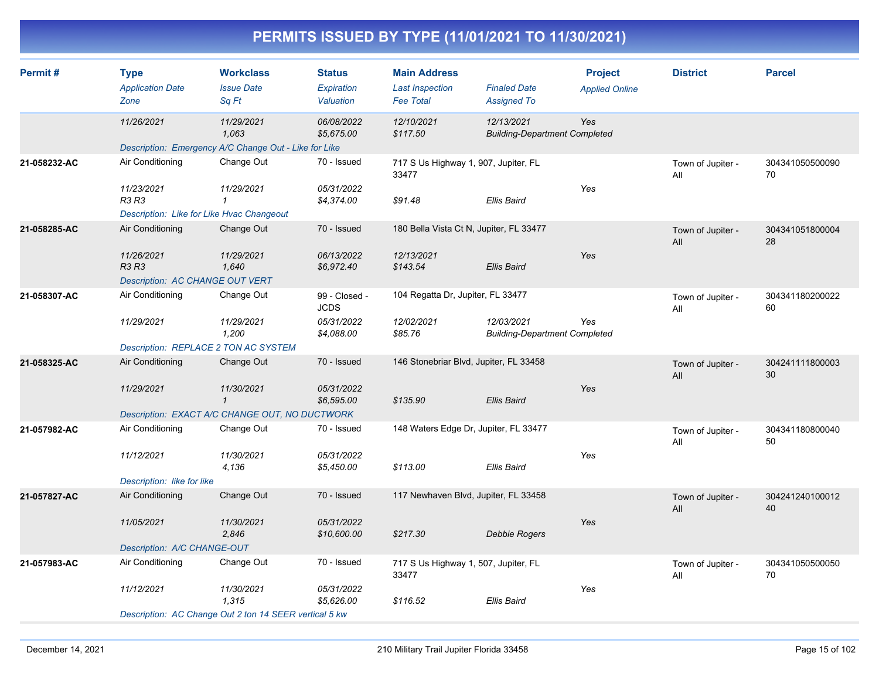| Permit#      | <b>Type</b><br><b>Application Date</b>    | <b>Workclass</b><br><b>Issue Date</b>                  | <b>Status</b><br>Expiration | <b>Main Address</b><br><b>Last Inspection</b> | <b>Finaled Date</b>                                | <b>Project</b><br><b>Applied Online</b> | <b>District</b>          | <b>Parcel</b>         |
|--------------|-------------------------------------------|--------------------------------------------------------|-----------------------------|-----------------------------------------------|----------------------------------------------------|-----------------------------------------|--------------------------|-----------------------|
|              | Zone                                      | Sq Ft                                                  | Valuation                   | <b>Fee Total</b>                              | <b>Assigned To</b>                                 |                                         |                          |                       |
|              | 11/26/2021                                | 11/29/2021<br>1,063                                    | 06/08/2022<br>\$5,675.00    | 12/10/2021<br>\$117.50                        | 12/13/2021<br><b>Building-Department Completed</b> | Yes                                     |                          |                       |
|              |                                           | Description: Emergency A/C Change Out - Like for Like  |                             |                                               |                                                    |                                         |                          |                       |
| 21-058232-AC | Air Conditioning                          | Change Out                                             | 70 - Issued                 | 717 S Us Highway 1, 907, Jupiter, FL<br>33477 |                                                    |                                         | Town of Jupiter -<br>All | 304341050500090<br>70 |
|              | 11/23/2021<br>R3 R3                       | 11/29/2021<br>$\mathbf{1}$                             | 05/31/2022<br>\$4,374.00    | \$91.48                                       | <b>Ellis Baird</b>                                 | Yes                                     |                          |                       |
|              | Description: Like for Like Hvac Changeout |                                                        |                             |                                               |                                                    |                                         |                          |                       |
| 21-058285-AC | Air Conditioning                          | Change Out                                             | 70 - Issued                 | 180 Bella Vista Ct N, Jupiter, FL 33477       |                                                    |                                         | Town of Jupiter -<br>All | 304341051800004<br>28 |
|              | 11/26/2021<br><b>R3 R3</b>                | 11/29/2021<br>1,640                                    | 06/13/2022<br>\$6,972.40    | 12/13/2021<br>\$143.54                        | <b>Ellis Baird</b>                                 | Yes                                     |                          |                       |
|              | <b>Description: AC CHANGE OUT VERT</b>    |                                                        |                             |                                               |                                                    |                                         |                          |                       |
| 21-058307-AC | Air Conditioning                          | Change Out                                             | 99 - Closed -<br>JCDS       | 104 Regatta Dr, Jupiter, FL 33477             |                                                    |                                         | Town of Jupiter -<br>All | 304341180200022<br>60 |
|              | 11/29/2021                                | 11/29/2021<br>1,200                                    | 05/31/2022<br>\$4,088.00    | 12/02/2021<br>\$85.76                         | 12/03/2021<br><b>Building-Department Completed</b> | Yes                                     |                          |                       |
|              | Description: REPLACE 2 TON AC SYSTEM      |                                                        |                             |                                               |                                                    |                                         |                          |                       |
| 21-058325-AC | Air Conditioning                          | Change Out                                             | 70 - Issued                 | 146 Stonebriar Blvd, Jupiter, FL 33458        |                                                    |                                         | Town of Jupiter -<br>All | 304241111800003<br>30 |
|              | 11/29/2021                                | 11/30/2021<br>$\mathbf{1}$                             | 05/31/2022<br>\$6,595.00    | \$135.90                                      | <b>Ellis Baird</b>                                 | Yes                                     |                          |                       |
|              |                                           | Description: EXACT A/C CHANGE OUT, NO DUCTWORK         |                             |                                               |                                                    |                                         |                          |                       |
| 21-057982-AC | Air Conditioning                          | Change Out                                             | 70 - Issued                 | 148 Waters Edge Dr, Jupiter, FL 33477         |                                                    |                                         | Town of Jupiter -<br>All | 304341180800040<br>50 |
|              | 11/12/2021                                | 11/30/2021<br>4,136                                    | 05/31/2022<br>\$5,450.00    | \$113.00                                      | <b>Ellis Baird</b>                                 | Yes                                     |                          |                       |
|              | Description: like for like                |                                                        |                             |                                               |                                                    |                                         |                          |                       |
| 21-057827-AC | Air Conditioning                          | Change Out                                             | 70 - Issued                 | 117 Newhaven Blvd, Jupiter, FL 33458          |                                                    |                                         | Town of Jupiter -<br>All | 304241240100012<br>40 |
|              | 11/05/2021                                | 11/30/2021<br>2,846                                    | 05/31/2022<br>\$10,600.00   | \$217.30                                      | <b>Debbie Rogers</b>                               | Yes                                     |                          |                       |
|              | Description: A/C CHANGE-OUT               |                                                        |                             |                                               |                                                    |                                         |                          |                       |
| 21-057983-AC | Air Conditioning                          | Change Out                                             | 70 - Issued                 | 717 S Us Highway 1, 507, Jupiter, FL<br>33477 |                                                    |                                         | Town of Jupiter -<br>All | 304341050500050<br>70 |
|              | 11/12/2021                                | 11/30/2021<br>1.315                                    | 05/31/2022<br>\$5,626.00    | \$116.52                                      | Ellis Baird                                        | Yes                                     |                          |                       |
|              |                                           | Description: AC Change Out 2 ton 14 SEER vertical 5 kw |                             |                                               |                                                    |                                         |                          |                       |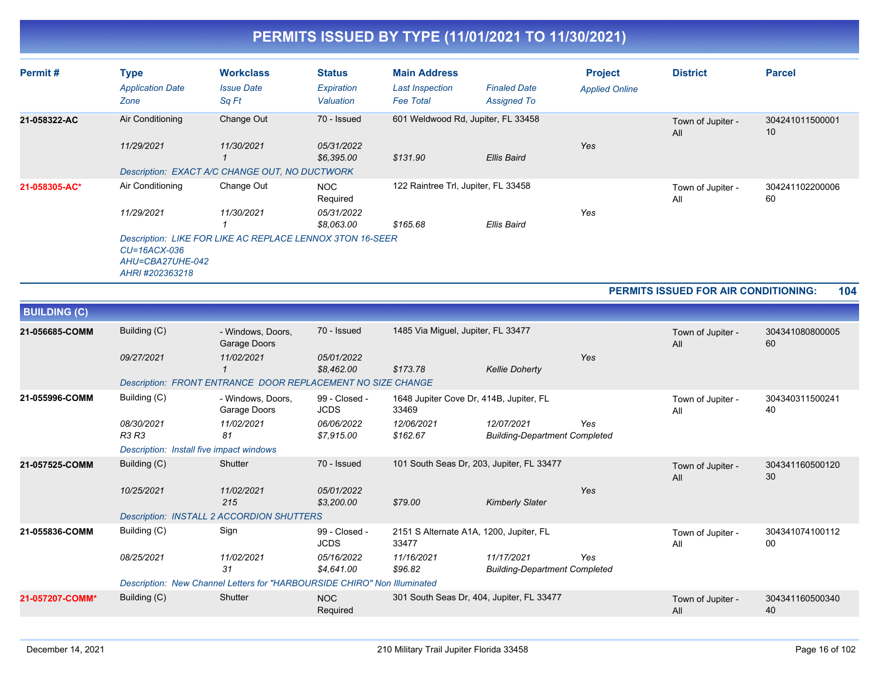| Permit#       | <b>Type</b><br><b>Application Date</b><br>Zone                                         | <b>Workclass</b><br><b>Issue Date</b><br>Sq Ft                                        | <b>Status</b><br>Expiration<br>Valuation           | <b>Main Address</b><br><b>Last Inspection</b><br><b>Fee Total</b> | <b>Finaled Date</b><br><b>Assigned To</b> | <b>Project</b><br><b>Applied Online</b> | <b>District</b>          | <b>Parcel</b>         |
|---------------|----------------------------------------------------------------------------------------|---------------------------------------------------------------------------------------|----------------------------------------------------|-------------------------------------------------------------------|-------------------------------------------|-----------------------------------------|--------------------------|-----------------------|
| 21-058322-AC  | Air Conditioning<br>11/29/2021                                                         | Change Out<br>11/30/2021<br>Description: EXACT A/C CHANGE OUT, NO DUCTWORK            | 70 - Issued<br>05/31/2022<br>\$6,395.00            | 601 Weldwood Rd, Jupiter, FL 33458<br>\$131.90                    | Ellis Baird                               | Yes                                     | Town of Jupiter -<br>All | 304241011500001<br>10 |
| 21-058305-AC* | Air Conditioning<br>11/29/2021<br>$CU=16ACX-036$<br>AHU=CBA27UHE-042<br>AHRI#202363218 | Change Out<br>11/30/2021<br>Description: LIKE FOR LIKE AC REPLACE LENNOX 3TON 16-SEER | <b>NOC</b><br>Required<br>05/31/2022<br>\$8.063.00 | 122 Raintree Trl, Jupiter, FL 33458<br>\$165.68                   | Ellis Baird                               | Yes                                     | Town of Jupiter -<br>All | 304241102200006<br>60 |

**PERMITS ISSUED FOR AIR CONDITIONING: 104**

| <b>BUILDING (C)</b> |                                          |                                                                          |                              |                                                  |                                                    |     |                          |                       |
|---------------------|------------------------------------------|--------------------------------------------------------------------------|------------------------------|--------------------------------------------------|----------------------------------------------------|-----|--------------------------|-----------------------|
| 21-056685-COMM      | Building (C)                             | - Windows, Doors,<br>Garage Doors                                        | 70 - Issued                  | 1485 Via Miguel, Jupiter, FL 33477               |                                                    |     | Town of Jupiter -<br>All | 304341080800005<br>60 |
|                     | 09/27/2021                               | 11/02/2021                                                               | 05/01/2022<br>\$8,462.00     | \$173.78                                         | <b>Kellie Doherty</b>                              | Yes |                          |                       |
|                     |                                          | Description: FRONT ENTRANCE DOOR REPLACEMENT NO SIZE CHANGE              |                              |                                                  |                                                    |     |                          |                       |
| 21-055996-COMM      | Building (C)                             | - Windows, Doors,<br>Garage Doors                                        | 99 - Closed -<br><b>JCDS</b> | 1648 Jupiter Cove Dr, 414B, Jupiter, FL<br>33469 |                                                    |     | Town of Jupiter -<br>All | 304340311500241<br>40 |
|                     | 08/30/2021<br><b>R3 R3</b>               | 11/02/2021<br>81                                                         | 06/06/2022<br>\$7.915.00     | 12/06/2021<br>\$162.67                           | 12/07/2021<br><b>Building-Department Completed</b> | Yes |                          |                       |
|                     | Description: Install five impact windows |                                                                          |                              |                                                  |                                                    |     |                          |                       |
| 21-057525-COMM      | Building (C)                             | Shutter                                                                  | 70 - Issued                  | 101 South Seas Dr, 203, Jupiter, FL 33477        |                                                    |     | Town of Jupiter -<br>All | 304341160500120<br>30 |
|                     | 10/25/2021                               | 11/02/2021<br>215                                                        | 05/01/2022<br>\$3,200.00     | \$79.00                                          | <b>Kimberly Slater</b>                             | Yes |                          |                       |
|                     |                                          | Description: INSTALL 2 ACCORDION SHUTTERS                                |                              |                                                  |                                                    |     |                          |                       |
| 21-055836-COMM      | Building (C)                             | Sign                                                                     | 99 - Closed -<br><b>JCDS</b> | 2151 S Alternate A1A, 1200, Jupiter, FL<br>33477 |                                                    |     | Town of Jupiter -<br>All | 304341074100112<br>00 |
|                     | 08/25/2021                               | 11/02/2021<br>31                                                         | 05/16/2022<br>\$4.641.00     | 11/16/2021<br>\$96.82                            | 11/17/2021<br><b>Building-Department Completed</b> | Yes |                          |                       |
|                     |                                          | Description: New Channel Letters for "HARBOURSIDE CHIRO" Non Illuminated |                              |                                                  |                                                    |     |                          |                       |
| 21-057207-COMM*     | Building (C)                             | Shutter                                                                  | <b>NOC</b><br>Required       | 301 South Seas Dr, 404, Jupiter, FL 33477        |                                                    |     | Town of Jupiter -<br>All | 304341160500340<br>40 |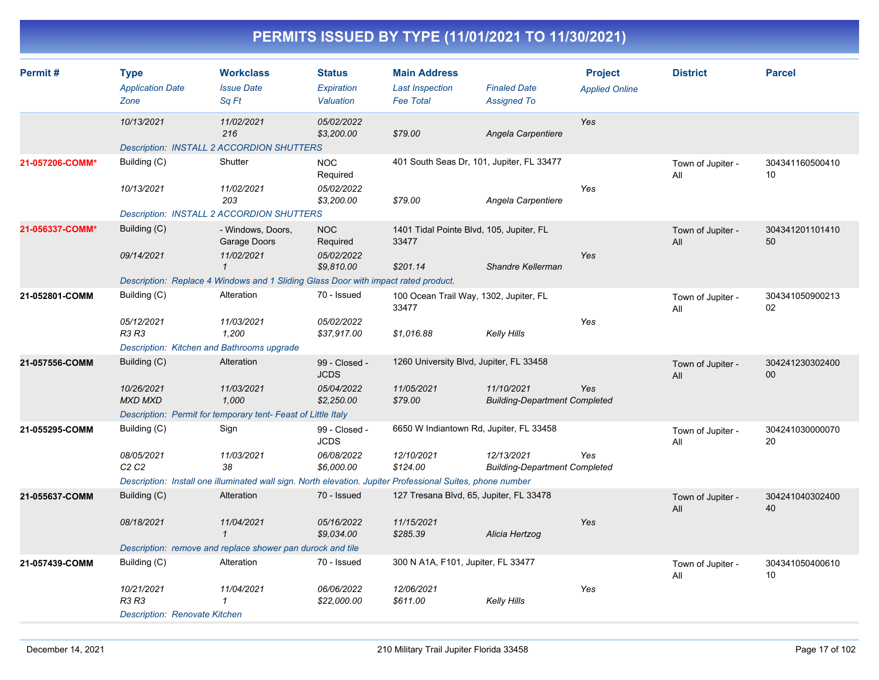| Permit#         | <b>Type</b><br><b>Application Date</b>      | <b>Workclass</b><br><b>Issue Date</b>                                                                      | <b>Status</b><br>Expiration  | <b>Main Address</b><br><b>Last Inspection</b>     | <b>Finaled Date</b>                                | <b>Project</b><br><b>Applied Online</b> | <b>District</b>          | <b>Parcel</b>             |
|-----------------|---------------------------------------------|------------------------------------------------------------------------------------------------------------|------------------------------|---------------------------------------------------|----------------------------------------------------|-----------------------------------------|--------------------------|---------------------------|
|                 | Zone                                        | Sq Ft                                                                                                      | Valuation                    | <b>Fee Total</b>                                  | <b>Assigned To</b>                                 |                                         |                          |                           |
|                 | 10/13/2021                                  | 11/02/2021<br>216                                                                                          | 05/02/2022<br>\$3,200.00     | \$79.00                                           | Angela Carpentiere                                 | Yes                                     |                          |                           |
|                 |                                             | <b>Description: INSTALL 2 ACCORDION SHUTTERS</b>                                                           |                              |                                                   |                                                    |                                         |                          |                           |
| 21-057206-COMM* | Building (C)                                | Shutter                                                                                                    | <b>NOC</b><br>Required       | 401 South Seas Dr, 101, Jupiter, FL 33477         |                                                    |                                         | Town of Jupiter -<br>All | 304341160500410<br>10     |
|                 | 10/13/2021                                  | 11/02/2021<br>203                                                                                          | 05/02/2022<br>\$3,200.00     | \$79.00                                           | Angela Carpentiere                                 | Yes                                     |                          |                           |
|                 |                                             | <b>Description: INSTALL 2 ACCORDION SHUTTERS</b>                                                           |                              |                                                   |                                                    |                                         |                          |                           |
| 21-056337-COMM* | Building (C)                                | - Windows, Doors,<br>Garage Doors                                                                          | <b>NOC</b><br>Required       | 1401 Tidal Pointe Blvd, 105, Jupiter, FL<br>33477 |                                                    |                                         | Town of Jupiter -<br>All | 304341201101410<br>50     |
|                 | 09/14/2021                                  | 11/02/2021<br>$\mathbf{1}$                                                                                 | 05/02/2022<br>\$9,810.00     | \$201.14                                          | Shandre Kellerman                                  | Yes                                     |                          |                           |
|                 |                                             | Description: Replace 4 Windows and 1 Sliding Glass Door with impact rated product.                         |                              |                                                   |                                                    |                                         |                          |                           |
| 21-052801-COMM  | Building (C)                                | Alteration                                                                                                 | 70 - Issued                  | 100 Ocean Trail Way, 1302, Jupiter, FL<br>33477   |                                                    |                                         | Town of Jupiter -<br>All | 304341050900213<br>02     |
|                 | 05/12/2021<br><b>R3 R3</b>                  | 11/03/2021<br>1,200                                                                                        | 05/02/2022<br>\$37,917.00    | \$1,016.88                                        | Kelly Hills                                        | Yes                                     |                          |                           |
|                 | Description: Kitchen and Bathrooms upgrade  |                                                                                                            |                              |                                                   |                                                    |                                         |                          |                           |
| 21-057556-COMM  | Building (C)                                | Alteration                                                                                                 | 99 - Closed -<br><b>JCDS</b> | 1260 University Blvd, Jupiter, FL 33458           |                                                    |                                         | Town of Jupiter -<br>All | 304241230302400<br>$00\,$ |
|                 | 10/26/2021<br><b>MXD MXD</b>                | 11/03/2021<br>1,000                                                                                        | 05/04/2022<br>\$2,250.00     | 11/05/2021<br>\$79.00                             | 11/10/2021<br><b>Building-Department Completed</b> | Yes                                     |                          |                           |
|                 |                                             | Description: Permit for temporary tent- Feast of Little Italy                                              |                              |                                                   |                                                    |                                         |                          |                           |
| 21-055295-COMM  | Building (C)                                | Sign                                                                                                       | 99 - Closed -<br><b>JCDS</b> | 6650 W Indiantown Rd, Jupiter, FL 33458           |                                                    |                                         | Town of Jupiter -<br>All | 304241030000070<br>20     |
|                 | 08/05/2021<br>C <sub>2</sub> C <sub>2</sub> | 11/03/2021<br>38                                                                                           | 06/08/2022<br>\$6,000.00     | 12/10/2021<br>\$124.00                            | 12/13/2021<br><b>Building-Department Completed</b> | Yes                                     |                          |                           |
|                 |                                             | Description: Install one illuminated wall sign. North elevation. Jupiter Professional Suites, phone number |                              |                                                   |                                                    |                                         |                          |                           |
| 21-055637-COMM  | Building (C)                                | Alteration                                                                                                 | 70 - Issued                  | 127 Tresana Blvd, 65, Jupiter, FL 33478           |                                                    |                                         | Town of Jupiter -<br>All | 304241040302400<br>40     |
|                 | 08/18/2021                                  | 11/04/2021<br>$\mathbf{1}$                                                                                 | 05/16/2022<br>\$9,034.00     | 11/15/2021<br>\$285.39                            | Alicia Hertzog                                     | Yes                                     |                          |                           |
|                 |                                             | Description: remove and replace shower pan durock and tile                                                 |                              |                                                   |                                                    |                                         |                          |                           |
| 21-057439-COMM  | Building (C)                                | Alteration                                                                                                 | 70 - Issued                  | 300 N A1A, F101, Jupiter, FL 33477                |                                                    |                                         | Town of Jupiter -<br>All | 304341050400610<br>10     |
|                 | 10/21/2021<br><b>R3 R3</b>                  | 11/04/2021<br>-1                                                                                           | 06/06/2022<br>\$22,000.00    | 12/06/2021<br>\$611.00                            | Kelly Hills                                        | Yes                                     |                          |                           |
|                 | <b>Description: Renovate Kitchen</b>        |                                                                                                            |                              |                                                   |                                                    |                                         |                          |                           |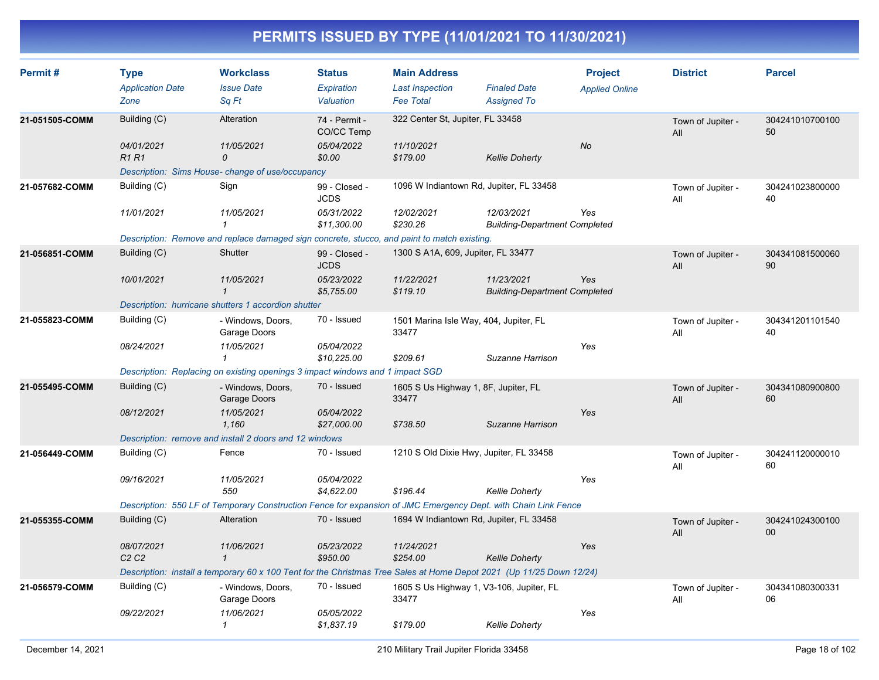| Permit#        | <b>Type</b><br><b>Application Date</b>      | <b>Workclass</b><br><b>Issue Date</b>                                                                                | <b>Status</b><br>Expiration  | <b>Main Address</b><br><b>Last Inspection</b>     | <b>Finaled Date</b>                                | <b>Project</b><br><b>Applied Online</b> | <b>District</b>          | <b>Parcel</b>                      |
|----------------|---------------------------------------------|----------------------------------------------------------------------------------------------------------------------|------------------------------|---------------------------------------------------|----------------------------------------------------|-----------------------------------------|--------------------------|------------------------------------|
|                | Zone                                        | Sq Ft                                                                                                                | Valuation                    | <b>Fee Total</b>                                  | <b>Assigned To</b>                                 |                                         |                          |                                    |
| 21-051505-COMM | Building (C)                                | Alteration                                                                                                           | 74 - Permit -<br>CO/CC Temp  | 322 Center St, Jupiter, FL 33458                  |                                                    |                                         | Town of Jupiter -<br>All | 304241010700100<br>50              |
|                | 04/01/2021<br><b>R1R1</b>                   | 11/05/2021<br>$\mathcal{O}$                                                                                          | 05/04/2022<br>\$0.00         | 11/10/2021<br>\$179.00                            | <b>Kellie Doherty</b>                              | <b>No</b>                               |                          |                                    |
|                |                                             | Description: Sims House- change of use/occupancy                                                                     |                              |                                                   |                                                    |                                         |                          |                                    |
| 21-057682-COMM | Building (C)                                | Sign                                                                                                                 | 99 - Closed -<br><b>JCDS</b> | 1096 W Indiantown Rd, Jupiter, FL 33458           |                                                    |                                         | Town of Jupiter -<br>All | 304241023800000<br>40              |
|                | 11/01/2021                                  | 11/05/2021                                                                                                           | 05/31/2022<br>\$11,300.00    | 12/02/2021<br>\$230.26                            | 12/03/2021<br><b>Building-Department Completed</b> | Yes                                     |                          |                                    |
|                |                                             | Description: Remove and replace damaged sign concrete, stucco, and paint to match existing.                          |                              |                                                   |                                                    |                                         |                          |                                    |
| 21-056851-COMM | Building (C)                                | Shutter                                                                                                              | 99 - Closed -<br><b>JCDS</b> | 1300 S A1A, 609, Jupiter, FL 33477                |                                                    |                                         | Town of Jupiter -<br>All | 304341081500060<br>90              |
|                | 10/01/2021                                  | 11/05/2021<br>$\mathbf 1$                                                                                            | 05/23/2022<br>\$5,755.00     | 11/22/2021<br>\$119.10                            | 11/23/2021<br><b>Building-Department Completed</b> | Yes                                     |                          |                                    |
|                |                                             | Description: hurricane shutters 1 accordion shutter                                                                  |                              |                                                   |                                                    |                                         |                          |                                    |
| 21-055823-COMM | Building (C)                                | - Windows, Doors,<br>Garage Doors                                                                                    | 70 - Issued                  | 1501 Marina Isle Way, 404, Jupiter, FL<br>33477   |                                                    |                                         | Town of Jupiter -<br>All | 304341201101540<br>40              |
|                | 08/24/2021                                  | 11/05/2021<br>1                                                                                                      | 05/04/2022<br>\$10,225.00    | \$209.61                                          | Suzanne Harrison                                   | Yes                                     |                          |                                    |
|                |                                             | Description: Replacing on existing openings 3 impact windows and 1 impact SGD                                        |                              |                                                   |                                                    |                                         |                          |                                    |
| 21-055495-COMM | Building (C)                                | - Windows, Doors,<br>Garage Doors                                                                                    | 70 - Issued                  | 1605 S Us Highway 1, 8F, Jupiter, FL<br>33477     |                                                    |                                         | Town of Jupiter -<br>All | 304341080900800<br>60              |
|                | 08/12/2021                                  | 11/05/2021<br>1,160                                                                                                  | 05/04/2022<br>\$27,000.00    | \$738.50                                          | Suzanne Harrison                                   | Yes                                     |                          |                                    |
|                |                                             | Description: remove and install 2 doors and 12 windows                                                               |                              |                                                   |                                                    |                                         |                          |                                    |
| 21-056449-COMM | Building (C)                                | Fence                                                                                                                | 70 - Issued                  | 1210 S Old Dixie Hwy, Jupiter, FL 33458           |                                                    |                                         | Town of Jupiter -<br>All | 304241120000010<br>60              |
|                | 09/16/2021                                  | 11/05/2021<br>550                                                                                                    | 05/04/2022<br>\$4,622.00     | \$196.44                                          | <b>Kellie Doherty</b>                              | Yes                                     |                          |                                    |
|                |                                             | Description: 550 LF of Temporary Construction Fence for expansion of JMC Emergency Dept. with Chain Link Fence       |                              |                                                   |                                                    |                                         |                          |                                    |
| 21-055355-COMM | Building (C)                                | Alteration                                                                                                           | 70 - Issued                  | 1694 W Indiantown Rd, Jupiter, FL 33458           |                                                    |                                         | Town of Jupiter -<br>All | 304241024300100<br>00 <sup>°</sup> |
|                | 08/07/2021<br>C <sub>2</sub> C <sub>2</sub> | 11/06/2021<br>$\mathbf{1}$                                                                                           | 05/23/2022<br>\$950.00       | 11/24/2021<br>\$254.00                            | <b>Kellie Doherty</b>                              | Yes                                     |                          |                                    |
|                |                                             | Description: install a temporary 60 x 100 Tent for the Christmas Tree Sales at Home Depot 2021 (Up 11/25 Down 12/24) |                              |                                                   |                                                    |                                         |                          |                                    |
| 21-056579-COMM | Building (C)                                | - Windows, Doors,<br>Garage Doors                                                                                    | 70 - Issued                  | 1605 S Us Highway 1, V3-106, Jupiter, FL<br>33477 |                                                    |                                         | Town of Jupiter -<br>All | 304341080300331<br>06              |
|                | 09/22/2021                                  | 11/06/2021<br>$\mathcal I$                                                                                           | 05/05/2022<br>\$1,837.19     | \$179.00                                          | <b>Kellie Doherty</b>                              | Yes                                     |                          |                                    |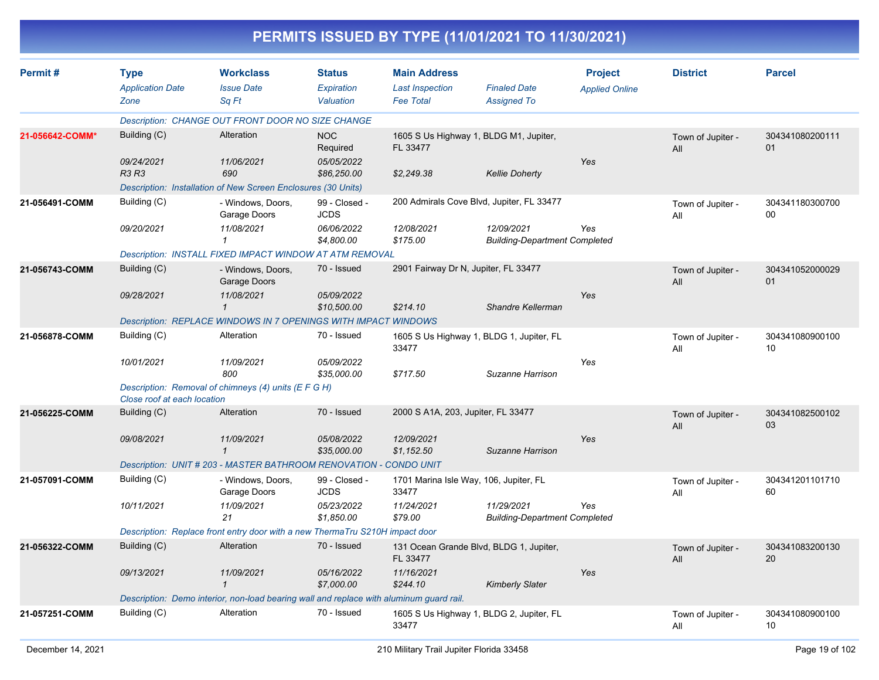|                 |                                                |                                                                                         |                                          |                                                                   | PERMITS ISSUED BY TYPE (11/01/2021 TO 11/30/2021)  |                                         |                          |                       |
|-----------------|------------------------------------------------|-----------------------------------------------------------------------------------------|------------------------------------------|-------------------------------------------------------------------|----------------------------------------------------|-----------------------------------------|--------------------------|-----------------------|
| Permit#         | <b>Type</b><br><b>Application Date</b><br>Zone | <b>Workclass</b><br><b>Issue Date</b><br>Sq Ft                                          | <b>Status</b><br>Expiration<br>Valuation | <b>Main Address</b><br><b>Last Inspection</b><br><b>Fee Total</b> | <b>Finaled Date</b><br><b>Assigned To</b>          | <b>Project</b><br><b>Applied Online</b> | <b>District</b>          | <b>Parcel</b>         |
|                 |                                                | Description: CHANGE OUT FRONT DOOR NO SIZE CHANGE                                       |                                          |                                                                   |                                                    |                                         |                          |                       |
| 21-056642-COMM* | Building (C)                                   | Alteration                                                                              | <b>NOC</b><br>Required                   | FL 33477                                                          | 1605 S Us Highway 1, BLDG M1, Jupiter,             |                                         | Town of Jupiter -<br>All | 304341080200111<br>01 |
|                 | 09/24/2021<br>R3 R3                            | 11/06/2021<br>690                                                                       | 05/05/2022<br>\$86,250.00                | \$2,249.38                                                        | <b>Kellie Doherty</b>                              | Yes                                     |                          |                       |
|                 |                                                | Description: Installation of New Screen Enclosures (30 Units)                           |                                          |                                                                   |                                                    |                                         |                          |                       |
| 21-056491-COMM  | Building (C)                                   | - Windows, Doors,<br>Garage Doors                                                       | 99 - Closed -<br><b>JCDS</b>             |                                                                   | 200 Admirals Cove Blvd, Jupiter, FL 33477          |                                         | Town of Jupiter -<br>All | 304341180300700<br>00 |
|                 | 09/20/2021                                     | 11/08/2021<br>$\mathcal I$                                                              | 06/06/2022<br>\$4,800.00                 | 12/08/2021<br>\$175.00                                            | 12/09/2021<br><b>Building-Department Completed</b> | Yes                                     |                          |                       |
|                 |                                                | Description: INSTALL FIXED IMPACT WINDOW AT ATM REMOVAL                                 |                                          |                                                                   |                                                    |                                         |                          |                       |
| 21-056743-COMM  | Building (C)                                   | - Windows, Doors,<br>Garage Doors                                                       | 70 - Issued                              | 2901 Fairway Dr N, Jupiter, FL 33477                              |                                                    |                                         | Town of Jupiter -<br>All | 304341052000029<br>01 |
|                 | 09/28/2021                                     | 11/08/2021<br>$\mathcal I$                                                              | 05/09/2022<br>\$10.500.00                | \$214.10                                                          | Shandre Kellerman                                  | Yes                                     |                          |                       |
|                 |                                                | Description: REPLACE WINDOWS IN 7 OPENINGS WITH IMPACT WINDOWS                          |                                          |                                                                   |                                                    |                                         |                          |                       |
| 21-056878-COMM  | Building (C)                                   | Alteration                                                                              | 70 - Issued                              | 33477                                                             | 1605 S Us Highway 1, BLDG 1, Jupiter, FL           |                                         | Town of Jupiter -<br>All | 304341080900100<br>10 |
|                 | 10/01/2021                                     | 11/09/2021<br>800                                                                       | 05/09/2022<br>\$35,000.00                | \$717.50                                                          | Suzanne Harrison                                   | Yes                                     |                          |                       |
|                 | Close roof at each location                    | Description: Removal of chimneys (4) units (E F G H)                                    |                                          |                                                                   |                                                    |                                         |                          |                       |
| 21-056225-COMM  | Building (C)                                   | Alteration                                                                              | 70 - Issued                              | 2000 S A1A, 203, Jupiter, FL 33477                                |                                                    |                                         | Town of Jupiter -<br>All | 304341082500102<br>03 |
|                 | 09/08/2021                                     | 11/09/2021<br>$\mathcal I$                                                              | 05/08/2022<br>\$35,000.00                | 12/09/2021<br>\$1,152.50                                          | Suzanne Harrison                                   | Yes                                     |                          |                       |
|                 |                                                | Description: UNIT # 203 - MASTER BATHROOM RENOVATION - CONDO UNIT                       |                                          |                                                                   |                                                    |                                         |                          |                       |
| 21-057091-COMM  | Building (C)                                   | - Windows, Doors,<br>Garage Doors                                                       | 99 - Closed -<br><b>JCDS</b>             | 33477                                                             | 1701 Marina Isle Way, 106, Jupiter, FL             |                                         | Town of Jupiter -<br>All | 304341201101710<br>60 |
|                 | 10/11/2021                                     | 11/09/2021<br>21                                                                        | 05/23/2022<br>\$1,850.00                 | 11/24/2021<br>\$79.00                                             | 11/29/2021<br><b>Building-Department Completed</b> | Yes                                     |                          |                       |
|                 |                                                | Description: Replace front entry door with a new ThermaTru S210H impact door            |                                          |                                                                   |                                                    |                                         |                          |                       |
| 21-056322-COMM  | Building (C)                                   | Alteration                                                                              | 70 - Issued                              | FL 33477                                                          | 131 Ocean Grande Blvd, BLDG 1, Jupiter,            |                                         | Town of Jupiter -<br>All | 304341083200130<br>20 |
|                 | 09/13/2021                                     | 11/09/2021<br>$\mathcal I$                                                              | 05/16/2022<br>\$7,000.00                 | 11/16/2021<br>\$244.10                                            | <b>Kimberly Slater</b>                             | Yes                                     |                          |                       |
|                 |                                                | Description: Demo interior, non-load bearing wall and replace with aluminum guard rail. |                                          |                                                                   |                                                    |                                         |                          |                       |
| 21-057251-COMM  | Building (C)                                   | Alteration                                                                              | 70 - Issued                              | 33477                                                             | 1605 S Us Highway 1, BLDG 2, Jupiter, FL           |                                         | Town of Jupiter -<br>All | 304341080900100<br>10 |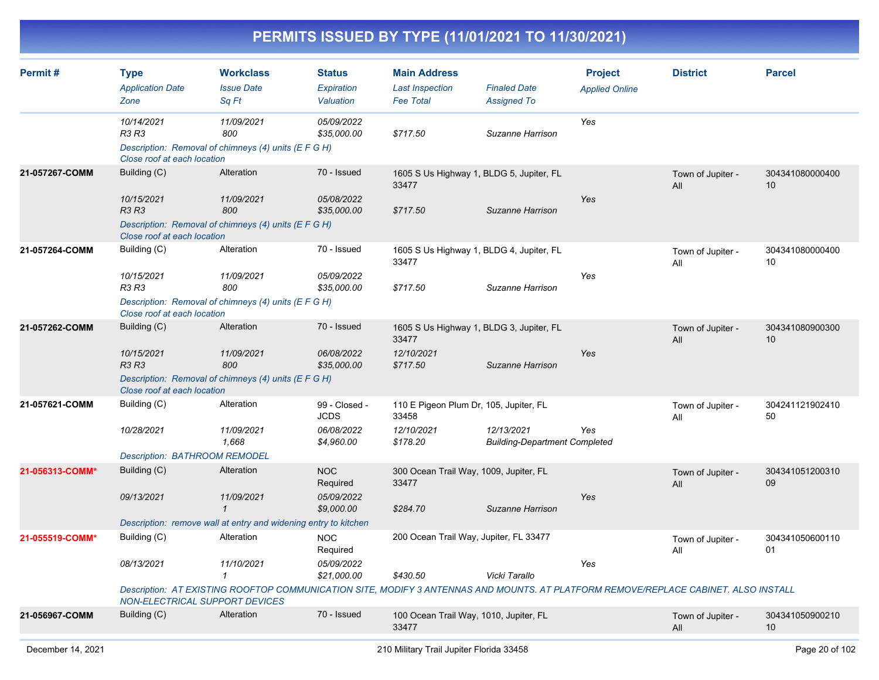| Permit#         | <b>Type</b><br><b>Application Date</b><br>Zone                                                    | <b>Workclass</b><br><b>Issue Date</b><br>Sq Ft                                                                                                                                  | <b>Status</b><br>Expiration<br><b>Valuation</b>          | <b>Main Address</b><br><b>Last Inspection</b><br><b>Fee Total</b>           | <b>Finaled Date</b><br><b>Assigned To</b>          | <b>Project</b><br><b>Applied Online</b> | <b>District</b>          | <b>Parcel</b>         |
|-----------------|---------------------------------------------------------------------------------------------------|---------------------------------------------------------------------------------------------------------------------------------------------------------------------------------|----------------------------------------------------------|-----------------------------------------------------------------------------|----------------------------------------------------|-----------------------------------------|--------------------------|-----------------------|
|                 | 10/14/2021<br>R3 R3<br>Close roof at each location                                                | 11/09/2021<br>800<br>Description: Removal of chimneys (4) units (E F G H)                                                                                                       | 05/09/2022<br>\$35,000.00                                | \$717.50                                                                    | Suzanne Harrison                                   | Yes                                     |                          |                       |
| 21-057267-COMM  | Building (C)<br>10/15/2021<br><b>R3 R3</b>                                                        | Alteration<br>11/09/2021<br>800<br>Description: Removal of chimneys (4) units (E F G H)                                                                                         | 70 - Issued<br>05/08/2022<br>\$35,000.00                 | 1605 S Us Highway 1, BLDG 5, Jupiter, FL<br>33477<br>\$717.50               | Suzanne Harrison                                   | Yes                                     | Town of Jupiter -<br>All | 304341080000400<br>10 |
| 21-057264-COMM  | Close roof at each location<br>Building (C)<br>10/15/2021<br>R3 R3<br>Close roof at each location | Alteration<br>11/09/2021<br>800<br>Description: Removal of chimneys (4) units (E F G H)                                                                                         | 70 - Issued<br>05/09/2022<br>\$35,000.00                 | 1605 S Us Highway 1, BLDG 4, Jupiter, FL<br>33477<br>\$717.50               | Suzanne Harrison                                   | Yes                                     | Town of Jupiter -<br>All | 304341080000400<br>10 |
| 21-057262-COMM  | Building (C)<br>10/15/2021<br><b>R3 R3</b><br>Close roof at each location                         | Alteration<br>11/09/2021<br>800<br>Description: Removal of chimneys (4) units (E F G H)                                                                                         | 70 - Issued<br>06/08/2022<br>\$35,000.00                 | 1605 S Us Highway 1, BLDG 3, Jupiter, FL<br>33477<br>12/10/2021<br>\$717.50 | Suzanne Harrison                                   | Yes                                     | Town of Jupiter -<br>All | 304341080900300<br>10 |
| 21-057621-COMM  | Building (C)<br>10/28/2021<br>Description: BATHROOM REMODEL                                       | Alteration<br>11/09/2021<br>1,668                                                                                                                                               | 99 - Closed -<br><b>JCDS</b><br>06/08/2022<br>\$4,960.00 | 110 E Pigeon Plum Dr, 105, Jupiter, FL<br>33458<br>12/10/2021<br>\$178.20   | 12/13/2021<br><b>Building-Department Completed</b> | Yes                                     | Town of Jupiter -<br>All | 304241121902410<br>50 |
| 21-056313-COMM* | Building (C)<br>09/13/2021                                                                        | Alteration<br>11/09/2021<br>$\mathbf{1}$<br>Description: remove wall at entry and widening entry to kitchen                                                                     | <b>NOC</b><br>Required<br>05/09/2022<br>\$9,000.00       | 300 Ocean Trail Way, 1009, Jupiter, FL<br>33477<br>\$284.70                 | Suzanne Harrison                                   | Yes                                     | Town of Jupiter -<br>All | 304341051200310<br>09 |
| 21-055519-COMM* | Building (C)<br>08/13/2021<br>NON-ELECTRICAL SUPPORT DEVICES                                      | Alteration<br>11/10/2021<br>$\mathbf{1}$<br>Description: AT EXISTING ROOFTOP COMMUNICATION SITE, MODIFY 3 ANTENNAS AND MOUNTS. AT PLATFORM REMOVE/REPLACE CABINET. ALSO INSTALL | <b>NOC</b><br>Required<br>05/09/2022<br>\$21,000.00      | 200 Ocean Trail Way, Jupiter, FL 33477<br>\$430.50                          | Vicki Tarallo                                      | Yes                                     | Town of Jupiter -<br>All | 304341050600110<br>01 |
| 21-056967-COMM  | Building (C)                                                                                      | Alteration                                                                                                                                                                      | 70 - Issued                                              | 100 Ocean Trail Way, 1010, Jupiter, FL<br>33477                             |                                                    |                                         | Town of Jupiter -<br>All | 304341050900210<br>10 |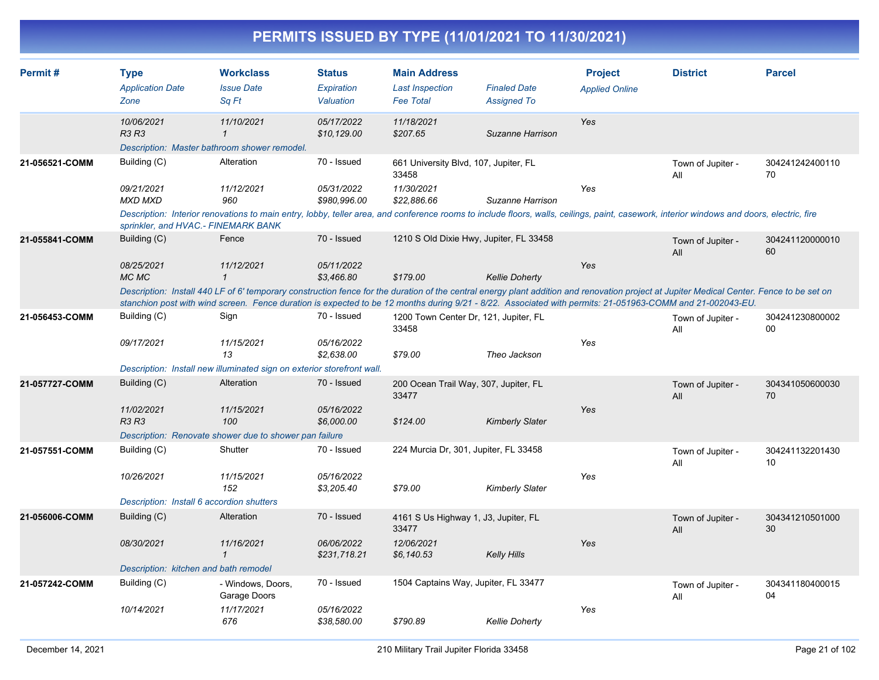| Permit#        | <b>Type</b><br><b>Application Date</b><br>Zone | <b>Workclass</b><br><b>Issue Date</b><br>Sq Ft                                                                                                                                                                                                                                                                                                         | <b>Status</b><br>Expiration<br>Valuation | <b>Main Address</b><br><b>Last Inspection</b><br><b>Fee Total</b> | <b>Finaled Date</b><br><b>Assigned To</b> | <b>Project</b><br><b>Applied Online</b> | <b>District</b>          | <b>Parcel</b>             |
|----------------|------------------------------------------------|--------------------------------------------------------------------------------------------------------------------------------------------------------------------------------------------------------------------------------------------------------------------------------------------------------------------------------------------------------|------------------------------------------|-------------------------------------------------------------------|-------------------------------------------|-----------------------------------------|--------------------------|---------------------------|
|                | 10/06/2021<br><b>R3 R3</b>                     | 11/10/2021<br>$\mathbf{1}$                                                                                                                                                                                                                                                                                                                             | 05/17/2022<br>\$10,129.00                | 11/18/2021<br>\$207.65                                            | Suzanne Harrison                          | Yes                                     |                          |                           |
| 21-056521-COMM | Building (C)                                   | Description: Master bathroom shower remodel.<br>Alteration                                                                                                                                                                                                                                                                                             | 70 - Issued                              | 661 University Blvd, 107, Jupiter, FL<br>33458                    |                                           |                                         | Town of Jupiter -<br>All | 304241242400110<br>70     |
|                | 09/21/2021<br><b>MXD MXD</b>                   | 11/12/2021<br>960                                                                                                                                                                                                                                                                                                                                      | 05/31/2022<br>\$980,996.00               | 11/30/2021<br>\$22,886.66                                         | Suzanne Harrison                          | Yes                                     |                          |                           |
|                | sprinkler, and HVAC.- FINEMARK BANK            | Description: Interior renovations to main entry, lobby, teller area, and conference rooms to include floors, walls, ceilings, paint, casework, interior windows and doors, electric, fire                                                                                                                                                              |                                          |                                                                   |                                           |                                         |                          |                           |
| 21-055841-COMM | Building (C)                                   | Fence                                                                                                                                                                                                                                                                                                                                                  | 70 - Issued                              | 1210 S Old Dixie Hwy, Jupiter, FL 33458                           |                                           |                                         | Town of Jupiter -<br>All | 304241120000010<br>60     |
|                | 08/25/2021<br>MC MC                            | 11/12/2021<br>$\mathbf{1}$                                                                                                                                                                                                                                                                                                                             | 05/11/2022<br>\$3.466.80                 | \$179.00                                                          | <b>Kellie Doherty</b>                     | Yes                                     |                          |                           |
|                |                                                | Description: Install 440 LF of 6' temporary construction fence for the duration of the central energy plant addition and renovation project at Jupiter Medical Center. Fence to be set on<br>stanchion post with wind screen. Fence duration is expected to be 12 months during 9/21 - 8/22. Associated with permits: 21-051963-COMM and 21-002043-EU. |                                          |                                                                   |                                           |                                         |                          |                           |
| 21-056453-COMM | Building (C)                                   | Sign                                                                                                                                                                                                                                                                                                                                                   | 70 - Issued                              | 1200 Town Center Dr, 121, Jupiter, FL<br>33458                    |                                           |                                         | Town of Jupiter -<br>All | 304241230800002<br>$00\,$ |
|                | 09/17/2021                                     | 11/15/2021<br>13                                                                                                                                                                                                                                                                                                                                       | 05/16/2022<br>\$2,638.00                 | \$79.00                                                           | Theo Jackson                              | Yes                                     |                          |                           |
|                |                                                | Description: Install new illuminated sign on exterior storefront wall.                                                                                                                                                                                                                                                                                 |                                          |                                                                   |                                           |                                         |                          |                           |
| 21-057727-COMM | Building (C)                                   | Alteration                                                                                                                                                                                                                                                                                                                                             | 70 - Issued                              | 200 Ocean Trail Way, 307, Jupiter, FL<br>33477                    |                                           |                                         | Town of Jupiter -<br>All | 304341050600030<br>70     |
|                | 11/02/2021<br><b>R3 R3</b>                     | 11/15/2021<br>100                                                                                                                                                                                                                                                                                                                                      | 05/16/2022<br>\$6,000.00                 | \$124.00                                                          | <b>Kimberly Slater</b>                    | Yes                                     |                          |                           |
|                |                                                | Description: Renovate shower due to shower pan failure                                                                                                                                                                                                                                                                                                 |                                          |                                                                   |                                           |                                         |                          |                           |
| 21-057551-COMM | Building (C)                                   | Shutter                                                                                                                                                                                                                                                                                                                                                | 70 - Issued                              | 224 Murcia Dr, 301, Jupiter, FL 33458                             |                                           |                                         | Town of Jupiter -<br>All | 304241132201430<br>10     |
|                | 10/26/2021                                     | 11/15/2021<br>152                                                                                                                                                                                                                                                                                                                                      | 05/16/2022<br>\$3,205.40                 | \$79.00                                                           | <b>Kimberly Slater</b>                    | Yes                                     |                          |                           |
|                | Description: Install 6 accordion shutters      |                                                                                                                                                                                                                                                                                                                                                        |                                          |                                                                   |                                           |                                         |                          |                           |
| 21-056006-COMM | Building (C)                                   | Alteration                                                                                                                                                                                                                                                                                                                                             | 70 - Issued                              | 4161 S Us Highway 1, J3, Jupiter, FL<br>33477                     |                                           |                                         | Town of Jupiter -<br>All | 304341210501000<br>30     |
|                | 08/30/2021                                     | 11/16/2021<br>$\mathbf{1}$                                                                                                                                                                                                                                                                                                                             | 06/06/2022<br>\$231,718.21               | 12/06/2021<br>\$6,140.53                                          | <b>Kelly Hills</b>                        | Yes                                     |                          |                           |
|                | Description: kitchen and bath remodel          |                                                                                                                                                                                                                                                                                                                                                        |                                          |                                                                   |                                           |                                         |                          |                           |
| 21-057242-COMM | Building (C)                                   | - Windows, Doors,<br>Garage Doors                                                                                                                                                                                                                                                                                                                      | 70 - Issued                              | 1504 Captains Way, Jupiter, FL 33477                              |                                           |                                         | Town of Jupiter -<br>All | 304341180400015<br>04     |
|                | 10/14/2021                                     | 11/17/2021<br>676                                                                                                                                                                                                                                                                                                                                      | 05/16/2022<br>\$38,580.00                | \$790.89                                                          | <b>Kellie Doherty</b>                     | Yes                                     |                          |                           |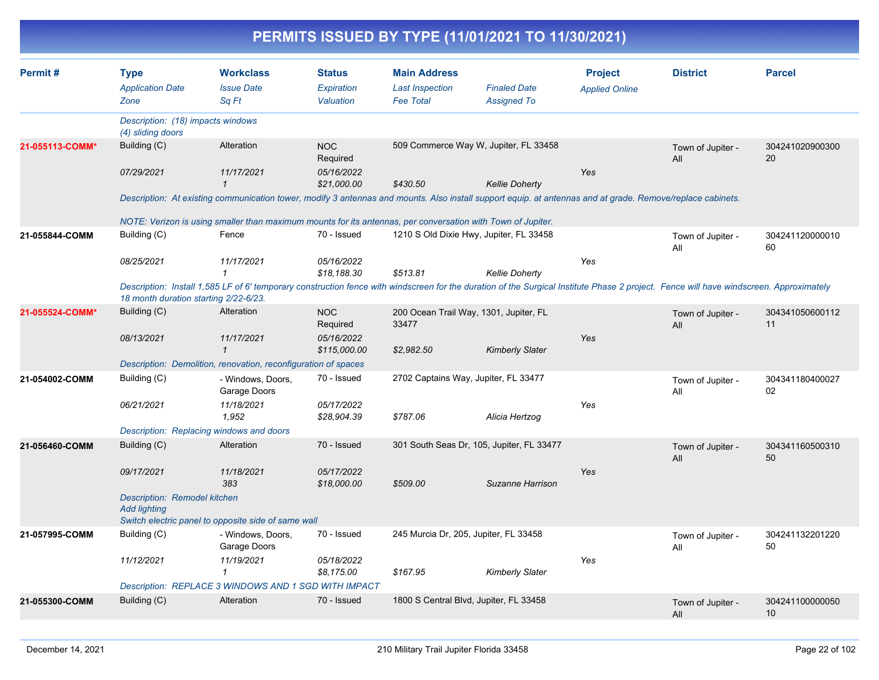| Permit#         | <b>Type</b>                                                | <b>Workclass</b>                                                                                                                                                                       | <b>Status</b>              | <b>Main Address</b>                        |                                           | <b>Project</b>        | <b>District</b>          | <b>Parcel</b>         |
|-----------------|------------------------------------------------------------|----------------------------------------------------------------------------------------------------------------------------------------------------------------------------------------|----------------------------|--------------------------------------------|-------------------------------------------|-----------------------|--------------------------|-----------------------|
|                 | <b>Application Date</b><br>Zone                            | <b>Issue Date</b><br>Sq Ft                                                                                                                                                             | Expiration<br>Valuation    | <b>Last Inspection</b><br><b>Fee Total</b> | <b>Finaled Date</b><br><b>Assigned To</b> | <b>Applied Online</b> |                          |                       |
|                 | Description: (18) impacts windows<br>(4) sliding doors     |                                                                                                                                                                                        |                            |                                            |                                           |                       |                          |                       |
| 21-055113-COMM* | Building (C)                                               | Alteration                                                                                                                                                                             | <b>NOC</b><br>Required     |                                            | 509 Commerce Way W, Jupiter, FL 33458     |                       | Town of Jupiter -<br>All | 304241020900300<br>20 |
|                 | 07/29/2021                                                 | 11/17/2021<br>$\mathbf{1}$                                                                                                                                                             | 05/16/2022<br>\$21,000.00  | \$430.50                                   | <b>Kellie Doherty</b>                     | Yes                   |                          |                       |
|                 |                                                            | Description: At existing communication tower, modify 3 antennas and mounts. Also install support equip. at antennas and at grade. Remove/replace cabinets.                             |                            |                                            |                                           |                       |                          |                       |
|                 |                                                            | NOTE: Verizon is using smaller than maximum mounts for its antennas, per conversation with Town of Jupiter.                                                                            |                            |                                            |                                           |                       |                          |                       |
| 21-055844-COMM  | Building (C)                                               | Fence                                                                                                                                                                                  | 70 - Issued                |                                            | 1210 S Old Dixie Hwy, Jupiter, FL 33458   |                       | Town of Jupiter -<br>All | 304241120000010<br>60 |
|                 | 08/25/2021                                                 | 11/17/2021                                                                                                                                                                             | 05/16/2022<br>\$18,188.30  | \$513.81                                   | <b>Kellie Doherty</b>                     | Yes                   |                          |                       |
|                 | 18 month duration starting 2/22-6/23.                      | Description: Install 1,585 LF of 6' temporary construction fence with windscreen for the duration of the Surgical Institute Phase 2 project. Fence will have windscreen. Approximately |                            |                                            |                                           |                       |                          |                       |
| 21-055524-COMM* | Building (C)                                               | Alteration                                                                                                                                                                             | <b>NOC</b><br>Required     | 33477                                      | 200 Ocean Trail Way, 1301, Jupiter, FL    |                       | Town of Jupiter -<br>All | 304341050600112<br>11 |
|                 | 08/13/2021                                                 | 11/17/2021<br>1                                                                                                                                                                        | 05/16/2022<br>\$115,000.00 | \$2,982.50                                 | <b>Kimberly Slater</b>                    | Yes                   |                          |                       |
|                 |                                                            | Description: Demolition, renovation, reconfiguration of spaces                                                                                                                         |                            |                                            |                                           |                       |                          |                       |
| 21-054002-COMM  | Building (C)                                               | - Windows, Doors,<br>Garage Doors                                                                                                                                                      | 70 - Issued                |                                            | 2702 Captains Way, Jupiter, FL 33477      |                       | Town of Jupiter -<br>All | 304341180400027<br>02 |
|                 | 06/21/2021                                                 | 11/18/2021<br>1,952                                                                                                                                                                    | 05/17/2022<br>\$28,904.39  | \$787.06                                   | Alicia Hertzog                            | Yes                   |                          |                       |
|                 |                                                            | Description: Replacing windows and doors                                                                                                                                               |                            |                                            |                                           |                       |                          |                       |
| 21-056460-COMM  | Building (C)                                               | Alteration                                                                                                                                                                             | 70 - Issued                |                                            | 301 South Seas Dr, 105, Jupiter, FL 33477 |                       | Town of Jupiter -<br>All | 304341160500310<br>50 |
|                 | 09/17/2021                                                 | 11/18/2021<br>383                                                                                                                                                                      | 05/17/2022<br>\$18,000.00  | \$509.00                                   | Suzanne Harrison                          | Yes                   |                          |                       |
|                 | <b>Description: Remodel kitchen</b><br><b>Add lighting</b> | Switch electric panel to opposite side of same wall                                                                                                                                    |                            |                                            |                                           |                       |                          |                       |
| 21-057995-COMM  | Building (C)                                               | - Windows, Doors,<br>Garage Doors                                                                                                                                                      | 70 - Issued                |                                            | 245 Murcia Dr, 205, Jupiter, FL 33458     |                       | Town of Jupiter -<br>All | 304241132201220<br>50 |
|                 | 11/12/2021                                                 | 11/19/2021<br>$\mathcal I$                                                                                                                                                             | 05/18/2022<br>\$8,175.00   | \$167.95                                   | <b>Kimberly Slater</b>                    | Yes                   |                          |                       |
|                 |                                                            | Description: REPLACE 3 WINDOWS AND 1 SGD WITH IMPACT                                                                                                                                   |                            |                                            |                                           |                       |                          |                       |
| 21-055300-COMM  | Building (C)                                               | Alteration                                                                                                                                                                             | 70 - Issued                |                                            | 1800 S Central Blvd, Jupiter, FL 33458    |                       | Town of Jupiter -<br>All | 304241100000050<br>10 |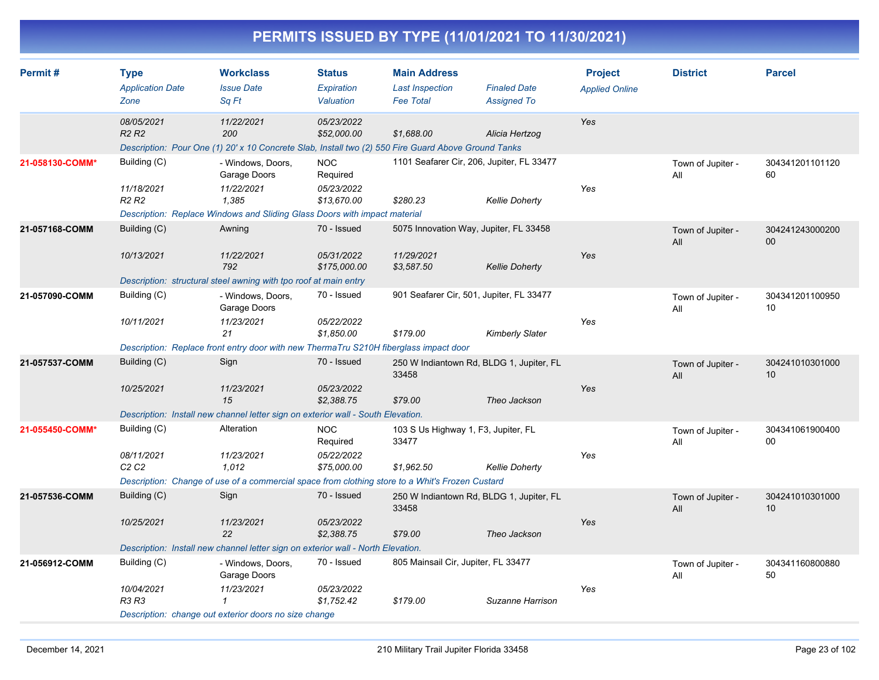| Permit#         | <b>Type</b><br><b>Application Date</b><br>Zone              | <b>Workclass</b><br><b>Issue Date</b><br>Sq Ft                                                                                                 | <b>Status</b><br>Expiration<br>Valuation            | <b>Main Address</b><br><b>Last Inspection</b><br><b>Fee Total</b>  | <b>Finaled Date</b><br><b>Assigned To</b> | <b>Project</b><br><b>Applied Online</b> | <b>District</b>          | <b>Parcel</b>         |
|-----------------|-------------------------------------------------------------|------------------------------------------------------------------------------------------------------------------------------------------------|-----------------------------------------------------|--------------------------------------------------------------------|-------------------------------------------|-----------------------------------------|--------------------------|-----------------------|
|                 | 08/05/2021<br>R <sub>2</sub> R <sub>2</sub>                 | 11/22/2021<br>200<br>Description: Pour One (1) 20' x 10 Concrete Slab, Install two (2) 550 Fire Guard Above Ground Tanks                       | 05/23/2022<br>\$52,000.00                           | \$1,688.00                                                         | Alicia Hertzog                            | Yes                                     |                          |                       |
| 21-058130-COMM* | Building (C)<br>11/18/2021<br>R <sub>2</sub> R <sub>2</sub> | - Windows, Doors,<br>Garage Doors<br>11/22/2021<br>1,385<br>Description: Replace Windows and Sliding Glass Doors with impact material          | <b>NOC</b><br>Required<br>05/23/2022<br>\$13,670.00 | 1101 Seafarer Cir, 206, Jupiter, FL 33477<br>\$280.23              | <b>Kellie Doherty</b>                     | Yes                                     | Town of Jupiter -<br>All | 304341201101120<br>60 |
| 21-057168-COMM  | Building (C)<br>10/13/2021                                  | Awning<br>11/22/2021<br>792<br>Description: structural steel awning with tpo roof at main entry                                                | 70 - Issued<br>05/31/2022<br>\$175,000.00           | 5075 Innovation Way, Jupiter, FL 33458<br>11/29/2021<br>\$3,587.50 | <b>Kellie Doherty</b>                     | Yes                                     | Town of Jupiter -<br>All | 304241243000200<br>00 |
| 21-057090-COMM  | Building (C)<br>10/11/2021                                  | - Windows, Doors,<br>Garage Doors<br>11/23/2021<br>21<br>Description: Replace front entry door with new ThermaTru S210H fiberglass impact door | 70 - Issued<br>05/22/2022<br>\$1,850.00             | 901 Seafarer Cir, 501, Jupiter, FL 33477<br>\$179.00               | <b>Kimberly Slater</b>                    | Yes                                     | Town of Jupiter -<br>All | 304341201100950<br>10 |
| 21-057537-COMM  | Building (C)<br>10/25/2021                                  | Sign<br>11/23/2021<br>15<br>Description: Install new channel letter sign on exterior wall - South Elevation.                                   | 70 - Issued<br>05/23/2022<br>\$2,388.75             | 250 W Indiantown Rd, BLDG 1, Jupiter, FL<br>33458<br>\$79.00       | Theo Jackson                              | Yes                                     | Town of Jupiter -<br>All | 304241010301000<br>10 |
| 21-055450-COMM* | Building (C)<br>08/11/2021<br>C2C2                          | Alteration<br>11/23/2021<br>1,012<br>Description: Change of use of a commercial space from clothing store to a Whit's Frozen Custard           | <b>NOC</b><br>Required<br>05/22/2022<br>\$75,000.00 | 103 S Us Highway 1, F3, Jupiter, FL<br>33477<br>\$1,962.50         | <b>Kellie Doherty</b>                     | Yes                                     | Town of Jupiter -<br>All | 304341061900400<br>00 |
| 21-057536-COMM  | Building (C)<br>10/25/2021                                  | Sign<br>11/23/2021<br>22<br>Description: Install new channel letter sign on exterior wall - North Elevation.                                   | 70 - Issued<br>05/23/2022<br>\$2,388.75             | 250 W Indiantown Rd, BLDG 1, Jupiter, FL<br>33458<br>\$79.00       | Theo Jackson                              | Yes                                     | Town of Jupiter -<br>All | 304241010301000<br>10 |
| 21-056912-COMM  | Building (C)<br>10/04/2021<br>R3 R3                         | - Windows, Doors,<br>Garage Doors<br>11/23/2021<br>Description: change out exterior doors no size change                                       | 70 - Issued<br>05/23/2022<br>\$1,752.42             | 805 Mainsail Cir, Jupiter, FL 33477<br>\$179.00                    | Suzanne Harrison                          | Yes                                     | Town of Jupiter -<br>All | 304341160800880<br>50 |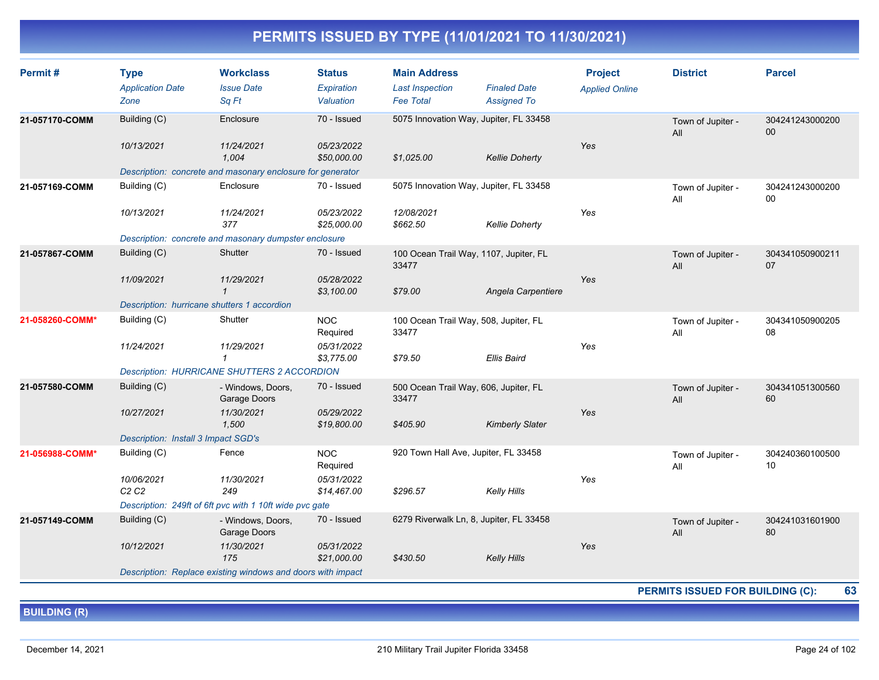| Permit#         | <b>Type</b><br><b>Application Date</b><br>Zone | <b>Workclass</b><br><b>Issue Date</b><br>Sq Ft                      | <b>Status</b><br>Expiration<br>Valuation | <b>Main Address</b><br><b>Last Inspection</b><br><b>Fee Total</b> | <b>Finaled Date</b><br><b>Assigned To</b> | <b>Project</b><br><b>Applied Online</b> | <b>District</b>          | <b>Parcel</b>                      |
|-----------------|------------------------------------------------|---------------------------------------------------------------------|------------------------------------------|-------------------------------------------------------------------|-------------------------------------------|-----------------------------------------|--------------------------|------------------------------------|
| 21-057170-COMM  | Building (C)<br>10/13/2021                     | Enclosure<br>11/24/2021                                             | 70 - Issued<br>05/23/2022                | 5075 Innovation Way, Jupiter, FL 33458                            |                                           | Yes                                     | Town of Jupiter -<br>All | 304241243000200<br>00 <sup>°</sup> |
|                 |                                                | 1,004<br>Description: concrete and masonary enclosure for generator | \$50,000.00                              | \$1,025.00                                                        | <b>Kellie Doherty</b>                     |                                         |                          |                                    |
| 21-057169-COMM  | Building (C)                                   | Enclosure                                                           | 70 - Issued                              | 5075 Innovation Way, Jupiter, FL 33458                            |                                           |                                         | Town of Jupiter -<br>All | 304241243000200<br>$00\,$          |
|                 | 10/13/2021                                     | 11/24/2021<br>377                                                   | 05/23/2022<br>\$25,000.00                | 12/08/2021<br>\$662.50                                            | <b>Kellie Doherty</b>                     | Yes                                     |                          |                                    |
|                 |                                                | Description: concrete and masonary dumpster enclosure               |                                          |                                                                   |                                           |                                         |                          |                                    |
| 21-057867-COMM  | Building (C)                                   | Shutter                                                             | 70 - Issued                              | 100 Ocean Trail Way, 1107, Jupiter, FL<br>33477                   |                                           |                                         | Town of Jupiter -<br>All | 304341050900211<br>07              |
|                 | 11/09/2021                                     | 11/29/2021<br>-1                                                    | 05/28/2022<br>\$3,100.00                 | \$79.00                                                           | Angela Carpentiere                        | Yes                                     |                          |                                    |
|                 | Description: hurricane shutters 1 accordion    |                                                                     |                                          |                                                                   |                                           |                                         |                          |                                    |
| 21-058260-COMM* | Building (C)                                   | Shutter                                                             | NOC<br>Required                          | 100 Ocean Trail Way, 508, Jupiter, FL<br>33477                    |                                           |                                         | Town of Jupiter -<br>All | 304341050900205<br>08              |
|                 | 11/24/2021                                     | 11/29/2021<br>$\mathbf{1}$                                          | 05/31/2022<br>\$3,775.00                 | \$79.50                                                           | <b>Ellis Baird</b>                        | Yes                                     |                          |                                    |
|                 |                                                | <b>Description: HURRICANE SHUTTERS 2 ACCORDION</b>                  |                                          |                                                                   |                                           |                                         |                          |                                    |
| 21-057580-COMM  | Building (C)                                   | - Windows, Doors,<br>Garage Doors                                   | 70 - Issued                              | 500 Ocean Trail Way, 606, Jupiter, FL<br>33477                    |                                           |                                         | Town of Jupiter -<br>All | 304341051300560<br>60              |
|                 | 10/27/2021                                     | 11/30/2021<br>1,500                                                 | 05/29/2022<br>\$19,800.00                | \$405.90                                                          | <b>Kimberly Slater</b>                    | Yes                                     |                          |                                    |
|                 | Description: Install 3 Impact SGD's            |                                                                     |                                          |                                                                   |                                           |                                         |                          |                                    |
| 21-056988-COMM* | Building (C)                                   | Fence                                                               | <b>NOC</b><br>Required                   | 920 Town Hall Ave, Jupiter, FL 33458                              |                                           |                                         | Town of Jupiter -<br>All | 304240360100500<br>10              |
|                 | 10/06/2021<br>C2C2                             | 11/30/2021<br>249                                                   | 05/31/2022<br>\$14,467.00                | \$296.57                                                          | Kelly Hills                               | Yes                                     |                          |                                    |
|                 |                                                | Description: 249ft of 6ft pvc with 1 10ft wide pvc gate             |                                          |                                                                   |                                           |                                         |                          |                                    |
| 21-057149-COMM  | Building (C)                                   | - Windows, Doors,<br>Garage Doors                                   | 70 - Issued                              | 6279 Riverwalk Ln, 8, Jupiter, FL 33458                           |                                           |                                         | Town of Jupiter -<br>All | 304241031601900<br>80              |
|                 | 10/12/2021                                     | 11/30/2021<br>175                                                   | 05/31/2022<br>\$21,000.00                | \$430.50                                                          | <b>Kelly Hills</b>                        | Yes                                     |                          |                                    |
|                 |                                                | Description: Replace existing windows and doors with impact         |                                          |                                                                   |                                           |                                         |                          |                                    |

**PERMITS ISSUED FOR BUILDING (C): 63**

**BUILDING (R)**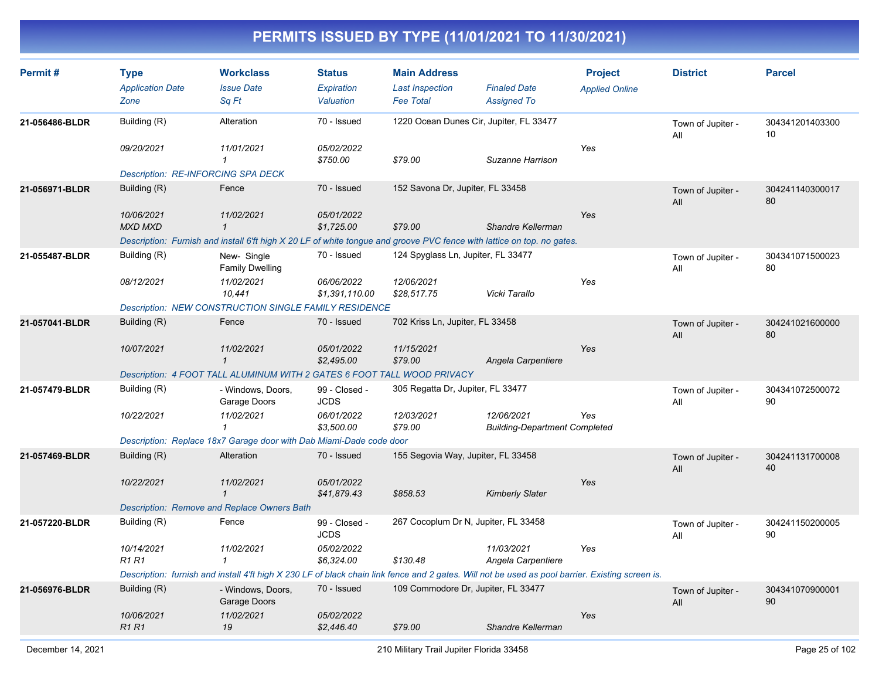| Permit#        | <b>Type</b><br><b>Application Date</b><br>Zone | <b>Workclass</b><br><b>Issue Date</b><br>Sq Ft                                                                                                   | <b>Status</b><br>Expiration<br>Valuation | <b>Main Address</b><br><b>Last Inspection</b><br><b>Fee Total</b> | <b>Finaled Date</b><br><b>Assigned To</b>          | <b>Project</b><br><b>Applied Online</b> | <b>District</b>          | <b>Parcel</b>         |
|----------------|------------------------------------------------|--------------------------------------------------------------------------------------------------------------------------------------------------|------------------------------------------|-------------------------------------------------------------------|----------------------------------------------------|-----------------------------------------|--------------------------|-----------------------|
| 21-056486-BLDR | Building (R)<br>09/20/2021                     | Alteration<br>11/01/2021                                                                                                                         | 70 - Issued<br>05/02/2022                |                                                                   | 1220 Ocean Dunes Cir, Jupiter, FL 33477            | Yes                                     | Town of Jupiter -<br>All | 304341201403300<br>10 |
|                |                                                | $\mathbf{1}$<br>Description: RE-INFORCING SPA DECK                                                                                               | \$750.00                                 | \$79.00                                                           | Suzanne Harrison                                   |                                         |                          |                       |
| 21-056971-BLDR | Building (R)                                   | Fence                                                                                                                                            | 70 - Issued                              | 152 Savona Dr, Jupiter, FL 33458                                  |                                                    |                                         | Town of Jupiter -<br>All | 304241140300017<br>80 |
|                | 10/06/2021<br><b>MXD MXD</b>                   | 11/02/2021<br>$\mathbf{1}$                                                                                                                       | 05/01/2022<br>\$1,725.00                 | \$79.00                                                           | Shandre Kellerman                                  | Yes                                     |                          |                       |
|                |                                                | Description: Furnish and install 6'ft high X 20 LF of white tongue and groove PVC fence with lattice on top. no gates.                           |                                          |                                                                   |                                                    |                                         |                          |                       |
| 21-055487-BLDR | Building (R)                                   | New-Single<br><b>Family Dwelling</b>                                                                                                             | 70 - Issued                              | 124 Spyglass Ln, Jupiter, FL 33477                                |                                                    |                                         | Town of Jupiter -<br>All | 304341071500023<br>80 |
|                | 08/12/2021                                     | 11/02/2021<br>10,441                                                                                                                             | 06/06/2022<br>\$1,391,110.00             | 12/06/2021<br>\$28,517.75                                         | Vicki Tarallo                                      | Yes                                     |                          |                       |
|                |                                                | Description: NEW CONSTRUCTION SINGLE FAMILY RESIDENCE                                                                                            |                                          |                                                                   |                                                    |                                         |                          |                       |
| 21-057041-BLDR | Building (R)                                   | Fence                                                                                                                                            | 70 - Issued                              | 702 Kriss Ln, Jupiter, FL 33458                                   |                                                    |                                         | Town of Jupiter -<br>All | 304241021600000<br>80 |
|                | 10/07/2021                                     | 11/02/2021<br>$\mathbf{1}$                                                                                                                       | 05/01/2022<br>\$2,495.00                 | 11/15/2021<br>\$79.00                                             | Angela Carpentiere                                 | Yes                                     |                          |                       |
|                |                                                | Description: 4 FOOT TALL ALUMINUM WITH 2 GATES 6 FOOT TALL WOOD PRIVACY                                                                          |                                          |                                                                   |                                                    |                                         |                          |                       |
| 21-057479-BLDR | Building (R)                                   | - Windows, Doors,<br>Garage Doors                                                                                                                | 99 - Closed -<br><b>JCDS</b>             | 305 Regatta Dr, Jupiter, FL 33477                                 |                                                    |                                         | Town of Jupiter -<br>All | 304341072500072<br>90 |
|                | 10/22/2021                                     | 11/02/2021                                                                                                                                       | 06/01/2022<br>\$3,500.00                 | 12/03/2021<br>\$79.00                                             | 12/06/2021<br><b>Building-Department Completed</b> | Yes                                     |                          |                       |
|                |                                                | Description: Replace 18x7 Garage door with Dab Miami-Dade code door                                                                              |                                          |                                                                   |                                                    |                                         |                          |                       |
| 21-057469-BLDR | Building (R)                                   | <b>Alteration</b>                                                                                                                                | 70 - Issued                              | 155 Segovia Way, Jupiter, FL 33458                                |                                                    |                                         | Town of Jupiter -<br>All | 304241131700008<br>40 |
|                | 10/22/2021                                     | 11/02/2021<br>$\mathbf{1}$                                                                                                                       | 05/01/2022<br>\$41,879.43                | \$858.53                                                          | <b>Kimberly Slater</b>                             | Yes                                     |                          |                       |
|                |                                                | <b>Description: Remove and Replace Owners Bath</b>                                                                                               |                                          |                                                                   |                                                    |                                         |                          |                       |
| 21-057220-BLDR | Building (R)                                   | Fence                                                                                                                                            | 99 - Closed -<br><b>JCDS</b>             | 267 Cocoplum Dr N, Jupiter, FL 33458                              |                                                    |                                         | Town of Jupiter -<br>All | 304241150200005<br>90 |
|                | 10/14/2021<br><b>R1 R1</b>                     | 11/02/2021<br>$\mathbf{1}$                                                                                                                       | 05/02/2022<br>\$6,324.00                 | \$130.48                                                          | 11/03/2021<br>Angela Carpentiere                   | Yes                                     |                          |                       |
|                |                                                | Description: furnish and install 4'ft high X 230 LF of black chain link fence and 2 gates. Will not be used as pool barrier. Existing screen is. |                                          |                                                                   |                                                    |                                         |                          |                       |
| 21-056976-BLDR | Building (R)                                   | - Windows, Doors,<br>Garage Doors                                                                                                                | 70 - Issued                              | 109 Commodore Dr, Jupiter, FL 33477                               |                                                    |                                         | Town of Jupiter -<br>All | 304341070900001<br>90 |
|                | 10/06/2021<br><b>R1R1</b>                      | 11/02/2021<br>19                                                                                                                                 | 05/02/2022<br>\$2,446.40                 | \$79.00                                                           | Shandre Kellerman                                  | Yes                                     |                          |                       |
|                |                                                |                                                                                                                                                  |                                          |                                                                   |                                                    |                                         |                          |                       |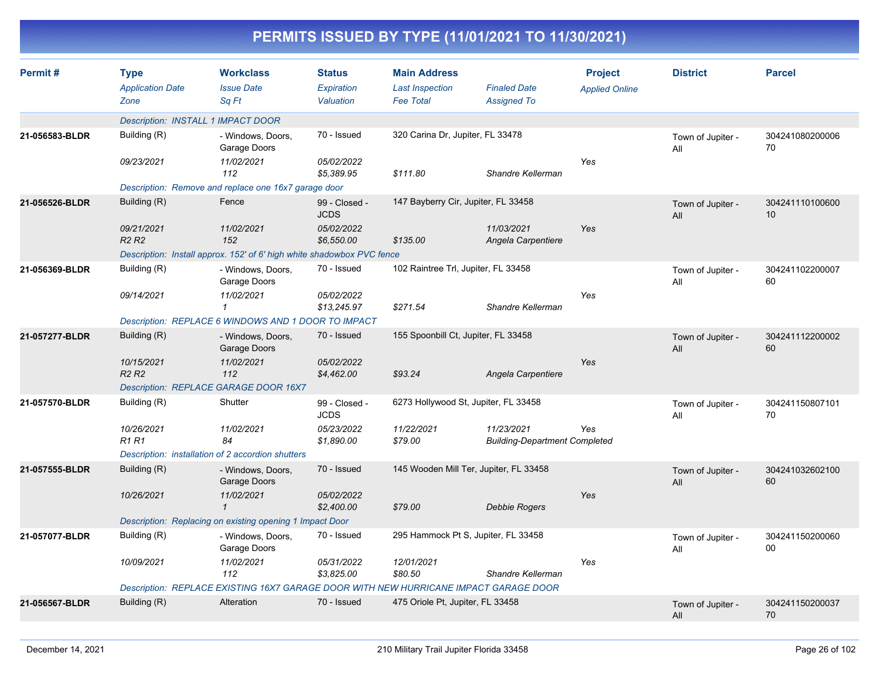|                |                                                |                                                                                      |                                          |                                                                   | PERMITS ISSUED BY TYPE (11/01/2021 TO 11/30/2021)  |                                         |                          |                       |
|----------------|------------------------------------------------|--------------------------------------------------------------------------------------|------------------------------------------|-------------------------------------------------------------------|----------------------------------------------------|-----------------------------------------|--------------------------|-----------------------|
| Permit#        | <b>Type</b><br><b>Application Date</b><br>Zone | <b>Workclass</b><br><b>Issue Date</b><br>Sq Ft                                       | <b>Status</b><br>Expiration<br>Valuation | <b>Main Address</b><br><b>Last Inspection</b><br><b>Fee Total</b> | <b>Finaled Date</b><br><b>Assigned To</b>          | <b>Project</b><br><b>Applied Online</b> | <b>District</b>          | <b>Parcel</b>         |
|                |                                                | Description: INSTALL 1 IMPACT DOOR                                                   |                                          |                                                                   |                                                    |                                         |                          |                       |
| 21-056583-BLDR | Building (R)                                   | - Windows, Doors,<br>Garage Doors                                                    | 70 - Issued                              | 320 Carina Dr, Jupiter, FL 33478                                  |                                                    |                                         | Town of Jupiter -<br>All | 304241080200006<br>70 |
|                | 09/23/2021                                     | 11/02/2021<br>112                                                                    | 05/02/2022<br>\$5,389.95                 | \$111.80                                                          | Shandre Kellerman                                  | Yes                                     |                          |                       |
|                |                                                | Description: Remove and replace one 16x7 garage door                                 |                                          |                                                                   |                                                    |                                         |                          |                       |
| 21-056526-BLDR | Building (R)                                   | Fence                                                                                | 99 - Closed -<br><b>JCDS</b>             | 147 Bayberry Cir, Jupiter, FL 33458                               |                                                    |                                         | Town of Jupiter -<br>All | 304241110100600<br>10 |
|                | 09/21/2021<br>R <sub>2</sub> R <sub>2</sub>    | 11/02/2021<br>152                                                                    | 05/02/2022<br>\$6,550.00                 | \$135.00                                                          | 11/03/2021<br>Angela Carpentiere                   | Yes                                     |                          |                       |
|                |                                                | Description: Install approx. 152' of 6' high white shadowbox PVC fence               |                                          |                                                                   |                                                    |                                         |                          |                       |
| 21-056369-BLDR | Building (R)                                   | - Windows, Doors,<br>Garage Doors                                                    | 70 - Issued                              | 102 Raintree Trl, Jupiter, FL 33458                               |                                                    |                                         | Town of Jupiter -<br>ail | 304241102200007<br>60 |
|                | 09/14/2021                                     | 11/02/2021<br>$\mathcal I$                                                           | 05/02/2022<br>\$13,245.97                | \$271.54                                                          | Shandre Kellerman                                  | Yes                                     |                          |                       |
|                |                                                | Description: REPLACE 6 WINDOWS AND 1 DOOR TO IMPACT                                  |                                          |                                                                   |                                                    |                                         |                          |                       |
| 21-057277-BLDR | Building (R)                                   | - Windows, Doors,<br>Garage Doors                                                    | 70 - Issued                              | 155 Spoonbill Ct, Jupiter, FL 33458                               |                                                    |                                         | Town of Jupiter -<br>All | 304241112200002<br>60 |
|                | 10/15/2021<br>R <sub>2</sub> R <sub>2</sub>    | 11/02/2021<br>112                                                                    | 05/02/2022<br>\$4,462.00                 | \$93.24                                                           | Angela Carpentiere                                 | Yes                                     |                          |                       |
|                |                                                | Description: REPLACE GARAGE DOOR 16X7                                                |                                          |                                                                   |                                                    |                                         |                          |                       |
| 21-057570-BLDR | Building (R)                                   | Shutter                                                                              | 99 - Closed -<br><b>JCDS</b>             | 6273 Hollywood St, Jupiter, FL 33458                              |                                                    |                                         | Town of Jupiter -<br>ail | 304241150807101<br>70 |
|                | 10/26/2021<br><b>R1 R1</b>                     | 11/02/2021<br>84                                                                     | 05/23/2022<br>\$1,890.00                 | 11/22/2021<br>\$79.00                                             | 11/23/2021<br><b>Building-Department Completed</b> | Yes                                     |                          |                       |
|                |                                                | Description: installation of 2 accordion shutters                                    |                                          |                                                                   |                                                    |                                         |                          |                       |
| 21-057555-BLDR | Building (R)                                   | - Windows, Doors,<br>Garage Doors                                                    | 70 - Issued                              | 145 Wooden Mill Ter, Jupiter, FL 33458                            |                                                    |                                         | Town of Jupiter -<br>All | 304241032602100<br>60 |
|                | 10/26/2021                                     | 11/02/2021                                                                           | 05/02/2022<br>\$2,400.00                 | \$79.00                                                           | <b>Debbie Rogers</b>                               | Yes                                     |                          |                       |
|                |                                                | Description: Replacing on existing opening 1 Impact Door                             |                                          |                                                                   |                                                    |                                         |                          |                       |
| 21-057077-BLDR | Building (R)                                   | - Windows, Doors,<br>Garage Doors                                                    | 70 - Issued                              | 295 Hammock Pt S, Jupiter, FL 33458                               |                                                    |                                         | Town of Jupiter -<br>All | 304241150200060<br>00 |
|                | 10/09/2021                                     | 11/02/2021<br>112                                                                    | 05/31/2022<br>\$3,825.00                 | 12/01/2021<br>\$80.50                                             | Shandre Kellerman                                  | Yes                                     |                          |                       |
|                |                                                | Description: REPLACE EXISTING 16X7 GARAGE DOOR WITH NEW HURRICANE IMPACT GARAGE DOOR |                                          |                                                                   |                                                    |                                         |                          |                       |
| 21-056567-BLDR | Building (R)                                   | Alteration                                                                           | 70 - Issued                              | 475 Oriole Pt, Jupiter, FL 33458                                  |                                                    |                                         | Town of Jupiter -<br>All | 304241150200037<br>70 |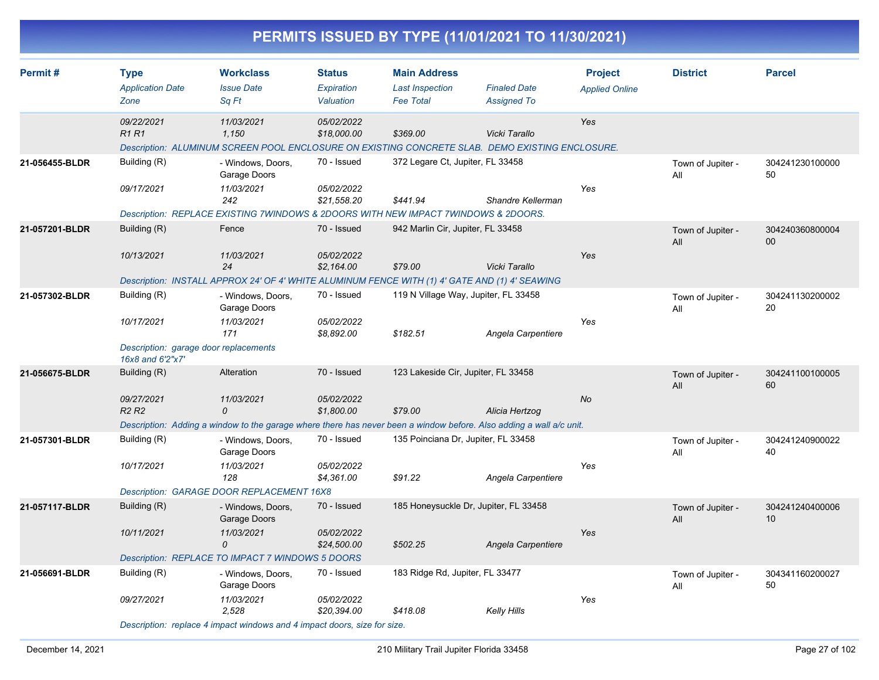| PERMITS ISSUED BY TYPE (11/01/2021 TO 11/30/2021) |                                                                                         |                                                                                                                                                             |                                          |                                                                   |                                           |                                         |                          |                       |  |  |
|---------------------------------------------------|-----------------------------------------------------------------------------------------|-------------------------------------------------------------------------------------------------------------------------------------------------------------|------------------------------------------|-------------------------------------------------------------------|-------------------------------------------|-----------------------------------------|--------------------------|-----------------------|--|--|
| Permit #                                          | <b>Type</b><br><b>Application Date</b><br>Zone                                          | <b>Workclass</b><br><b>Issue Date</b><br>Sq Ft                                                                                                              | <b>Status</b><br>Expiration<br>Valuation | <b>Main Address</b><br><b>Last Inspection</b><br><b>Fee Total</b> | <b>Finaled Date</b><br><b>Assigned To</b> | <b>Project</b><br><b>Applied Online</b> | <b>District</b>          | <b>Parcel</b>         |  |  |
|                                                   | 09/22/2021<br><b>R1 R1</b>                                                              | 11/03/2021<br>1,150<br>Description: ALUMINUM SCREEN POOL ENCLOSURE ON EXISTING CONCRETE SLAB. DEMO EXISTING ENCLOSURE.                                      | 05/02/2022<br>\$18,000.00                | \$369.00                                                          | Vicki Tarallo                             | Yes                                     |                          |                       |  |  |
| 21-056455-BLDR                                    | Building (R)<br>09/17/2021                                                              | - Windows, Doors,<br>Garage Doors<br>11/03/2021<br>242<br>Description: REPLACE EXISTING 7WINDOWS & 2DOORS WITH NEW IMPACT 7WINDOWS & 2DOORS.                | 70 - Issued<br>05/02/2022<br>\$21,558.20 | 372 Legare Ct, Jupiter, FL 33458<br>\$441.94                      | Shandre Kellerman                         | Yes                                     | Town of Jupiter -<br>All | 304241230100000<br>50 |  |  |
| 21-057201-BLDR                                    | Building (R)<br>10/13/2021                                                              | Fence<br>11/03/2021<br>24<br>Description: INSTALL APPROX 24' OF 4' WHITE ALUMINUM FENCE WITH (1) 4' GATE AND (1) 4' SEAWING                                 | 70 - Issued<br>05/02/2022<br>\$2,164.00  | 942 Marlin Cir, Jupiter, FL 33458<br>\$79.00                      | Vicki Tarallo                             | Yes                                     | Town of Jupiter -<br>All | 304240360800004<br>00 |  |  |
| 21-057302-BLDR                                    | Building (R)<br>10/17/2021<br>Description: garage door replacements<br>16x8 and 6'2"x7' | - Windows, Doors,<br>Garage Doors<br>11/03/2021<br>171                                                                                                      | 70 - Issued<br>05/02/2022<br>\$8,892.00  | 119 N Village Way, Jupiter, FL 33458<br>\$182.51                  | Angela Carpentiere                        | Yes                                     | Town of Jupiter -<br>All | 304241130200002<br>20 |  |  |
| 21-056675-BLDR                                    | Building (R)<br>09/27/2021<br>R <sub>2</sub> R <sub>2</sub>                             | Alteration<br>11/03/2021<br>$\Omega$<br>Description: Adding a window to the garage where there has never been a window before. Also adding a wall a/c unit. | 70 - Issued<br>05/02/2022<br>\$1,800.00  | 123 Lakeside Cir, Jupiter, FL 33458<br>\$79.00                    | Alicia Hertzog                            | No                                      | Town of Jupiter -<br>All | 304241100100005<br>60 |  |  |
| 21-057301-BLDR                                    | Building (R)<br>10/17/2021                                                              | - Windows, Doors,<br>Garage Doors<br>11/03/2021<br>128<br>Description: GARAGE DOOR REPLACEMENT 16X8                                                         | 70 - Issued<br>05/02/2022<br>\$4,361.00  | 135 Poinciana Dr, Jupiter, FL 33458<br>\$91.22                    | Angela Carpentiere                        | Yes                                     | Town of Jupiter -<br>All | 304241240900022<br>40 |  |  |
| 21-057117-BLDR                                    | Building (R)<br>10/11/2021                                                              | - Windows, Doors,<br>Garage Doors<br>11/03/2021<br>0<br>Description: REPLACE TO IMPACT 7 WINDOWS 5 DOORS                                                    | 70 - Issued<br>05/02/2022<br>\$24,500.00 | 185 Honeysuckle Dr, Jupiter, FL 33458<br>\$502.25                 | Angela Carpentiere                        | Yes                                     | Town of Jupiter -<br>All | 304241240400006<br>10 |  |  |
| 21-056691-BLDR                                    | Building (R)<br>09/27/2021                                                              | - Windows, Doors,<br>Garage Doors<br>11/03/2021<br>2,528                                                                                                    | 70 - Issued<br>05/02/2022<br>\$20,394.00 | 183 Ridge Rd, Jupiter, FL 33477<br>\$418.08                       | Kelly Hills                               | Yes                                     | Town of Jupiter -<br>All | 304341160200027<br>50 |  |  |

*Description: replace 4 impact windows and 4 impact doors, size for size.*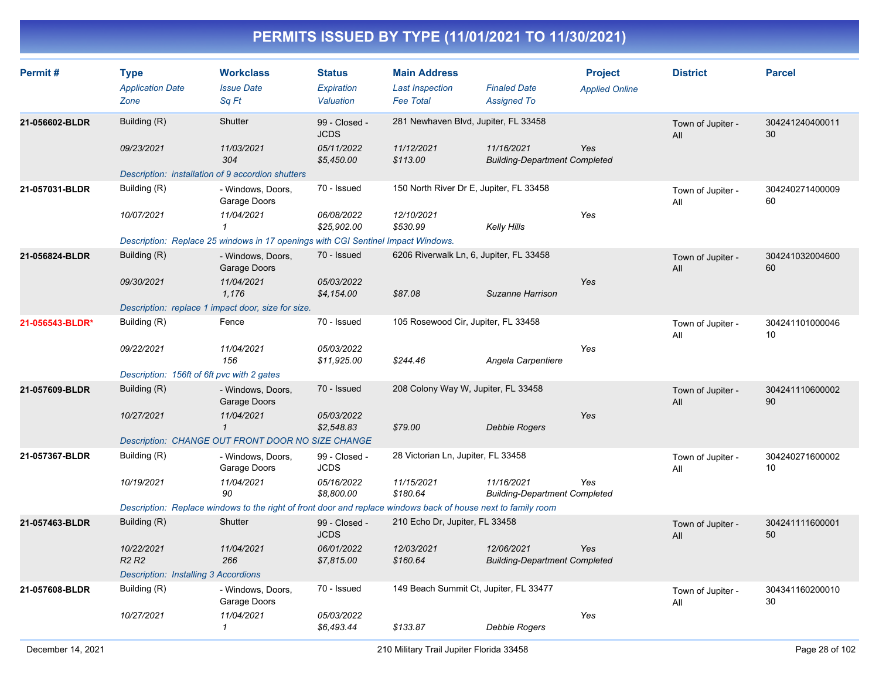| Permit#         | <b>Type</b><br><b>Application Date</b><br>Zone | <b>Workclass</b><br><b>Issue Date</b><br>Sq Ft                                                                | <b>Status</b><br>Expiration<br>Valuation | <b>Main Address</b><br><b>Last Inspection</b><br><b>Fee Total</b> | <b>Finaled Date</b><br><b>Assigned To</b>          | <b>Project</b><br><b>Applied Online</b> | <b>District</b>          | <b>Parcel</b>         |
|-----------------|------------------------------------------------|---------------------------------------------------------------------------------------------------------------|------------------------------------------|-------------------------------------------------------------------|----------------------------------------------------|-----------------------------------------|--------------------------|-----------------------|
| 21-056602-BLDR  | Building (R)                                   | Shutter                                                                                                       | 99 - Closed -<br><b>JCDS</b>             | 281 Newhaven Blvd, Jupiter, FL 33458                              |                                                    |                                         | Town of Jupiter -<br>All | 304241240400011<br>30 |
|                 | 09/23/2021                                     | 11/03/2021<br>304                                                                                             | 05/11/2022<br>\$5,450.00                 | 11/12/2021<br>\$113.00                                            | 11/16/2021<br><b>Building-Department Completed</b> | Yes                                     |                          |                       |
|                 |                                                | Description: installation of 9 accordion shutters                                                             |                                          |                                                                   |                                                    |                                         |                          |                       |
| 21-057031-BLDR  | Building (R)                                   | - Windows, Doors,<br>Garage Doors                                                                             | 70 - Issued                              | 150 North River Dr E, Jupiter, FL 33458                           |                                                    |                                         | Town of Jupiter -<br>All | 304240271400009<br>60 |
|                 | 10/07/2021                                     | 11/04/2021<br>$\mathbf{1}$                                                                                    | 06/08/2022<br>\$25,902.00                | 12/10/2021<br>\$530.99                                            | <b>Kelly Hills</b>                                 | Yes                                     |                          |                       |
|                 |                                                | Description: Replace 25 windows in 17 openings with CGI Sentinel Impact Windows.                              |                                          |                                                                   |                                                    |                                         |                          |                       |
| 21-056824-BLDR  | Building (R)                                   | - Windows, Doors,<br>Garage Doors                                                                             | 70 - Issued                              | 6206 Riverwalk Ln, 6, Jupiter, FL 33458                           |                                                    |                                         | Town of Jupiter -<br>All | 304241032004600<br>60 |
|                 | 09/30/2021                                     | 11/04/2021<br>1.176                                                                                           | 05/03/2022<br>\$4,154.00                 | \$87.08                                                           | Suzanne Harrison                                   | Yes                                     |                          |                       |
|                 |                                                | Description: replace 1 impact door, size for size.                                                            |                                          |                                                                   |                                                    |                                         |                          |                       |
| 21-056543-BLDR* | Building (R)                                   | Fence                                                                                                         | 70 - Issued                              | 105 Rosewood Cir, Jupiter, FL 33458                               |                                                    |                                         | Town of Jupiter -<br>All | 304241101000046<br>10 |
|                 | 09/22/2021                                     | 11/04/2021<br>156                                                                                             | 05/03/2022<br>\$11,925.00                | \$244.46                                                          | Angela Carpentiere                                 | Yes                                     |                          |                       |
|                 | Description: 156ft of 6ft pvc with 2 gates     |                                                                                                               |                                          |                                                                   |                                                    |                                         |                          |                       |
| 21-057609-BLDR  | Building (R)                                   | - Windows, Doors,<br>Garage Doors                                                                             | 70 - Issued                              | 208 Colony Way W, Jupiter, FL 33458                               |                                                    |                                         | Town of Jupiter -<br>All | 304241110600002<br>90 |
|                 | 10/27/2021                                     | 11/04/2021<br>$\mathbf{1}$                                                                                    | 05/03/2022<br>\$2,548.83                 | \$79.00                                                           | Debbie Rogers                                      | Yes                                     |                          |                       |
|                 |                                                | Description: CHANGE OUT FRONT DOOR NO SIZE CHANGE                                                             |                                          |                                                                   |                                                    |                                         |                          |                       |
| 21-057367-BLDR  | Building (R)                                   | - Windows, Doors,<br>Garage Doors                                                                             | 99 - Closed -<br><b>JCDS</b>             | 28 Victorian Ln, Jupiter, FL 33458                                |                                                    |                                         | Town of Jupiter -<br>All | 304240271600002<br>10 |
|                 | 10/19/2021                                     | 11/04/2021<br>90                                                                                              | 05/16/2022<br>\$8,800.00                 | 11/15/2021<br>\$180.64                                            | 11/16/2021<br><b>Building-Department Completed</b> | Yes                                     |                          |                       |
|                 |                                                | Description: Replace windows to the right of front door and replace windows back of house next to family room |                                          |                                                                   |                                                    |                                         |                          |                       |
| 21-057463-BLDR  | Building (R)                                   | Shutter                                                                                                       | 99 - Closed -<br><b>JCDS</b>             | 210 Echo Dr, Jupiter, FL 33458                                    |                                                    |                                         | Town of Jupiter -<br>All | 304241111600001<br>50 |
|                 | 10/22/2021<br>R <sub>2</sub> R <sub>2</sub>    | 11/04/2021<br>266                                                                                             | 06/01/2022<br>\$7,815.00                 | 12/03/2021<br>\$160.64                                            | 12/06/2021<br><b>Building-Department Completed</b> | <b>Yes</b>                              |                          |                       |
|                 | Description: Installing 3 Accordions           |                                                                                                               |                                          |                                                                   |                                                    |                                         |                          |                       |
| 21-057608-BLDR  | Building (R)                                   | - Windows, Doors,<br>Garage Doors                                                                             | 70 - Issued                              | 149 Beach Summit Ct, Jupiter, FL 33477                            |                                                    |                                         | Town of Jupiter -<br>All | 304341160200010<br>30 |
|                 | 10/27/2021                                     | 11/04/2021<br>1                                                                                               | 05/03/2022<br>\$6,493.44                 | \$133.87                                                          | Debbie Rogers                                      | Yes                                     |                          |                       |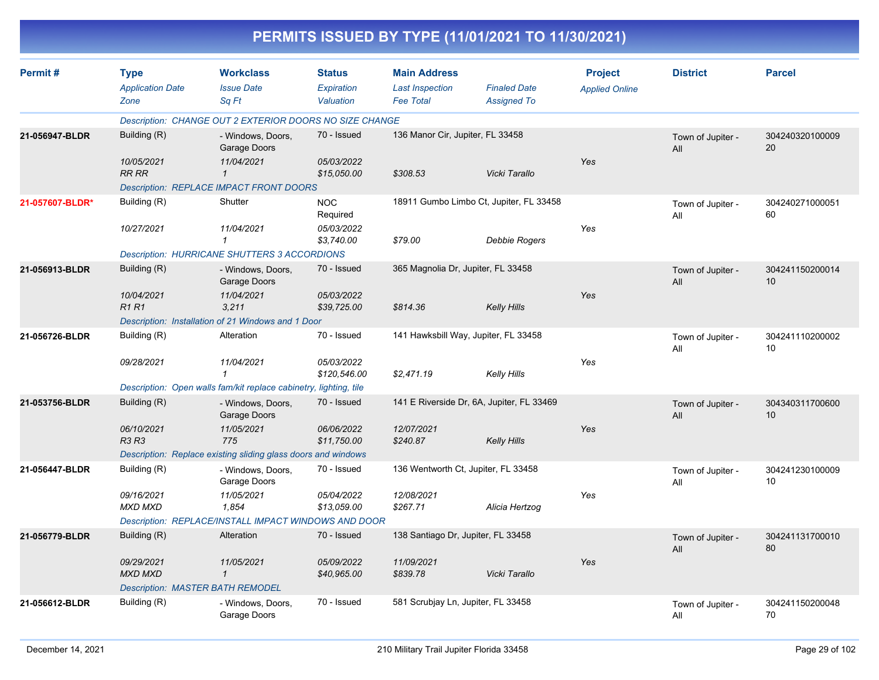|                 |                                                    |                                                                   |                                          |                                                                   | PERMITS ISSUED BY TYPE (11/01/2021 TO 11/30/2021) |                                         |                          |                       |
|-----------------|----------------------------------------------------|-------------------------------------------------------------------|------------------------------------------|-------------------------------------------------------------------|---------------------------------------------------|-----------------------------------------|--------------------------|-----------------------|
| Permit#         | <b>Type</b><br><b>Application Date</b><br>Zone     | <b>Workclass</b><br><b>Issue Date</b><br>Sq Ft                    | <b>Status</b><br>Expiration<br>Valuation | <b>Main Address</b><br><b>Last Inspection</b><br><b>Fee Total</b> | <b>Finaled Date</b><br><b>Assigned To</b>         | <b>Project</b><br><b>Applied Online</b> | <b>District</b>          | <b>Parcel</b>         |
|                 |                                                    | Description: CHANGE OUT 2 EXTERIOR DOORS NO SIZE CHANGE           |                                          |                                                                   |                                                   |                                         |                          |                       |
| 21-056947-BLDR  | Building (R)                                       | - Windows, Doors,<br>Garage Doors                                 | 70 - Issued                              | 136 Manor Cir, Jupiter, FL 33458                                  |                                                   |                                         | Town of Jupiter -<br>All | 304240320100009<br>20 |
|                 | 10/05/2021<br><b>RR RR</b>                         | 11/04/2021<br>$\mathbf{\overline{1}}$                             | 05/03/2022<br>\$15,050.00                | \$308.53                                                          | Vicki Tarallo                                     | Yes                                     |                          |                       |
|                 |                                                    | Description: REPLACE IMPACT FRONT DOORS                           |                                          |                                                                   |                                                   |                                         |                          |                       |
| 21-057607-BLDR* | Building (R)                                       | Shutter                                                           | <b>NOC</b><br>Required                   |                                                                   | 18911 Gumbo Limbo Ct, Jupiter, FL 33458           |                                         | Town of Jupiter -<br>All | 304240271000051<br>60 |
|                 | 10/27/2021                                         | 11/04/2021<br>1                                                   | <i>05/03/2022</i><br>\$3,740.00          | \$79.00                                                           | <b>Debbie Rogers</b>                              | Yes                                     |                          |                       |
|                 |                                                    | <b>Description: HURRICANE SHUTTERS 3 ACCORDIONS</b>               |                                          |                                                                   |                                                   |                                         |                          |                       |
| 21-056913-BLDR  | Building (R)                                       | - Windows, Doors,<br>Garage Doors                                 | 70 - Issued                              | 365 Magnolia Dr, Jupiter, FL 33458                                |                                                   |                                         | Town of Jupiter -<br>All | 304241150200014<br>10 |
|                 | 10/04/2021<br><b>R1 R1</b>                         | 11/04/2021<br>3,211                                               | 05/03/2022<br>\$39,725.00                | \$814.36                                                          | <b>Kelly Hills</b>                                | Yes                                     |                          |                       |
|                 | Description: Installation of 21 Windows and 1 Door |                                                                   |                                          |                                                                   |                                                   |                                         |                          |                       |
| 21-056726-BLDR  | Building (R)                                       | Alteration                                                        | 70 - Issued                              |                                                                   | 141 Hawksbill Way, Jupiter, FL 33458              |                                         | Town of Jupiter -<br>All | 304241110200002<br>10 |
|                 | 09/28/2021                                         | 11/04/2021<br>$\mathbf{1}$                                        | 05/03/2022<br>\$120,546.00               | \$2,471.19                                                        | <b>Kelly Hills</b>                                | Yes                                     |                          |                       |
|                 |                                                    | Description: Open walls fam/kit replace cabinetry, lighting, tile |                                          |                                                                   |                                                   |                                         |                          |                       |
| 21-053756-BLDR  | Building (R)                                       | - Windows, Doors,<br>Garage Doors                                 | 70 - Issued                              |                                                                   | 141 E Riverside Dr, 6A, Jupiter, FL 33469         |                                         | Town of Jupiter -<br>All | 304340311700600<br>10 |
|                 | 06/10/2021<br>R3 R3                                | 11/05/2021<br>775                                                 | 06/06/2022<br>\$11,750.00                | 12/07/2021<br>\$240.87                                            | <b>Kelly Hills</b>                                | Yes                                     |                          |                       |
|                 |                                                    | Description: Replace existing sliding glass doors and windows     |                                          |                                                                   |                                                   |                                         |                          |                       |
| 21-056447-BLDR  | Building (R)                                       | - Windows, Doors,<br>Garage Doors                                 | 70 - Issued                              | 136 Wentworth Ct, Jupiter, FL 33458                               |                                                   |                                         | Town of Jupiter -<br>All | 304241230100009<br>10 |
|                 | 09/16/2021<br><b>MXD MXD</b>                       | 11/05/2021<br>1,854                                               | 05/04/2022<br>\$13,059.00                | 12/08/2021<br>\$267.71                                            | Alicia Hertzog                                    | Yes                                     |                          |                       |
|                 |                                                    | Description: REPLACE/INSTALL IMPACT WINDOWS AND DOOR              |                                          |                                                                   |                                                   |                                         |                          |                       |
| 21-056779-BLDR  | Building (R)                                       | Alteration                                                        | 70 - Issued                              | 138 Santiago Dr, Jupiter, FL 33458                                |                                                   |                                         | Town of Jupiter -<br>All | 304241131700010<br>80 |
|                 | 09/29/2021<br><b>MXD MXD</b>                       | 11/05/2021<br>$\mathcal I$                                        | 05/09/2022<br>\$40,965.00                | 11/09/2021<br>\$839.78                                            | Vicki Tarallo                                     | Yes                                     |                          |                       |
|                 | <b>Description: MASTER BATH REMODEL</b>            |                                                                   |                                          |                                                                   |                                                   |                                         |                          |                       |
| 21-056612-BLDR  | Building (R)                                       | - Windows, Doors,<br>Garage Doors                                 | 70 - Issued                              | 581 Scrubjay Ln, Jupiter, FL 33458                                |                                                   |                                         | Town of Jupiter -<br>All | 304241150200048<br>70 |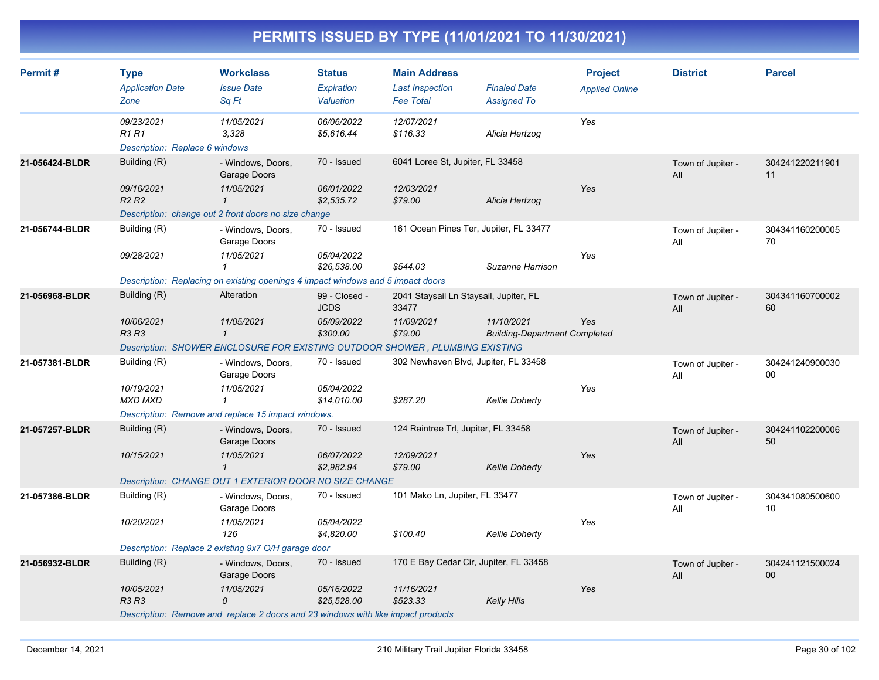| Permit#        | <b>Type</b><br><b>Application Date</b><br>Zone              | <b>Workclass</b><br><b>Issue Date</b><br>Sq Ft                                   | <b>Status</b><br>Expiration<br>Valuation | <b>Main Address</b><br><b>Last Inspection</b><br><b>Fee Total</b> | <b>Finaled Date</b><br><b>Assigned To</b>          | <b>Project</b><br><b>Applied Online</b> | <b>District</b>          | <b>Parcel</b>         |
|----------------|-------------------------------------------------------------|----------------------------------------------------------------------------------|------------------------------------------|-------------------------------------------------------------------|----------------------------------------------------|-----------------------------------------|--------------------------|-----------------------|
|                | 09/23/2021<br><b>R1R1</b><br>Description: Replace 6 windows | 11/05/2021<br>3,328                                                              | 06/06/2022<br>\$5,616.44                 | 12/07/2021<br>\$116.33                                            | Alicia Hertzog                                     | Yes                                     |                          |                       |
| 21-056424-BLDR | Building (R)<br>09/16/2021                                  | - Windows, Doors,<br>Garage Doors<br>11/05/2021                                  | 70 - Issued<br>06/01/2022                | 6041 Loree St, Jupiter, FL 33458<br>12/03/2021                    |                                                    | Yes                                     | Town of Jupiter -<br>All | 304241220211901<br>11 |
|                | R <sub>2</sub> R <sub>2</sub>                               | $\mathcal I$<br>Description: change out 2 front doors no size change             | \$2,535.72                               | \$79.00                                                           | Alicia Hertzog                                     |                                         |                          |                       |
| 21-056744-BLDR | Building (R)                                                | - Windows, Doors,<br>Garage Doors                                                | 70 - Issued                              | 161 Ocean Pines Ter, Jupiter, FL 33477                            |                                                    |                                         | Town of Jupiter -<br>All | 304341160200005<br>70 |
|                | 09/28/2021                                                  | 11/05/2021<br>1                                                                  | 05/04/2022<br>\$26,538.00                | \$544.03                                                          | Suzanne Harrison                                   | Yes                                     |                          |                       |
|                |                                                             | Description: Replacing on existing openings 4 impact windows and 5 impact doors  |                                          |                                                                   |                                                    |                                         |                          |                       |
| 21-056968-BLDR | Building (R)                                                | Alteration                                                                       | 99 - Closed -<br><b>JCDS</b>             | 2041 Staysail Ln Staysail, Jupiter, FL<br>33477                   |                                                    |                                         | Town of Jupiter -<br>All | 304341160700002<br>60 |
|                | 10/06/2021<br><b>R3 R3</b>                                  | 11/05/2021<br>$\mathbf{1}$                                                       | 05/09/2022<br>\$300.00                   | 11/09/2021<br>\$79.00                                             | 11/10/2021<br><b>Building-Department Completed</b> | Yes                                     |                          |                       |
|                |                                                             | Description: SHOWER ENCLOSURE FOR EXISTING OUTDOOR SHOWER, PLUMBING EXISTING     |                                          |                                                                   |                                                    |                                         |                          |                       |
| 21-057381-BLDR | Building (R)                                                | - Windows, Doors,<br>Garage Doors                                                | 70 - Issued                              | 302 Newhaven Blvd, Jupiter, FL 33458                              |                                                    |                                         | Town of Jupiter -<br>All | 304241240900030<br>00 |
|                | 10/19/2021<br><b>MXD MXD</b>                                | 11/05/2021<br>$\mathbf{1}$                                                       | 05/04/2022<br>\$14,010.00                | \$287.20                                                          | <b>Kellie Doherty</b>                              | Yes                                     |                          |                       |
|                |                                                             | Description: Remove and replace 15 impact windows.                               |                                          |                                                                   |                                                    |                                         |                          |                       |
| 21-057257-BLDR | Building (R)                                                | - Windows, Doors,<br>Garage Doors                                                | 70 - Issued                              | 124 Raintree Trl, Jupiter, FL 33458                               |                                                    |                                         | Town of Jupiter -<br>All | 304241102200006<br>50 |
|                | 10/15/2021                                                  | 11/05/2021<br>$\mathbf{1}$                                                       | 06/07/2022<br>\$2,982.94                 | 12/09/2021<br>\$79.00                                             | <b>Kellie Doherty</b>                              | Yes                                     |                          |                       |
|                |                                                             | Description: CHANGE OUT 1 EXTERIOR DOOR NO SIZE CHANGE                           |                                          |                                                                   |                                                    |                                         |                          |                       |
| 21-057386-BLDR | Building (R)                                                | - Windows, Doors,<br>Garage Doors                                                | 70 - Issued                              | 101 Mako Ln, Jupiter, FL 33477                                    |                                                    |                                         | Town of Jupiter -<br>All | 304341080500600<br>10 |
|                | 10/20/2021                                                  | 11/05/2021<br>126                                                                | 05/04/2022<br>\$4,820.00                 | \$100.40                                                          | <b>Kellie Doherty</b>                              | Yes                                     |                          |                       |
|                |                                                             | Description: Replace 2 existing 9x7 O/H garage door                              |                                          |                                                                   |                                                    |                                         |                          |                       |
| 21-056932-BLDR | Building (R)                                                | - Windows, Doors,<br>Garage Doors                                                | 70 - Issued                              | 170 E Bay Cedar Cir, Jupiter, FL 33458                            |                                                    |                                         | Town of Jupiter -<br>All | 304241121500024<br>00 |
|                | 10/05/2021<br><b>R3 R3</b>                                  | 11/05/2021<br>$\Omega$                                                           | 05/16/2022<br>\$25,528.00                | 11/16/2021<br>\$523.33                                            | Kelly Hills                                        | Yes                                     |                          |                       |
|                |                                                             | Description: Remove and replace 2 doors and 23 windows with like impact products |                                          |                                                                   |                                                    |                                         |                          |                       |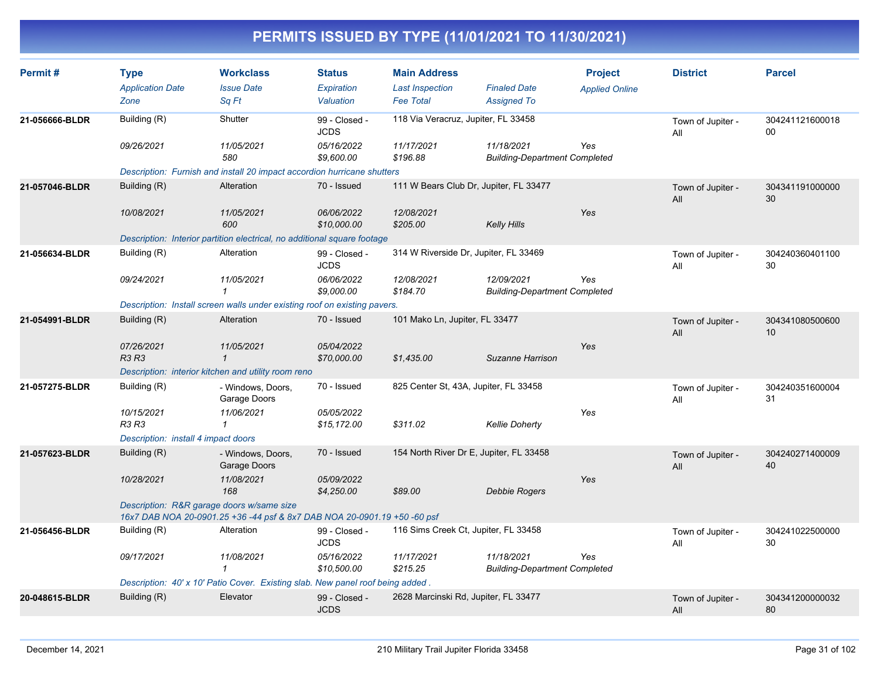| Permit#        | <b>Type</b><br><b>Application Date</b><br>Zone | <b>Workclass</b><br><b>Issue Date</b><br>Sq Ft                                                                        | <b>Status</b><br>Expiration<br>Valuation | <b>Main Address</b><br><b>Last Inspection</b><br><b>Fee Total</b> | <b>Finaled Date</b><br><b>Assigned To</b>          | <b>Project</b><br><b>Applied Online</b> | <b>District</b>          | <b>Parcel</b>         |
|----------------|------------------------------------------------|-----------------------------------------------------------------------------------------------------------------------|------------------------------------------|-------------------------------------------------------------------|----------------------------------------------------|-----------------------------------------|--------------------------|-----------------------|
| 21-056666-BLDR | Building (R)                                   | Shutter                                                                                                               | 99 - Closed -<br><b>JCDS</b>             | 118 Via Veracruz, Jupiter, FL 33458                               |                                                    |                                         | Town of Jupiter -<br>All | 304241121600018<br>00 |
|                | 09/26/2021                                     | 11/05/2021<br>580                                                                                                     | 05/16/2022<br>\$9,600.00                 | 11/17/2021<br>\$196.88                                            | 11/18/2021<br><b>Building-Department Completed</b> | Yes                                     |                          |                       |
|                |                                                | Description: Furnish and install 20 impact accordion hurricane shutters                                               |                                          |                                                                   |                                                    |                                         |                          |                       |
| 21-057046-BLDR | Building (R)                                   | Alteration                                                                                                            | 70 - Issued                              | 111 W Bears Club Dr, Jupiter, FL 33477                            |                                                    |                                         | Town of Jupiter -<br>All | 304341191000000<br>30 |
|                | 10/08/2021                                     | 11/05/2021<br>600                                                                                                     | 06/06/2022<br>\$10,000.00                | 12/08/2021<br>\$205.00                                            | <b>Kelly Hills</b>                                 | Yes                                     |                          |                       |
|                |                                                | Description: Interior partition electrical, no additional square footage                                              |                                          |                                                                   |                                                    |                                         |                          |                       |
| 21-056634-BLDR | Building (R)                                   | Alteration                                                                                                            | 99 - Closed -<br><b>JCDS</b>             | 314 W Riverside Dr, Jupiter, FL 33469                             |                                                    |                                         | Town of Jupiter -<br>All | 304240360401100<br>30 |
|                | 09/24/2021                                     | 11/05/2021<br>$\mathcal I$                                                                                            | 06/06/2022<br>\$9,000.00                 | 12/08/2021<br>\$184.70                                            | 12/09/2021<br><b>Building-Department Completed</b> | Yes                                     |                          |                       |
|                |                                                | Description: Install screen walls under existing roof on existing pavers.                                             |                                          |                                                                   |                                                    |                                         |                          |                       |
| 21-054991-BLDR | Building (R)                                   | Alteration                                                                                                            | 70 - Issued                              | 101 Mako Ln, Jupiter, FL 33477                                    |                                                    |                                         | Town of Jupiter -<br>All | 304341080500600<br>10 |
|                | 07/26/2021<br><b>R3 R3</b>                     | 11/05/2021<br>$\mathbf{1}$                                                                                            | 05/04/2022<br>\$70,000.00                | \$1,435.00                                                        | Suzanne Harrison                                   | Yes                                     |                          |                       |
|                |                                                | Description: interior kitchen and utility room reno                                                                   |                                          |                                                                   |                                                    |                                         |                          |                       |
| 21-057275-BLDR | Building (R)                                   | - Windows, Doors,<br>Garage Doors                                                                                     | 70 - Issued                              | 825 Center St, 43A, Jupiter, FL 33458                             |                                                    |                                         | Town of Jupiter -<br>All | 304240351600004<br>31 |
|                | 10/15/2021<br><b>R3 R3</b>                     | 11/06/2021<br>$\mathbf{1}$                                                                                            | 05/05/2022<br>\$15,172.00                | \$311.02                                                          | <b>Kellie Doherty</b>                              | Yes                                     |                          |                       |
|                | Description: install 4 impact doors            |                                                                                                                       |                                          |                                                                   |                                                    |                                         |                          |                       |
| 21-057623-BLDR | Building (R)                                   | - Windows, Doors,<br>Garage Doors                                                                                     | 70 - Issued                              | 154 North River Dr E, Jupiter, FL 33458                           |                                                    |                                         | Town of Jupiter -<br>All | 304240271400009<br>40 |
|                | 10/28/2021                                     | 11/08/2021<br>168                                                                                                     | 05/09/2022<br>\$4,250.00                 | \$89.00                                                           | Debbie Rogers                                      | Yes                                     |                          |                       |
|                |                                                | Description: R&R garage doors w/same size<br>16x7 DAB NOA 20-0901.25 +36 -44 psf & 8x7 DAB NOA 20-0901.19 +50 -60 psf |                                          |                                                                   |                                                    |                                         |                          |                       |
| 21-056456-BLDR | Building (R)                                   | Alteration                                                                                                            | 99 - Closed -<br><b>JCDS</b>             | 116 Sims Creek Ct, Jupiter, FL 33458                              |                                                    |                                         | Town of Jupiter -<br>All | 304241022500000<br>30 |
|                | 09/17/2021                                     | 11/08/2021<br>$\mathbf{1}$                                                                                            | 05/16/2022<br>\$10,500.00                | 11/17/2021<br>\$215.25                                            | 11/18/2021<br><b>Building-Department Completed</b> | Yes                                     |                          |                       |
|                |                                                | Description: 40' x 10' Patio Cover. Existing slab. New panel roof being added.                                        |                                          |                                                                   |                                                    |                                         |                          |                       |
| 20-048615-BLDR | Building (R)                                   | Elevator                                                                                                              | 99 - Closed -<br><b>JCDS</b>             | 2628 Marcinski Rd, Jupiter, FL 33477                              |                                                    |                                         | Town of Jupiter -<br>All | 304341200000032<br>80 |
|                |                                                |                                                                                                                       |                                          |                                                                   |                                                    |                                         |                          |                       |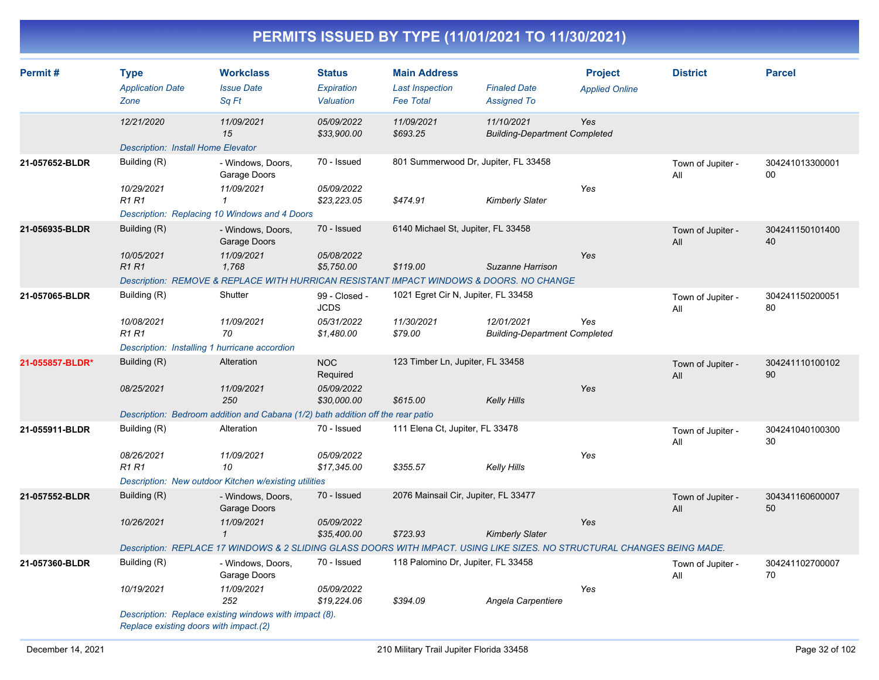| Permit#         | <b>Type</b><br><b>Application Date</b><br>Zone | <b>Workclass</b><br><b>Issue Date</b><br>Sq Ft                                                                           | <b>Status</b><br>Expiration<br>Valuation | <b>Main Address</b><br><b>Last Inspection</b><br><b>Fee Total</b> | <b>Finaled Date</b><br><b>Assigned To</b>          | <b>Project</b><br><b>Applied Online</b> | <b>District</b>          | <b>Parcel</b>         |
|-----------------|------------------------------------------------|--------------------------------------------------------------------------------------------------------------------------|------------------------------------------|-------------------------------------------------------------------|----------------------------------------------------|-----------------------------------------|--------------------------|-----------------------|
|                 | 12/21/2020                                     | 11/09/2021<br>15                                                                                                         | 05/09/2022<br>\$33,900.00                | 11/09/2021<br>\$693.25                                            | 11/10/2021<br><b>Building-Department Completed</b> | Yes                                     |                          |                       |
|                 | <b>Description: Install Home Elevator</b>      |                                                                                                                          |                                          |                                                                   |                                                    |                                         |                          |                       |
| 21-057652-BLDR  | Building (R)                                   | - Windows, Doors,<br>Garage Doors                                                                                        | 70 - Issued                              | 801 Summerwood Dr, Jupiter, FL 33458                              |                                                    |                                         | Town of Jupiter -<br>All | 304241013300001<br>00 |
|                 | 10/29/2021<br><b>R1R1</b>                      | 11/09/2021<br>$\mathbf{1}$                                                                                               | 05/09/2022<br>\$23,223.05                | \$474.91                                                          | Kimberly Slater                                    | Yes                                     |                          |                       |
|                 |                                                | Description: Replacing 10 Windows and 4 Doors                                                                            |                                          |                                                                   |                                                    |                                         |                          |                       |
| 21-056935-BLDR  | Building (R)                                   | - Windows, Doors,<br>Garage Doors                                                                                        | 70 - Issued                              | 6140 Michael St, Jupiter, FL 33458                                |                                                    |                                         | Town of Jupiter -<br>All | 304241150101400<br>40 |
|                 | 10/05/2021<br><b>R1R1</b>                      | 11/09/2021<br>1,768                                                                                                      | 05/08/2022<br>\$5,750.00                 | \$119.00                                                          | Suzanne Harrison                                   | Yes                                     |                          |                       |
|                 |                                                | Description: REMOVE & REPLACE WITH HURRICAN RESISTANT IMPACT WINDOWS & DOORS. NO CHANGE                                  |                                          |                                                                   |                                                    |                                         |                          |                       |
| 21-057065-BLDR  | Building (R)                                   | Shutter                                                                                                                  | 99 - Closed -<br><b>JCDS</b>             | 1021 Egret Cir N, Jupiter, FL 33458                               |                                                    |                                         | Town of Jupiter -<br>All | 304241150200051<br>80 |
|                 | 10/08/2021<br>R <sub>1</sub> R <sub>1</sub>    | 11/09/2021<br>70                                                                                                         | 05/31/2022<br>\$1,480.00                 | 11/30/2021<br>\$79.00                                             | 12/01/2021<br><b>Building-Department Completed</b> | Yes                                     |                          |                       |
|                 | Description: Installing 1 hurricane accordion  |                                                                                                                          |                                          |                                                                   |                                                    |                                         |                          |                       |
| 21-055857-BLDR* | Building (R)                                   | Alteration                                                                                                               | <b>NOC</b><br>Required                   | 123 Timber Ln, Jupiter, FL 33458                                  |                                                    |                                         | Town of Jupiter -<br>All | 304241110100102<br>90 |
|                 | 08/25/2021                                     | 11/09/2021<br>250                                                                                                        | 05/09/2022<br>\$30,000.00                | \$615.00                                                          | Kelly Hills                                        | Yes                                     |                          |                       |
|                 |                                                | Description: Bedroom addition and Cabana (1/2) bath addition off the rear patio                                          |                                          |                                                                   |                                                    |                                         |                          |                       |
| 21-055911-BLDR  | Building (R)                                   | Alteration                                                                                                               | 70 - Issued                              | 111 Elena Ct, Jupiter, FL 33478                                   |                                                    |                                         | Town of Jupiter -<br>All | 304241040100300<br>30 |
|                 | 08/26/2021                                     | 11/09/2021                                                                                                               | 05/09/2022                               |                                                                   |                                                    | Yes                                     |                          |                       |
|                 | <b>R1 R1</b>                                   | 10                                                                                                                       | \$17,345.00                              | \$355.57                                                          | Kelly Hills                                        |                                         |                          |                       |
|                 |                                                | Description: New outdoor Kitchen w/existing utilities                                                                    |                                          |                                                                   |                                                    |                                         |                          |                       |
| 21-057552-BLDR  | Building (R)                                   | - Windows, Doors,<br>Garage Doors                                                                                        | 70 - Issued                              | 2076 Mainsail Cir, Jupiter, FL 33477                              |                                                    |                                         | Town of Jupiter -<br>All | 304341160600007<br>50 |
|                 | 10/26/2021                                     | 11/09/2021<br>$\mathbf{1}$                                                                                               | 05/09/2022<br>\$35,400.00                | \$723.93                                                          | <b>Kimberly Slater</b>                             | Yes                                     |                          |                       |
|                 |                                                | Description: REPLACE 17 WINDOWS & 2 SLIDING GLASS DOORS WITH IMPACT. USING LIKE SIZES. NO STRUCTURAL CHANGES BEING MADE. |                                          |                                                                   |                                                    |                                         |                          |                       |
| 21-057360-BLDR  | Building (R)                                   | - Windows, Doors,<br>Garage Doors                                                                                        | 70 - Issued                              | 118 Palomino Dr, Jupiter, FL 33458                                |                                                    |                                         | Town of Jupiter -<br>All | 304241102700007<br>70 |
|                 | 10/19/2021                                     | 11/09/2021<br>252                                                                                                        | 05/09/2022<br>\$19,224.06                | \$394.09                                                          | Angela Carpentiere                                 | Yes                                     |                          |                       |
|                 | Replace existing doors with impact.(2)         | Description: Replace existing windows with impact (8).                                                                   |                                          |                                                                   |                                                    |                                         |                          |                       |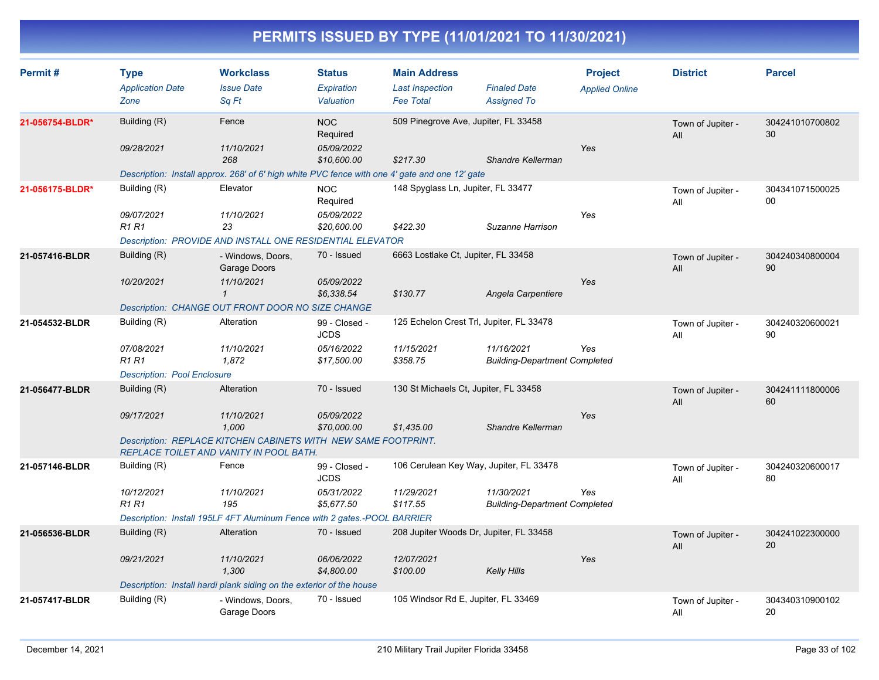| Permit#         | <b>Type</b><br><b>Application Date</b><br>Zone | <b>Workclass</b><br><b>Issue Date</b><br>Sq Ft                                                                   | <b>Status</b><br><b>Expiration</b><br>Valuation | <b>Main Address</b><br><b>Last Inspection</b><br><b>Fee Total</b> | <b>Finaled Date</b><br><b>Assigned To</b>          | <b>Project</b><br><b>Applied Online</b> | <b>District</b>          | <b>Parcel</b>         |
|-----------------|------------------------------------------------|------------------------------------------------------------------------------------------------------------------|-------------------------------------------------|-------------------------------------------------------------------|----------------------------------------------------|-----------------------------------------|--------------------------|-----------------------|
| 21-056754-BLDR* | Building (R)                                   | Fence                                                                                                            | <b>NOC</b><br>Required                          | 509 Pinegrove Ave, Jupiter, FL 33458                              |                                                    |                                         | Town of Jupiter -<br>All | 304241010700802<br>30 |
|                 | 09/28/2021                                     | 11/10/2021<br>268                                                                                                | 05/09/2022<br>\$10,600.00                       | \$217.30                                                          | Shandre Kellerman                                  | Yes                                     |                          |                       |
|                 |                                                | Description: Install approx. 268' of 6' high white PVC fence with one 4' gate and one 12' gate                   |                                                 |                                                                   |                                                    |                                         |                          |                       |
| 21-056175-BLDR* | Building (R)                                   | Elevator                                                                                                         | <b>NOC</b><br>Required                          | 148 Spyglass Ln, Jupiter, FL 33477                                |                                                    |                                         | Town of Jupiter -<br>All | 304341071500025<br>00 |
|                 | 09/07/2021<br><b>R1 R1</b>                     | 11/10/2021<br>23                                                                                                 | 05/09/2022<br>\$20,600.00                       | \$422.30                                                          | Suzanne Harrison                                   | Yes                                     |                          |                       |
|                 |                                                | Description: PROVIDE AND INSTALL ONE RESIDENTIAL ELEVATOR                                                        |                                                 |                                                                   |                                                    |                                         |                          |                       |
| 21-057416-BLDR  | Building (R)                                   | - Windows, Doors,<br>Garage Doors                                                                                | 70 - Issued                                     | 6663 Lostlake Ct, Jupiter, FL 33458                               |                                                    |                                         | Town of Jupiter -<br>All | 304240340800004<br>90 |
|                 | 10/20/2021                                     | 11/10/2021<br>$\mathbf{1}$                                                                                       | 05/09/2022<br>\$6,338.54                        | \$130.77                                                          | Angela Carpentiere                                 | Yes                                     |                          |                       |
|                 |                                                | Description: CHANGE OUT FRONT DOOR NO SIZE CHANGE                                                                |                                                 |                                                                   |                                                    |                                         |                          |                       |
| 21-054532-BLDR  | Building (R)                                   | Alteration                                                                                                       | 99 - Closed -<br><b>JCDS</b>                    |                                                                   | 125 Echelon Crest Trl, Jupiter, FL 33478           |                                         | Town of Jupiter -<br>All | 304240320600021<br>90 |
|                 | 07/08/2021<br><b>R1R1</b>                      | 11/10/2021<br>1,872                                                                                              | 05/16/2022<br>\$17,500.00                       | 11/15/2021<br>\$358.75                                            | 11/16/2021<br><b>Building-Department Completed</b> | Yes                                     |                          |                       |
|                 | <b>Description: Pool Enclosure</b>             |                                                                                                                  |                                                 |                                                                   |                                                    |                                         |                          |                       |
| 21-056477-BLDR  | Building (R)                                   | Alteration                                                                                                       | 70 - Issued                                     | 130 St Michaels Ct, Jupiter, FL 33458                             |                                                    |                                         | Town of Jupiter -<br>All | 304241111800006<br>60 |
|                 | 09/17/2021                                     | 11/10/2021<br>1,000                                                                                              | 05/09/2022<br>\$70,000.00                       | \$1,435.00                                                        | Shandre Kellerman                                  | Yes                                     |                          |                       |
|                 |                                                | Description: REPLACE KITCHEN CABINETS WITH NEW SAME FOOTPRINT.<br><b>REPLACE TOILET AND VANITY IN POOL BATH.</b> |                                                 |                                                                   |                                                    |                                         |                          |                       |
| 21-057146-BLDR  | Building (R)                                   | Fence                                                                                                            | 99 - Closed -<br><b>JCDS</b>                    |                                                                   | 106 Cerulean Key Way, Jupiter, FL 33478            |                                         | Town of Jupiter -<br>All | 304240320600017<br>80 |
|                 | 10/12/2021<br>R1 R1                            | 11/10/2021<br>195                                                                                                | 05/31/2022<br>\$5,677.50                        | 11/29/2021<br>\$117.55                                            | 11/30/2021<br><b>Building-Department Completed</b> | Yes                                     |                          |                       |
|                 |                                                | Description: Install 195LF 4FT Aluminum Fence with 2 gates.-POOL BARRIER                                         |                                                 |                                                                   |                                                    |                                         |                          |                       |
| 21-056536-BLDR  | Building (R)                                   | Alteration                                                                                                       | 70 - Issued                                     |                                                                   | 208 Jupiter Woods Dr, Jupiter, FL 33458            |                                         | Town of Jupiter -<br>All | 304241022300000<br>20 |
|                 | 09/21/2021                                     | 11/10/2021<br>1,300                                                                                              | 06/06/2022<br>\$4,800.00                        | 12/07/2021<br>\$100.00                                            | <b>Kelly Hills</b>                                 | Yes                                     |                          |                       |
|                 |                                                | Description: Install hardi plank siding on the exterior of the house                                             |                                                 |                                                                   |                                                    |                                         |                          |                       |
| 21-057417-BLDR  | Building (R)                                   | - Windows, Doors,<br>Garage Doors                                                                                | 70 - Issued                                     | 105 Windsor Rd E, Jupiter, FL 33469                               |                                                    |                                         | Town of Jupiter -<br>All | 304340310900102<br>20 |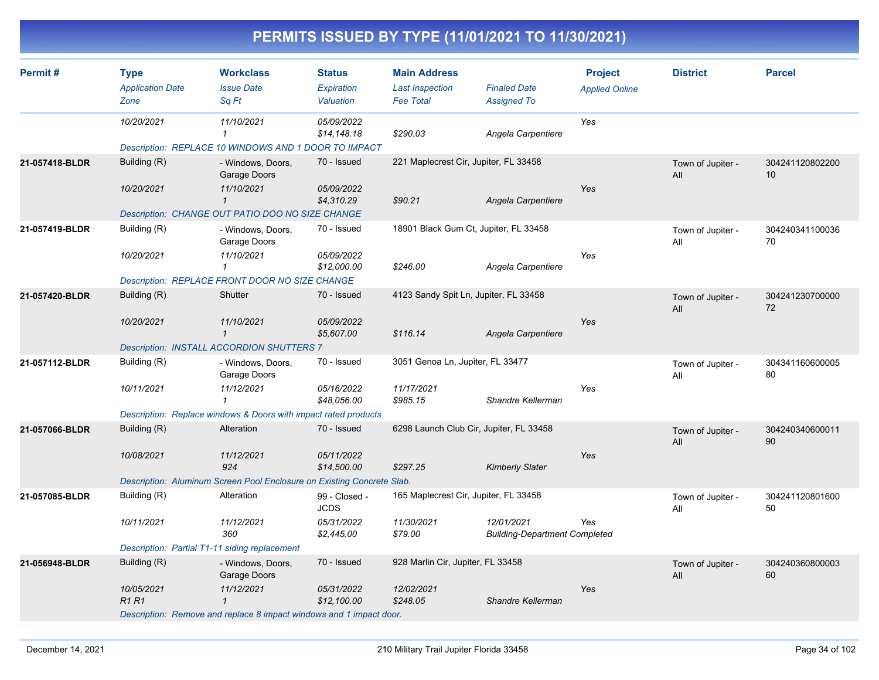| Permit#        | <b>Type</b>                                   | <b>Workclass</b>                                                       | <b>Status</b>                | <b>Main Address</b>                        |                                                    | <b>Project</b>        | <b>District</b>          | <b>Parcel</b>         |
|----------------|-----------------------------------------------|------------------------------------------------------------------------|------------------------------|--------------------------------------------|----------------------------------------------------|-----------------------|--------------------------|-----------------------|
|                | <b>Application Date</b><br>Zone               | <b>Issue Date</b><br>Sq Ft                                             | Expiration<br>Valuation      | <b>Last Inspection</b><br><b>Fee Total</b> | <b>Finaled Date</b><br><b>Assigned To</b>          | <b>Applied Online</b> |                          |                       |
|                | 10/20/2021                                    | 11/10/2021<br>1                                                        | 05/09/2022<br>\$14,148.18    | \$290.03                                   | Angela Carpentiere                                 | Yes                   |                          |                       |
|                |                                               | Description: REPLACE 10 WINDOWS AND 1 DOOR TO IMPACT                   |                              |                                            |                                                    |                       |                          |                       |
| 21-057418-BLDR | Building (R)                                  | - Windows, Doors,<br>Garage Doors                                      | 70 - Issued                  | 221 Maplecrest Cir, Jupiter, FL 33458      |                                                    |                       | Town of Jupiter -<br>All | 304241120802200<br>10 |
|                | 10/20/2021                                    | 11/10/2021<br>$\mathbf{1}$                                             | 05/09/2022<br>\$4,310.29     | \$90.21                                    | Angela Carpentiere                                 | Yes                   |                          |                       |
|                |                                               | Description: CHANGE OUT PATIO DOO NO SIZE CHANGE                       |                              |                                            |                                                    |                       |                          |                       |
| 21-057419-BLDR | Building (R)                                  | - Windows, Doors,<br>Garage Doors                                      | 70 - Issued                  | 18901 Black Gum Ct, Jupiter, FL 33458      |                                                    |                       | Town of Jupiter -<br>All | 304240341100036<br>70 |
|                | 10/20/2021                                    | 11/10/2021<br>$\mathbf{1}$                                             | 05/09/2022<br>\$12,000.00    | \$246.00                                   | Angela Carpentiere                                 | Yes                   |                          |                       |
|                |                                               | Description: REPLACE FRONT DOOR NO SIZE CHANGE                         |                              |                                            |                                                    |                       |                          |                       |
| 21-057420-BLDR | Building (R)                                  | Shutter                                                                | 70 - Issued                  | 4123 Sandy Spit Ln, Jupiter, FL 33458      |                                                    |                       | Town of Jupiter -<br>All | 304241230700000<br>72 |
|                | 10/20/2021                                    | 11/10/2021<br>$\mathbf{1}$                                             | 05/09/2022<br>\$5,607.00     | \$116.14                                   | Angela Carpentiere                                 | Yes                   |                          |                       |
|                |                                               | Description: INSTALL ACCORDION SHUTTERS 7                              |                              |                                            |                                                    |                       |                          |                       |
| 21-057112-BLDR | Building (R)                                  | - Windows, Doors,<br>Garage Doors                                      | 70 - Issued                  | 3051 Genoa Ln, Jupiter, FL 33477           |                                                    |                       | Town of Jupiter -<br>All | 304341160600005<br>80 |
|                | 10/11/2021                                    | 11/12/2021                                                             | 05/16/2022<br>\$48,056.00    | 11/17/2021<br>\$985.15                     | Shandre Kellerman                                  | Yes                   |                          |                       |
|                |                                               | Description: Replace windows & Doors with impact rated products        |                              |                                            |                                                    |                       |                          |                       |
| 21-057066-BLDR | Building (R)                                  | Alteration                                                             | 70 - Issued                  | 6298 Launch Club Cir, Jupiter, FL 33458    |                                                    |                       | Town of Jupiter -<br>All | 304240340600011<br>90 |
|                | 10/08/2021                                    | 11/12/2021<br>924                                                      | 05/11/2022<br>\$14,500.00    | \$297.25                                   | <b>Kimberly Slater</b>                             | Yes                   |                          |                       |
|                |                                               | Description: Aluminum Screen Pool Enclosure on Existing Concrete Slab. |                              |                                            |                                                    |                       |                          |                       |
| 21-057085-BLDR | Building (R)                                  | Alteration                                                             | 99 - Closed -<br><b>JCDS</b> | 165 Maplecrest Cir, Jupiter, FL 33458      |                                                    |                       | Town of Jupiter -<br>All | 304241120801600<br>50 |
|                | 10/11/2021                                    | 11/12/2021<br>360                                                      | 05/31/2022<br>\$2,445.00     | 11/30/2021<br>\$79.00                      | 12/01/2021<br><b>Building-Department Completed</b> | Yes                   |                          |                       |
|                | Description: Partial T1-11 siding replacement |                                                                        |                              |                                            |                                                    |                       |                          |                       |
| 21-056948-BLDR | Building (R)                                  | - Windows, Doors,<br>Garage Doors                                      | 70 - Issued                  | 928 Marlin Cir, Jupiter, FL 33458          |                                                    |                       | Town of Jupiter -<br>All | 304240360800003<br>60 |
|                | 10/05/2021<br><b>R1R1</b>                     | 11/12/2021<br>$\mathbf 1$                                              | 05/31/2022<br>\$12,100.00    | 12/02/2021<br>\$248.05                     | Shandre Kellerman                                  | Yes                   |                          |                       |
|                |                                               | Description: Remove and replace 8 impact windows and 1 impact door.    |                              |                                            |                                                    |                       |                          |                       |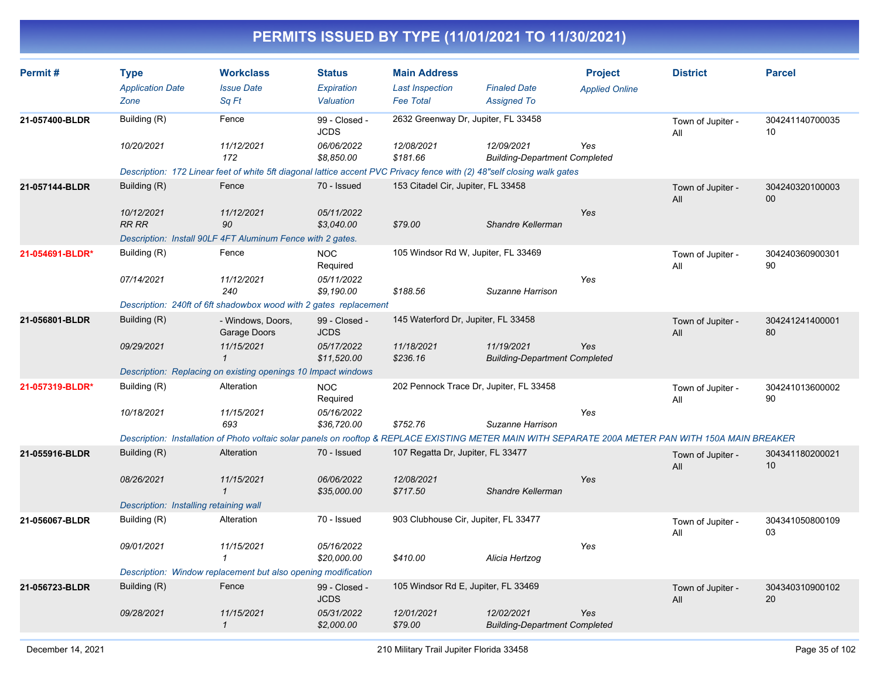| Permit#         | <b>Type</b><br><b>Application Date</b> | <b>Workclass</b><br><b>Issue Date</b>                                                                                                                | <b>Status</b><br>Expiration  | <b>Main Address</b><br><b>Last Inspection</b> | <b>Finaled Date</b>                                | <b>Project</b><br><b>Applied Online</b> | <b>District</b>          | <b>Parcel</b>         |
|-----------------|----------------------------------------|------------------------------------------------------------------------------------------------------------------------------------------------------|------------------------------|-----------------------------------------------|----------------------------------------------------|-----------------------------------------|--------------------------|-----------------------|
|                 | Zone                                   | Sq Ft                                                                                                                                                | Valuation                    | <b>Fee Total</b>                              | <b>Assigned To</b>                                 |                                         |                          |                       |
| 21-057400-BLDR  | Building (R)                           | Fence                                                                                                                                                | 99 - Closed -<br><b>JCDS</b> | 2632 Greenway Dr, Jupiter, FL 33458           |                                                    |                                         | Town of Jupiter -<br>All | 304241140700035<br>10 |
|                 | 10/20/2021                             | 11/12/2021<br>172                                                                                                                                    | 06/06/2022<br>\$8,850.00     | 12/08/2021<br>\$181.66                        | 12/09/2021<br><b>Building-Department Completed</b> | Yes                                     |                          |                       |
|                 |                                        | Description: 172 Linear feet of white 5ft diagonal lattice accent PVC Privacy fence with (2) 48"self closing walk gates                              |                              |                                               |                                                    |                                         |                          |                       |
| 21-057144-BLDR  | Building (R)                           | Fence                                                                                                                                                | 70 - Issued                  | 153 Citadel Cir, Jupiter, FL 33458            |                                                    |                                         | Town of Jupiter -<br>All | 304240320100003<br>00 |
|                 | 10/12/2021<br><b>RR RR</b>             | 11/12/2021<br>90                                                                                                                                     | 05/11/2022<br>\$3,040.00     | \$79.00                                       | Shandre Kellerman                                  | Yes                                     |                          |                       |
|                 |                                        | Description: Install 90LF 4FT Aluminum Fence with 2 gates.                                                                                           |                              |                                               |                                                    |                                         |                          |                       |
| 21-054691-BLDR* | Building (R)                           | Fence                                                                                                                                                | <b>NOC</b><br>Required       | 105 Windsor Rd W, Jupiter, FL 33469           |                                                    |                                         | Town of Jupiter -<br>All | 304240360900301<br>90 |
|                 | 07/14/2021                             | 11/12/2021<br>240                                                                                                                                    | 05/11/2022<br>\$9,190.00     | \$188.56                                      | Suzanne Harrison                                   | Yes                                     |                          |                       |
|                 |                                        | Description: 240ft of 6ft shadowbox wood with 2 gates replacement                                                                                    |                              |                                               |                                                    |                                         |                          |                       |
| 21-056801-BLDR  | Building (R)                           | - Windows, Doors,<br>Garage Doors                                                                                                                    | 99 - Closed -<br><b>JCDS</b> | 145 Waterford Dr, Jupiter, FL 33458           |                                                    |                                         | Town of Jupiter -<br>All | 304241241400001<br>80 |
|                 | 09/29/2021                             | 11/15/2021<br>$\mathbf{1}$                                                                                                                           | 05/17/2022<br>\$11,520.00    | 11/18/2021<br>\$236.16                        | 11/19/2021<br><b>Building-Department Completed</b> | Yes                                     |                          |                       |
|                 |                                        | Description: Replacing on existing openings 10 Impact windows                                                                                        |                              |                                               |                                                    |                                         |                          |                       |
| 21-057319-BLDR* | Building (R)                           | Alteration                                                                                                                                           | <b>NOC</b><br>Required       | 202 Pennock Trace Dr, Jupiter, FL 33458       |                                                    |                                         | Town of Jupiter -<br>All | 304241013600002<br>90 |
|                 | 10/18/2021                             | 11/15/2021<br>693                                                                                                                                    | 05/16/2022<br>\$36,720.00    | \$752.76                                      | Suzanne Harrison                                   | Yes                                     |                          |                       |
|                 |                                        | Description: Installation of Photo voltaic solar panels on rooftop & REPLACE EXISTING METER MAIN WITH SEPARATE 200A METER PAN WITH 150A MAIN BREAKER |                              |                                               |                                                    |                                         |                          |                       |
| 21-055916-BLDR  | Building (R)                           | Alteration                                                                                                                                           | 70 - Issued                  | 107 Regatta Dr, Jupiter, FL 33477             |                                                    |                                         | Town of Jupiter -<br>All | 304341180200021<br>10 |
|                 | 08/26/2021                             | 11/15/2021<br>$\mathbf{1}$                                                                                                                           | 06/06/2022<br>\$35,000.00    | 12/08/2021<br>\$717.50                        | Shandre Kellerman                                  | Yes                                     |                          |                       |
|                 | Description: Installing retaining wall |                                                                                                                                                      |                              |                                               |                                                    |                                         |                          |                       |
| 21-056067-BLDR  | Building (R)                           | Alteration                                                                                                                                           | 70 - Issued                  | 903 Clubhouse Cir, Jupiter, FL 33477          |                                                    |                                         | Town of Jupiter -<br>All | 304341050800109<br>03 |
|                 | 09/01/2021                             | 11/15/2021<br>$\mathcal I$                                                                                                                           | 05/16/2022<br>\$20,000.00    | \$410.00                                      | Alicia Hertzog                                     | Yes                                     |                          |                       |
|                 |                                        | Description: Window replacement but also opening modification                                                                                        |                              |                                               |                                                    |                                         |                          |                       |
| 21-056723-BLDR  | Building (R)                           | Fence                                                                                                                                                | 99 - Closed -<br><b>JCDS</b> | 105 Windsor Rd E, Jupiter, FL 33469           |                                                    |                                         | Town of Jupiter -<br>All | 304340310900102<br>20 |
|                 | 09/28/2021                             | 11/15/2021<br>$\mathbf{1}$                                                                                                                           | 05/31/2022<br>\$2,000.00     | 12/01/2021<br>\$79.00                         | 12/02/2021<br><b>Building-Department Completed</b> | Yes                                     |                          |                       |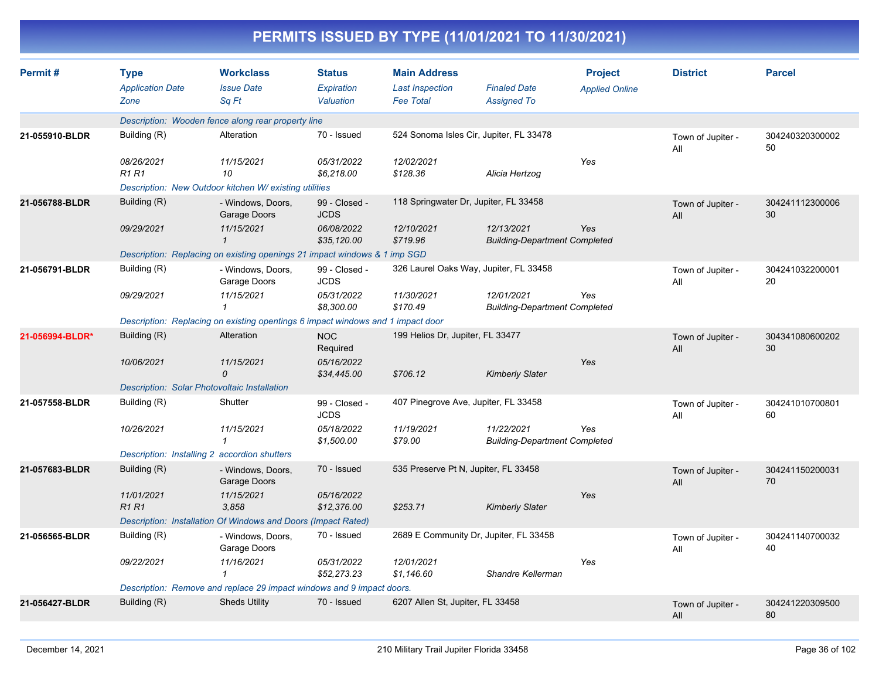| PENWITS 1330ED BT TIPE (TINTIZUZT TO TIISUIZUZT) |                                                                                      |                                                    |                                          |                                                                   |                                                    |                                         |                          |                       |
|--------------------------------------------------|--------------------------------------------------------------------------------------|----------------------------------------------------|------------------------------------------|-------------------------------------------------------------------|----------------------------------------------------|-----------------------------------------|--------------------------|-----------------------|
| Permit#                                          | Type<br><b>Application Date</b><br>Zone                                              | <b>Workclass</b><br><b>Issue Date</b><br>Sq Ft     | <b>Status</b><br>Expiration<br>Valuation | <b>Main Address</b><br><b>Last Inspection</b><br><b>Fee Total</b> | <b>Finaled Date</b><br><b>Assigned To</b>          | <b>Project</b><br><b>Applied Online</b> | <b>District</b>          | <b>Parcel</b>         |
|                                                  |                                                                                      | Description: Wooden fence along rear property line |                                          |                                                                   |                                                    |                                         |                          |                       |
| 21-055910-BLDR                                   | Building (R)<br>70 - Issued<br>524 Sonoma Isles Cir, Jupiter, FL 33478<br>Alteration |                                                    |                                          |                                                                   |                                                    | Town of Jupiter -<br>All                | 304240320300002<br>50    |                       |
|                                                  | 08/26/2021<br><b>R1 R1</b>                                                           | 11/15/2021<br>10                                   | 05/31/2022<br>\$6,218.00                 | 12/02/2021<br>\$128.36                                            | Alicia Hertzog                                     | Yes                                     |                          |                       |
|                                                  | Description: New Outdoor kitchen W/ existing utilities                               |                                                    |                                          |                                                                   |                                                    |                                         |                          |                       |
| 21-056788-BLDR                                   | Building (R)                                                                         | - Windows, Doors,<br>Garage Doors                  | 99 - Closed -<br><b>JCDS</b>             | 118 Springwater Dr, Jupiter, FL 33458                             |                                                    |                                         | Town of Jupiter -<br>All | 304241112300006<br>30 |
|                                                  | 09/29/2021                                                                           | 11/15/2021<br>$\mathbf{1}$                         | 06/08/2022<br>\$35,120.00                | 12/10/2021<br>\$719.96                                            | 12/13/2021<br><b>Building-Department Completed</b> | Yes                                     |                          |                       |
|                                                  | Description: Replacing on existing openings 21 impact windows & 1 imp SGD            |                                                    |                                          |                                                                   |                                                    |                                         |                          |                       |
| 21-056791-BLDR                                   | Building (R)                                                                         | - Windows, Doors,<br>Garage Doors                  | 99 - Closed -<br><b>JCDS</b>             |                                                                   | 326 Laurel Oaks Way, Jupiter, FL 33458             |                                         | Town of Jupiter -<br>All | 304241032200001<br>20 |
|                                                  | 09/29/2021                                                                           | 11/15/2021<br>$\mathbf{1}$                         | 05/31/2022<br>\$8,300.00                 | 11/30/2021<br>\$170.49                                            | 12/01/2021<br><b>Building-Department Completed</b> | Yes                                     |                          |                       |
|                                                  | Description: Replacing on existing opentings 6 impact windows and 1 impact door      |                                                    |                                          |                                                                   |                                                    |                                         |                          |                       |
| 21-056994-BLDR*                                  | Building (R)                                                                         | Alteration                                         | <b>NOC</b><br>Required                   | 199 Helios Dr, Jupiter, FL 33477                                  |                                                    |                                         | Town of Jupiter -<br>All | 304341080600202<br>30 |
|                                                  | 10/06/2021                                                                           | 11/15/2021<br>$\mathcal{O}$                        | 05/16/2022<br>\$34,445.00                | \$706.12                                                          | <b>Kimberly Slater</b>                             | Yes                                     |                          |                       |
|                                                  | Description: Solar Photovoltaic Installation                                         |                                                    |                                          |                                                                   |                                                    |                                         |                          |                       |
| 21-057558-BLDR                                   | Building (R)                                                                         | Shutter                                            | 99 - Closed -<br><b>JCDS</b>             | 407 Pinegrove Ave, Jupiter, FL 33458                              |                                                    |                                         | Town of Jupiter -<br>All | 304241010700801<br>60 |
|                                                  | 10/26/2021                                                                           | 11/15/2021<br>$\mathbf{1}$                         | 05/18/2022<br>\$1,500.00                 | 11/19/2021<br>\$79.00                                             | 11/22/2021<br><b>Building-Department Completed</b> | Yes                                     |                          |                       |
|                                                  | Description: Installing 2 accordion shutters                                         |                                                    |                                          |                                                                   |                                                    |                                         |                          |                       |
| 21-057683-BLDR                                   | Building (R)                                                                         | - Windows, Doors,<br>Garage Doors                  | 70 - Issued                              | 535 Preserve Pt N, Jupiter, FL 33458                              |                                                    |                                         | Town of Jupiter -<br>All | 304241150200031<br>70 |
|                                                  | 11/01/2021<br><b>R1 R1</b>                                                           | 11/15/2021<br>3,858                                | 05/16/2022<br>\$12,376.00                | \$253.71                                                          | <b>Kimberly Slater</b>                             | Yes                                     |                          |                       |
|                                                  | Description: Installation Of Windows and Doors (Impact Rated)                        |                                                    |                                          |                                                                   |                                                    |                                         |                          |                       |
| 21-056565-BLDR                                   | Building (R)                                                                         | - Windows, Doors,<br>Garage Doors                  | 70 - Issued                              |                                                                   | 2689 E Community Dr, Jupiter, FL 33458             |                                         | Town of Jupiter -<br>All | 304241140700032<br>40 |
|                                                  | 09/22/2021                                                                           | 11/16/2021<br>$\mathbf{1}$                         | 05/31/2022<br>\$52,273.23                | 12/01/2021<br>\$1,146.60                                          | Shandre Kellerman                                  | Yes                                     |                          |                       |
|                                                  | Description: Remove and replace 29 impact windows and 9 impact doors.                |                                                    |                                          |                                                                   |                                                    |                                         |                          |                       |
| 21-056427-BLDR                                   | Building (R)                                                                         | <b>Sheds Utility</b>                               | 70 - Issued                              | 6207 Allen St, Jupiter, FL 33458                                  |                                                    |                                         | Town of Jupiter -<br>All | 304241220309500<br>80 |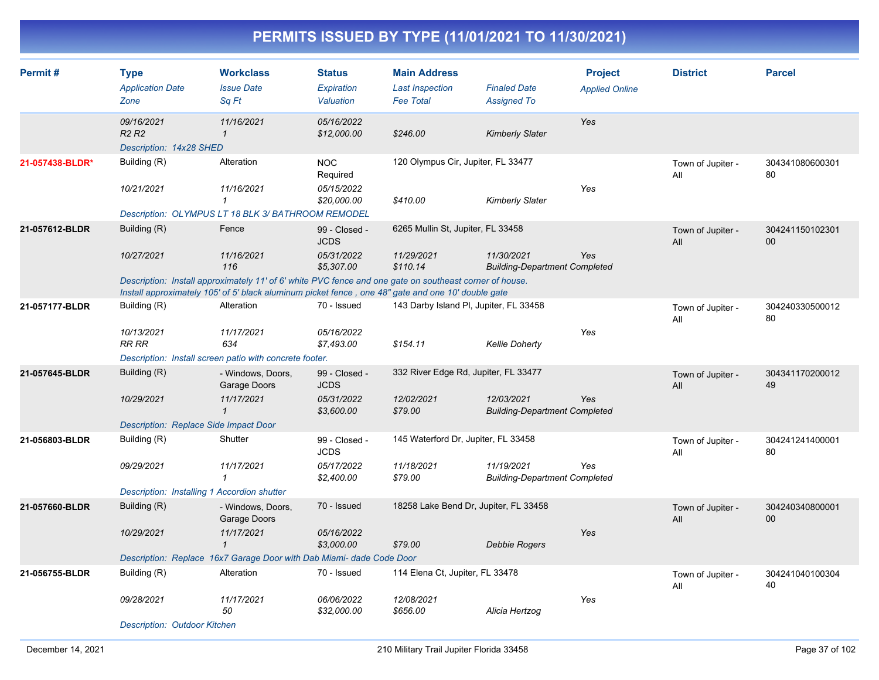| Permit#         | <b>Type</b><br><b>Application Date</b><br>Zone                         | <b>Workclass</b><br><b>Issue Date</b><br>Sq Ft                                                                                                                                                                | <b>Status</b><br>Expiration<br>Valuation | <b>Main Address</b><br><b>Last Inspection</b><br><b>Fee Total</b> | <b>Finaled Date</b><br><b>Assigned To</b>          | <b>Project</b><br><b>Applied Online</b> | <b>District</b>          | <b>Parcel</b>             |
|-----------------|------------------------------------------------------------------------|---------------------------------------------------------------------------------------------------------------------------------------------------------------------------------------------------------------|------------------------------------------|-------------------------------------------------------------------|----------------------------------------------------|-----------------------------------------|--------------------------|---------------------------|
|                 | 09/16/2021<br>R <sub>2</sub> R <sub>2</sub><br>Description: 14x28 SHED | 11/16/2021<br>$\mathbf{\mathbf{1}}$                                                                                                                                                                           | 05/16/2022<br>\$12,000.00                | \$246.00                                                          | <b>Kimberly Slater</b>                             | Yes                                     |                          |                           |
| 21-057438-BLDR* | Building (R)                                                           | Alteration                                                                                                                                                                                                    | <b>NOC</b><br>Required                   | 120 Olympus Cir, Jupiter, FL 33477                                |                                                    |                                         | Town of Jupiter -<br>All | 304341080600301<br>80     |
|                 | 10/21/2021                                                             | 11/16/2021<br>1                                                                                                                                                                                               | 05/15/2022<br>\$20,000.00                | \$410.00                                                          | <b>Kimberly Slater</b>                             | Yes                                     |                          |                           |
|                 |                                                                        | Description: OLYMPUS LT 18 BLK 3/ BATHROOM REMODEL                                                                                                                                                            |                                          |                                                                   |                                                    |                                         |                          |                           |
| 21-057612-BLDR  | Building (R)                                                           | Fence                                                                                                                                                                                                         | 99 - Closed -<br><b>JCDS</b>             | 6265 Mullin St, Jupiter, FL 33458                                 |                                                    |                                         | Town of Jupiter -<br>All | 304241150102301<br>$00\,$ |
|                 | 10/27/2021                                                             | 11/16/2021<br>116                                                                                                                                                                                             | 05/31/2022<br>\$5,307.00                 | 11/29/2021<br>\$110.14                                            | 11/30/2021<br><b>Building-Department Completed</b> | Yes                                     |                          |                           |
|                 |                                                                        | Description: Install approximately 11' of 6' white PVC fence and one gate on southeast corner of house.<br>Install approximately 105' of 5' black aluminum picket fence, one 48" gate and one 10' double gate |                                          |                                                                   |                                                    |                                         |                          |                           |
| 21-057177-BLDR  | Building (R)                                                           | Alteration                                                                                                                                                                                                    | 70 - Issued                              | 143 Darby Island PI, Jupiter, FL 33458                            |                                                    |                                         | Town of Jupiter -<br>All | 304240330500012<br>80     |
|                 | 10/13/2021<br>RR RR                                                    | 11/17/2021<br>634                                                                                                                                                                                             | 05/16/2022<br>\$7,493.00                 | \$154.11                                                          | <b>Kellie Doherty</b>                              | Yes                                     |                          |                           |
|                 |                                                                        | Description: Install screen patio with concrete footer.                                                                                                                                                       |                                          |                                                                   |                                                    |                                         |                          |                           |
| 21-057645-BLDR  | Building (R)                                                           | - Windows, Doors,<br>Garage Doors                                                                                                                                                                             | 99 - Closed -<br><b>JCDS</b>             | 332 River Edge Rd, Jupiter, FL 33477                              |                                                    |                                         | Town of Jupiter -<br>All | 304341170200012<br>49     |
|                 | 10/29/2021                                                             | 11/17/2021<br>$\mathcal I$                                                                                                                                                                                    | 05/31/2022<br>\$3,600.00                 | 12/02/2021<br>\$79.00                                             | 12/03/2021<br><b>Building-Department Completed</b> | Yes                                     |                          |                           |
|                 | Description: Replace Side Impact Door                                  |                                                                                                                                                                                                               |                                          |                                                                   |                                                    |                                         |                          |                           |
| 21-056803-BLDR  | Building (R)                                                           | Shutter                                                                                                                                                                                                       | 99 - Closed -<br><b>JCDS</b>             | 145 Waterford Dr, Jupiter, FL 33458                               |                                                    |                                         | Town of Jupiter -<br>All | 304241241400001<br>80     |
|                 | 09/29/2021                                                             | 11/17/2021<br>$\mathbf{1}$                                                                                                                                                                                    | 05/17/2022<br>\$2,400.00                 | 11/18/2021<br>\$79.00                                             | 11/19/2021<br><b>Building-Department Completed</b> | Yes                                     |                          |                           |
|                 | Description: Installing 1 Accordion shutter                            |                                                                                                                                                                                                               |                                          |                                                                   |                                                    |                                         |                          |                           |
| 21-057660-BLDR  | Building (R)                                                           | - Windows, Doors,<br>Garage Doors                                                                                                                                                                             | 70 - Issued                              | 18258 Lake Bend Dr, Jupiter, FL 33458                             |                                                    |                                         | Town of Jupiter -<br>All | 304240340800001<br>00     |
|                 | 10/29/2021                                                             | 11/17/2021<br>1                                                                                                                                                                                               | 05/16/2022<br>\$3,000.00                 | \$79.00                                                           | <b>Debbie Rogers</b>                               | Yes                                     |                          |                           |
|                 |                                                                        | Description: Replace 16x7 Garage Door with Dab Miami- dade Code Door                                                                                                                                          |                                          |                                                                   |                                                    |                                         |                          |                           |
| 21-056755-BLDR  | Building (R)                                                           | Alteration                                                                                                                                                                                                    | 70 - Issued                              | 114 Elena Ct, Jupiter, FL 33478                                   |                                                    |                                         | Town of Jupiter -<br>All | 304241040100304<br>40     |
|                 | 09/28/2021                                                             | 11/17/2021<br>50                                                                                                                                                                                              | 06/06/2022<br>\$32,000.00                | 12/08/2021<br>\$656.00                                            | Alicia Hertzog                                     | Yes                                     |                          |                           |
|                 | <b>Description: Outdoor Kitchen</b>                                    |                                                                                                                                                                                                               |                                          |                                                                   |                                                    |                                         |                          |                           |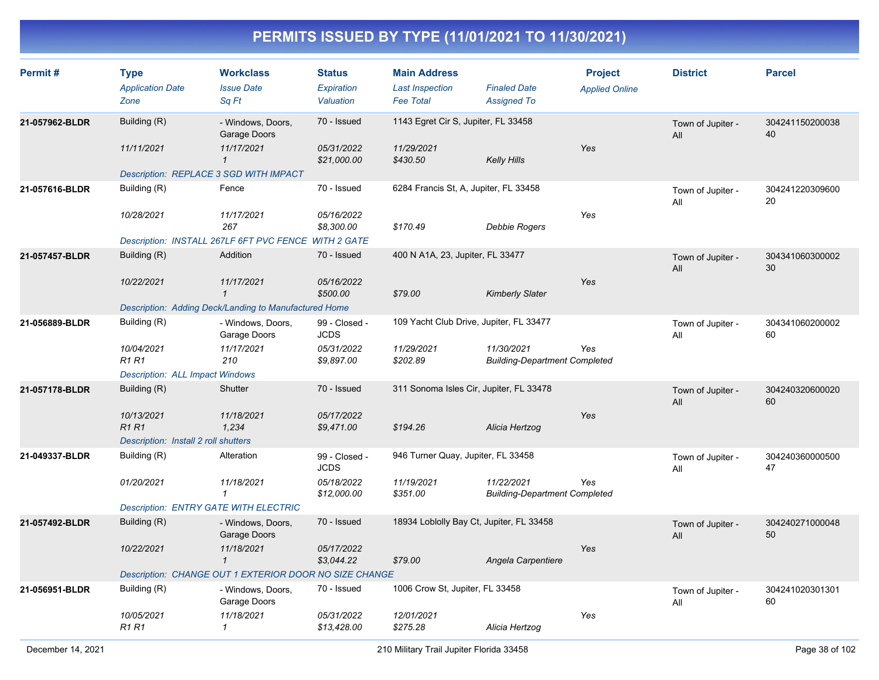| Permit#        | <b>Type</b><br><b>Application Date</b><br>Zone | <b>Workclass</b><br><b>Issue Date</b><br>Sq Ft         | <b>Status</b><br>Expiration<br>Valuation | <b>Main Address</b><br><b>Last Inspection</b><br><b>Fee Total</b> | <b>Finaled Date</b><br><b>Assigned To</b>          | <b>Project</b><br><b>Applied Online</b> | <b>District</b>          | <b>Parcel</b>         |
|----------------|------------------------------------------------|--------------------------------------------------------|------------------------------------------|-------------------------------------------------------------------|----------------------------------------------------|-----------------------------------------|--------------------------|-----------------------|
| 21-057962-BLDR | Building (R)                                   | - Windows, Doors,<br>Garage Doors                      | 70 - Issued                              | 1143 Egret Cir S, Jupiter, FL 33458                               |                                                    |                                         | Town of Jupiter -<br>All | 304241150200038<br>40 |
|                | 11/11/2021                                     | 11/17/2021<br>$\mathcal I$                             | 05/31/2022<br>\$21,000.00                | 11/29/2021<br>\$430.50                                            | <b>Kelly Hills</b>                                 | Yes                                     |                          |                       |
|                | Description: REPLACE 3 SGD WITH IMPACT         |                                                        |                                          |                                                                   |                                                    |                                         |                          |                       |
| 21-057616-BLDR | Building (R)                                   | Fence                                                  | 70 - Issued                              | 6284 Francis St, A, Jupiter, FL 33458                             |                                                    |                                         | Town of Jupiter -<br>All | 304241220309600<br>20 |
|                | 10/28/2021                                     | 11/17/2021<br>267                                      | 05/16/2022<br>\$8,300.00                 | \$170.49                                                          | <b>Debbie Rogers</b>                               | Yes                                     |                          |                       |
|                |                                                | Description: INSTALL 267LF 6FT PVC FENCE WITH 2 GATE   |                                          |                                                                   |                                                    |                                         |                          |                       |
| 21-057457-BLDR | Building (R)                                   | Addition                                               | 70 - Issued                              | 400 N A1A, 23, Jupiter, FL 33477                                  |                                                    |                                         | Town of Jupiter -<br>All | 304341060300002<br>30 |
|                | 10/22/2021                                     | 11/17/2021<br>$\mathbf{1}$                             | 05/16/2022<br>\$500.00                   | \$79.00                                                           | <b>Kimberly Slater</b>                             | Yes                                     |                          |                       |
|                |                                                | Description: Adding Deck/Landing to Manufactured Home  |                                          |                                                                   |                                                    |                                         |                          |                       |
| 21-056889-BLDR | Building (R)                                   | - Windows, Doors,<br>Garage Doors                      | 99 - Closed -<br><b>JCDS</b>             | 109 Yacht Club Drive, Jupiter, FL 33477                           |                                                    |                                         | Town of Jupiter -<br>All | 304341060200002<br>60 |
|                | 10/04/2021<br><b>R1 R1</b>                     | 11/17/2021<br>210                                      | 05/31/2022<br>\$9,897.00                 | 11/29/2021<br>\$202.89                                            | 11/30/2021<br><b>Building-Department Completed</b> | Yes                                     |                          |                       |
|                | <b>Description: ALL Impact Windows</b>         |                                                        |                                          |                                                                   |                                                    |                                         |                          |                       |
| 21-057178-BLDR | Building (R)                                   | Shutter                                                | 70 - Issued                              | 311 Sonoma Isles Cir, Jupiter, FL 33478                           |                                                    |                                         | Town of Jupiter -<br>All | 304240320600020<br>60 |
|                | 10/13/2021<br><b>R1R1</b>                      | 11/18/2021<br>1,234                                    | 05/17/2022<br>\$9,471.00                 | \$194.26                                                          | Alicia Hertzog                                     | Yes                                     |                          |                       |
|                | Description: Install 2 roll shutters           |                                                        |                                          |                                                                   |                                                    |                                         |                          |                       |
| 21-049337-BLDR | Building (R)                                   | Alteration                                             | 99 - Closed -<br><b>JCDS</b>             | 946 Turner Quay, Jupiter, FL 33458                                |                                                    |                                         | Town of Jupiter -<br>All | 304240360000500<br>47 |
|                | 01/20/2021                                     | 11/18/2021<br>$\mathcal I$                             | 05/18/2022<br>\$12,000.00                | 11/19/2021<br>\$351.00                                            | 11/22/2021<br><b>Building-Department Completed</b> | Yes                                     |                          |                       |
|                | <b>Description: ENTRY GATE WITH ELECTRIC</b>   |                                                        |                                          |                                                                   |                                                    |                                         |                          |                       |
| 21-057492-BLDR | Building (R)                                   | - Windows, Doors,<br>Garage Doors                      | 70 - Issued                              | 18934 Loblolly Bay Ct, Jupiter, FL 33458                          |                                                    |                                         | Town of Jupiter -<br>All | 304240271000048<br>50 |
|                | 10/22/2021                                     | 11/18/2021<br>$\mathcal I$                             | 05/17/2022<br>\$3,044.22                 | \$79.00                                                           | Angela Carpentiere                                 | Yes                                     |                          |                       |
|                |                                                | Description: CHANGE OUT 1 EXTERIOR DOOR NO SIZE CHANGE |                                          |                                                                   |                                                    |                                         |                          |                       |
| 21-056951-BLDR | Building (R)                                   | - Windows, Doors,<br>Garage Doors                      | 70 - Issued                              | 1006 Crow St, Jupiter, FL 33458                                   |                                                    |                                         | Town of Jupiter -<br>All | 304241020301301<br>60 |
|                | 10/05/2021<br><b>R1 R1</b>                     | 11/18/2021<br>$\mathcal I$                             | 05/31/2022<br>\$13,428.00                | 12/01/2021<br>\$275.28                                            | Alicia Hertzog                                     | Yes                                     |                          |                       |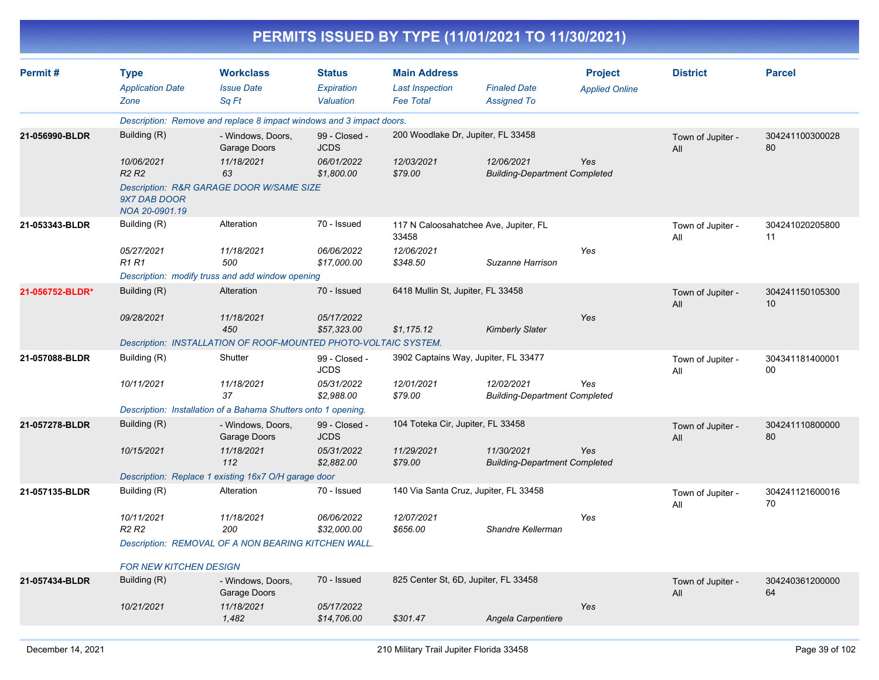|                 |                                                |                                                                      |                                          |                                                                   | PERMITS ISSUED BY TYPE (11/01/2021 TO 11/30/2021)  |                                         |                          |                       |
|-----------------|------------------------------------------------|----------------------------------------------------------------------|------------------------------------------|-------------------------------------------------------------------|----------------------------------------------------|-----------------------------------------|--------------------------|-----------------------|
| Permit#         | <b>Type</b><br><b>Application Date</b><br>Zone | <b>Workclass</b><br><b>Issue Date</b><br>Sq Ft                       | <b>Status</b><br>Expiration<br>Valuation | <b>Main Address</b><br><b>Last Inspection</b><br><b>Fee Total</b> | <b>Finaled Date</b><br><b>Assigned To</b>          | <b>Project</b><br><b>Applied Online</b> | <b>District</b>          | <b>Parcel</b>         |
|                 |                                                | Description: Remove and replace 8 impact windows and 3 impact doors. |                                          |                                                                   |                                                    |                                         |                          |                       |
| 21-056990-BLDR  | Building (R)                                   | - Windows, Doors,<br>Garage Doors                                    | 99 - Closed -<br><b>JCDS</b>             | 200 Woodlake Dr, Jupiter, FL 33458                                |                                                    |                                         | Town of Jupiter -<br>All | 304241100300028<br>80 |
|                 | 10/06/2021<br>R <sub>2</sub> R <sub>2</sub>    | 11/18/2021<br>63                                                     | 06/01/2022<br>\$1,800.00                 | 12/03/2021<br>\$79.00                                             | 12/06/2021<br><b>Building-Department Completed</b> | Yes                                     |                          |                       |
|                 | 9X7 DAB DOOR<br>NOA 20-0901.19                 | Description: R&R GARAGE DOOR W/SAME SIZE                             |                                          |                                                                   |                                                    |                                         |                          |                       |
| 21-053343-BLDR  | Building (R)                                   | Alteration                                                           | 70 - Issued                              | 33458                                                             | 117 N Caloosahatchee Ave, Jupiter, FL              |                                         | Town of Jupiter -<br>All | 304241020205800<br>11 |
|                 | 05/27/2021<br><b>R1 R1</b>                     | 11/18/2021<br>500                                                    | 06/06/2022<br>\$17,000.00                | 12/06/2021<br>\$348.50                                            | Suzanne Harrison                                   | Yes                                     |                          |                       |
|                 |                                                | Description: modify truss and add window opening                     |                                          |                                                                   |                                                    |                                         |                          |                       |
| 21-056752-BLDR* | Building (R)                                   | Alteration                                                           | 70 - Issued                              | 6418 Mullin St, Jupiter, FL 33458                                 |                                                    |                                         | Town of Jupiter -<br>All | 304241150105300<br>10 |
|                 | 09/28/2021                                     | 11/18/2021<br>450                                                    | 05/17/2022<br>\$57,323.00                | \$1,175.12                                                        | <b>Kimberly Slater</b>                             | Yes                                     |                          |                       |
|                 |                                                | Description: INSTALLATION OF ROOF-MOUNTED PHOTO-VOLTAIC SYSTEM.      |                                          |                                                                   |                                                    |                                         |                          |                       |
| 21-057088-BLDR  | Building (R)                                   | Shutter                                                              | 99 - Closed -<br><b>JCDS</b>             | 3902 Captains Way, Jupiter, FL 33477                              |                                                    |                                         | Town of Jupiter -<br>All | 304341181400001<br>00 |
|                 | 10/11/2021                                     | 11/18/2021<br>37                                                     | 05/31/2022<br>\$2,988.00                 | 12/01/2021<br>\$79.00                                             | 12/02/2021<br><b>Building-Department Completed</b> | Yes                                     |                          |                       |
|                 |                                                | Description: Installation of a Bahama Shutters onto 1 opening.       |                                          |                                                                   |                                                    |                                         |                          |                       |
| 21-057278-BLDR  | Building (R)                                   | - Windows, Doors,<br>Garage Doors                                    | 99 - Closed -<br><b>JCDS</b>             | 104 Toteka Cir, Jupiter, FL 33458                                 |                                                    |                                         | Town of Jupiter -<br>All | 304241110800000<br>80 |
|                 | 10/15/2021                                     | 11/18/2021<br>112                                                    | 05/31/2022<br>\$2,882.00                 | 11/29/2021<br>\$79.00                                             | 11/30/2021<br><b>Building-Department Completed</b> | Yes                                     |                          |                       |
|                 |                                                | Description: Replace 1 existing 16x7 O/H garage door                 |                                          |                                                                   |                                                    |                                         |                          |                       |
| 21-057135-BLDR  | Building (R)                                   | Alteration                                                           | 70 - Issued                              | 140 Via Santa Cruz, Jupiter, FL 33458                             |                                                    |                                         | Town of Jupiter -<br>All | 304241121600016<br>70 |
|                 | 10/11/2021<br>R <sub>2</sub> R <sub>2</sub>    | 11/18/2021<br>200                                                    | <i>06/06/2022</i><br>\$32,000.00         | 12/07/2021<br>\$656.00                                            | Shandre Kellerman                                  | Yes                                     |                          |                       |
|                 |                                                | Description: REMOVAL OF A NON BEARING KITCHEN WALL.                  |                                          |                                                                   |                                                    |                                         |                          |                       |
|                 | FOR NEW KITCHEN DESIGN                         |                                                                      |                                          |                                                                   |                                                    |                                         |                          |                       |
| 21-057434-BLDR  | Building (R)                                   | - Windows, Doors,<br>Garage Doors                                    | 70 - Issued                              | 825 Center St, 6D, Jupiter, FL 33458                              |                                                    |                                         | Town of Jupiter -<br>All | 304240361200000<br>64 |
|                 | 10/21/2021                                     | 11/18/2021<br>1,482                                                  | 05/17/2022<br>\$14,706.00                | \$301.47                                                          | Angela Carpentiere                                 | Yes                                     |                          |                       |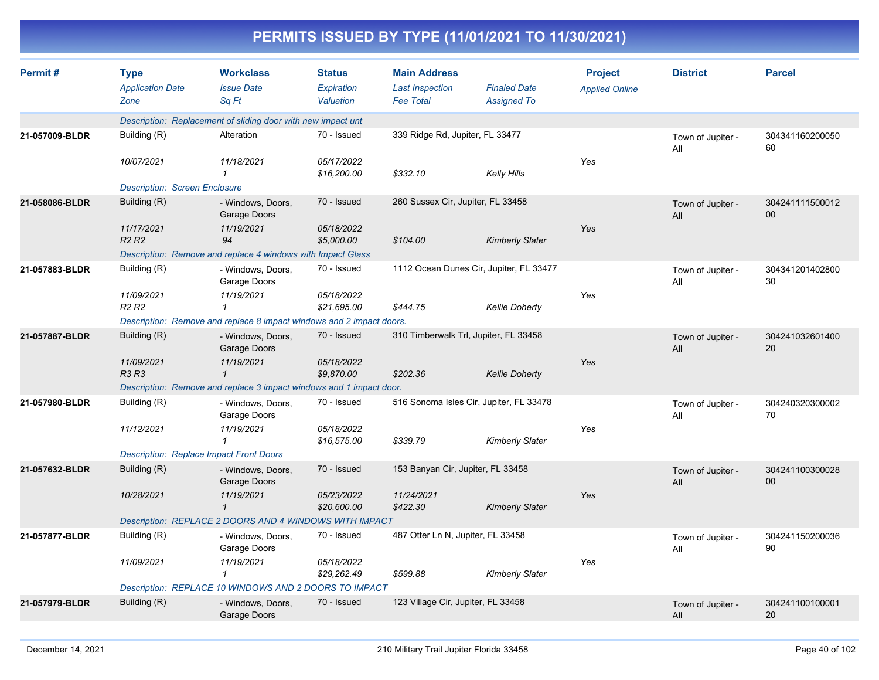| Permit#        | <b>Type</b><br><b>Application Date</b>                               | <b>Workclass</b><br><b>Issue Date</b>                               | <b>Status</b><br><b>Expiration</b> | <b>Main Address</b><br><b>Last Inspection</b> | <b>Finaled Date</b>                     | <b>Project</b><br><b>Applied Online</b> | <b>District</b>          | <b>Parcel</b>         |
|----------------|----------------------------------------------------------------------|---------------------------------------------------------------------|------------------------------------|-----------------------------------------------|-----------------------------------------|-----------------------------------------|--------------------------|-----------------------|
|                | Zone                                                                 | Sq Ft                                                               | Valuation                          | <b>Fee Total</b>                              | <b>Assigned To</b>                      |                                         |                          |                       |
|                |                                                                      | Description: Replacement of sliding door with new impact unt        |                                    |                                               |                                         |                                         |                          |                       |
| 21-057009-BLDR | Building (R)                                                         | Alteration                                                          | 70 - Issued                        | 339 Ridge Rd, Jupiter, FL 33477               |                                         |                                         | Town of Jupiter -<br>All | 304341160200050<br>60 |
|                | 10/07/2021                                                           | 11/18/2021<br>1                                                     | 05/17/2022<br>\$16,200.00          | \$332.10                                      | Kelly Hills                             | Yes                                     |                          |                       |
|                | <b>Description: Screen Enclosure</b>                                 |                                                                     |                                    |                                               |                                         |                                         |                          |                       |
| 21-058086-BLDR | Building (R)                                                         | - Windows, Doors,<br>Garage Doors                                   | 70 - Issued                        | 260 Sussex Cir, Jupiter, FL 33458             |                                         |                                         | Town of Jupiter -<br>All | 304241111500012<br>00 |
|                | 11/17/2021<br>R <sub>2</sub> R <sub>2</sub>                          | 11/19/2021<br>94                                                    | 05/18/2022<br>\$5,000.00           | \$104.00                                      | <b>Kimberly Slater</b>                  | Yes                                     |                          |                       |
|                |                                                                      | Description: Remove and replace 4 windows with Impact Glass         |                                    |                                               |                                         |                                         |                          |                       |
| 21-057883-BLDR | Building (R)                                                         | - Windows, Doors,<br>Garage Doors                                   | 70 - Issued                        |                                               | 1112 Ocean Dunes Cir, Jupiter, FL 33477 |                                         | Town of Jupiter -<br>All | 304341201402800<br>30 |
|                | 11/09/2021<br>R <sub>2</sub> R <sub>2</sub>                          | 11/19/2021<br>$\mathbf 1$                                           | 05/18/2022<br>\$21,695.00          | \$444.75                                      | <b>Kellie Doherty</b>                   | Yes                                     |                          |                       |
|                | Description: Remove and replace 8 impact windows and 2 impact doors. |                                                                     |                                    |                                               |                                         |                                         |                          |                       |
| 21-057887-BLDR | Building (R)                                                         | - Windows, Doors,<br>Garage Doors                                   | 70 - Issued                        |                                               | 310 Timberwalk Trl, Jupiter, FL 33458   |                                         | Town of Jupiter -<br>All | 304241032601400<br>20 |
|                | 11/09/2021<br><b>R3 R3</b>                                           | 11/19/2021<br>$\mathbf{1}$                                          | 05/18/2022<br>\$9,870.00           | \$202.36                                      | <b>Kellie Doherty</b>                   | Yes                                     |                          |                       |
|                |                                                                      | Description: Remove and replace 3 impact windows and 1 impact door. |                                    |                                               |                                         |                                         |                          |                       |
| 21-057980-BLDR | Building (R)                                                         | - Windows, Doors,<br>Garage Doors                                   | 70 - Issued                        |                                               | 516 Sonoma Isles Cir, Jupiter, FL 33478 |                                         | Town of Jupiter -<br>All | 304240320300002<br>70 |
|                | 11/12/2021                                                           | 11/19/2021<br>$\mathbf{\overline{1}}$                               | 05/18/2022<br>\$16,575.00          | \$339.79                                      | Kimberly Slater                         | Yes                                     |                          |                       |
|                |                                                                      | <b>Description: Replace Impact Front Doors</b>                      |                                    |                                               |                                         |                                         |                          |                       |
| 21-057632-BLDR | Building (R)                                                         | - Windows, Doors,<br>Garage Doors                                   | 70 - Issued                        | 153 Banyan Cir, Jupiter, FL 33458             |                                         |                                         | Town of Jupiter -<br>All | 304241100300028<br>00 |
|                | 10/28/2021                                                           | 11/19/2021<br>$\mathbf{1}$                                          | 05/23/2022<br>\$20,600.00          | 11/24/2021<br>\$422.30                        | <b>Kimberly Slater</b>                  | Yes                                     |                          |                       |
|                |                                                                      | Description: REPLACE 2 DOORS AND 4 WINDOWS WITH IMPACT              |                                    |                                               |                                         |                                         |                          |                       |
| 21-057877-BLDR | Building (R)                                                         | - Windows, Doors,<br>Garage Doors                                   | 70 - Issued                        | 487 Otter Ln N, Jupiter, FL 33458             |                                         |                                         | Town of Jupiter -<br>All | 304241150200036<br>90 |
|                | 11/09/2021                                                           | 11/19/2021<br>$\mathcal I$                                          | 05/18/2022<br>\$29,262.49          | \$599.88                                      | <b>Kimberly Slater</b>                  | Yes                                     |                          |                       |
|                |                                                                      | Description: REPLACE 10 WINDOWS AND 2 DOORS TO IMPACT               |                                    |                                               |                                         |                                         |                          |                       |
| 21-057979-BLDR | Building (R)                                                         | - Windows, Doors,<br>Garage Doors                                   | 70 - Issued                        | 123 Village Cir, Jupiter, FL 33458            |                                         |                                         | Town of Jupiter -<br>All | 304241100100001<br>20 |
|                |                                                                      |                                                                     |                                    |                                               |                                         |                                         |                          |                       |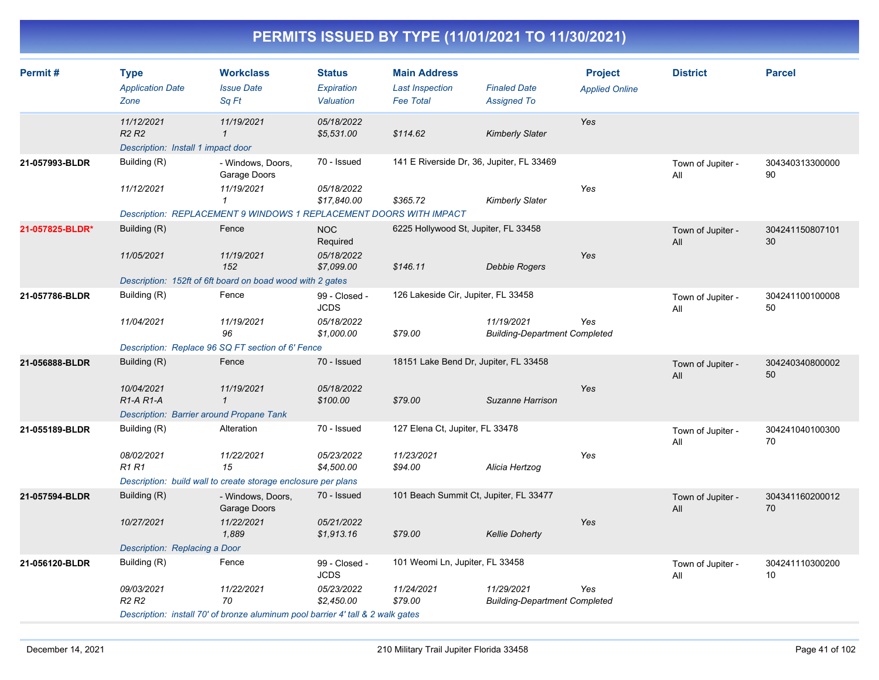| Permit#         | <b>Type</b><br><b>Application Date</b><br>Zone                                    | <b>Workclass</b><br><b>Issue Date</b><br>Sq Ft                                     | <b>Status</b><br>Expiration<br>Valuation | <b>Main Address</b><br><b>Last Inspection</b><br><b>Fee Total</b> | <b>Finaled Date</b><br><b>Assigned To</b>          | <b>Project</b><br><b>Applied Online</b> | <b>District</b>          | <b>Parcel</b>         |
|-----------------|-----------------------------------------------------------------------------------|------------------------------------------------------------------------------------|------------------------------------------|-------------------------------------------------------------------|----------------------------------------------------|-----------------------------------------|--------------------------|-----------------------|
|                 | 11/12/2021<br>R <sub>2</sub> R <sub>2</sub><br>Description: Install 1 impact door | 11/19/2021<br>$\mathbf{1}$                                                         | 05/18/2022<br>\$5,531.00                 | \$114.62                                                          | <b>Kimberly Slater</b>                             | Yes                                     |                          |                       |
| 21-057993-BLDR  | Building (R)<br>11/12/2021                                                        | - Windows, Doors,<br>Garage Doors<br>11/19/2021                                    | 70 - Issued<br>05/18/2022                | 141 E Riverside Dr, 36, Jupiter, FL 33469                         |                                                    | Yes                                     | Town of Jupiter -<br>All | 304340313300000<br>90 |
|                 |                                                                                   | $\mathbf{1}$<br>Description: REPLACEMENT 9 WINDOWS 1 REPLACEMENT DOORS WITH IMPACT | \$17,840.00                              | \$365.72                                                          | Kimberly Slater                                    |                                         |                          |                       |
| 21-057825-BLDR* | Building (R)                                                                      | Fence                                                                              | <b>NOC</b><br>Required                   | 6225 Hollywood St, Jupiter, FL 33458                              |                                                    |                                         | Town of Jupiter -<br>All | 304241150807101<br>30 |
|                 | 11/05/2021                                                                        | 11/19/2021<br>152                                                                  | 05/18/2022<br>\$7,099.00                 | \$146.11                                                          | <b>Debbie Rogers</b>                               | Yes                                     |                          |                       |
| 21-057786-BLDR  | Building (R)                                                                      | Description: 152ft of 6ft board on boad wood with 2 gates<br>Fence                 | 99 - Closed -                            | 126 Lakeside Cir, Jupiter, FL 33458                               |                                                    |                                         | Town of Jupiter -        | 304241100100008       |
|                 |                                                                                   |                                                                                    | <b>JCDS</b>                              |                                                                   |                                                    |                                         | All                      | 50                    |
|                 | 11/04/2021                                                                        | 11/19/2021<br>96                                                                   | 05/18/2022<br>\$1,000.00                 | \$79.00                                                           | 11/19/2021<br><b>Building-Department Completed</b> | Yes                                     |                          |                       |
|                 |                                                                                   | Description: Replace 96 SQ FT section of 6' Fence                                  |                                          |                                                                   |                                                    |                                         |                          |                       |
| 21-056888-BLDR  | Building (R)                                                                      | Fence                                                                              | 70 - Issued                              | 18151 Lake Bend Dr, Jupiter, FL 33458                             |                                                    |                                         | Town of Jupiter -<br>All | 304240340800002<br>50 |
|                 | 10/04/2021<br>R <sub>1</sub> -A <sub>R1</sub> -A                                  | 11/19/2021<br>$\mathbf{1}$                                                         | 05/18/2022<br>\$100.00                   | \$79.00                                                           | Suzanne Harrison                                   | Yes                                     |                          |                       |
|                 | Description: Barrier around Propane Tank                                          |                                                                                    |                                          |                                                                   |                                                    |                                         |                          |                       |
| 21-055189-BLDR  | Building (R)                                                                      | Alteration                                                                         | 70 - Issued                              | 127 Elena Ct, Jupiter, FL 33478                                   |                                                    |                                         | Town of Jupiter -<br>All | 304241040100300<br>70 |
|                 | 08/02/2021<br><b>R1 R1</b>                                                        | 11/22/2021<br>15                                                                   | 05/23/2022<br>\$4,500.00                 | 11/23/2021<br>\$94.00                                             | Alicia Hertzog                                     | Yes                                     |                          |                       |
|                 |                                                                                   | Description: build wall to create storage enclosure per plans                      |                                          |                                                                   |                                                    |                                         |                          |                       |
| 21-057594-BLDR  | Building (R)                                                                      | - Windows, Doors,<br>Garage Doors                                                  | 70 - Issued                              | 101 Beach Summit Ct, Jupiter, FL 33477                            |                                                    |                                         | Town of Jupiter -<br>All | 304341160200012<br>70 |
|                 | 10/27/2021                                                                        | 11/22/2021<br>1,889                                                                | 05/21/2022<br>\$1,913.16                 | \$79.00                                                           | <b>Kellie Doherty</b>                              | Yes                                     |                          |                       |
|                 | Description: Replacing a Door                                                     |                                                                                    |                                          |                                                                   |                                                    |                                         |                          |                       |
| 21-056120-BLDR  | Building (R)                                                                      | Fence                                                                              | 99 - Closed -<br><b>JCDS</b>             | 101 Weomi Ln, Jupiter, FL 33458                                   |                                                    |                                         | Town of Jupiter -<br>All | 304241110300200<br>10 |
|                 | 09/03/2021<br>R <sub>2</sub> R <sub>2</sub>                                       | 11/22/2021<br>70                                                                   | 05/23/2022<br>\$2,450.00                 | 11/24/2021<br>\$79.00                                             | 11/29/2021<br><b>Building-Department Completed</b> | Yes                                     |                          |                       |
|                 |                                                                                   | Description: install 70' of bronze aluminum pool barrier 4' tall & 2 walk gates    |                                          |                                                                   |                                                    |                                         |                          |                       |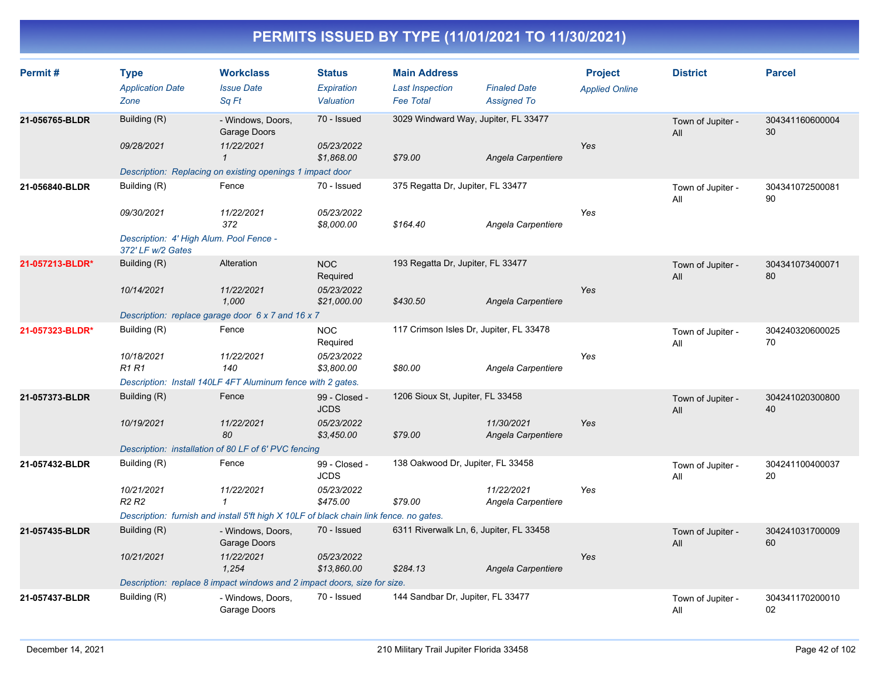| Permit#         | <b>Type</b><br><b>Application Date</b><br>Zone                                             | <b>Workclass</b><br><b>Issue Date</b><br>Sq Ft                                                                                       | <b>Status</b><br>Expiration<br>Valuation                 | <b>Main Address</b><br><b>Last Inspection</b><br><b>Fee Total</b> | <b>Finaled Date</b><br><b>Assigned To</b> | <b>Project</b><br><b>Applied Online</b> | <b>District</b>          | <b>Parcel</b>         |
|-----------------|--------------------------------------------------------------------------------------------|--------------------------------------------------------------------------------------------------------------------------------------|----------------------------------------------------------|-------------------------------------------------------------------|-------------------------------------------|-----------------------------------------|--------------------------|-----------------------|
| 21-056765-BLDR  | Building (R)<br>09/28/2021                                                                 | - Windows, Doors,<br>Garage Doors<br>11/22/2021<br>$\mathbf{1}$<br>Description: Replacing on existing openings 1 impact door         | 70 - Issued<br>05/23/2022<br>\$1,868.00                  | 3029 Windward Way, Jupiter, FL 33477<br>\$79.00                   | Angela Carpentiere                        | Yes                                     | Town of Jupiter -<br>All | 304341160600004<br>30 |
| 21-056840-BLDR  | Building (R)<br>09/30/2021<br>Description: 4' High Alum. Pool Fence -<br>372' LF w/2 Gates | Fence<br>11/22/2021<br>372                                                                                                           | 70 - Issued<br>05/23/2022<br>\$8,000.00                  | 375 Regatta Dr, Jupiter, FL 33477<br>\$164.40                     | Angela Carpentiere                        | Yes                                     | Town of Jupiter -<br>All | 304341072500081<br>90 |
| 21-057213-BLDR* | Building (R)<br>10/14/2021                                                                 | Alteration<br>11/22/2021<br>1,000<br>Description: replace garage door 6 x 7 and 16 x 7                                               | <b>NOC</b><br>Required<br>05/23/2022<br>\$21,000.00      | 193 Regatta Dr, Jupiter, FL 33477<br>\$430.50                     | Angela Carpentiere                        | Yes                                     | Town of Jupiter -<br>All | 304341073400071<br>80 |
| 21-057323-BLDR* | Building (R)<br>10/18/2021<br><b>R1 R1</b>                                                 | Fence<br>11/22/2021<br>140<br>Description: Install 140LF 4FT Aluminum fence with 2 gates.                                            | <b>NOC</b><br>Required<br>05/23/2022<br>\$3,800.00       | 117 Crimson Isles Dr, Jupiter, FL 33478<br>\$80.00                | Angela Carpentiere                        | Yes                                     | Town of Jupiter -<br>All | 304240320600025<br>70 |
| 21-057373-BLDR  | Building (R)<br>10/19/2021                                                                 | Fence<br>11/22/2021<br>80<br>Description: installation of 80 LF of 6' PVC fencing                                                    | 99 - Closed -<br><b>JCDS</b><br>05/23/2022<br>\$3,450.00 | 1206 Sioux St, Jupiter, FL 33458<br>\$79.00                       | 11/30/2021<br>Angela Carpentiere          | Yes                                     | Town of Jupiter -<br>All | 304241020300800<br>40 |
| 21-057432-BLDR  | Building (R)<br>10/21/2021<br>R <sub>2</sub> R <sub>2</sub>                                | Fence<br>11/22/2021<br>1<br>Description: furnish and install 5'ft high X 10LF of black chain link fence. no gates.                   | 99 - Closed -<br><b>JCDS</b><br>05/23/2022<br>\$475.00   | 138 Oakwood Dr, Jupiter, FL 33458<br>\$79.00                      | 11/22/2021<br>Angela Carpentiere          | Yes                                     | Town of Jupiter -<br>All | 304241100400037<br>20 |
| 21-057435-BLDR  | Building (R)<br>10/21/2021                                                                 | - Windows, Doors,<br>Garage Doors<br>11/22/2021<br>1,254<br>Description: replace 8 impact windows and 2 impact doors, size for size. | 70 - Issued<br>05/23/2022<br>\$13,860.00                 | 6311 Riverwalk Ln, 6, Jupiter, FL 33458<br>\$284.13               | Angela Carpentiere                        | Yes                                     | Town of Jupiter -<br>All | 304241031700009<br>60 |
| 21-057437-BLDR  | Building (R)                                                                               | - Windows, Doors,<br>Garage Doors                                                                                                    | 70 - Issued                                              | 144 Sandbar Dr, Jupiter, FL 33477                                 |                                           |                                         | Town of Jupiter -<br>All | 304341170200010<br>02 |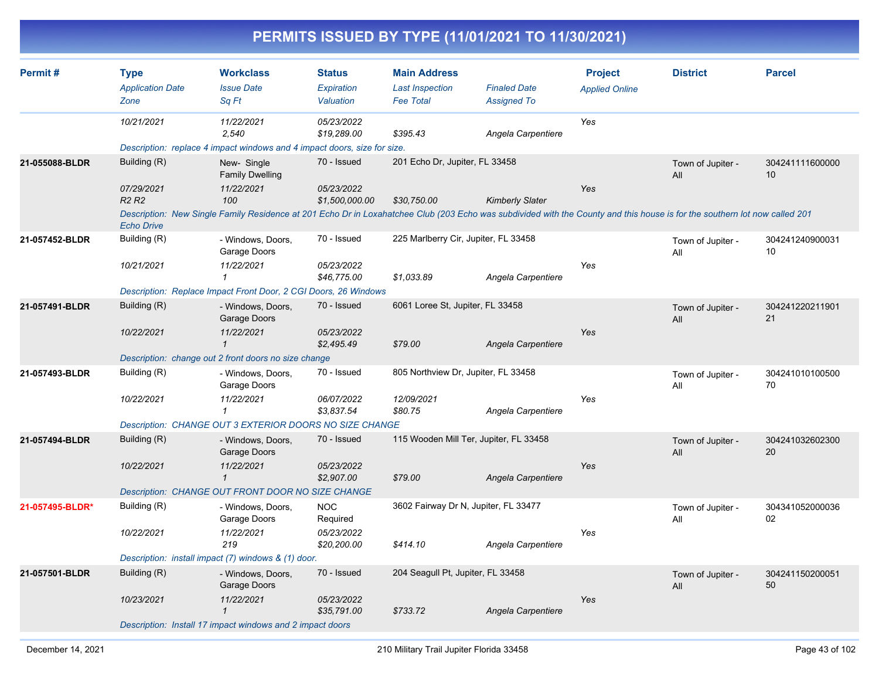|                |                                             |                                                                                                                                                                            |                              | PERMITS ISSUED BY TYPE (11/01/2021 TO 11/30/2021) |                                           |                       |                          |                       |
|----------------|---------------------------------------------|----------------------------------------------------------------------------------------------------------------------------------------------------------------------------|------------------------------|---------------------------------------------------|-------------------------------------------|-----------------------|--------------------------|-----------------------|
| Permit#        | <b>Type</b>                                 | <b>Workclass</b>                                                                                                                                                           | <b>Status</b>                | <b>Main Address</b>                               |                                           | <b>Project</b>        | <b>District</b>          | <b>Parcel</b>         |
|                | <b>Application Date</b><br>Zone             | <b>Issue Date</b><br>Sq Ft                                                                                                                                                 | Expiration<br>Valuation      | <b>Last Inspection</b><br><b>Fee Total</b>        | <b>Finaled Date</b><br><b>Assigned To</b> | <b>Applied Online</b> |                          |                       |
|                | 10/21/2021                                  | 11/22/2021<br>2.540                                                                                                                                                        | 05/23/2022<br>\$19,289.00    | \$395.43                                          | Angela Carpentiere                        | Yes                   |                          |                       |
|                |                                             | Description: replace 4 impact windows and 4 impact doors, size for size.                                                                                                   |                              |                                                   |                                           |                       |                          |                       |
| 21-055088-BLDR | Building (R)                                | New-Single<br><b>Family Dwelling</b>                                                                                                                                       | 70 - Issued                  | 201 Echo Dr, Jupiter, FL 33458                    |                                           |                       | Town of Jupiter -<br>All | 304241111600000<br>10 |
|                | 07/29/2021<br>R <sub>2</sub> R <sub>2</sub> | 11/22/2021<br>100                                                                                                                                                          | 05/23/2022<br>\$1,500,000.00 | \$30,750.00                                       | <b>Kimberly Slater</b>                    | Yes                   |                          |                       |
|                | <b>Echo Drive</b>                           | Description: New Single Family Residence at 201 Echo Dr in Loxahatchee Club (203 Echo was subdivided with the County and this house is for the southern lot now called 201 |                              |                                                   |                                           |                       |                          |                       |
| 21-057452-BLDR | Building (R)                                | - Windows, Doors,<br>Garage Doors                                                                                                                                          | 70 - Issued                  | 225 Marlberry Cir, Jupiter, FL 33458              |                                           |                       | Town of Jupiter -<br>All | 304241240900031<br>10 |
|                | 10/21/2021                                  | 11/22/2021<br>1                                                                                                                                                            | 05/23/2022<br>\$46,775.00    | \$1.033.89                                        | Angela Carpentiere                        | Yes                   |                          |                       |
|                |                                             | Description: Replace Impact Front Door, 2 CGI Doors, 26 Windows                                                                                                            |                              |                                                   |                                           |                       |                          |                       |
| 21-057491-BLDR | Building (R)                                | - Windows, Doors,<br>Garage Doors                                                                                                                                          | 70 - Issued                  | 6061 Loree St, Jupiter, FL 33458                  |                                           |                       | Town of Jupiter -<br>All | 304241220211901<br>21 |
|                | 10/22/2021                                  | 11/22/2021<br>$\mathbf 1$                                                                                                                                                  | 05/23/2022<br>\$2,495.49     | \$79.00                                           | Angela Carpentiere                        | Yes                   |                          |                       |
|                |                                             | Description: change out 2 front doors no size change                                                                                                                       |                              |                                                   |                                           |                       |                          |                       |
| 21-057493-BLDR | Building (R)                                | - Windows, Doors,<br>Garage Doors                                                                                                                                          | 70 - Issued                  | 805 Northview Dr, Jupiter, FL 33458               |                                           |                       | Town of Jupiter -<br>All | 304241010100500<br>70 |
|                | 10/22/2021                                  | 11/22/2021                                                                                                                                                                 | 06/07/2022<br>\$3,837.54     | 12/09/2021<br>\$80.75                             | Angela Carpentiere                        | Yes                   |                          |                       |
|                |                                             | Description: CHANGE OUT 3 EXTERIOR DOORS NO SIZE CHANGE                                                                                                                    |                              |                                                   |                                           |                       |                          |                       |
| 21-057494-BLDR | Building (R)                                | - Windows, Doors,<br>Garage Doors                                                                                                                                          | 70 - Issued                  | 115 Wooden Mill Ter, Jupiter, FL 33458            |                                           |                       | Town of Jupiter -<br>All | 304241032602300<br>20 |
|                | 10/22/2021                                  | 11/22/2021<br>$\mathcal I$                                                                                                                                                 | 05/23/2022<br>\$2,907.00     | \$79.00                                           | Angela Carpentiere                        | Yes                   |                          |                       |

| 21-057495-BLDR* | Building (R)                                        | - Windows, Doors,<br>Garage Doors                         | 3602 Fairway Dr N, Jupiter, FL 33477<br>NOC<br>Required |          |                                   |     | Town of Jupiter -<br>All | 304341052000036<br>02 |  |  |  |
|-----------------|-----------------------------------------------------|-----------------------------------------------------------|---------------------------------------------------------|----------|-----------------------------------|-----|--------------------------|-----------------------|--|--|--|
|                 | 10/22/2021                                          | 11/22/2021<br>219                                         | <i>05/23/2022</i><br>\$20,200.00                        | \$414.10 | Angela Carpentiere                | Yes |                          |                       |  |  |  |
|                 | Description: install impact (7) windows & (1) door. |                                                           |                                                         |          |                                   |     |                          |                       |  |  |  |
| 21-057501-BLDR  | Building (R)                                        | - Windows, Doors,<br>Garage Doors                         | 70 - Issued                                             |          | 204 Seagull Pt, Jupiter, FL 33458 |     | Town of Jupiter -<br>All | 304241150200051<br>50 |  |  |  |
|                 | 10/23/2021                                          | 11/22/2021                                                | <i>05/23/2022</i><br>\$35,791.00                        | \$733.72 | Angela Carpentiere                | Yes |                          |                       |  |  |  |
|                 |                                                     | Description: Install 17 impact windows and 2 impact doors |                                                         |          |                                   |     |                          |                       |  |  |  |

*Description: CHANGE OUT FRONT DOOR NO SIZE CHANGE*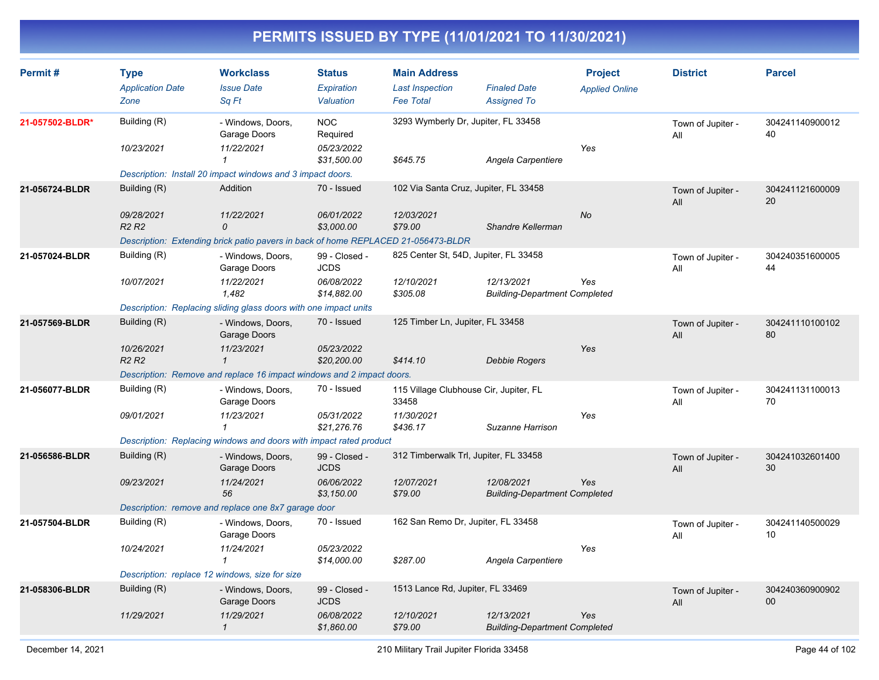| Permit#         | <b>Type</b><br><b>Application Date</b><br>Zone | <b>Workclass</b><br><b>Issue Date</b><br>Sq Ft                                    | <b>Status</b><br>Expiration<br>Valuation | <b>Main Address</b><br><b>Last Inspection</b><br><b>Fee Total</b> | <b>Finaled Date</b><br><b>Assigned To</b>          | <b>Project</b><br><b>Applied Online</b> | <b>District</b>          | <b>Parcel</b>         |
|-----------------|------------------------------------------------|-----------------------------------------------------------------------------------|------------------------------------------|-------------------------------------------------------------------|----------------------------------------------------|-----------------------------------------|--------------------------|-----------------------|
| 21-057502-BLDR* | Building (R)                                   | - Windows, Doors,<br>Garage Doors                                                 | <b>NOC</b><br>Required                   | 3293 Wymberly Dr, Jupiter, FL 33458                               |                                                    |                                         | Town of Jupiter -<br>All | 304241140900012<br>40 |
|                 | 10/23/2021                                     | 11/22/2021<br>$\mathcal I$                                                        | 05/23/2022<br>\$31,500.00                | \$645.75                                                          | Angela Carpentiere                                 | Yes                                     |                          |                       |
|                 |                                                | Description: Install 20 impact windows and 3 impact doors.                        |                                          |                                                                   |                                                    |                                         |                          |                       |
| 21-056724-BLDR  | Building (R)                                   | Addition                                                                          | 70 - Issued                              | 102 Via Santa Cruz, Jupiter, FL 33458                             |                                                    |                                         | Town of Jupiter -<br>All | 304241121600009<br>20 |
|                 | 09/28/2021<br>R <sub>2</sub> R <sub>2</sub>    | 11/22/2021<br>0                                                                   | 06/01/2022<br>\$3,000.00                 | 12/03/2021<br>\$79.00                                             | Shandre Kellerman                                  | <b>No</b>                               |                          |                       |
|                 |                                                | Description: Extending brick patio pavers in back of home REPLACED 21-056473-BLDR |                                          |                                                                   |                                                    |                                         |                          |                       |
| 21-057024-BLDR  | Building (R)                                   | - Windows, Doors,<br>Garage Doors                                                 | 99 - Closed -<br><b>JCDS</b>             | 825 Center St, 54D, Jupiter, FL 33458                             |                                                    |                                         | Town of Jupiter -<br>All | 304240351600005<br>44 |
|                 | 10/07/2021                                     | 11/22/2021<br>1.482                                                               | 06/08/2022<br>\$14,882.00                | 12/10/2021<br>\$305.08                                            | 12/13/2021<br><b>Building-Department Completed</b> | Yes                                     |                          |                       |
|                 |                                                | Description: Replacing sliding glass doors with one impact units                  |                                          |                                                                   |                                                    |                                         |                          |                       |
| 21-057569-BLDR  | Building (R)                                   | - Windows, Doors,<br>Garage Doors                                                 | 70 - Issued                              | 125 Timber Ln, Jupiter, FL 33458                                  |                                                    |                                         | Town of Jupiter -<br>All | 304241110100102<br>80 |
|                 | 10/26/2021<br>R <sub>2</sub> R <sub>2</sub>    | 11/23/2021<br>$\mathbf{1}$                                                        | 05/23/2022<br>\$20,200.00                | \$414.10                                                          | <b>Debbie Rogers</b>                               | Yes                                     |                          |                       |
|                 |                                                | Description: Remove and replace 16 impact windows and 2 impact doors.             |                                          |                                                                   |                                                    |                                         |                          |                       |
| 21-056077-BLDR  | Building (R)                                   | - Windows, Doors,<br>Garage Doors                                                 | 70 - Issued                              | 115 Village Clubhouse Cir, Jupiter, FL<br>33458                   |                                                    |                                         | Town of Jupiter -<br>All | 304241131100013<br>70 |
|                 | 09/01/2021                                     | 11/23/2021<br>$\mathbf{1}$                                                        | 05/31/2022<br>\$21,276.76                | 11/30/2021<br>\$436.17                                            | Suzanne Harrison                                   | Yes                                     |                          |                       |
|                 |                                                | Description: Replacing windows and doors with impact rated product                |                                          |                                                                   |                                                    |                                         |                          |                       |
| 21-056586-BLDR  | Building (R)                                   | - Windows, Doors,<br>Garage Doors                                                 | 99 - Closed -<br><b>JCDS</b>             | 312 Timberwalk Trl, Jupiter, FL 33458                             |                                                    |                                         | Town of Jupiter -<br>All | 304241032601400<br>30 |
|                 | 09/23/2021                                     | 11/24/2021<br>56                                                                  | 06/06/2022<br>\$3,150.00                 | 12/07/2021<br>\$79.00                                             | 12/08/2021<br><b>Building-Department Completed</b> | Yes                                     |                          |                       |
|                 |                                                | Description: remove and replace one 8x7 garage door                               |                                          |                                                                   |                                                    |                                         |                          |                       |
| 21-057504-BLDR  | Building (R)                                   | - Windows, Doors,<br>Garage Doors                                                 | 70 - Issued                              | 162 San Remo Dr, Jupiter, FL 33458                                |                                                    |                                         | Town of Jupiter -<br>All | 304241140500029<br>10 |
|                 | 10/24/2021                                     | 11/24/2021<br>$\mathbf{1}$                                                        | 05/23/2022<br>\$14,000.00                | \$287.00                                                          | Angela Carpentiere                                 | Yes                                     |                          |                       |
|                 |                                                | Description: replace 12 windows, size for size                                    |                                          |                                                                   |                                                    |                                         |                          |                       |
| 21-058306-BLDR  | Building (R)                                   | - Windows, Doors,<br>Garage Doors                                                 | 99 - Closed -<br><b>JCDS</b>             | 1513 Lance Rd, Jupiter, FL 33469                                  |                                                    |                                         | Town of Jupiter -<br>All | 304240360900902<br>00 |
|                 | 11/29/2021                                     | 11/29/2021<br>$\mathbf{1}$                                                        | 06/08/2022<br>\$1,860.00                 | 12/10/2021<br>\$79.00                                             | 12/13/2021<br><b>Building-Department Completed</b> | Yes                                     |                          |                       |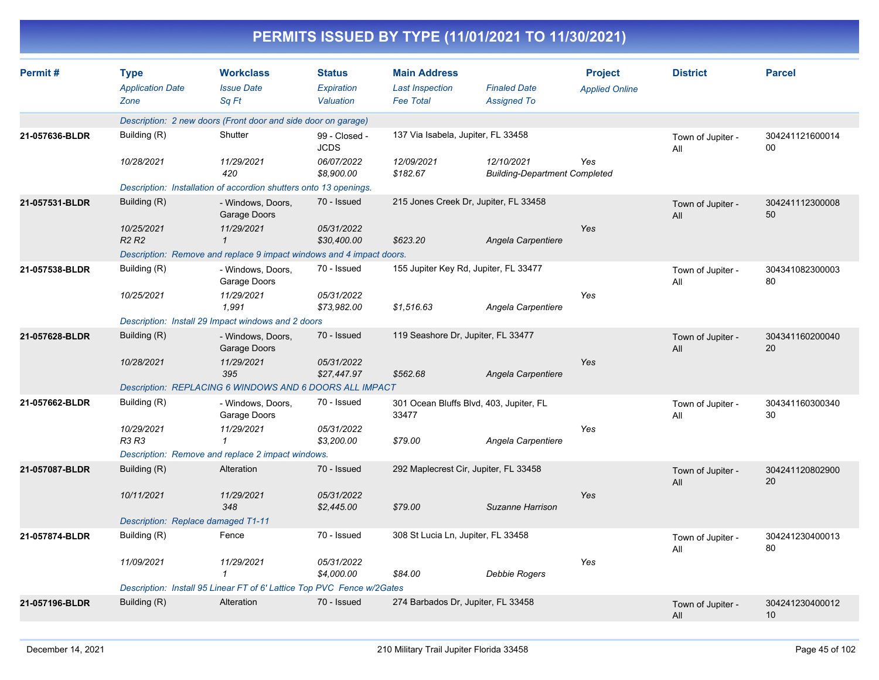|                |                                                |                                                                        |                                          |                                                                   | PERMITS ISSUED BY TYPE (11/01/2021 TO 11/30/2021)  |                                         |                          |                       |
|----------------|------------------------------------------------|------------------------------------------------------------------------|------------------------------------------|-------------------------------------------------------------------|----------------------------------------------------|-----------------------------------------|--------------------------|-----------------------|
| Permit#        | <b>Type</b><br><b>Application Date</b><br>Zone | <b>Workclass</b><br><b>Issue Date</b><br>Sq Ft                         | <b>Status</b><br>Expiration<br>Valuation | <b>Main Address</b><br><b>Last Inspection</b><br><b>Fee Total</b> | <b>Finaled Date</b><br><b>Assigned To</b>          | <b>Project</b><br><b>Applied Online</b> | <b>District</b>          | <b>Parcel</b>         |
|                |                                                | Description: 2 new doors (Front door and side door on garage)          |                                          |                                                                   |                                                    |                                         |                          |                       |
| 21-057636-BLDR | Building (R)                                   | Shutter                                                                | 99 - Closed -<br><b>JCDS</b>             | 137 Via Isabela, Jupiter, FL 33458                                |                                                    |                                         | Town of Jupiter -<br>All | 304241121600014<br>00 |
|                | 10/28/2021                                     | 11/29/2021<br>420                                                      | 06/07/2022<br>\$8,900.00                 | 12/09/2021<br>\$182.67                                            | 12/10/2021<br><b>Building-Department Completed</b> | Yes                                     |                          |                       |
|                |                                                | Description: Installation of accordion shutters onto 13 openings.      |                                          |                                                                   |                                                    |                                         |                          |                       |
| 21-057531-BLDR | Building (R)                                   | - Windows, Doors,<br>Garage Doors                                      | 70 - Issued                              |                                                                   | 215 Jones Creek Dr, Jupiter, FL 33458              |                                         | Town of Jupiter -<br>All | 304241112300008<br>50 |
|                | 10/25/2021<br>R <sub>2</sub> R <sub>2</sub>    | 11/29/2021<br>$\mathbf{\overline{1}}$                                  | 05/31/2022<br>\$30,400.00                | \$623.20                                                          | Angela Carpentiere                                 | <b>Yes</b>                              |                          |                       |
|                |                                                | Description: Remove and replace 9 impact windows and 4 impact doors.   |                                          |                                                                   |                                                    |                                         |                          |                       |
| 21-057538-BLDR | Building (R)                                   | - Windows, Doors,<br>Garage Doors                                      | 70 - Issued                              |                                                                   | 155 Jupiter Key Rd, Jupiter, FL 33477              |                                         | Town of Jupiter -<br>All | 304341082300003<br>80 |
|                | 10/25/2021                                     | 11/29/2021<br>1,991                                                    | 05/31/2022<br>\$73.982.00                | \$1,516.63                                                        | Angela Carpentiere                                 | Yes                                     |                          |                       |
|                |                                                | Description: Install 29 Impact windows and 2 doors                     |                                          |                                                                   |                                                    |                                         |                          |                       |
| 21-057628-BLDR | Building (R)                                   | - Windows, Doors,<br>Garage Doors                                      | 70 - Issued                              | 119 Seashore Dr, Jupiter, FL 33477                                |                                                    |                                         | Town of Jupiter -<br>All | 304341160200040<br>20 |
|                | 10/28/2021                                     | 11/29/2021<br>395                                                      | 05/31/2022<br>\$27,447.97                | \$562.68                                                          | Angela Carpentiere                                 | Yes                                     |                          |                       |
|                |                                                | Description: REPLACING 6 WINDOWS AND 6 DOORS ALL IMPACT                |                                          |                                                                   |                                                    |                                         |                          |                       |
| 21-057662-BLDR | Building (R)                                   | - Windows, Doors,<br>Garage Doors                                      | 70 - Issued                              | 33477                                                             | 301 Ocean Bluffs Blvd, 403, Jupiter, FL            |                                         | Town of Jupiter -<br>All | 304341160300340<br>30 |
|                | 10/29/2021<br>R3 R3                            | 11/29/2021<br>1                                                        | 05/31/2022<br>\$3,200.00                 | \$79.00                                                           | Angela Carpentiere                                 | Yes                                     |                          |                       |
|                |                                                | Description: Remove and replace 2 impact windows.                      |                                          |                                                                   |                                                    |                                         |                          |                       |
| 21-057087-BLDR | Building (R)                                   | Alteration                                                             | 70 - Issued                              |                                                                   | 292 Maplecrest Cir, Jupiter, FL 33458              |                                         | Town of Jupiter -<br>All | 304241120802900<br>20 |
|                | 10/11/2021                                     | 11/29/2021<br>348                                                      | 05/31/2022<br>\$2,445.00                 | \$79.00                                                           | Suzanne Harrison                                   | Yes                                     |                          |                       |
|                | Description: Replace damaged T1-11             |                                                                        |                                          |                                                                   |                                                    |                                         |                          |                       |
| 21-057874-BLDR | Building (R)                                   | Fence                                                                  | 70 - Issued                              | 308 St Lucia Ln, Jupiter, FL 33458                                |                                                    |                                         | Town of Jupiter -<br>All | 304241230400013<br>80 |
|                | 11/09/2021                                     | 11/29/2021<br>$\mathbf{1}$                                             | 05/31/2022<br>\$4,000.00                 | \$84.00                                                           | <b>Debbie Rogers</b>                               | Yes                                     |                          |                       |
|                |                                                | Description: Install 95 Linear FT of 6' Lattice Top PVC Fence w/2Gates |                                          |                                                                   |                                                    |                                         |                          |                       |
| 21-057196-BLDR | Building (R)                                   | Alteration                                                             | 70 - Issued                              | 274 Barbados Dr, Jupiter, FL 33458                                |                                                    |                                         | Town of Jupiter -<br>All | 304241230400012<br>10 |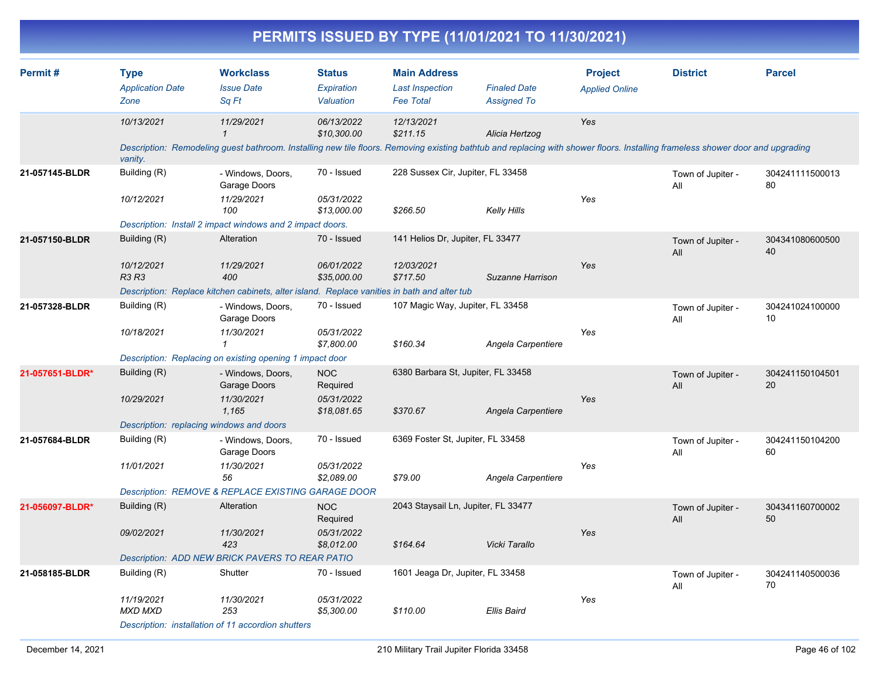|                 |                                                |                                                                                                                                                                                              |                                                     |                                                                   | PERMITS ISSUED BY TYPE (11/01/2021 TO 11/30/2021) |                                         |                          |                       |
|-----------------|------------------------------------------------|----------------------------------------------------------------------------------------------------------------------------------------------------------------------------------------------|-----------------------------------------------------|-------------------------------------------------------------------|---------------------------------------------------|-----------------------------------------|--------------------------|-----------------------|
| Permit#         | <b>Type</b><br><b>Application Date</b><br>Zone | <b>Workclass</b><br><b>Issue Date</b><br>Sq Ft                                                                                                                                               | <b>Status</b><br>Expiration<br>Valuation            | <b>Main Address</b><br><b>Last Inspection</b><br><b>Fee Total</b> | <b>Finaled Date</b><br><b>Assigned To</b>         | <b>Project</b><br><b>Applied Online</b> | <b>District</b>          | <b>Parcel</b>         |
|                 | 10/13/2021<br>vanity.                          | 11/29/2021<br>Description: Remodeling guest bathroom. Installing new tile floors. Removing existing bathtub and replacing with shower floors. Installing frameless shower door and upgrading | 06/13/2022<br>\$10,300.00                           | 12/13/2021<br>\$211.15                                            | Alicia Hertzog                                    | Yes                                     |                          |                       |
| 21-057145-BLDR  | Building (R)<br>10/12/2021                     | - Windows, Doors,<br>Garage Doors<br>11/29/2021<br>100<br>Description: Install 2 impact windows and 2 impact doors.                                                                          | 70 - Issued<br>05/31/2022<br>\$13,000.00            | 228 Sussex Cir, Jupiter, FL 33458<br>\$266.50                     | <b>Kelly Hills</b>                                | Yes                                     | Town of Jupiter -<br>All | 304241111500013<br>80 |
| 21-057150-BLDR  | Building (R)<br>10/12/2021<br><b>R3 R3</b>     | Alteration<br>11/29/2021<br>400<br>Description: Replace kitchen cabinets, alter island. Replace vanities in bath and alter tub                                                               | 70 - Issued<br>06/01/2022<br>\$35,000.00            | 141 Helios Dr, Jupiter, FL 33477<br>12/03/2021<br>\$717.50        | Suzanne Harrison                                  | Yes                                     | Town of Jupiter -<br>All | 304341080600500<br>40 |
| 21-057328-BLDR  | Building (R)<br>10/18/2021                     | - Windows, Doors,<br>Garage Doors<br>11/30/2021<br>Description: Replacing on existing opening 1 impact door                                                                                  | 70 - Issued<br>05/31/2022<br>\$7,800.00             | 107 Magic Way, Jupiter, FL 33458<br>\$160.34                      | Angela Carpentiere                                | Yes                                     | Town of Jupiter -<br>All | 304241024100000<br>10 |
| 21-057651-BLDR* | Building (R)<br>10/29/2021                     | - Windows, Doors,<br>Garage Doors<br>11/30/2021<br>1,165<br>Description: replacing windows and doors                                                                                         | <b>NOC</b><br>Required<br>05/31/2022<br>\$18,081.65 | 6380 Barbara St, Jupiter, FL 33458<br>\$370.67                    | Angela Carpentiere                                | Yes                                     | Town of Jupiter -<br>All | 304241150104501<br>20 |
| 21-057684-BLDR  | Building (R)<br>11/01/2021                     | - Windows, Doors,<br>Garage Doors<br>11/30/2021<br>56<br>Description: REMOVE & REPLACE EXISTING GARAGE DOOR                                                                                  | 70 - Issued<br>05/31/2022<br>\$2,089.00             | 6369 Foster St, Jupiter, FL 33458<br>\$79.00                      | Angela Carpentiere                                | Yes                                     | Town of Jupiter -<br>All | 304241150104200<br>60 |
| 21-056097-BLDR* | Building (R)<br>09/02/2021                     | Alteration<br>11/30/2021<br>423<br>Description: ADD NEW BRICK PAVERS TO REAR PATIO                                                                                                           | <b>NOC</b><br>Required<br>05/31/2022<br>\$8,012.00  | 2043 Staysail Ln, Jupiter, FL 33477<br>\$164.64                   | Vicki Tarallo                                     | Yes                                     | Town of Jupiter -<br>All | 304341160700002<br>50 |
| 21-058185-BLDR  | Building (R)<br>11/19/2021<br>MXD MXD          | Shutter<br>11/30/2021<br>253                                                                                                                                                                 | 70 - Issued<br>05/31/2022<br>\$5,300.00             | 1601 Jeaga Dr, Jupiter, FL 33458<br>\$110.00                      | <b>Ellis Baird</b>                                | Yes                                     | Town of Jupiter -<br>All | 304241140500036<br>70 |

#### *Description: installation of 11 accordion shutters*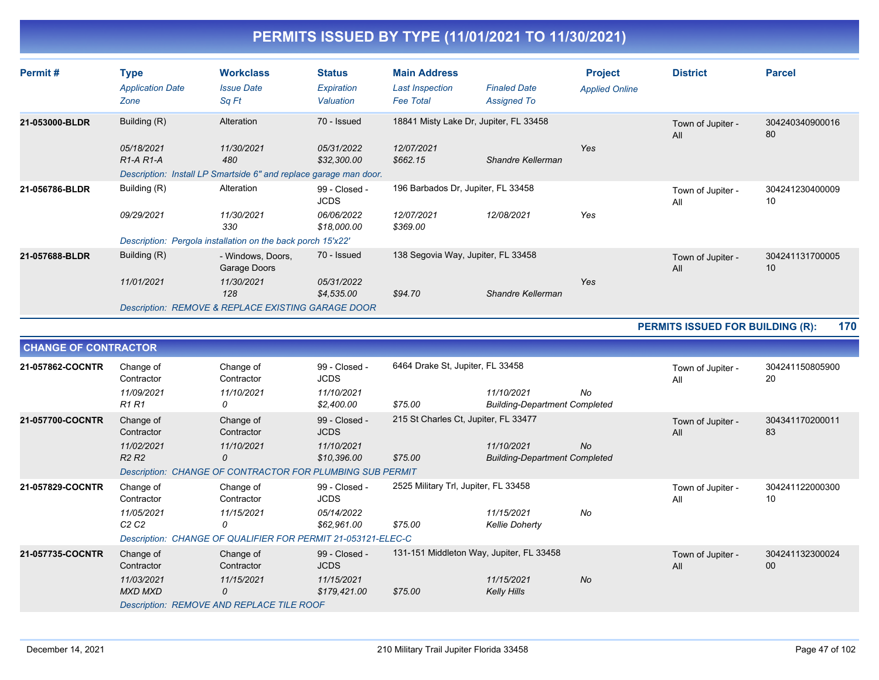| Permit#        | Type<br><b>Application Date</b><br>Zone | <b>Workclass</b><br><b>Issue Date</b><br>Sq Ft                           | <b>Status</b><br>Expiration<br>Valuation | <b>Main Address</b><br><b>Last Inspection</b><br><b>Fee Total</b> | <b>Finaled Date</b><br><b>Assigned To</b>                   | <b>Project</b><br><b>Applied Online</b> | <b>District</b>          | <b>Parcel</b>         |
|----------------|-----------------------------------------|--------------------------------------------------------------------------|------------------------------------------|-------------------------------------------------------------------|-------------------------------------------------------------|-----------------------------------------|--------------------------|-----------------------|
| 21-053000-BLDR | Building (R)<br>05/18/2021              | Alteration<br>11/30/2021                                                 | 70 - Issued<br>05/31/2022<br>\$32,300.00 | 12/07/2021<br>\$662.15                                            | 18841 Misty Lake Dr, Jupiter, FL 33458<br>Shandre Kellerman | Yes                                     | Town of Jupiter -<br>All | 304240340900016<br>80 |
|                | $R1-A R1-A$                             | 480<br>Description: Install LP Smartside 6" and replace garage man door. |                                          |                                                                   |                                                             |                                         |                          |                       |
| 21-056786-BLDR | Building (R)                            | Alteration                                                               | 99 - Closed -<br><b>JCDS</b>             | 196 Barbados Dr, Jupiter, FL 33458                                |                                                             |                                         | Town of Jupiter -<br>All | 304241230400009<br>10 |
|                | 09/29/2021                              | 11/30/2021<br>330                                                        | <i>06/06/2022</i><br>\$18,000.00         | 12/07/2021<br>\$369.00                                            | 12/08/2021                                                  | Yes                                     |                          |                       |
|                |                                         | Description: Pergola installation on the back porch 15'x22'              |                                          |                                                                   |                                                             |                                         |                          |                       |
| 21-057688-BLDR | Building (R)                            | - Windows, Doors,<br>Garage Doors                                        | 70 - Issued                              | 138 Segovia Way, Jupiter, FL 33458                                |                                                             | Town of Jupiter -<br>All                | 304241131700005<br>10    |                       |
|                | 11/01/2021                              | 11/30/2021<br>128                                                        | 05/31/2022<br>\$4,535.00                 | \$94.70                                                           | Shandre Kellerman                                           | Yes                                     |                          |                       |
|                |                                         | <b>Description: REMOVE &amp; REPLACE EXISTING GARAGE DOOR</b>            |                                          |                                                                   |                                                             |                                         |                          |                       |

#### **PERMITS ISSUED FOR BUILDING (R): 170**

|                  | <b>CHANGE OF CONTRACTOR</b>                                            |                                                                                                                |                                                            |                                                     |                                                    |           |                          |                       |  |  |
|------------------|------------------------------------------------------------------------|----------------------------------------------------------------------------------------------------------------|------------------------------------------------------------|-----------------------------------------------------|----------------------------------------------------|-----------|--------------------------|-----------------------|--|--|
| 21-057862-COCNTR | Change of<br>Contractor<br>11/09/2021<br>R <sub>1</sub> R <sub>1</sub> | Change of<br>Contractor<br>11/10/2021<br>0                                                                     | 99 - Closed -<br><b>JCDS</b><br>11/10/2021<br>\$2,400.00   | 6464 Drake St, Jupiter, FL 33458<br>\$75.00         | 11/10/2021<br><b>Building-Department Completed</b> | No        | Town of Jupiter -<br>All | 304241150805900<br>20 |  |  |
| 21-057700-COCNTR | Change of<br>Contractor<br>11/02/2021<br>R <sub>2</sub> R <sub>2</sub> | Change of<br>Contractor<br>11/10/2021<br>0<br><b>Description: CHANGE OF CONTRACTOR FOR PLUMBING SUB PERMIT</b> | 99 - Closed -<br><b>JCDS</b><br>11/10/2021<br>\$10,396.00  | 215 St Charles Ct, Jupiter, FL 33477<br>\$75.00     | 11/10/2021<br><b>Building-Department Completed</b> | <b>No</b> | Town of Jupiter -<br>All | 304341170200011<br>83 |  |  |
| 21-057829-COCNTR | Change of<br>Contractor<br>11/05/2021<br>C <sub>2</sub> C <sub>2</sub> | Change of<br>Contractor<br>11/15/2021<br>0<br>Description: CHANGE OF QUALIFIER FOR PERMIT 21-053121-ELEC-C     | 99 - Closed -<br><b>JCDS</b><br>05/14/2022<br>\$62,961.00  | 2525 Military Trl, Jupiter, FL 33458<br>\$75.00     | 11/15/2021<br><b>Kellie Doherty</b>                | No        | Town of Jupiter -<br>All | 304241122000300<br>10 |  |  |
| 21-057735-COCNTR | Change of<br>Contractor<br>11/03/2021<br>MXD MXD                       | Change of<br>Contractor<br>11/15/2021<br>0<br>Description: REMOVE AND REPLACE TILE ROOF                        | 99 - Closed -<br><b>JCDS</b><br>11/15/2021<br>\$179,421.00 | 131-151 Middleton Way, Jupiter, FL 33458<br>\$75.00 | 11/15/2021<br><b>Kelly Hills</b>                   | <b>No</b> | Town of Jupiter -<br>All | 304241132300024<br>00 |  |  |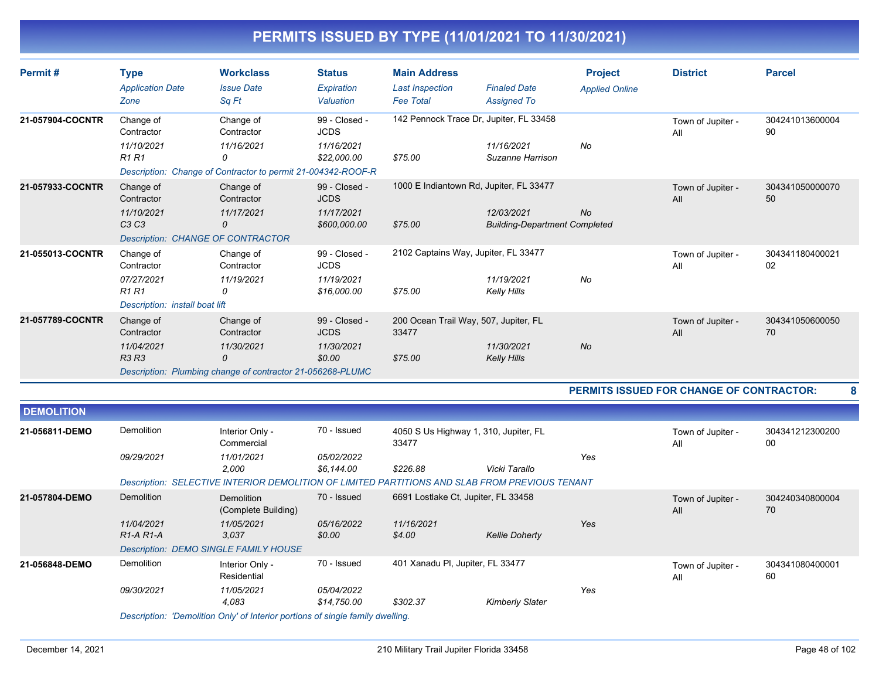| Permit#           | <b>Type</b><br><b>Application Date</b><br>Zone                                          | <b>Workclass</b><br><b>Issue Date</b><br>Sq Ft                                                                                                                                                             | <b>Status</b><br>Expiration<br>Valuation                   | <b>Main Address</b><br><b>Last Inspection</b><br><b>Fee Total</b> | <b>Finaled Date</b><br><b>Assigned To</b>                                                     | <b>Project</b><br><b>Applied Online</b> | <b>District</b>                          | <b>Parcel</b>         |
|-------------------|-----------------------------------------------------------------------------------------|------------------------------------------------------------------------------------------------------------------------------------------------------------------------------------------------------------|------------------------------------------------------------|-------------------------------------------------------------------|-----------------------------------------------------------------------------------------------|-----------------------------------------|------------------------------------------|-----------------------|
| 21-057904-COCNTR  | Change of<br>Contractor<br>11/10/2021<br><b>R1 R1</b>                                   | Change of<br>Contractor<br>11/16/2021<br>$\Omega$<br>Description: Change of Contractor to permit 21-004342-ROOF-R                                                                                          | 99 - Closed -<br><b>JCDS</b><br>11/16/2021<br>\$22,000.00  | \$75.00                                                           | 142 Pennock Trace Dr, Jupiter, FL 33458<br>11/16/2021<br>Suzanne Harrison                     | No                                      | Town of Jupiter -<br>All                 | 304241013600004<br>90 |
| 21-057933-COCNTR  | Change of<br>Contractor<br>11/10/2021<br>C <sub>3</sub> C <sub>3</sub>                  | Change of<br>Contractor<br>11/17/2021<br>0<br>Description: CHANGE OF CONTRACTOR                                                                                                                            | 99 - Closed -<br><b>JCDS</b><br>11/17/2021<br>\$600,000.00 | \$75.00                                                           | 1000 E Indiantown Rd, Jupiter, FL 33477<br>12/03/2021<br><b>Building-Department Completed</b> | No                                      | Town of Jupiter -<br>All                 | 304341050000070<br>50 |
| 21-055013-COCNTR  | Change of<br>Contractor<br>07/27/2021<br><b>R1 R1</b><br>Description: install boat lift | Change of<br>Contractor<br>11/19/2021<br>0                                                                                                                                                                 | 99 - Closed -<br><b>JCDS</b><br>11/19/2021<br>\$16,000.00  | 2102 Captains Way, Jupiter, FL 33477<br>\$75.00                   | 11/19/2021<br>Kelly Hills                                                                     | No                                      | Town of Jupiter -<br>All                 | 304341180400021<br>02 |
| 21-057789-COCNTR  | Change of<br>Contractor<br>11/04/2021<br>R3 R3                                          | Change of<br>Contractor<br>11/30/2021<br>$\Omega$<br>Description: Plumbing change of contractor 21-056268-PLUMC                                                                                            | 99 - Closed -<br><b>JCDS</b><br>11/30/2021<br>\$0.00       | 200 Ocean Trail Way, 507, Jupiter, FL<br>33477<br>\$75.00         | 11/30/2021<br><b>Kelly Hills</b>                                                              | <b>No</b>                               | Town of Jupiter -<br>All                 | 304341050600050<br>70 |
|                   |                                                                                         |                                                                                                                                                                                                            |                                                            |                                                                   |                                                                                               |                                         | PERMITS ISSUED FOR CHANGE OF CONTRACTOR: | 8                     |
| <b>DEMOLITION</b> |                                                                                         |                                                                                                                                                                                                            |                                                            |                                                                   |                                                                                               |                                         |                                          |                       |
| 21-056811-DEMO    | Demolition<br>09/29/2021                                                                | Interior Only -<br>Commercial<br>11/01/2021<br>2,000                                                                                                                                                       | 70 - Issued<br>05/02/2022<br>\$6,144.00                    | 4050 S Us Highway 1, 310, Jupiter, FL<br>33477<br>\$226.88        | Vicki Tarallo                                                                                 | Yes                                     | Town of Jupiter -<br>All                 | 304341212300200<br>00 |
| 21-057804-DEMO    | Demolition<br>11/04/2021<br>R <sub>1</sub> -A <sub>R1</sub> -A                          | Description: SELECTIVE INTERIOR DEMOLITION OF LIMITED PARTITIONS AND SLAB FROM PREVIOUS TENANT<br>Demolition<br>(Complete Building)<br>11/05/2021<br>3,037<br><b>Description: DEMO SINGLE FAMILY HOUSE</b> | 70 - Issued<br>05/16/2022<br>\$0.00                        | 6691 Lostlake Ct, Jupiter, FL 33458<br>11/16/2021<br>\$4.00       | <b>Kellie Doherty</b>                                                                         | Yes                                     | Town of Jupiter -<br>All                 | 304240340800004<br>70 |
| 21-056848-DEMO    | Demolition<br>09/30/2021                                                                | Interior Only -<br>Residential<br>11/05/2021<br>4.083                                                                                                                                                      | 70 - Issued<br>05/04/2022<br>\$14,750.00                   | 401 Xanadu Pl, Jupiter, FL 33477<br>\$302.37                      | <b>Kimberly Slater</b>                                                                        | Yes                                     | Town of Jupiter -<br>All                 | 304341080400001<br>60 |

*Description: 'Demolition Only' of Interior portions of single family dwelling.*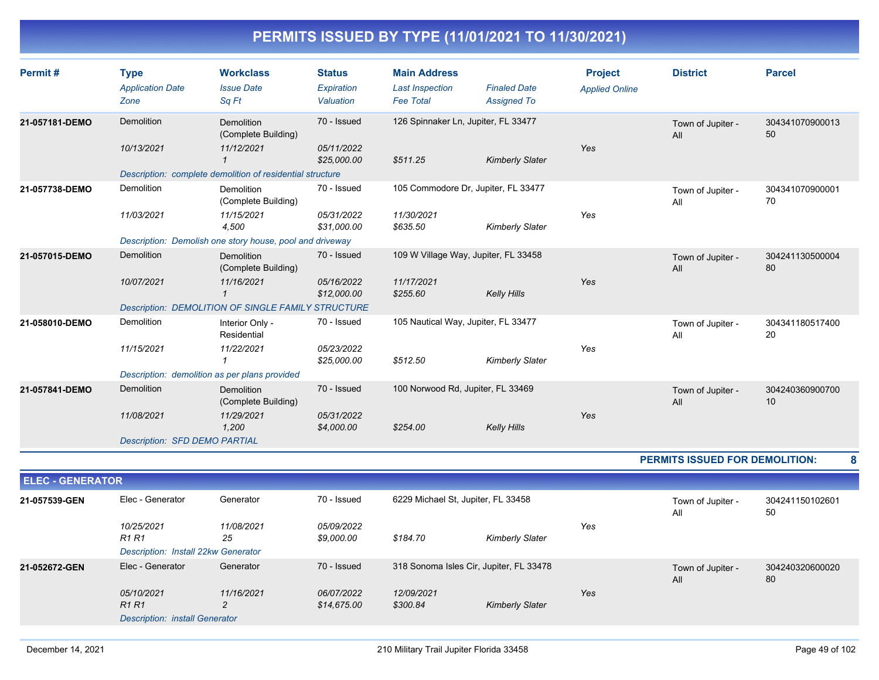| Permit#                 | <b>Type</b>                                                         | <b>Workclass</b>                                          | <b>Status</b>                  | <b>Main Address</b>                        |                                           | <b>Project</b>        | <b>District</b>                | <b>Parcel</b>         |   |
|-------------------------|---------------------------------------------------------------------|-----------------------------------------------------------|--------------------------------|--------------------------------------------|-------------------------------------------|-----------------------|--------------------------------|-----------------------|---|
|                         | <b>Application Date</b><br>Zone                                     | <b>Issue Date</b><br>Sq Ft                                | <b>Expiration</b><br>Valuation | <b>Last Inspection</b><br><b>Fee Total</b> | <b>Finaled Date</b><br><b>Assigned To</b> | <b>Applied Online</b> |                                |                       |   |
| 21-057181-DEMO          | <b>Demolition</b>                                                   | <b>Demolition</b><br>(Complete Building)                  | 70 - Issued                    |                                            | 126 Spinnaker Ln, Jupiter, FL 33477       |                       | Town of Jupiter -<br>All       | 304341070900013<br>50 |   |
|                         | 10/13/2021                                                          | 11/12/2021<br>$\mathbf{1}$                                | 05/11/2022<br>\$25,000.00      | \$511.25                                   | <b>Kimberly Slater</b>                    | Yes                   |                                |                       |   |
|                         |                                                                     | Description: complete demolition of residential structure |                                |                                            |                                           |                       |                                |                       |   |
| 21-057738-DEMO          | Demolition                                                          | <b>Demolition</b><br>(Complete Building)                  | 70 - Issued                    |                                            | 105 Commodore Dr, Jupiter, FL 33477       |                       | Town of Jupiter -<br>All       | 304341070900001<br>70 |   |
|                         | 11/03/2021                                                          | 11/15/2021<br>4,500                                       | 05/31/2022<br>\$31,000.00      | 11/30/2021<br>\$635.50                     | <b>Kimberly Slater</b>                    | Yes                   |                                |                       |   |
|                         |                                                                     | Description: Demolish one story house, pool and driveway  |                                |                                            |                                           |                       |                                |                       |   |
| 21-057015-DEMO          | Demolition                                                          | Demolition<br>(Complete Building)                         | 70 - Issued                    |                                            | 109 W Village Way, Jupiter, FL 33458      |                       | Town of Jupiter -<br>All       | 304241130500004<br>80 |   |
|                         | 10/07/2021                                                          | 11/16/2021<br>$\mathbf{1}$                                | 05/16/2022<br>\$12,000.00      | 11/17/2021<br>\$255.60                     | <b>Kelly Hills</b>                        | Yes                   |                                |                       |   |
|                         |                                                                     | <b>Description: DEMOLITION OF SINGLE FAMILY STRUCTURE</b> |                                |                                            |                                           |                       |                                |                       |   |
| 21-058010-DEMO          | Demolition                                                          | Interior Only -<br>Residential                            | 70 - Issued                    |                                            | 105 Nautical Way, Jupiter, FL 33477       |                       | Town of Jupiter -<br>All       | 304341180517400<br>20 |   |
|                         | 11/15/2021                                                          | 11/22/2021<br>$\mathbf{1}$                                | 05/23/2022<br>\$25,000.00      | \$512.50                                   | <b>Kimberly Slater</b>                    | Yes                   |                                |                       |   |
|                         |                                                                     | Description: demolition as per plans provided             |                                |                                            |                                           |                       |                                |                       |   |
| 21-057841-DEMO          | <b>Demolition</b>                                                   | Demolition<br>(Complete Building)                         | 70 - Issued                    | 100 Norwood Rd, Jupiter, FL 33469          |                                           |                       | Town of Jupiter -<br>All       | 304240360900700<br>10 |   |
|                         | 11/08/2021                                                          | 11/29/2021<br>1,200                                       | 05/31/2022<br>\$4,000.00       | \$254.00                                   | <b>Kelly Hills</b>                        | Yes                   |                                |                       |   |
|                         | <b>Description: SFD DEMO PARTIAL</b>                                |                                                           |                                |                                            |                                           |                       |                                |                       |   |
|                         |                                                                     |                                                           |                                |                                            |                                           |                       | PERMITS ISSUED FOR DEMOLITION: |                       | 8 |
| <b>ELEC - GENERATOR</b> |                                                                     |                                                           |                                |                                            |                                           |                       |                                |                       |   |
| 21-057539-GEN           | Elec - Generator                                                    | Generator                                                 | 70 - Issued                    | 6229 Michael St, Jupiter, FL 33458         |                                           |                       | Town of Jupiter -<br>All       | 304241150102601<br>50 |   |
|                         | 10/25/2021<br>R <sub>1</sub> R <sub>1</sub>                         | 11/08/2021<br>25                                          | 05/09/2022<br>\$9,000.00       | \$184.70                                   | <b>Kimberly Slater</b>                    | Yes                   |                                |                       |   |
|                         | Description: Install 22kw Generator                                 |                                                           |                                |                                            |                                           |                       |                                |                       |   |
| 21-052672-GEN           | Elec - Generator                                                    | Generator                                                 | 70 - Issued                    |                                            | 318 Sonoma Isles Cir, Jupiter, FL 33478   |                       | Town of Jupiter -<br>All       | 304240320600020<br>80 |   |
|                         | 05/10/2021<br><b>R1 R1</b><br><b>Description: install Generator</b> | 11/16/2021<br>2                                           | 06/07/2022<br>\$14,675.00      | 12/09/2021<br>\$300.84                     | <b>Kimberly Slater</b>                    | Yes                   |                                |                       |   |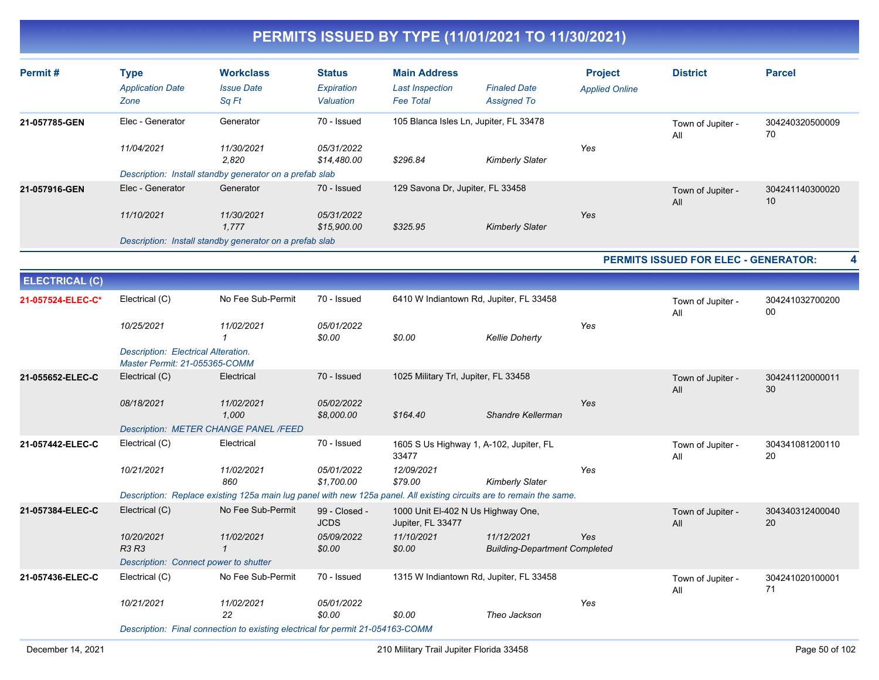| Permit#               | <b>Type</b><br><b>Application Date</b><br>Zone                       | <b>Workclass</b><br><b>Issue Date</b><br>Sq Ft                                                                       | <b>Status</b><br>Expiration<br>Valuation | <b>Main Address</b><br><b>Last Inspection</b><br><b>Fee Total</b> | <b>Finaled Date</b><br><b>Assigned To</b>          | <b>Project</b><br><b>Applied Online</b> | <b>District</b>                      | <b>Parcel</b>         |
|-----------------------|----------------------------------------------------------------------|----------------------------------------------------------------------------------------------------------------------|------------------------------------------|-------------------------------------------------------------------|----------------------------------------------------|-----------------------------------------|--------------------------------------|-----------------------|
| 21-057785-GEN         | Elec - Generator                                                     | Generator                                                                                                            | 70 - Issued                              | 105 Blanca Isles Ln, Jupiter, FL 33478                            |                                                    |                                         | Town of Jupiter -<br>All             | 304240320500009<br>70 |
|                       | 11/04/2021                                                           | 11/30/2021<br>2,820                                                                                                  | 05/31/2022<br>\$14,480.00                | \$296.84                                                          | <b>Kimberly Slater</b>                             | Yes                                     |                                      |                       |
|                       |                                                                      | Description: Install standby generator on a prefab slab                                                              |                                          |                                                                   |                                                    |                                         |                                      |                       |
| 21-057916-GEN         | Elec - Generator                                                     | Generator                                                                                                            | 70 - Issued                              | 129 Savona Dr, Jupiter, FL 33458                                  |                                                    |                                         | Town of Jupiter -<br>All             | 304241140300020<br>10 |
|                       | 11/10/2021                                                           | 11/30/2021<br>1,777                                                                                                  | 05/31/2022<br>\$15,900.00                | \$325.95                                                          | <b>Kimberly Slater</b>                             | Yes                                     |                                      |                       |
|                       |                                                                      | Description: Install standby generator on a prefab slab                                                              |                                          |                                                                   |                                                    |                                         |                                      |                       |
|                       |                                                                      |                                                                                                                      |                                          |                                                                   |                                                    |                                         | PERMITS ISSUED FOR ELEC - GENERATOR: | 4                     |
| <b>ELECTRICAL (C)</b> |                                                                      |                                                                                                                      |                                          |                                                                   |                                                    |                                         |                                      |                       |
| 21-057524-ELEC-C*     | Electrical (C)                                                       | No Fee Sub-Permit                                                                                                    | 70 - Issued                              | 6410 W Indiantown Rd, Jupiter, FL 33458                           |                                                    |                                         | Town of Jupiter -<br>All             | 304241032700200<br>00 |
|                       | 10/25/2021                                                           | 11/02/2021<br>$\mathbf{1}$                                                                                           | 05/01/2022<br>\$0.00                     | \$0.00                                                            | <b>Kellie Doherty</b>                              | Yes                                     |                                      |                       |
|                       | Description: Electrical Alteration.<br>Master Permit: 21-055365-COMM |                                                                                                                      |                                          |                                                                   |                                                    |                                         |                                      |                       |
| 21-055652-ELEC-C      | Electrical (C)                                                       | Electrical                                                                                                           | 70 - Issued                              | 1025 Military Trl, Jupiter, FL 33458                              |                                                    |                                         | Town of Jupiter -<br>All             | 304241120000011<br>30 |
|                       | 08/18/2021                                                           | 11/02/2021<br>1,000                                                                                                  | 05/02/2022<br>\$8,000.00                 | \$164.40                                                          | Shandre Kellerman                                  | Yes                                     |                                      |                       |
|                       |                                                                      | <b>Description: METER CHANGE PANEL /FEED</b>                                                                         |                                          |                                                                   |                                                    |                                         |                                      |                       |
| 21-057442-ELEC-C      | Electrical (C)                                                       | Electrical                                                                                                           | 70 - Issued                              | 1605 S Us Highway 1, A-102, Jupiter, FL<br>33477                  |                                                    |                                         | Town of Jupiter -<br>All             | 304341081200110<br>20 |
|                       | 10/21/2021                                                           | 11/02/2021<br>860                                                                                                    | 05/01/2022<br>\$1,700.00                 | 12/09/2021<br>\$79.00                                             | <b>Kimberly Slater</b>                             | Yes                                     |                                      |                       |
|                       |                                                                      | Description: Replace existing 125a main lug panel with new 125a panel. All existing circuits are to remain the same. |                                          |                                                                   |                                                    |                                         |                                      |                       |
| 21-057384-ELEC-C      | Electrical (C)                                                       | No Fee Sub-Permit                                                                                                    | 99 - Closed -<br><b>JCDS</b>             | 1000 Unit El-402 N Us Highway One,<br>Jupiter, FL 33477           |                                                    |                                         | Town of Jupiter -<br>All             | 304340312400040<br>20 |
|                       | 10/20/2021<br><b>R3 R3</b>                                           | 11/02/2021<br>$\mathbf{1}$                                                                                           | 05/09/2022<br>\$0.00                     | 11/10/2021<br>\$0.00                                              | 11/12/2021<br><b>Building-Department Completed</b> | Yes                                     |                                      |                       |
|                       | Description: Connect power to shutter                                |                                                                                                                      |                                          |                                                                   |                                                    |                                         |                                      |                       |
| 21-057436-ELEC-C      | Electrical (C)                                                       | No Fee Sub-Permit                                                                                                    | 70 - Issued                              | 1315 W Indiantown Rd, Jupiter, FL 33458                           |                                                    |                                         | Town of Jupiter -<br>All             | 304241020100001<br>71 |
|                       | 10/21/2021                                                           | 11/02/2021<br>22                                                                                                     | 05/01/2022<br>\$0.00                     | \$0.00                                                            | Theo Jackson                                       | Yes                                     |                                      |                       |
|                       |                                                                      | Description: Final connection to existing electrical for permit 21-054163-COMM                                       |                                          |                                                                   |                                                    |                                         |                                      |                       |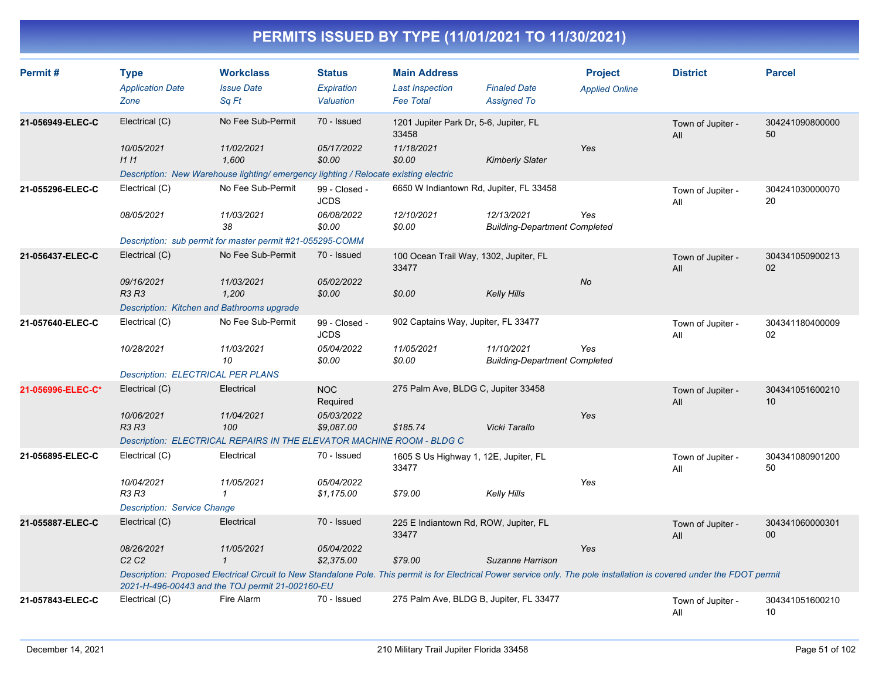| Permit#           | <b>Type</b><br><b>Application Date</b><br>Zone                                                                                                                                                                                | <b>Workclass</b><br><b>Issue Date</b><br>Sq Ft                                      | <b>Status</b><br>Expiration<br>Valuation | <b>Main Address</b><br><b>Last Inspection</b><br><b>Fee Total</b> | <b>Finaled Date</b><br><b>Assigned To</b>          | <b>Project</b><br><b>Applied Online</b> | <b>District</b>          | <b>Parcel</b>         |  |
|-------------------|-------------------------------------------------------------------------------------------------------------------------------------------------------------------------------------------------------------------------------|-------------------------------------------------------------------------------------|------------------------------------------|-------------------------------------------------------------------|----------------------------------------------------|-----------------------------------------|--------------------------|-----------------------|--|
| 21-056949-ELEC-C  | Electrical (C)                                                                                                                                                                                                                | No Fee Sub-Permit                                                                   | 70 - Issued                              | 1201 Jupiter Park Dr, 5-6, Jupiter, FL<br>33458                   |                                                    |                                         | Town of Jupiter -<br>All | 304241090800000<br>50 |  |
|                   | 10/05/2021<br>1111                                                                                                                                                                                                            | 11/02/2021<br>1.600                                                                 | 05/17/2022<br>\$0.00                     | 11/18/2021<br>\$0.00                                              | <b>Kimberly Slater</b>                             | Yes                                     |                          |                       |  |
|                   |                                                                                                                                                                                                                               | Description: New Warehouse lighting/emergency lighting / Relocate existing electric |                                          |                                                                   |                                                    |                                         |                          |                       |  |
| 21-055296-ELEC-C  | Electrical (C)                                                                                                                                                                                                                | No Fee Sub-Permit                                                                   | 99 - Closed -<br><b>JCDS</b>             | 6650 W Indiantown Rd, Jupiter, FL 33458                           |                                                    |                                         | Town of Jupiter -<br>All | 304241030000070<br>20 |  |
|                   | 08/05/2021                                                                                                                                                                                                                    | 11/03/2021<br>38                                                                    | 06/08/2022<br>\$0.00                     | 12/10/2021<br>\$0.00                                              | 12/13/2021<br><b>Building-Department Completed</b> | Yes                                     |                          |                       |  |
|                   |                                                                                                                                                                                                                               | Description: sub permit for master permit #21-055295-COMM                           |                                          |                                                                   |                                                    |                                         |                          |                       |  |
| 21-056437-ELEC-C  | Electrical (C)                                                                                                                                                                                                                | No Fee Sub-Permit                                                                   | 70 - Issued                              | 100 Ocean Trail Way, 1302, Jupiter, FL<br>33477                   |                                                    |                                         | Town of Jupiter -<br>All | 304341050900213<br>02 |  |
|                   | 09/16/2021<br><b>R3 R3</b>                                                                                                                                                                                                    | 11/03/2021<br>1,200                                                                 | 05/02/2022<br>\$0.00                     | \$0.00                                                            | <b>Kelly Hills</b>                                 | <b>No</b>                               |                          |                       |  |
|                   | Description: Kitchen and Bathrooms upgrade                                                                                                                                                                                    |                                                                                     |                                          |                                                                   |                                                    |                                         |                          |                       |  |
| 21-057640-ELEC-C  | Electrical (C)                                                                                                                                                                                                                | No Fee Sub-Permit                                                                   | 99 - Closed -<br><b>JCDS</b>             | 902 Captains Way, Jupiter, FL 33477                               |                                                    |                                         | Town of Jupiter -<br>All | 304341180400009<br>02 |  |
|                   | 10/28/2021                                                                                                                                                                                                                    | 11/03/2021<br>10                                                                    | 05/04/2022<br>\$0.00                     | 11/05/2021<br>\$0.00                                              | 11/10/2021<br><b>Building-Department Completed</b> | Yes                                     |                          |                       |  |
|                   | <b>Description: ELECTRICAL PER PLANS</b>                                                                                                                                                                                      |                                                                                     |                                          |                                                                   |                                                    |                                         |                          |                       |  |
| 21-056996-ELEC-C* | Electrical (C)                                                                                                                                                                                                                | Electrical                                                                          | <b>NOC</b><br>Required                   | 275 Palm Ave, BLDG C, Jupiter 33458                               |                                                    |                                         | Town of Jupiter -<br>All | 304341051600210<br>10 |  |
|                   | 10/06/2021<br><b>R3 R3</b>                                                                                                                                                                                                    | 11/04/2021<br>100                                                                   | 05/03/2022<br>\$9,087.00                 | \$185.74                                                          | Vicki Tarallo                                      | Yes                                     |                          |                       |  |
|                   |                                                                                                                                                                                                                               | Description: ELECTRICAL REPAIRS IN THE ELEVATOR MACHINE ROOM - BLDG C               |                                          |                                                                   |                                                    |                                         |                          |                       |  |
| 21-056895-ELEC-C  | Electrical (C)                                                                                                                                                                                                                | Electrical                                                                          | 70 - Issued                              | 1605 S Us Highway 1, 12E, Jupiter, FL<br>33477                    |                                                    |                                         | Town of Jupiter -<br>All | 304341080901200<br>50 |  |
|                   | 10/04/2021<br><b>R3 R3</b>                                                                                                                                                                                                    | 11/05/2021<br>$\mathcal I$                                                          | 05/04/2022<br>\$1,175.00                 | \$79.00                                                           | Kelly Hills                                        | Yes                                     |                          |                       |  |
|                   | <b>Description: Service Change</b>                                                                                                                                                                                            |                                                                                     |                                          |                                                                   |                                                    |                                         |                          |                       |  |
| 21-055887-ELEC-C  | Electrical (C)                                                                                                                                                                                                                | Electrical                                                                          | 70 - Issued                              | 225 E Indiantown Rd, ROW, Jupiter, FL<br>33477                    |                                                    |                                         | Town of Jupiter -<br>All | 304341060000301<br>00 |  |
|                   | 08/26/2021<br>C2C2                                                                                                                                                                                                            | 11/05/2021<br>$\mathcal I$                                                          | 05/04/2022<br>\$2,375.00                 | \$79.00                                                           | Suzanne Harrison                                   | Yes                                     |                          |                       |  |
|                   | Description: Proposed Electrical Circuit to New Standalone Pole. This permit is for Electrical Power service only. The pole installation is covered under the FDOT permit<br>2021-H-496-00443 and the TOJ permit 21-002160-EU |                                                                                     |                                          |                                                                   |                                                    |                                         |                          |                       |  |
| 21-057843-ELEC-C  | Electrical (C)                                                                                                                                                                                                                | Fire Alarm                                                                          | 70 - Issued                              | 275 Palm Ave, BLDG B, Jupiter, FL 33477                           |                                                    |                                         | Town of Jupiter -<br>All | 304341051600210<br>10 |  |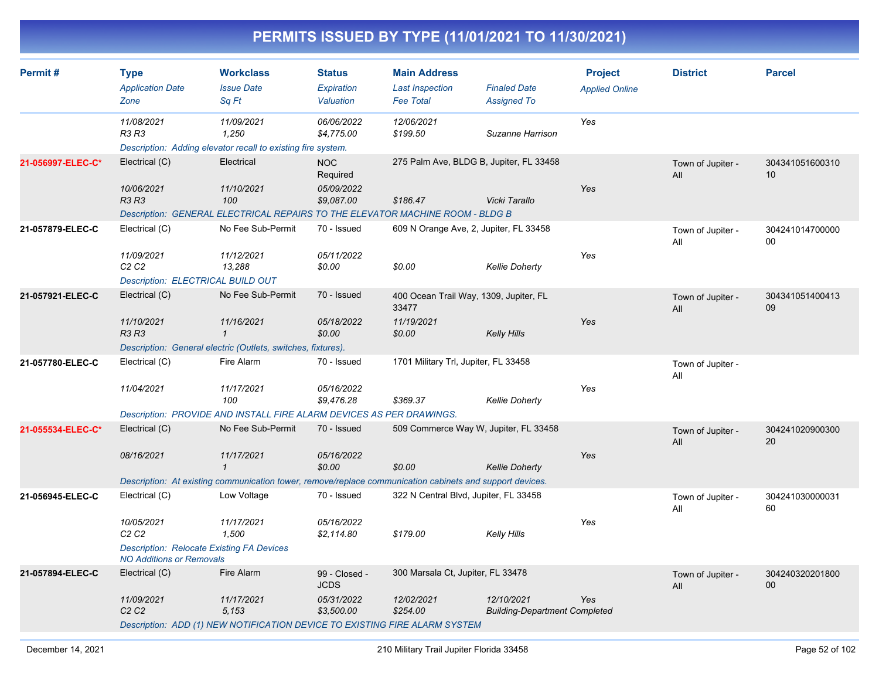| Permit#           | <b>Type</b><br><b>Application Date</b>                                              | <b>Workclass</b><br><b>Issue Date</b>                                                                    | <b>Status</b><br><b>Expiration</b> | <b>Main Address</b><br><b>Last Inspection</b>   | <b>Finaled Date</b>                                | <b>Project</b><br><b>Applied Online</b> | <b>District</b>          | <b>Parcel</b>         |
|-------------------|-------------------------------------------------------------------------------------|----------------------------------------------------------------------------------------------------------|------------------------------------|-------------------------------------------------|----------------------------------------------------|-----------------------------------------|--------------------------|-----------------------|
|                   | Zone                                                                                | Sq Ft                                                                                                    | Valuation                          | <b>Fee Total</b>                                | <b>Assigned To</b>                                 |                                         |                          |                       |
|                   | 11/08/2021<br><b>R3 R3</b>                                                          | 11/09/2021<br>1.250                                                                                      | 06/06/2022<br>\$4,775.00           | 12/06/2021<br>\$199.50                          | Suzanne Harrison                                   | Yes                                     |                          |                       |
|                   |                                                                                     | Description: Adding elevator recall to existing fire system.                                             |                                    |                                                 |                                                    |                                         |                          |                       |
| 21-056997-ELEC-C* | Electrical (C)                                                                      | Electrical                                                                                               | <b>NOC</b><br>Required             | 275 Palm Ave, BLDG B, Jupiter, FL 33458         |                                                    |                                         | Town of Jupiter -<br>All | 304341051600310<br>10 |
|                   | 10/06/2021<br><b>R3 R3</b>                                                          | 11/10/2021<br>100                                                                                        | 05/09/2022<br>\$9,087.00           | \$186.47                                        | Vicki Tarallo                                      | Yes                                     |                          |                       |
|                   |                                                                                     | Description: GENERAL ELECTRICAL REPAIRS TO THE ELEVATOR MACHINE ROOM - BLDG B                            |                                    |                                                 |                                                    |                                         |                          |                       |
| 21-057879-ELEC-C  | Electrical (C)                                                                      | No Fee Sub-Permit                                                                                        | 70 - Issued                        | 609 N Orange Ave, 2, Jupiter, FL 33458          |                                                    |                                         | Town of Jupiter -<br>All | 304241014700000<br>00 |
|                   | 11/09/2021<br>C <sub>2</sub> C <sub>2</sub>                                         | 11/12/2021<br>13,288                                                                                     | 05/11/2022<br>\$0.00               | \$0.00                                          | <b>Kellie Doherty</b>                              | Yes                                     |                          |                       |
|                   | Description: ELECTRICAL BUILD OUT                                                   |                                                                                                          |                                    |                                                 |                                                    |                                         |                          |                       |
| 21-057921-ELEC-C  | Electrical (C)                                                                      | No Fee Sub-Permit                                                                                        | 70 - Issued                        | 400 Ocean Trail Way, 1309, Jupiter, FL<br>33477 |                                                    |                                         | Town of Jupiter -<br>All | 304341051400413<br>09 |
|                   | 11/10/2021<br>R3 R3                                                                 | 11/16/2021<br>$\mathcal I$                                                                               | 05/18/2022<br>\$0.00               | 11/19/2021<br>\$0.00                            | <b>Kelly Hills</b>                                 | Yes                                     |                          |                       |
|                   |                                                                                     | Description: General electric (Outlets, switches, fixtures).                                             |                                    |                                                 |                                                    |                                         |                          |                       |
| 21-057780-ELEC-C  | Electrical (C)                                                                      | Fire Alarm                                                                                               | 70 - Issued                        | 1701 Military Trl, Jupiter, FL 33458            |                                                    |                                         | Town of Jupiter -<br>All |                       |
|                   | 11/04/2021                                                                          | 11/17/2021<br>100                                                                                        | 05/16/2022<br>\$9,476.28           | \$369.37                                        | <b>Kellie Doherty</b>                              | Yes                                     |                          |                       |
|                   |                                                                                     | Description: PROVIDE AND INSTALL FIRE ALARM DEVICES AS PER DRAWINGS.                                     |                                    |                                                 |                                                    |                                         |                          |                       |
| 21-055534-ELEC-C* | Electrical (C)                                                                      | No Fee Sub-Permit                                                                                        | 70 - Issued                        | 509 Commerce Way W, Jupiter, FL 33458           |                                                    |                                         | Town of Jupiter -<br>All | 304241020900300<br>20 |
|                   | 08/16/2021                                                                          | 11/17/2021<br>$\mathbf{1}$                                                                               | 05/16/2022<br>\$0.00               | \$0.00                                          | Kellie Doherty                                     | Yes                                     |                          |                       |
|                   |                                                                                     | Description: At existing communication tower, remove/replace communication cabinets and support devices. |                                    |                                                 |                                                    |                                         |                          |                       |
| 21-056945-ELEC-C  | Electrical (C)                                                                      | Low Voltage                                                                                              | 70 - Issued                        | 322 N Central Blvd, Jupiter, FL 33458           |                                                    |                                         | Town of Jupiter -<br>All | 304241030000031<br>60 |
|                   | 10/05/2021<br>C <sub>2</sub> C <sub>2</sub>                                         | 11/17/2021<br>1,500                                                                                      | 05/16/2022<br>\$2,114.80           | \$179.00                                        | Kelly Hills                                        | Yes                                     |                          |                       |
|                   | <b>Description: Relocate Existing FA Devices</b><br><b>NO Additions or Removals</b> |                                                                                                          |                                    |                                                 |                                                    |                                         |                          |                       |
| 21-057894-ELEC-C  | Electrical (C)                                                                      | Fire Alarm                                                                                               | 99 - Closed -<br><b>JCDS</b>       | 300 Marsala Ct, Jupiter, FL 33478               |                                                    |                                         | Town of Jupiter -<br>All | 304240320201800<br>00 |
|                   | 11/09/2021<br>C <sub>2</sub> C <sub>2</sub>                                         | 11/17/2021<br>5,153                                                                                      | 05/31/2022<br>\$3,500.00           | 12/02/2021<br>\$254.00                          | 12/10/2021<br><b>Building-Department Completed</b> | Yes                                     |                          |                       |
|                   |                                                                                     | Description: ADD (1) NEW NOTIFICATION DEVICE TO EXISTING FIRE ALARM SYSTEM                               |                                    |                                                 |                                                    |                                         |                          |                       |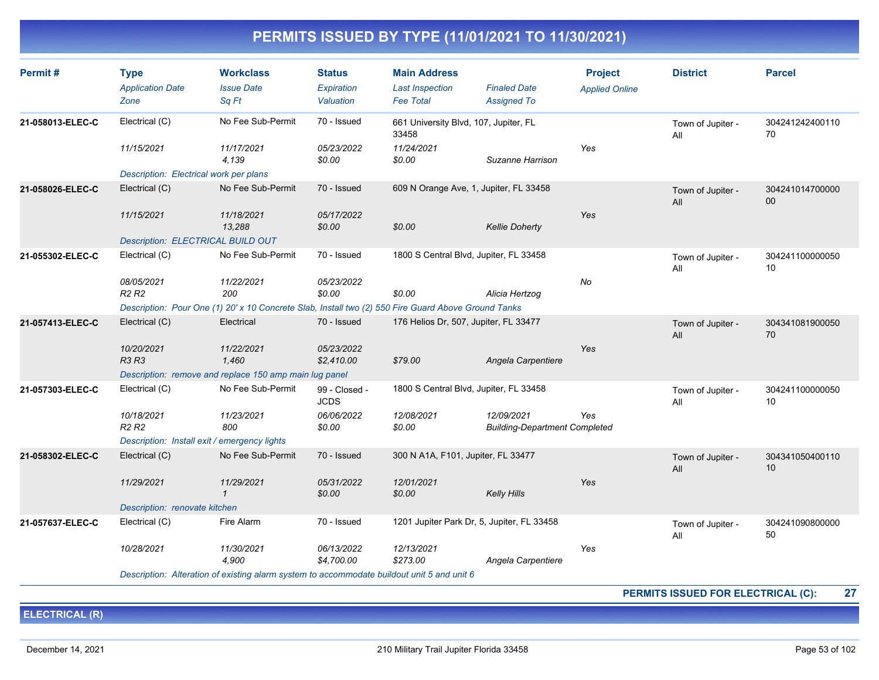| Permit#          | <b>Type</b><br><b>Application Date</b><br>Zone                                             | <b>Workclass</b><br><b>Issue Date</b><br>Sq Ft                                                      | <b>Status</b><br><b>Expiration</b><br>Valuation | <b>Main Address</b><br><b>Last Inspection</b><br><b>Fee Total</b> | <b>Finaled Date</b><br><b>Assigned To</b>          | <b>Project</b><br><b>Applied Online</b> | <b>District</b>          | <b>Parcel</b>         |
|------------------|--------------------------------------------------------------------------------------------|-----------------------------------------------------------------------------------------------------|-------------------------------------------------|-------------------------------------------------------------------|----------------------------------------------------|-----------------------------------------|--------------------------|-----------------------|
| 21-058013-ELEC-C | Electrical (C)                                                                             | No Fee Sub-Permit                                                                                   | 70 - Issued                                     | 661 University Blvd, 107, Jupiter, FL<br>33458                    |                                                    |                                         | Town of Jupiter -<br>All | 304241242400110<br>70 |
|                  | 11/15/2021                                                                                 | 11/17/2021<br>4,139                                                                                 | 05/23/2022<br>\$0.00                            | 11/24/2021<br>\$0.00                                              | Suzanne Harrison                                   | Yes                                     |                          |                       |
|                  | Description: Electrical work per plans                                                     |                                                                                                     |                                                 |                                                                   |                                                    |                                         |                          |                       |
| 21-058026-ELEC-C | Electrical (C)                                                                             | No Fee Sub-Permit                                                                                   | 70 - Issued                                     | 609 N Orange Ave, 1, Jupiter, FL 33458                            |                                                    |                                         | Town of Jupiter -<br>All | 304241014700000<br>00 |
|                  | 11/15/2021                                                                                 | 11/18/2021<br>13,288                                                                                | 05/17/2022<br>\$0.00                            | \$0.00                                                            | <b>Kellie Doherty</b>                              | Yes                                     |                          |                       |
|                  | Description: ELECTRICAL BUILD OUT                                                          |                                                                                                     |                                                 |                                                                   |                                                    |                                         |                          |                       |
| 21-055302-ELEC-C | Electrical (C)                                                                             | No Fee Sub-Permit                                                                                   | 70 - Issued                                     | 1800 S Central Blvd, Jupiter, FL 33458                            |                                                    |                                         | Town of Jupiter -<br>All | 304241100000050<br>10 |
|                  | 08/05/2021<br>R <sub>2</sub> R <sub>2</sub>                                                | 11/22/2021<br>200                                                                                   | 05/23/2022<br>\$0.00                            | \$0.00                                                            | Alicia Hertzog                                     | No                                      |                          |                       |
|                  |                                                                                            | Description: Pour One (1) 20' x 10 Concrete Slab, Install two (2) 550 Fire Guard Above Ground Tanks |                                                 |                                                                   |                                                    |                                         |                          |                       |
| 21-057413-ELEC-C | Electrical (C)                                                                             | Electrical                                                                                          | 70 - Issued                                     | 176 Helios Dr, 507, Jupiter, FL 33477                             |                                                    |                                         | Town of Jupiter -<br>All | 304341081900050<br>70 |
|                  | 10/20/2021<br><b>R3 R3</b>                                                                 | 11/22/2021<br>1.460                                                                                 | 05/23/2022<br>\$2,410.00                        | \$79.00                                                           | Angela Carpentiere                                 | Yes                                     |                          |                       |
|                  |                                                                                            | Description: remove and replace 150 amp main lug panel                                              |                                                 |                                                                   |                                                    |                                         |                          |                       |
| 21-057303-ELEC-C | Electrical (C)                                                                             | No Fee Sub-Permit                                                                                   | 99 - Closed -<br><b>JCDS</b>                    | 1800 S Central Blvd, Jupiter, FL 33458                            |                                                    |                                         | Town of Jupiter -<br>All | 304241100000050<br>10 |
|                  | 10/18/2021<br>R <sub>2</sub> R <sub>2</sub>                                                | 11/23/2021<br>800                                                                                   | 06/06/2022<br>\$0.00                            | 12/08/2021<br>\$0.00                                              | 12/09/2021<br><b>Building-Department Completed</b> | Yes                                     |                          |                       |
|                  | Description: Install exit / emergency lights                                               |                                                                                                     |                                                 |                                                                   |                                                    |                                         |                          |                       |
| 21-058302-ELEC-C | Electrical (C)                                                                             | No Fee Sub-Permit                                                                                   | 70 - Issued                                     | 300 N A1A, F101, Jupiter, FL 33477                                |                                                    |                                         | Town of Jupiter -<br>All | 304341050400110<br>10 |
|                  | 11/29/2021                                                                                 | 11/29/2021<br>$\mathbf{1}$                                                                          | 05/31/2022<br>\$0.00                            | 12/01/2021<br>\$0.00                                              | <b>Kelly Hills</b>                                 | Yes                                     |                          |                       |
|                  | Description: renovate kitchen                                                              |                                                                                                     |                                                 |                                                                   |                                                    |                                         |                          |                       |
| 21-057637-ELEC-C | Electrical (C)                                                                             | Fire Alarm                                                                                          | 70 - Issued                                     | 1201 Jupiter Park Dr, 5, Jupiter, FL 33458                        |                                                    |                                         | Town of Jupiter -<br>All | 304241090800000<br>50 |
|                  | 10/28/2021                                                                                 | 11/30/2021<br>4,900                                                                                 | 06/13/2022<br>\$4,700.00                        | 12/13/2021<br>\$273.00                                            | Angela Carpentiere                                 | Yes                                     |                          |                       |
|                  | Description: Alteration of existing alarm system to accommodate buildout unit 5 and unit 6 |                                                                                                     |                                                 |                                                                   |                                                    |                                         |                          |                       |

**PERMITS ISSUED FOR ELECTRICAL (C): 27**

**ELECTRICAL (R)**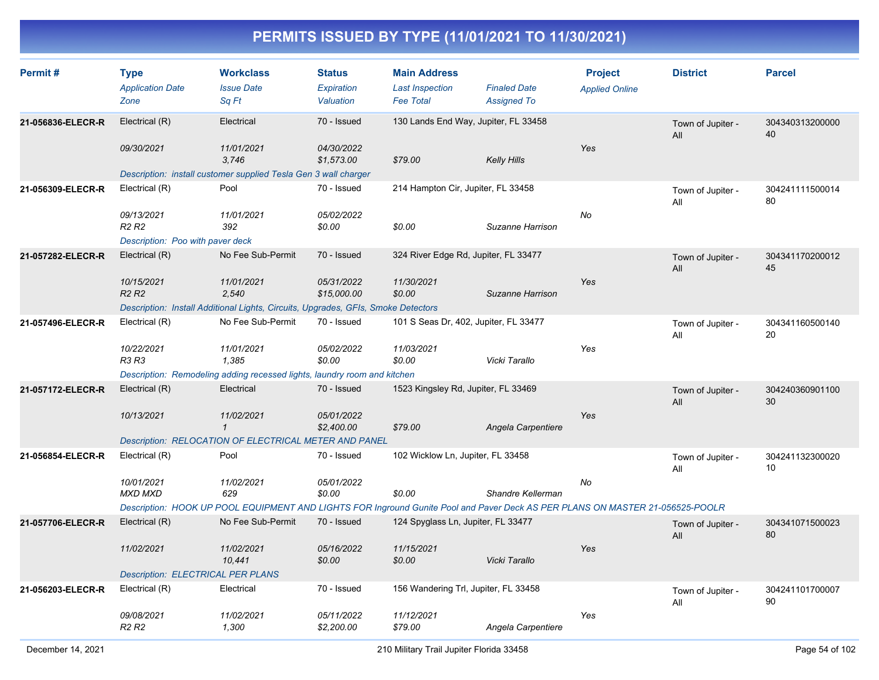| Permit#           | <b>Type</b><br><b>Application Date</b><br>Zone | <b>Workclass</b><br><b>Issue Date</b><br>Sq Ft                                                                                | <b>Status</b><br>Expiration<br>Valuation | <b>Main Address</b><br><b>Last Inspection</b><br><b>Fee Total</b> | <b>Finaled Date</b><br><b>Assigned To</b> | <b>Project</b><br><b>Applied Online</b> | <b>District</b>          | <b>Parcel</b>         |
|-------------------|------------------------------------------------|-------------------------------------------------------------------------------------------------------------------------------|------------------------------------------|-------------------------------------------------------------------|-------------------------------------------|-----------------------------------------|--------------------------|-----------------------|
| 21-056836-ELECR-R | Electrical (R)                                 | Electrical                                                                                                                    | 70 - Issued                              | 130 Lands End Way, Jupiter, FL 33458                              |                                           |                                         | Town of Jupiter -<br>All | 304340313200000<br>40 |
|                   | 09/30/2021                                     | 11/01/2021<br>3.746                                                                                                           | 04/30/2022<br>\$1,573.00                 | \$79.00                                                           | <b>Kelly Hills</b>                        | Yes                                     |                          |                       |
|                   |                                                | Description: install customer supplied Tesla Gen 3 wall charger                                                               |                                          |                                                                   |                                           |                                         |                          |                       |
| 21-056309-ELECR-R | Electrical (R)                                 | Pool                                                                                                                          | 70 - Issued                              | 214 Hampton Cir, Jupiter, FL 33458                                |                                           |                                         | Town of Jupiter -<br>All | 304241111500014<br>80 |
|                   | 09/13/2021<br>R <sub>2</sub> R <sub>2</sub>    | 11/01/2021<br>392                                                                                                             | 05/02/2022<br>\$0.00                     | \$0.00                                                            | Suzanne Harrison                          | No                                      |                          |                       |
|                   | Description: Poo with paver deck               |                                                                                                                               |                                          |                                                                   |                                           |                                         |                          |                       |
| 21-057282-ELECR-R | Electrical (R)                                 | No Fee Sub-Permit                                                                                                             | 70 - Issued                              | 324 River Edge Rd, Jupiter, FL 33477                              |                                           |                                         | Town of Jupiter -<br>All | 304341170200012<br>45 |
|                   | 10/15/2021<br>R2R2                             | 11/01/2021<br>2,540                                                                                                           | 05/31/2022<br>\$15,000.00                | 11/30/2021<br>\$0.00                                              | Suzanne Harrison                          | Yes                                     |                          |                       |
|                   |                                                | Description: Install Additional Lights, Circuits, Upgrades, GFIs, Smoke Detectors                                             |                                          |                                                                   |                                           |                                         |                          |                       |
| 21-057496-ELECR-R | Electrical (R)                                 | No Fee Sub-Permit                                                                                                             | 70 - Issued                              | 101 S Seas Dr, 402, Jupiter, FL 33477                             |                                           |                                         | Town of Jupiter -<br>All | 304341160500140<br>20 |
|                   | 10/22/2021<br>R3 R3                            | 11/01/2021<br>1,385                                                                                                           | 05/02/2022<br>\$0.00                     | 11/03/2021<br>\$0.00                                              | Vicki Tarallo                             | Yes                                     |                          |                       |
|                   |                                                | Description: Remodeling adding recessed lights, laundry room and kitchen                                                      |                                          |                                                                   |                                           |                                         |                          |                       |
| 21-057172-ELECR-R | Electrical (R)                                 | Electrical                                                                                                                    | 70 - Issued                              | 1523 Kingsley Rd, Jupiter, FL 33469                               |                                           |                                         | Town of Jupiter -<br>All | 304240360901100<br>30 |
|                   | 10/13/2021                                     | 11/02/2021<br>$\mathbf{1}$                                                                                                    | 05/01/2022<br>\$2,400.00                 | \$79.00                                                           | Angela Carpentiere                        | Yes                                     |                          |                       |
|                   |                                                | Description: RELOCATION OF ELECTRICAL METER AND PANEL                                                                         |                                          |                                                                   |                                           |                                         |                          |                       |
| 21-056854-ELECR-R | Electrical (R)                                 | Pool                                                                                                                          | 70 - Issued                              | 102 Wicklow Ln, Jupiter, FL 33458                                 |                                           |                                         | Town of Jupiter -<br>All | 304241132300020<br>10 |
|                   | 10/01/2021<br><b>MXD MXD</b>                   | 11/02/2021<br>629                                                                                                             | 05/01/2022<br>\$0.00                     | \$0.00                                                            | Shandre Kellerman                         | No                                      |                          |                       |
|                   |                                                | Description: HOOK UP POOL EQUIPMENT AND LIGHTS FOR Inground Gunite Pool and Paver Deck AS PER PLANS ON MASTER 21-056525-POOLR |                                          |                                                                   |                                           |                                         |                          |                       |
| 21-057706-ELECR-R | Electrical (R)                                 | No Fee Sub-Permit                                                                                                             | 70 - Issued                              | 124 Spyglass Ln, Jupiter, FL 33477                                |                                           |                                         | Town of Jupiter -<br>All | 304341071500023<br>80 |
|                   | 11/02/2021                                     | 11/02/2021<br>10,441                                                                                                          | 05/16/2022<br>\$0.00                     | 11/15/2021<br>\$0.00                                              | Vicki Tarallo                             | Yes                                     |                          |                       |
|                   | <b>Description: ELECTRICAL PER PLANS</b>       |                                                                                                                               |                                          |                                                                   |                                           |                                         |                          |                       |
| 21-056203-ELECR-R | Electrical (R)                                 | Electrical                                                                                                                    | 70 - Issued                              | 156 Wandering Trl, Jupiter, FL 33458                              |                                           |                                         | Town of Jupiter -<br>All | 304241101700007<br>90 |
|                   | 09/08/2021<br>R <sub>2</sub> R <sub>2</sub>    | 11/02/2021<br>1.300                                                                                                           | 05/11/2022<br>\$2,200.00                 | 11/12/2021<br>\$79.00                                             | Angela Carpentiere                        | Yes                                     |                          |                       |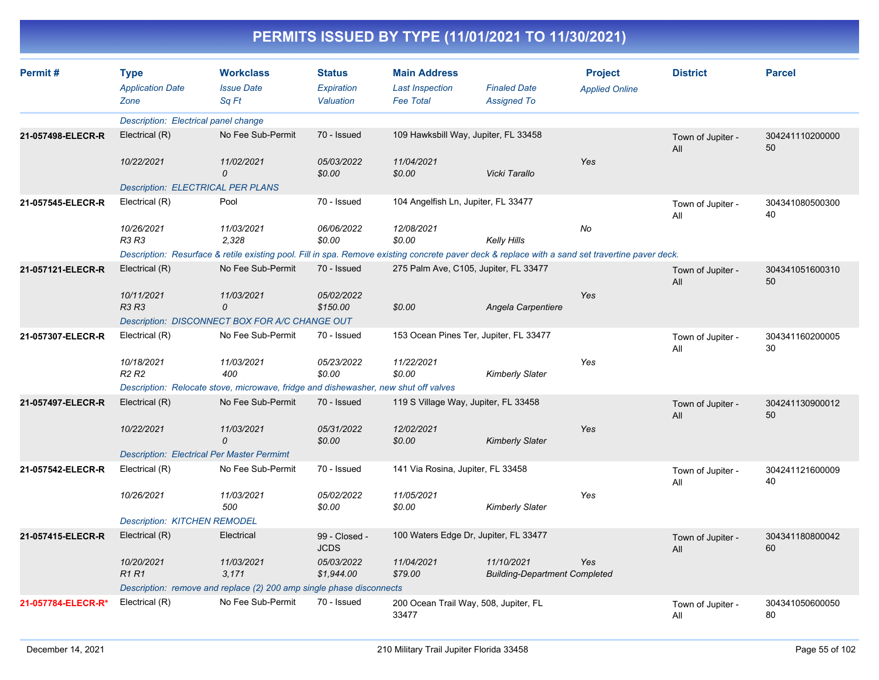| Permit#            | <b>Type</b><br><b>Application Date</b><br>Zone    | <b>Workclass</b><br><b>Issue Date</b><br>Sq Ft                                                                                                   | <b>Status</b><br>Expiration<br>Valuation | <b>Main Address</b><br><b>Last Inspection</b><br><b>Fee Total</b> | <b>Finaled Date</b><br><b>Assigned To</b>          | <b>Project</b><br><b>Applied Online</b> | <b>District</b>          | <b>Parcel</b>         |
|--------------------|---------------------------------------------------|--------------------------------------------------------------------------------------------------------------------------------------------------|------------------------------------------|-------------------------------------------------------------------|----------------------------------------------------|-----------------------------------------|--------------------------|-----------------------|
|                    | Description: Electrical panel change              |                                                                                                                                                  |                                          |                                                                   |                                                    |                                         |                          |                       |
| 21-057498-ELECR-R  | Electrical (R)                                    | No Fee Sub-Permit                                                                                                                                | 70 - Issued                              | 109 Hawksbill Way, Jupiter, FL 33458                              |                                                    |                                         | Town of Jupiter -<br>All | 304241110200000<br>50 |
|                    | 10/22/2021                                        | 11/02/2021<br>$\mathcal{O}$                                                                                                                      | 05/03/2022<br>\$0.00                     | 11/04/2021<br>\$0.00                                              | Vicki Tarallo                                      | Yes                                     |                          |                       |
|                    | <b>Description: ELECTRICAL PER PLANS</b>          |                                                                                                                                                  |                                          |                                                                   |                                                    |                                         |                          |                       |
| 21-057545-ELECR-R  | Electrical (R)                                    | Pool                                                                                                                                             | 70 - Issued                              | 104 Angelfish Ln, Jupiter, FL 33477                               |                                                    |                                         | Town of Jupiter -<br>All | 304341080500300<br>40 |
|                    | 10/26/2021<br>R3 R3                               | 11/03/2021<br>2.328                                                                                                                              | 06/06/2022<br>\$0.00                     | 12/08/2021<br>\$0.00                                              | <b>Kelly Hills</b>                                 | No                                      |                          |                       |
|                    |                                                   | Description: Resurface & retile existing pool. Fill in spa. Remove existing concrete paver deck & replace with a sand set travertine paver deck. |                                          |                                                                   |                                                    |                                         |                          |                       |
| 21-057121-ELECR-R  | Electrical (R)                                    | No Fee Sub-Permit                                                                                                                                | 70 - Issued                              |                                                                   | 275 Palm Ave, C105, Jupiter, FL 33477              |                                         | Town of Jupiter -<br>All | 304341051600310<br>50 |
|                    | 10/11/2021<br><b>R3 R3</b>                        | 11/03/2021<br>$\Omega$                                                                                                                           | 05/02/2022<br>\$150.00                   | \$0.00                                                            | Angela Carpentiere                                 | Yes                                     |                          |                       |
|                    |                                                   | Description: DISCONNECT BOX FOR A/C CHANGE OUT                                                                                                   |                                          |                                                                   |                                                    |                                         |                          |                       |
| 21-057307-ELECR-R  | Electrical (R)                                    | No Fee Sub-Permit                                                                                                                                | 70 - Issued                              |                                                                   | 153 Ocean Pines Ter, Jupiter, FL 33477             |                                         | Town of Jupiter -<br>All | 304341160200005<br>30 |
|                    | 10/18/2021<br>R <sub>2</sub> R <sub>2</sub>       | 11/03/2021<br>400                                                                                                                                | 05/23/2022<br>\$0.00                     | 11/22/2021<br>\$0.00                                              | <b>Kimberly Slater</b>                             | Yes                                     |                          |                       |
|                    |                                                   | Description: Relocate stove, microwave, fridge and dishewasher, new shut off valves                                                              |                                          |                                                                   |                                                    |                                         |                          |                       |
| 21-057497-ELECR-R  | Electrical (R)                                    | No Fee Sub-Permit                                                                                                                                | 70 - Issued                              | 119 S Village Way, Jupiter, FL 33458                              |                                                    |                                         | Town of Jupiter -<br>All | 304241130900012<br>50 |
|                    | 10/22/2021                                        | 11/03/2021<br>0                                                                                                                                  | 05/31/2022<br>\$0.00                     | 12/02/2021<br>\$0.00                                              | <b>Kimberly Slater</b>                             | Yes                                     |                          |                       |
|                    | <b>Description: Electrical Per Master Permimt</b> |                                                                                                                                                  |                                          |                                                                   |                                                    |                                         |                          |                       |
| 21-057542-ELECR-R  | Electrical (R)                                    | No Fee Sub-Permit                                                                                                                                | 70 - Issued                              | 141 Via Rosina, Jupiter, FL 33458                                 |                                                    |                                         | Town of Jupiter -<br>All | 304241121600009<br>40 |
|                    | 10/26/2021                                        | 11/03/2021<br>500                                                                                                                                | 05/02/2022<br>\$0.00                     | 11/05/2021<br>\$0.00                                              | <b>Kimberly Slater</b>                             | Yes                                     |                          |                       |
|                    | <b>Description: KITCHEN REMODEL</b>               |                                                                                                                                                  |                                          |                                                                   |                                                    |                                         |                          |                       |
| 21-057415-ELECR-R  | Electrical (R)                                    | Electrical                                                                                                                                       | 99 - Closed -<br><b>JCDS</b>             |                                                                   | 100 Waters Edge Dr, Jupiter, FL 33477              |                                         | Town of Jupiter -<br>All | 304341180800042<br>60 |
|                    | 10/20/2021<br><b>R1R1</b>                         | 11/03/2021<br>3,171                                                                                                                              | 05/03/2022<br>\$1,944.00                 | 11/04/2021<br>\$79.00                                             | 11/10/2021<br><b>Building-Department Completed</b> | Yes                                     |                          |                       |
|                    |                                                   | Description: remove and replace (2) 200 amp single phase disconnects                                                                             |                                          |                                                                   |                                                    |                                         |                          |                       |
| 21-057784-ELECR-R* | Electrical (R)                                    | No Fee Sub-Permit                                                                                                                                | 70 - Issued                              | 200 Ocean Trail Way, 508, Jupiter, FL<br>33477                    |                                                    |                                         | Town of Jupiter -<br>All | 304341050600050<br>80 |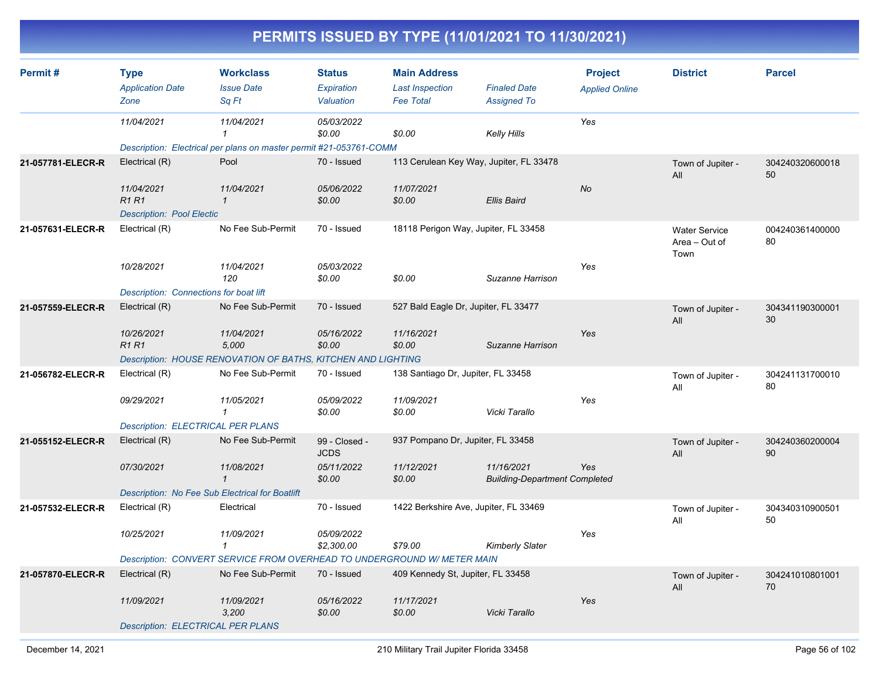| PERMITS ISSUED BY TYPE (11/01/2021 TO 11/30/2021) |                                                          |                                                                                  |                                          |                                                                   |                                                    |                                         |                                               |                       |  |  |
|---------------------------------------------------|----------------------------------------------------------|----------------------------------------------------------------------------------|------------------------------------------|-------------------------------------------------------------------|----------------------------------------------------|-----------------------------------------|-----------------------------------------------|-----------------------|--|--|
| Permit#                                           | <b>Type</b><br><b>Application Date</b><br>Zone           | <b>Workclass</b><br><b>Issue Date</b><br>Sq Ft                                   | <b>Status</b><br>Expiration<br>Valuation | <b>Main Address</b><br><b>Last Inspection</b><br><b>Fee Total</b> | <b>Finaled Date</b><br><b>Assigned To</b>          | <b>Project</b><br><b>Applied Online</b> | <b>District</b>                               | <b>Parcel</b>         |  |  |
|                                                   | 11/04/2021                                               | 11/04/2021<br>Description: Electrical per plans on master permit #21-053761-COMM | 05/03/2022<br>\$0.00                     | \$0.00                                                            | Kelly Hills                                        | Yes                                     |                                               |                       |  |  |
| 21-057781-ELECR-R                                 | Electrical (R)<br>11/04/2021<br><b>R1R1</b>              | Pool<br>11/04/2021<br>-1                                                         | 70 - Issued<br>05/06/2022<br>\$0.00      | 113 Cerulean Key Way, Jupiter, FL 33478<br>11/07/2021<br>\$0.00   | <b>Ellis Baird</b>                                 | No                                      | Town of Jupiter -<br>All                      | 304240320600018<br>50 |  |  |
|                                                   | <b>Description: Pool Electic</b>                         |                                                                                  |                                          |                                                                   |                                                    |                                         |                                               |                       |  |  |
| 21-057631-ELECR-R                                 | Electrical (R)                                           | No Fee Sub-Permit                                                                | 70 - Issued                              | 18118 Perigon Way, Jupiter, FL 33458                              |                                                    |                                         | <b>Water Service</b><br>Area - Out of<br>Town | 004240361400000<br>80 |  |  |
|                                                   | 10/28/2021                                               | 11/04/2021<br>120                                                                | 05/03/2022<br>\$0.00                     | \$0.00                                                            | Suzanne Harrison                                   | Yes                                     |                                               |                       |  |  |
| 21-057559-ELECR-R                                 | Description: Connections for boat lift<br>Electrical (R) | No Fee Sub-Permit                                                                | 70 - Issued                              | 527 Bald Eagle Dr, Jupiter, FL 33477                              |                                                    |                                         | Town of Jupiter -                             | 304341190300001       |  |  |
|                                                   |                                                          |                                                                                  |                                          |                                                                   |                                                    |                                         | All                                           | 30                    |  |  |
|                                                   | 10/26/2021<br><b>R1R1</b>                                | 11/04/2021<br>5,000                                                              | 05/16/2022<br>\$0.00                     | 11/16/2021<br>\$0.00                                              | Suzanne Harrison                                   | Yes                                     |                                               |                       |  |  |
|                                                   |                                                          | Description: HOUSE RENOVATION OF BATHS, KITCHEN AND LIGHTING                     |                                          |                                                                   |                                                    |                                         |                                               |                       |  |  |
| 21-056782-ELECR-R                                 | Electrical (R)                                           | No Fee Sub-Permit                                                                | 70 - Issued                              | 138 Santiago Dr, Jupiter, FL 33458                                |                                                    |                                         | Town of Jupiter -<br>All                      | 304241131700010<br>80 |  |  |
|                                                   | 09/29/2021<br><b>Description: ELECTRICAL PER PLANS</b>   | 11/05/2021<br>-1                                                                 | 05/09/2022<br>\$0.00                     | 11/09/2021<br>\$0.00                                              | Vicki Tarallo                                      | Yes                                     |                                               |                       |  |  |
| 21-055152-ELECR-R                                 | Electrical (R)                                           | No Fee Sub-Permit                                                                | 99 - Closed -                            | 937 Pompano Dr, Jupiter, FL 33458                                 |                                                    |                                         | Town of Jupiter -                             | 304240360200004       |  |  |
|                                                   |                                                          |                                                                                  | <b>JCDS</b>                              |                                                                   |                                                    |                                         | All                                           | 90                    |  |  |
|                                                   | 07/30/2021                                               | 11/08/2021                                                                       | 05/11/2022<br>\$0.00                     | 11/12/2021<br>\$0.00                                              | 11/16/2021<br><b>Building-Department Completed</b> | Yes                                     |                                               |                       |  |  |
|                                                   | Description: No Fee Sub Electrical for Boatlift          |                                                                                  |                                          |                                                                   |                                                    |                                         |                                               |                       |  |  |
| 21-057532-ELECR-R                                 | Electrical (R)                                           | Electrical                                                                       | 70 - Issued                              | 1422 Berkshire Ave, Jupiter, FL 33469                             |                                                    |                                         | Town of Jupiter -<br>All                      | 304340310900501<br>50 |  |  |
|                                                   | 10/25/2021                                               | 11/09/2021                                                                       | 05/09/2022<br>\$2,300.00                 | \$79.00                                                           | <b>Kimberly Slater</b>                             | Yes                                     |                                               |                       |  |  |
|                                                   |                                                          | Description: CONVERT SERVICE FROM OVERHEAD TO UNDERGROUND W/ METER MAIN          |                                          |                                                                   |                                                    |                                         |                                               |                       |  |  |
| 21-057870-ELECR-R                                 | Electrical (R)                                           | No Fee Sub-Permit                                                                | 70 - Issued                              | 409 Kennedy St, Jupiter, FL 33458                                 |                                                    |                                         | Town of Jupiter -<br>All                      | 304241010801001<br>70 |  |  |
|                                                   | 11/09/2021                                               | 11/09/2021<br>3,200                                                              | 05/16/2022<br>\$0.00                     | 11/17/2021<br>\$0.00                                              | Vicki Tarallo                                      | Yes                                     |                                               |                       |  |  |

#### *Description: ELECTRICAL PER PLANS*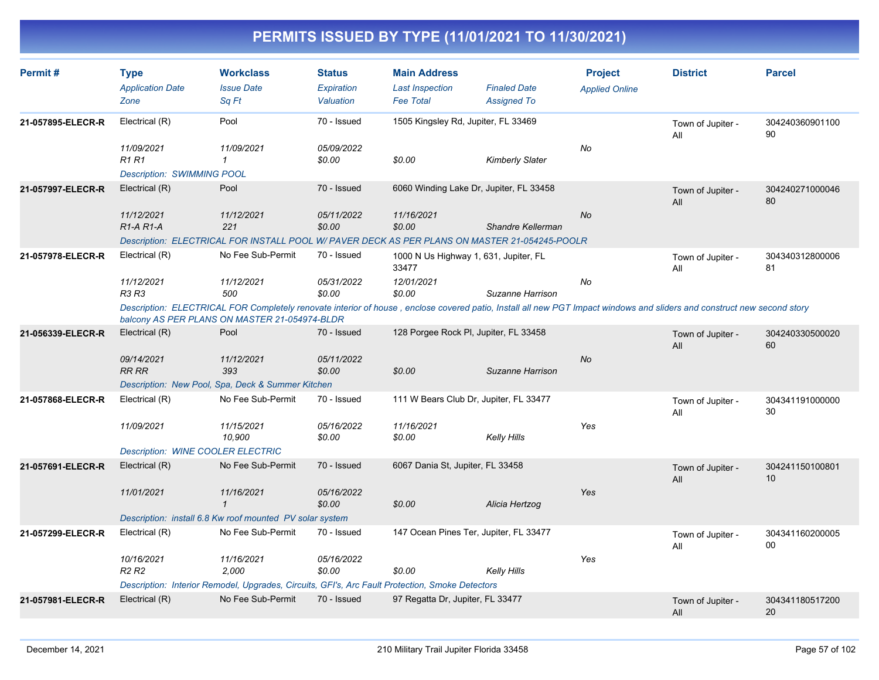| Permit#           | <b>Type</b><br><b>Application Date</b><br>Zone                                                                                                                                                                           | <b>Workclass</b><br><b>Issue Date</b><br>Sq Ft                                                  | <b>Status</b><br>Expiration<br>Valuation | <b>Main Address</b><br><b>Last Inspection</b><br><b>Fee Total</b> | <b>Finaled Date</b><br><b>Assigned To</b> | <b>Project</b><br><b>Applied Online</b> | <b>District</b>          | <b>Parcel</b>             |  |
|-------------------|--------------------------------------------------------------------------------------------------------------------------------------------------------------------------------------------------------------------------|-------------------------------------------------------------------------------------------------|------------------------------------------|-------------------------------------------------------------------|-------------------------------------------|-----------------------------------------|--------------------------|---------------------------|--|
| 21-057895-ELECR-R | Electrical (R)                                                                                                                                                                                                           | Pool                                                                                            | 70 - Issued                              | 1505 Kingsley Rd, Jupiter, FL 33469                               |                                           |                                         | Town of Jupiter -        | 304240360901100           |  |
|                   | 11/09/2021<br><b>R1 R1</b>                                                                                                                                                                                               | 11/09/2021<br>$\mathbf{1}$                                                                      | 05/09/2022<br>\$0.00                     | \$0.00                                                            | <b>Kimberly Slater</b>                    | No                                      | All                      | 90                        |  |
|                   | <b>Description: SWIMMING POOL</b>                                                                                                                                                                                        |                                                                                                 |                                          |                                                                   |                                           |                                         |                          |                           |  |
| 21-057997-ELECR-R | Electrical (R)                                                                                                                                                                                                           | Pool                                                                                            | 70 - Issued                              | 6060 Winding Lake Dr, Jupiter, FL 33458                           |                                           |                                         | Town of Jupiter -<br>All | 304240271000046<br>80     |  |
|                   | 11/12/2021<br>$R1-A R1-A$                                                                                                                                                                                                | 11/12/2021<br>221                                                                               | 05/11/2022<br>\$0.00                     | 11/16/2021<br>\$0.00                                              | Shandre Kellerman                         | No                                      |                          |                           |  |
|                   |                                                                                                                                                                                                                          | Description: ELECTRICAL FOR INSTALL POOL W/ PAVER DECK AS PER PLANS ON MASTER 21-054245-POOLR   |                                          |                                                                   |                                           |                                         |                          |                           |  |
| 21-057978-ELECR-R | Electrical (R)                                                                                                                                                                                                           | No Fee Sub-Permit                                                                               | 70 - Issued                              | 1000 N Us Highway 1, 631, Jupiter, FL<br>33477                    |                                           |                                         | Town of Jupiter -<br>All | 304340312800006<br>81     |  |
|                   | 11/12/2021<br><b>R3 R3</b>                                                                                                                                                                                               | 11/12/2021<br>500                                                                               | 05/31/2022<br>\$0.00                     | 12/01/2021<br>\$0.00                                              | Suzanne Harrison                          | No                                      |                          |                           |  |
|                   | Description: ELECTRICAL FOR Completely renovate interior of house, enclose covered patio, Install all new PGT Impact windows and sliders and construct new second story<br>balcony AS PER PLANS ON MASTER 21-054974-BLDR |                                                                                                 |                                          |                                                                   |                                           |                                         |                          |                           |  |
| 21-056339-ELECR-R | Electrical (R)                                                                                                                                                                                                           | Pool                                                                                            | 70 - Issued                              | 128 Porgee Rock PI, Jupiter, FL 33458                             |                                           |                                         | Town of Jupiter -<br>All | 304240330500020<br>60     |  |
|                   | 09/14/2021<br><b>RR RR</b>                                                                                                                                                                                               | 11/12/2021<br>393                                                                               | 05/11/2022<br>\$0.00                     | \$0.00                                                            | Suzanne Harrison                          | <b>No</b>                               |                          |                           |  |
|                   |                                                                                                                                                                                                                          | Description: New Pool, Spa, Deck & Summer Kitchen                                               |                                          |                                                                   |                                           |                                         |                          |                           |  |
| 21-057868-ELECR-R | Electrical (R)                                                                                                                                                                                                           | No Fee Sub-Permit                                                                               | 70 - Issued                              | 111 W Bears Club Dr, Jupiter, FL 33477                            |                                           |                                         | Town of Jupiter -<br>All | 304341191000000<br>30     |  |
|                   | 11/09/2021                                                                                                                                                                                                               | 11/15/2021<br>10,900                                                                            | 05/16/2022<br>\$0.00                     | 11/16/2021<br>\$0.00                                              | <b>Kelly Hills</b>                        | Yes                                     |                          |                           |  |
|                   | <b>Description: WINE COOLER ELECTRIC</b>                                                                                                                                                                                 |                                                                                                 |                                          |                                                                   |                                           |                                         |                          |                           |  |
| 21-057691-ELECR-R | Electrical (R)                                                                                                                                                                                                           | No Fee Sub-Permit                                                                               | 70 - Issued                              | 6067 Dania St, Jupiter, FL 33458                                  |                                           |                                         | Town of Jupiter -<br>All | 304241150100801<br>10     |  |
|                   | 11/01/2021                                                                                                                                                                                                               | 11/16/2021<br>$\mathbf{1}$                                                                      | 05/16/2022<br>\$0.00                     | \$0.00                                                            | Alicia Hertzog                            | Yes                                     |                          |                           |  |
|                   |                                                                                                                                                                                                                          | Description: install 6.8 Kw roof mounted PV solar system                                        |                                          |                                                                   |                                           |                                         |                          |                           |  |
| 21-057299-ELECR-R | Electrical (R)                                                                                                                                                                                                           | No Fee Sub-Permit                                                                               | 70 - Issued                              | 147 Ocean Pines Ter, Jupiter, FL 33477                            |                                           |                                         | Town of Jupiter -<br>All | 304341160200005<br>$00\,$ |  |
|                   | 10/16/2021<br>R <sub>2</sub> R <sub>2</sub>                                                                                                                                                                              | 11/16/2021<br>2,000                                                                             | 05/16/2022<br>\$0.00                     | \$0.00                                                            | <b>Kelly Hills</b>                        | Yes                                     |                          |                           |  |
|                   |                                                                                                                                                                                                                          | Description: Interior Remodel, Upgrades, Circuits, GFI's, Arc Fault Protection, Smoke Detectors |                                          |                                                                   |                                           |                                         |                          |                           |  |
| 21-057981-ELECR-R | Electrical (R)                                                                                                                                                                                                           | No Fee Sub-Permit                                                                               | 70 - Issued                              | 97 Regatta Dr, Jupiter, FL 33477                                  |                                           |                                         | Town of Jupiter -<br>All | 304341180517200<br>20     |  |
|                   |                                                                                                                                                                                                                          |                                                                                                 |                                          |                                                                   |                                           |                                         |                          |                           |  |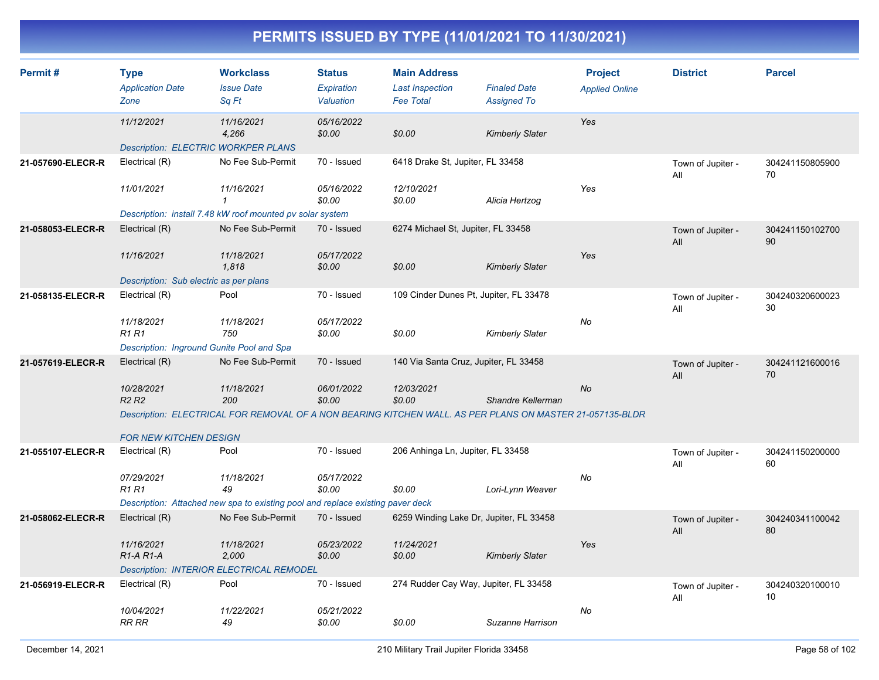| Permit#           | <b>Type</b><br><b>Application Date</b><br>Zone           | <b>Workclass</b><br><b>Issue Date</b><br>Sq Ft                                 | <b>Status</b><br><b>Expiration</b><br>Valuation | <b>Main Address</b><br><b>Last Inspection</b><br><b>Fee Total</b>                                        | <b>Finaled Date</b><br><b>Assigned To</b> | <b>Project</b><br><b>Applied Online</b> | <b>District</b>          | <b>Parcel</b>         |
|-------------------|----------------------------------------------------------|--------------------------------------------------------------------------------|-------------------------------------------------|----------------------------------------------------------------------------------------------------------|-------------------------------------------|-----------------------------------------|--------------------------|-----------------------|
|                   | 11/12/2021<br><b>Description: ELECTRIC WORKPER PLANS</b> | 11/16/2021<br>4,266                                                            | 05/16/2022<br>\$0.00                            | \$0.00                                                                                                   | <b>Kimberly Slater</b>                    | Yes                                     |                          |                       |
| 21-057690-ELECR-R | Electrical (R)                                           | No Fee Sub-Permit                                                              | 70 - Issued                                     | 6418 Drake St, Jupiter, FL 33458                                                                         |                                           |                                         |                          | 304241150805900       |
|                   |                                                          |                                                                                |                                                 |                                                                                                          |                                           |                                         | Town of Jupiter -<br>All | 70                    |
|                   | 11/01/2021                                               | 11/16/2021<br>$\mathbf{1}$                                                     | 05/16/2022<br>\$0.00                            | 12/10/2021<br>\$0.00                                                                                     | Alicia Hertzog                            | Yes                                     |                          |                       |
|                   |                                                          | Description: install 7.48 kW roof mounted pv solar system                      |                                                 |                                                                                                          |                                           |                                         |                          |                       |
| 21-058053-ELECR-R | Electrical (R)                                           | No Fee Sub-Permit                                                              | 70 - Issued                                     | 6274 Michael St, Jupiter, FL 33458                                                                       |                                           |                                         | Town of Jupiter -<br>All | 304241150102700<br>90 |
|                   | 11/16/2021                                               | 11/18/2021<br>1,818                                                            | 05/17/2022<br>\$0.00                            | \$0.00                                                                                                   | <b>Kimberly Slater</b>                    | Yes                                     |                          |                       |
|                   | Description: Sub electric as per plans                   |                                                                                |                                                 |                                                                                                          |                                           |                                         |                          |                       |
| 21-058135-ELECR-R | Electrical (R)                                           | Pool                                                                           | 70 - Issued                                     | 109 Cinder Dunes Pt, Jupiter, FL 33478                                                                   |                                           |                                         | Town of Jupiter -<br>All | 304240320600023<br>30 |
|                   | 11/18/2021<br>R1 R1                                      | 11/18/2021<br>750                                                              | 05/17/2022<br>\$0.00                            | \$0.00                                                                                                   | <b>Kimberly Slater</b>                    | No                                      |                          |                       |
|                   | Description: Inground Gunite Pool and Spa                |                                                                                |                                                 |                                                                                                          |                                           |                                         |                          |                       |
| 21-057619-ELECR-R | Electrical (R)                                           | No Fee Sub-Permit                                                              | 70 - Issued                                     | 140 Via Santa Cruz, Jupiter, FL 33458                                                                    |                                           |                                         | Town of Jupiter -<br>All | 304241121600016<br>70 |
|                   | 10/28/2021                                               | 11/18/2021                                                                     | 06/01/2022                                      | 12/03/2021                                                                                               |                                           | No                                      |                          |                       |
|                   | R <sub>2</sub> R <sub>2</sub>                            | 200                                                                            | \$0.00                                          | \$0.00                                                                                                   | Shandre Kellerman                         |                                         |                          |                       |
|                   |                                                          |                                                                                |                                                 | Description: ELECTRICAL FOR REMOVAL OF A NON BEARING KITCHEN WALL. AS PER PLANS ON MASTER 21-057135-BLDR |                                           |                                         |                          |                       |
|                   | <b>FOR NEW KITCHEN DESIGN</b>                            |                                                                                |                                                 |                                                                                                          |                                           |                                         |                          |                       |
| 21-055107-ELECR-R | Electrical (R)                                           | Pool                                                                           | 70 - Issued                                     | 206 Anhinga Ln, Jupiter, FL 33458                                                                        |                                           |                                         | Town of Jupiter -<br>All | 304241150200000<br>60 |
|                   | 07/29/2021                                               | 11/18/2021                                                                     | 05/17/2022                                      |                                                                                                          |                                           | No                                      |                          |                       |
|                   | <b>R1 R1</b>                                             | 49                                                                             | \$0.00                                          | \$0.00                                                                                                   | Lori-Lynn Weaver                          |                                         |                          |                       |
|                   |                                                          | Description: Attached new spa to existing pool and replace existing paver deck |                                                 |                                                                                                          |                                           |                                         |                          |                       |
| 21-058062-ELECR-R | Electrical (R)                                           | No Fee Sub-Permit                                                              | 70 - Issued                                     | 6259 Winding Lake Dr, Jupiter, FL 33458                                                                  |                                           |                                         | Town of Jupiter -<br>All | 304240341100042<br>80 |
|                   | 11/16/2021<br>R <sub>1</sub> -A <sub>R1</sub> -A         | 11/18/2021<br>2,000                                                            | 05/23/2022<br>\$0.00                            | 11/24/2021<br>\$0.00                                                                                     | <b>Kimberly Slater</b>                    | Yes                                     |                          |                       |
|                   |                                                          | Description: INTERIOR ELECTRICAL REMODEL                                       |                                                 |                                                                                                          |                                           |                                         |                          |                       |
| 21-056919-ELECR-R | Electrical (R)                                           | Pool                                                                           | 70 - Issued                                     | 274 Rudder Cay Way, Jupiter, FL 33458                                                                    |                                           |                                         | Town of Jupiter -<br>All | 304240320100010<br>10 |
|                   | 10/04/2021<br><b>RR RR</b>                               | 11/22/2021<br>49                                                               | 05/21/2022<br>\$0.00                            | \$0.00                                                                                                   | Suzanne Harrison                          | No                                      |                          |                       |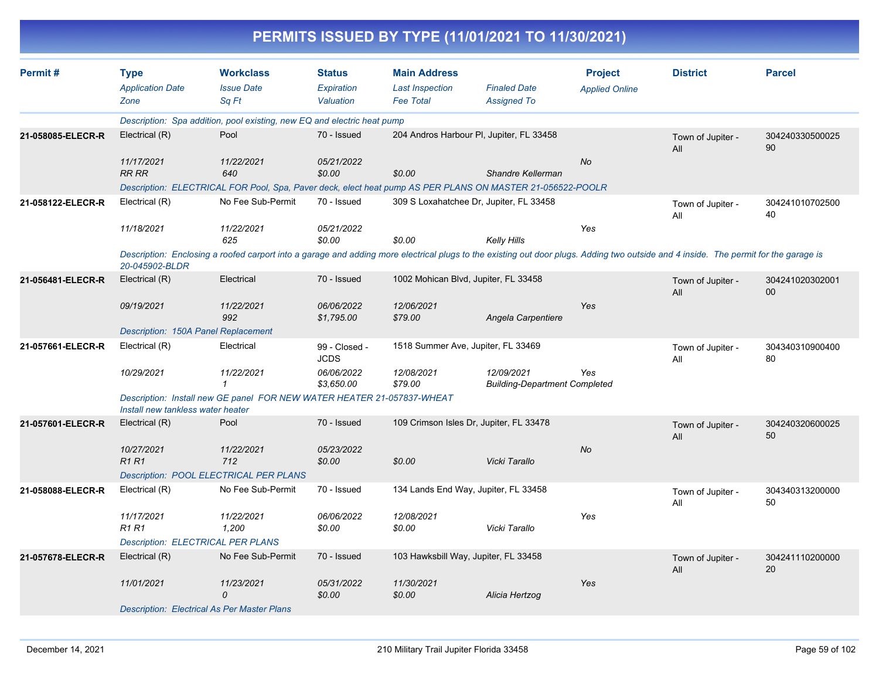|                   |                                                |                                                                                                                                                                                      |                                   | PERMITS ISSUED BY TYPE (11/01/2021 TO 11/30/2021)                 |                                                    |                                         |                          |                       |
|-------------------|------------------------------------------------|--------------------------------------------------------------------------------------------------------------------------------------------------------------------------------------|-----------------------------------|-------------------------------------------------------------------|----------------------------------------------------|-----------------------------------------|--------------------------|-----------------------|
| Permit#           | <b>Type</b><br><b>Application Date</b><br>Zone | <b>Workclass</b><br><b>Issue Date</b><br>Sq Ft                                                                                                                                       | Status<br>Expiration<br>Valuation | <b>Main Address</b><br><b>Last Inspection</b><br><b>Fee Total</b> | <b>Finaled Date</b><br><b>Assigned To</b>          | <b>Project</b><br><b>Applied Online</b> | <b>District</b>          | <b>Parcel</b>         |
|                   |                                                | Description: Spa addition, pool existing, new EQ and electric heat pump                                                                                                              |                                   |                                                                   |                                                    |                                         |                          |                       |
| 21-058085-ELECR-R | Electrical (R)                                 | Pool                                                                                                                                                                                 | 70 - Issued                       | 204 Andros Harbour PI, Jupiter, FL 33458                          |                                                    |                                         | Town of Jupiter -<br>All | 304240330500025<br>90 |
|                   | 11/17/2021<br>RR RR                            | 11/22/2021<br>640                                                                                                                                                                    | 05/21/2022<br>\$0.00              | \$0.00                                                            | Shandre Kellerman                                  | No                                      |                          |                       |
|                   |                                                | Description: ELECTRICAL FOR Pool, Spa, Paver deck, elect heat pump AS PER PLANS ON MASTER 21-056522-POOLR                                                                            |                                   |                                                                   |                                                    |                                         |                          |                       |
| 21-058122-ELECR-R | Electrical (R)                                 | No Fee Sub-Permit                                                                                                                                                                    | 70 - Issued                       | 309 S Loxahatchee Dr, Jupiter, FL 33458                           |                                                    |                                         | Town of Jupiter -<br>All | 304241010702500<br>40 |
|                   | 11/18/2021                                     | 11/22/2021<br>625                                                                                                                                                                    | 05/21/2022<br>\$0.00              | \$0.00                                                            | <b>Kelly Hills</b>                                 | Yes                                     |                          |                       |
|                   | 20-045902-BLDR                                 | Description: Enclosing a roofed carport into a garage and adding more electrical plugs to the existing out door plugs. Adding two outside and 4 inside. The permit for the garage is |                                   |                                                                   |                                                    |                                         |                          |                       |
| 21-056481-ELECR-R | Electrical (R)                                 | Electrical                                                                                                                                                                           | 70 - Issued                       | 1002 Mohican Blvd, Jupiter, FL 33458                              |                                                    |                                         | Town of Jupiter -<br>All | 304241020302001<br>00 |
|                   | 09/19/2021                                     | 11/22/2021<br>992                                                                                                                                                                    | 06/06/2022<br>\$1,795.00          | 12/06/2021<br>\$79.00                                             | Angela Carpentiere                                 | Yes                                     |                          |                       |
|                   | Description: 150A Panel Replacement            |                                                                                                                                                                                      |                                   |                                                                   |                                                    |                                         |                          |                       |
| 21-057661-ELECR-R | Electrical (R)                                 | Electrical                                                                                                                                                                           | 99 - Closed -<br><b>JCDS</b>      | 1518 Summer Ave, Jupiter, FL 33469                                |                                                    |                                         | Town of Jupiter -<br>All | 304340310900400<br>80 |
|                   | 10/29/2021                                     | 11/22/2021<br>1                                                                                                                                                                      | 06/06/2022<br>\$3,650.00          | 12/08/2021<br>\$79.00                                             | 12/09/2021<br><b>Building-Department Completed</b> | Yes                                     |                          |                       |
|                   | Install new tankless water heater              | Description: Install new GE panel FOR NEW WATER HEATER 21-057837-WHEAT                                                                                                               |                                   |                                                                   |                                                    |                                         |                          |                       |
| 21-057601-ELECR-R | Electrical (R)                                 | Pool                                                                                                                                                                                 | 70 - Issued                       | 109 Crimson Isles Dr, Jupiter, FL 33478                           |                                                    |                                         | Town of Jupiter -<br>All | 304240320600025<br>50 |
|                   | 10/27/2021<br>R1 R1                            | 11/22/2021<br>712                                                                                                                                                                    | 05/23/2022<br>\$0.00              | \$0.00                                                            | Vicki Tarallo                                      | No                                      |                          |                       |
|                   |                                                | <b>Description: POOL ELECTRICAL PER PLANS</b>                                                                                                                                        |                                   |                                                                   |                                                    |                                         |                          |                       |
| 21-058088-ELECR-R | Electrical (R)                                 | No Fee Sub-Permit                                                                                                                                                                    | 70 - Issued                       | 134 Lands End Way, Jupiter, FL 33458                              |                                                    |                                         | Town of Jupiter -<br>All | 304340313200000<br>50 |
|                   | 11/17/2021<br>R1 R1                            | 11/22/2021<br>1,200                                                                                                                                                                  | 06/06/2022<br>\$0.00              | 12/08/2021<br>\$0.00                                              | Vicki Tarallo                                      | Yes                                     |                          |                       |
|                   | <b>Description: ELECTRICAL PER PLANS</b>       |                                                                                                                                                                                      |                                   |                                                                   |                                                    |                                         |                          |                       |
| 21-057678-ELECR-R | Electrical (R)                                 | No Fee Sub-Permit                                                                                                                                                                    | 70 - Issued                       | 103 Hawksbill Way, Jupiter, FL 33458                              |                                                    |                                         | Town of Jupiter -<br>aii | 304241110200000<br>20 |
|                   | 11/01/2021                                     | 11/23/2021<br>0                                                                                                                                                                      | 05/31/2022<br>\$0.00              | 11/30/2021<br>\$0.00                                              | Alicia Hertzog                                     | Yes                                     |                          |                       |
|                   |                                                | <b>Description: Electrical As Per Master Plans</b>                                                                                                                                   |                                   |                                                                   |                                                    |                                         |                          |                       |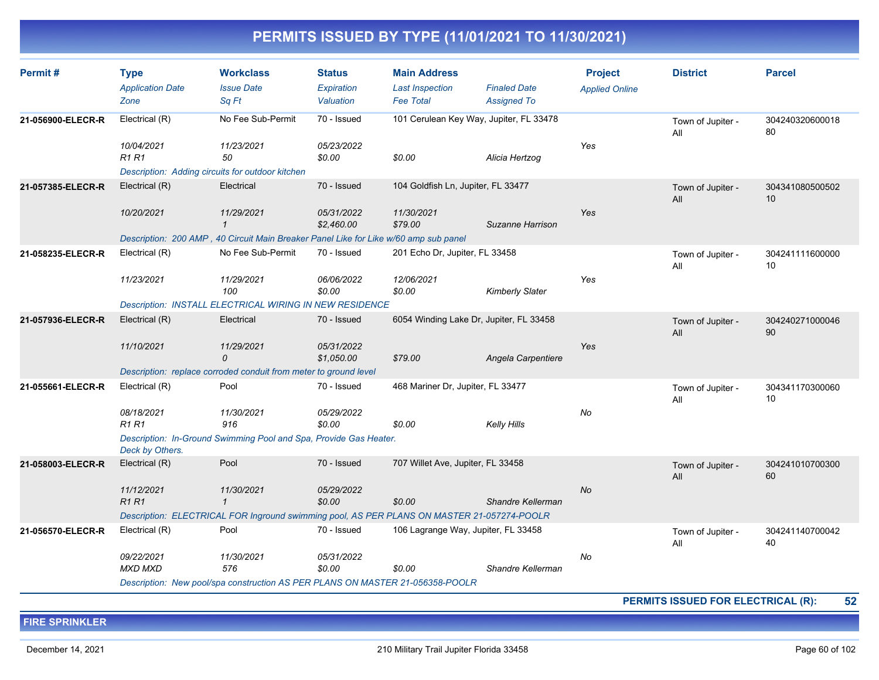| Permit#           | <b>Type</b><br><b>Application Date</b><br>Zone                                                | <b>Workclass</b><br><b>Issue Date</b><br>Sq Ft                                             | <b>Status</b><br>Expiration<br>Valuation | <b>Main Address</b><br><b>Last Inspection</b><br><b>Fee Total</b> | <b>Finaled Date</b><br><b>Assigned To</b> | <b>Project</b><br><b>Applied Online</b> | <b>District</b>          | <b>Parcel</b>         |
|-------------------|-----------------------------------------------------------------------------------------------|--------------------------------------------------------------------------------------------|------------------------------------------|-------------------------------------------------------------------|-------------------------------------------|-----------------------------------------|--------------------------|-----------------------|
| 21-056900-ELECR-R | No Fee Sub-Permit<br>70 - Issued<br>101 Cerulean Key Way, Jupiter, FL 33478<br>Electrical (R) |                                                                                            |                                          |                                                                   | Town of Jupiter -<br>All                  | 304240320600018<br>80                   |                          |                       |
|                   | 10/04/2021<br><b>R1R1</b>                                                                     | 11/23/2021<br>50                                                                           | 05/23/2022<br>\$0.00                     | \$0.00                                                            | Alicia Hertzog                            | Yes                                     |                          |                       |
|                   |                                                                                               | Description: Adding circuits for outdoor kitchen                                           |                                          |                                                                   |                                           |                                         |                          |                       |
| 21-057385-ELECR-R | Electrical (R)                                                                                | Electrical                                                                                 | 70 - Issued                              | 104 Goldfish Ln, Jupiter, FL 33477                                |                                           |                                         | Town of Jupiter -<br>All | 304341080500502<br>10 |
|                   | 10/20/2021                                                                                    | 11/29/2021<br>$\mathbf{1}$                                                                 | 05/31/2022<br>\$2,460.00                 | 11/30/2021<br>\$79.00                                             | Suzanne Harrison                          | Yes                                     |                          |                       |
|                   |                                                                                               | Description: 200 AMP, 40 Circuit Main Breaker Panel Like for Like w/60 amp sub panel       |                                          |                                                                   |                                           |                                         |                          |                       |
| 21-058235-ELECR-R | Electrical (R)                                                                                | No Fee Sub-Permit                                                                          | 70 - Issued                              | 201 Echo Dr, Jupiter, FL 33458                                    |                                           |                                         | Town of Jupiter -<br>All | 304241111600000<br>10 |
|                   | 11/23/2021                                                                                    | 11/29/2021<br>100                                                                          | 06/06/2022<br>\$0.00                     | 12/06/2021<br>\$0.00                                              | <b>Kimberly Slater</b>                    | Yes                                     |                          |                       |
|                   |                                                                                               | Description: INSTALL ELECTRICAL WIRING IN NEW RESIDENCE                                    |                                          |                                                                   |                                           |                                         |                          |                       |
| 21-057936-ELECR-R | Electrical (R)                                                                                | Electrical                                                                                 | 70 - Issued                              | 6054 Winding Lake Dr, Jupiter, FL 33458                           |                                           |                                         | Town of Jupiter -<br>All | 304240271000046<br>90 |
|                   | 11/10/2021                                                                                    | 11/29/2021<br>$\Omega$                                                                     | 05/31/2022<br>\$1.050.00                 | \$79.00                                                           | Angela Carpentiere                        | Yes                                     |                          |                       |
|                   |                                                                                               | Description: replace corroded conduit from meter to ground level                           |                                          |                                                                   |                                           |                                         |                          |                       |
| 21-055661-ELECR-R | Electrical (R)                                                                                | Pool                                                                                       | 70 - Issued                              | 468 Mariner Dr, Jupiter, FL 33477                                 |                                           |                                         | Town of Jupiter -<br>All | 304341170300060<br>10 |
|                   | 08/18/2021<br><b>R1 R1</b>                                                                    | 11/30/2021<br>916                                                                          | 05/29/2022<br>\$0.00                     | \$0.00                                                            | <b>Kelly Hills</b>                        | No                                      |                          |                       |
|                   | Deck by Others.                                                                               | Description: In-Ground Swimming Pool and Spa, Provide Gas Heater.                          |                                          |                                                                   |                                           |                                         |                          |                       |
| 21-058003-ELECR-R | Electrical (R)                                                                                | Pool                                                                                       | 70 - Issued                              | 707 Willet Ave, Jupiter, FL 33458                                 |                                           |                                         | Town of Jupiter -<br>All | 304241010700300<br>60 |
|                   | 11/12/2021<br><b>R1 R1</b>                                                                    | 11/30/2021<br>$\mathbf{1}$                                                                 | 05/29/2022<br>\$0.00                     | \$0.00                                                            | Shandre Kellerman                         | <b>No</b>                               |                          |                       |
|                   |                                                                                               | Description: ELECTRICAL FOR Inground swimming pool, AS PER PLANS ON MASTER 21-057274-POOLR |                                          |                                                                   |                                           |                                         |                          |                       |
| 21-056570-ELECR-R | Electrical (R)                                                                                | Pool                                                                                       | 70 - Issued                              | 106 Lagrange Way, Jupiter, FL 33458                               |                                           |                                         | Town of Jupiter -<br>All | 304241140700042<br>40 |
|                   | 09/22/2021<br><b>MXD MXD</b>                                                                  | 11/30/2021<br>576                                                                          | 05/31/2022<br>\$0.00                     | \$0.00                                                            | Shandre Kellerman                         | No                                      |                          |                       |
|                   |                                                                                               | Description: New pool/spa construction AS PER PLANS ON MASTER 21-056358-POOLR              |                                          |                                                                   |                                           |                                         |                          |                       |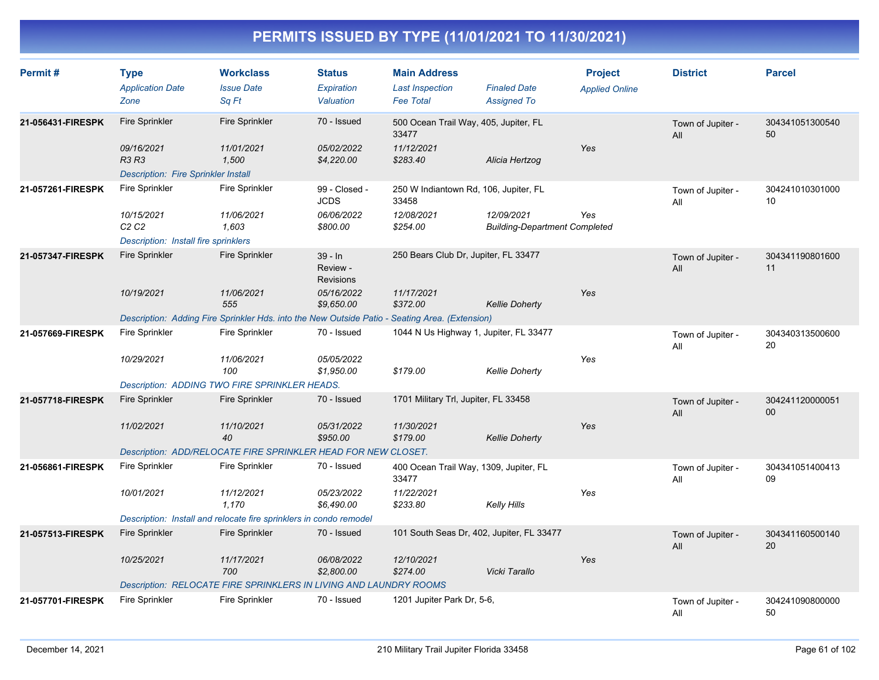| Permit#           | <b>Type</b><br><b>Application Date</b><br>Zone                           | <b>Workclass</b><br><b>Issue Date</b><br>Sq Ft                                                 | <b>Status</b><br>Expiration<br>Valuation | <b>Main Address</b><br><b>Last Inspection</b><br><b>Fee Total</b> | <b>Finaled Date</b><br><b>Assigned To</b>          | <b>Project</b><br><b>Applied Online</b> | <b>District</b>          | <b>Parcel</b>             |
|-------------------|--------------------------------------------------------------------------|------------------------------------------------------------------------------------------------|------------------------------------------|-------------------------------------------------------------------|----------------------------------------------------|-----------------------------------------|--------------------------|---------------------------|
| 21-056431-FIRESPK | <b>Fire Sprinkler</b>                                                    | <b>Fire Sprinkler</b>                                                                          | 70 - Issued                              | 500 Ocean Trail Way, 405, Jupiter, FL<br>33477                    |                                                    |                                         | Town of Jupiter -<br>All | 304341051300540<br>50     |
|                   | 09/16/2021<br><b>R3 R3</b><br><b>Description: Fire Sprinkler Install</b> | 11/01/2021<br>1.500                                                                            | 05/02/2022<br>\$4,220.00                 | 11/12/2021<br>\$283.40                                            | Alicia Hertzog                                     | Yes                                     |                          |                           |
| 21-057261-FIRESPK | <b>Fire Sprinkler</b>                                                    | Fire Sprinkler                                                                                 | 99 - Closed -<br><b>JCDS</b>             | 250 W Indiantown Rd, 106, Jupiter, FL<br>33458                    |                                                    |                                         | Town of Jupiter -<br>All | 304241010301000<br>10     |
|                   | 10/15/2021<br>C2C2<br>Description: Install fire sprinklers               | 11/06/2021<br>1,603                                                                            | 06/06/2022<br>\$800.00                   | 12/08/2021<br>\$254.00                                            | 12/09/2021<br><b>Building-Department Completed</b> | Yes                                     |                          |                           |
| 21-057347-FIRESPK | <b>Fire Sprinkler</b>                                                    | <b>Fire Sprinkler</b>                                                                          | 39 - In<br>Review -<br><b>Revisions</b>  | 250 Bears Club Dr, Jupiter, FL 33477                              |                                                    |                                         | Town of Jupiter -<br>All | 304341190801600<br>11     |
|                   | 10/19/2021                                                               | 11/06/2021<br>555                                                                              | 05/16/2022<br>\$9,650.00                 | 11/17/2021<br>\$372.00                                            | <b>Kellie Doherty</b>                              | Yes                                     |                          |                           |
|                   |                                                                          | Description: Adding Fire Sprinkler Hds. into the New Outside Patio - Seating Area. (Extension) |                                          |                                                                   |                                                    |                                         |                          |                           |
| 21-057669-FIRESPK | <b>Fire Sprinkler</b>                                                    | <b>Fire Sprinkler</b>                                                                          | 70 - Issued                              | 1044 N Us Highway 1, Jupiter, FL 33477                            |                                                    |                                         | Town of Jupiter -<br>All | 304340313500600<br>20     |
|                   | 10/29/2021                                                               | 11/06/2021<br>100                                                                              | 05/05/2022<br>\$1,950.00                 | \$179.00                                                          | <b>Kellie Doherty</b>                              | Yes                                     |                          |                           |
|                   |                                                                          | Description: ADDING TWO FIRE SPRINKLER HEADS.                                                  |                                          |                                                                   |                                                    |                                         |                          |                           |
| 21-057718-FIRESPK | <b>Fire Sprinkler</b>                                                    | <b>Fire Sprinkler</b>                                                                          | 70 - Issued                              | 1701 Military Trl, Jupiter, FL 33458                              |                                                    |                                         | Town of Jupiter -<br>All | 304241120000051<br>$00\,$ |
|                   | 11/02/2021                                                               | 11/10/2021<br>40                                                                               | 05/31/2022<br>\$950.00                   | 11/30/2021<br>\$179.00                                            | <b>Kellie Doherty</b>                              | Yes                                     |                          |                           |
|                   |                                                                          | Description: ADD/RELOCATE FIRE SPRINKLER HEAD FOR NEW CLOSET.                                  |                                          |                                                                   |                                                    |                                         |                          |                           |
| 21-056861-FIRESPK | <b>Fire Sprinkler</b>                                                    | Fire Sprinkler                                                                                 | 70 - Issued                              | 400 Ocean Trail Way, 1309, Jupiter, FL<br>33477                   |                                                    |                                         | Town of Jupiter -<br>All | 304341051400413<br>09     |
|                   | 10/01/2021                                                               | 11/12/2021<br>1,170                                                                            | 05/23/2022<br>\$6,490.00                 | 11/22/2021<br>\$233.80                                            | Kelly Hills                                        | Yes                                     |                          |                           |
|                   |                                                                          | Description: Install and relocate fire sprinklers in condo remodel                             |                                          |                                                                   |                                                    |                                         |                          |                           |
| 21-057513-FIRESPK | <b>Fire Sprinkler</b>                                                    | <b>Fire Sprinkler</b>                                                                          | 70 - Issued                              | 101 South Seas Dr, 402, Jupiter, FL 33477                         |                                                    |                                         | Town of Jupiter -<br>All | 304341160500140<br>20     |
|                   | 10/25/2021                                                               | 11/17/2021<br>700                                                                              | 06/08/2022<br>\$2,800.00                 | 12/10/2021<br>\$274.00                                            | Vicki Tarallo                                      | Yes                                     |                          |                           |
|                   |                                                                          | <b>Description: RELOCATE FIRE SPRINKLERS IN LIVING AND LAUNDRY ROOMS</b>                       |                                          |                                                                   |                                                    |                                         |                          |                           |
| 21-057701-FIRESPK | <b>Fire Sprinkler</b>                                                    | Fire Sprinkler                                                                                 | 70 - Issued                              | 1201 Jupiter Park Dr, 5-6,                                        |                                                    |                                         | Town of Jupiter -<br>All | 304241090800000<br>50     |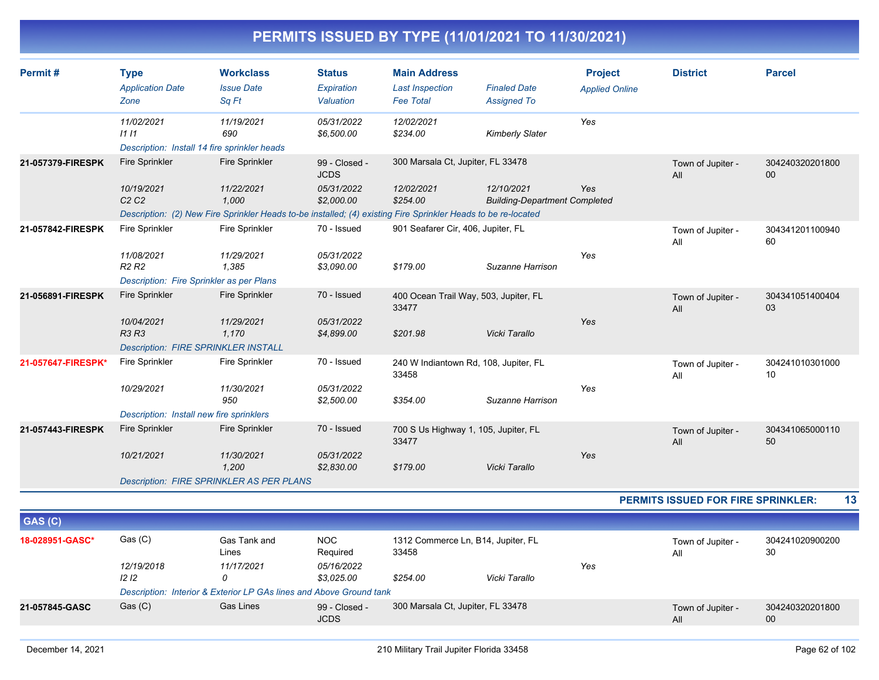| Permit#            | <b>Type</b>                                  | <b>Workclass</b>                                                                                              | <b>Status</b>                | <b>Main Address</b>                            |                                                    | <b>Project</b>        | <b>District</b>                    | <b>Parcel</b>         |
|--------------------|----------------------------------------------|---------------------------------------------------------------------------------------------------------------|------------------------------|------------------------------------------------|----------------------------------------------------|-----------------------|------------------------------------|-----------------------|
|                    | <b>Application Date</b>                      | <b>Issue Date</b>                                                                                             | Expiration                   | <b>Last Inspection</b>                         | <b>Finaled Date</b>                                | <b>Applied Online</b> |                                    |                       |
|                    | Zone                                         | Sq Ft                                                                                                         | Valuation                    | <b>Fee Total</b>                               | <b>Assigned To</b>                                 |                       |                                    |                       |
|                    | 11/02/2021                                   | 11/19/2021                                                                                                    | 05/31/2022                   | 12/02/2021                                     |                                                    | Yes                   |                                    |                       |
|                    | 1111                                         | 690                                                                                                           | \$6,500.00                   | \$234.00                                       | <b>Kimberly Slater</b>                             |                       |                                    |                       |
|                    | Description: Install 14 fire sprinkler heads |                                                                                                               |                              |                                                |                                                    |                       |                                    |                       |
| 21-057379-FIRESPK  | <b>Fire Sprinkler</b>                        | <b>Fire Sprinkler</b>                                                                                         | 99 - Closed -<br><b>JCDS</b> | 300 Marsala Ct, Jupiter, FL 33478              |                                                    |                       | Town of Jupiter -<br>All           | 304240320201800<br>00 |
|                    | 10/19/2021<br>C <sub>2</sub> C <sub>2</sub>  | 11/22/2021<br>1.000                                                                                           | 05/31/2022<br>\$2.000.00     | 12/02/2021<br>\$254.00                         | 12/10/2021<br><b>Building-Department Completed</b> | Yes                   |                                    |                       |
|                    |                                              | Description: (2) New Fire Sprinkler Heads to-be installed; (4) existing Fire Sprinkler Heads to be re-located |                              |                                                |                                                    |                       |                                    |                       |
| 21-057842-FIRESPK  | <b>Fire Sprinkler</b>                        | Fire Sprinkler                                                                                                | 70 - Issued                  | 901 Seafarer Cir, 406, Jupiter, FL             |                                                    |                       | Town of Jupiter -<br>All           | 304341201100940<br>60 |
|                    | 11/08/2021<br>R <sub>2</sub> R <sub>2</sub>  | 11/29/2021<br>1,385                                                                                           | 05/31/2022<br>\$3,090.00     | \$179.00                                       | Suzanne Harrison                                   | Yes                   |                                    |                       |
|                    | Description: Fire Sprinkler as per Plans     |                                                                                                               |                              |                                                |                                                    |                       |                                    |                       |
| 21-056891-FIRESPK  | <b>Fire Sprinkler</b>                        | <b>Fire Sprinkler</b>                                                                                         | 70 - Issued                  | 400 Ocean Trail Way, 503, Jupiter, FL<br>33477 |                                                    |                       | Town of Jupiter -<br>All           | 304341051400404<br>03 |
|                    | 10/04/2021<br>R3 R3                          | 11/29/2021<br>1,170                                                                                           | 05/31/2022<br>\$4,899.00     | \$201.98                                       | Vicki Tarallo                                      | Yes                   |                                    |                       |
|                    | <b>Description: FIRE SPRINKLER INSTALL</b>   |                                                                                                               |                              |                                                |                                                    |                       |                                    |                       |
| 21-057647-FIRESPK* | <b>Fire Sprinkler</b>                        | Fire Sprinkler                                                                                                | 70 - Issued                  | 240 W Indiantown Rd, 108, Jupiter, FL<br>33458 |                                                    |                       | Town of Jupiter -<br>All           | 304241010301000<br>10 |
|                    | 10/29/2021                                   | 11/30/2021<br>950                                                                                             | 05/31/2022<br>\$2,500.00     | \$354.00                                       | Suzanne Harrison                                   | Yes                   |                                    |                       |
|                    | Description: Install new fire sprinklers     |                                                                                                               |                              |                                                |                                                    |                       |                                    |                       |
| 21-057443-FIRESPK  | <b>Fire Sprinkler</b>                        | <b>Fire Sprinkler</b>                                                                                         | 70 - Issued                  | 700 S Us Highway 1, 105, Jupiter, FL<br>33477  |                                                    |                       | Town of Jupiter -<br>All           | 304341065000110<br>50 |
|                    | 10/21/2021                                   | 11/30/2021<br>1,200                                                                                           | 05/31/2022<br>\$2,830.00     | \$179.00                                       | Vicki Tarallo                                      | Yes                   |                                    |                       |
|                    |                                              | <b>Description: FIRE SPRINKLER AS PER PLANS</b>                                                               |                              |                                                |                                                    |                       |                                    |                       |
|                    |                                              |                                                                                                               |                              |                                                |                                                    |                       | PERMITS ISSUED FOR FIRE SPRINKLER: | 13                    |
| GAS (C)            |                                              |                                                                                                               |                              |                                                |                                                    |                       |                                    |                       |
|                    |                                              |                                                                                                               |                              |                                                |                                                    |                       |                                    |                       |
| 18-028951-GASC*    | Gas (C)                                      | Gas Tank and<br>Lines                                                                                         | <b>NOC</b><br>Required       | 1312 Commerce Ln, B14, Jupiter, FL<br>33458    |                                                    |                       | Town of Jupiter -<br>All           | 304241020900200<br>30 |
|                    | 12/19/2018                                   | 11/17/2021                                                                                                    | 05/16/2022                   |                                                |                                                    | Yes                   |                                    |                       |
|                    | 12 <sub>12</sub>                             | 0                                                                                                             | \$3,025.00                   | \$254.00                                       | Vicki Tarallo                                      |                       |                                    |                       |
|                    |                                              | Description: Interior & Exterior LP GAs lines and Above Ground tank                                           |                              |                                                |                                                    |                       |                                    |                       |
| 21-057845-GASC     | Gas (C)                                      | <b>Gas Lines</b>                                                                                              | 99 - Closed -<br><b>JCDS</b> | 300 Marsala Ct, Jupiter, FL 33478              |                                                    |                       | Town of Jupiter -<br>All           | 304240320201800<br>00 |
|                    |                                              |                                                                                                               |                              |                                                |                                                    |                       |                                    |                       |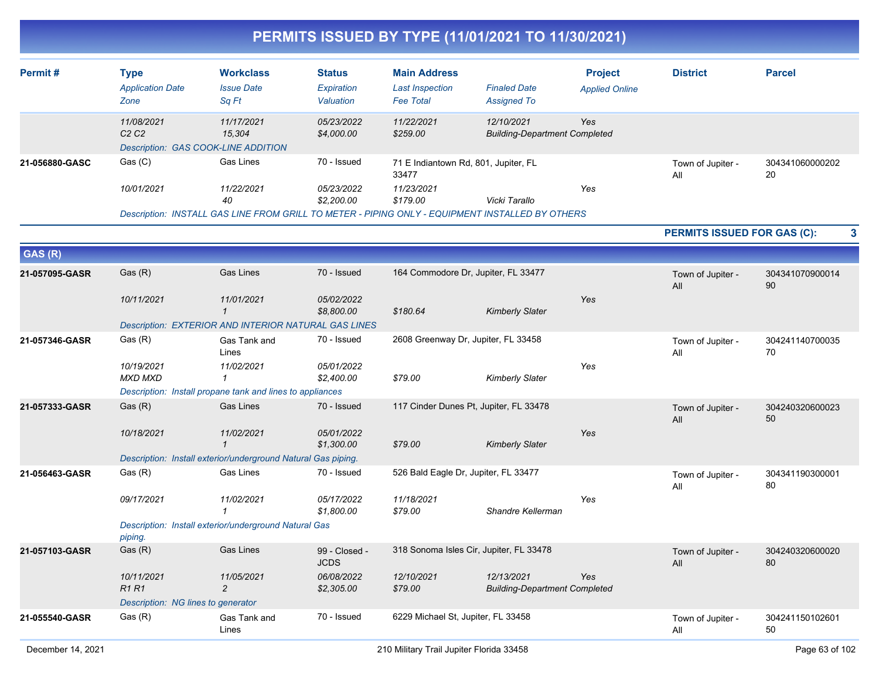|                |                                                |                                                               |                                          |                                                                   | PERMITS ISSUED BY TYPE (11/01/2021 TO 11/30/2021)                                                                |                                         |                                    |                       |   |
|----------------|------------------------------------------------|---------------------------------------------------------------|------------------------------------------|-------------------------------------------------------------------|------------------------------------------------------------------------------------------------------------------|-----------------------------------------|------------------------------------|-----------------------|---|
| Permit#        | <b>Type</b><br><b>Application Date</b><br>Zone | <b>Workclass</b><br><b>Issue Date</b><br>Sq Ft                | <b>Status</b><br>Expiration<br>Valuation | <b>Main Address</b><br><b>Last Inspection</b><br><b>Fee Total</b> | <b>Finaled Date</b><br><b>Assigned To</b>                                                                        | <b>Project</b><br><b>Applied Online</b> | <b>District</b>                    | <b>Parcel</b>         |   |
|                | 11/08/2021<br>C <sub>2</sub> C <sub>2</sub>    | 11/17/2021<br>15,304<br>Description: GAS COOK-LINE ADDITION   | 05/23/2022<br>\$4,000.00                 | 11/22/2021<br>\$259.00                                            | 12/10/2021<br><b>Building-Department Completed</b>                                                               | Yes                                     |                                    |                       |   |
| 21-056880-GASC | Gas (C)                                        | Gas Lines                                                     | 70 - Issued                              | 71 E Indiantown Rd, 801, Jupiter, FL<br>33477                     |                                                                                                                  |                                         | Town of Jupiter -<br>All           | 304341060000202<br>20 |   |
|                | 10/01/2021                                     | 11/22/2021<br>40                                              | 05/23/2022<br>\$2,200.00                 | 11/23/2021<br>\$179.00                                            | Vicki Tarallo<br>Description: INSTALL GAS LINE FROM GRILL TO METER - PIPING ONLY - EQUIPMENT INSTALLED BY OTHERS | Yes                                     |                                    |                       |   |
|                |                                                |                                                               |                                          |                                                                   |                                                                                                                  |                                         | <b>PERMITS ISSUED FOR GAS (C):</b> |                       | 3 |
| GAS (R)        |                                                |                                                               |                                          |                                                                   |                                                                                                                  |                                         |                                    |                       |   |
| 21-057095-GASR | Gas (R)                                        | <b>Gas Lines</b>                                              | 70 - Issued                              |                                                                   | 164 Commodore Dr, Jupiter, FL 33477                                                                              |                                         | Town of Jupiter -<br>All           | 304341070900014<br>90 |   |
|                | 10/11/2021                                     | 11/01/2021<br>$\mathbf{1}$                                    | 05/02/2022<br>\$8,800.00                 | \$180.64                                                          | <b>Kimberly Slater</b>                                                                                           | Yes                                     |                                    |                       |   |
|                |                                                | Description: EXTERIOR AND INTERIOR NATURAL GAS LINES          |                                          |                                                                   |                                                                                                                  |                                         |                                    |                       |   |
| 21-057346-GASR | Gas (R)                                        | Gas Tank and<br>Lines                                         | 70 - Issued                              |                                                                   | 2608 Greenway Dr, Jupiter, FL 33458                                                                              |                                         | Town of Jupiter -<br>All           | 304241140700035<br>70 |   |
|                | 10/19/2021<br><b>MXD MXD</b>                   | 11/02/2021<br>$\mathbf 1$                                     | 05/01/2022<br>\$2,400.00                 | \$79.00                                                           | <b>Kimberly Slater</b>                                                                                           | Yes                                     |                                    |                       |   |
|                |                                                | Description: Install propane tank and lines to appliances     |                                          |                                                                   |                                                                                                                  |                                         |                                    |                       |   |
| 21-057333-GASR | Gas (R)                                        | <b>Gas Lines</b>                                              | 70 - Issued                              |                                                                   | 117 Cinder Dunes Pt, Jupiter, FL 33478                                                                           |                                         | Town of Jupiter -<br>All           | 304240320600023<br>50 |   |
|                | 10/18/2021                                     | 11/02/2021<br>$\mathcal I$                                    | 05/01/2022<br>\$1,300.00                 | \$79.00                                                           | <b>Kimberly Slater</b>                                                                                           | Yes                                     |                                    |                       |   |
|                |                                                | Description: Install exterior/underground Natural Gas piping. |                                          |                                                                   |                                                                                                                  |                                         |                                    |                       |   |
| 21-056463-GASR | Gas (R)                                        | Gas Lines                                                     | 70 - Issued                              |                                                                   | 526 Bald Eagle Dr, Jupiter, FL 33477                                                                             |                                         | Town of Jupiter -<br>All           | 304341190300001<br>80 |   |
|                | 09/17/2021                                     | 11/02/2021                                                    | 05/17/2022<br>\$1,800.00                 | 11/18/2021<br>\$79.00                                             | Shandre Kellerman                                                                                                | Yes                                     |                                    |                       |   |
|                | piping.                                        | Description: Install exterior/underground Natural Gas         |                                          |                                                                   |                                                                                                                  |                                         |                                    |                       |   |
| 21-057103-GASR | Gas (R)                                        | <b>Gas Lines</b>                                              | 99 - Closed -<br><b>JCDS</b>             |                                                                   | 318 Sonoma Isles Cir, Jupiter, FL 33478                                                                          |                                         | Town of Jupiter -<br>All           | 304240320600020<br>80 |   |
|                | 10/11/2021<br><b>R1 R1</b>                     | 11/05/2021<br>2                                               | 06/08/2022<br>\$2,305.00                 | 12/10/2021<br>\$79.00                                             | 12/13/2021<br><b>Building-Department Completed</b>                                                               | Yes                                     |                                    |                       |   |
|                | Description: NG lines to generator             |                                                               |                                          |                                                                   |                                                                                                                  |                                         |                                    |                       |   |
| 21-055540-GASR | Gas(R)                                         | Gas Tank and<br>Lines                                         | 70 - Issued                              | 6229 Michael St, Jupiter, FL 33458                                |                                                                                                                  |                                         | Town of Jupiter -<br>All           | 304241150102601<br>50 |   |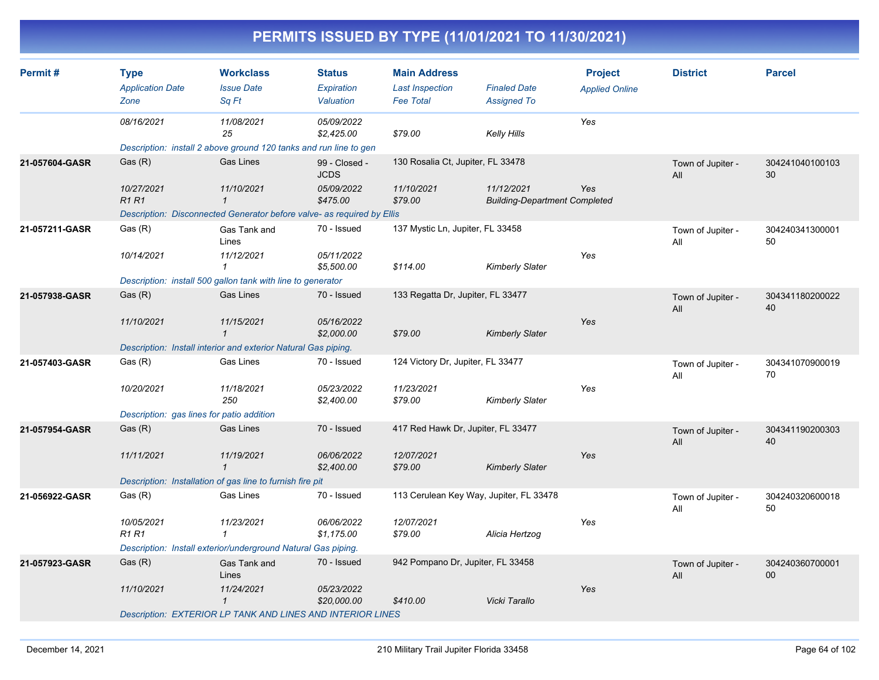| Permit#        | <b>Type</b>                                                       | <b>Workclass</b>                                                       | <b>Status</b>                | <b>Main Address</b>                     |                                                    | <b>Project</b>        | <b>District</b>          | <b>Parcel</b>         |
|----------------|-------------------------------------------------------------------|------------------------------------------------------------------------|------------------------------|-----------------------------------------|----------------------------------------------------|-----------------------|--------------------------|-----------------------|
|                | <b>Application Date</b>                                           | <b>Issue Date</b>                                                      | Expiration                   | <b>Last Inspection</b>                  | <b>Finaled Date</b>                                | <b>Applied Online</b> |                          |                       |
|                | Zone                                                              | Sq Ft                                                                  | Valuation                    | <b>Fee Total</b>                        | <b>Assigned To</b>                                 |                       |                          |                       |
|                | 08/16/2021                                                        | 11/08/2021                                                             | 05/09/2022                   |                                         |                                                    | Yes                   |                          |                       |
|                |                                                                   | 25                                                                     | \$2,425.00                   | \$79.00                                 | Kelly Hills                                        |                       |                          |                       |
|                |                                                                   | Description: install 2 above ground 120 tanks and run line to gen      |                              |                                         |                                                    |                       |                          |                       |
| 21-057604-GASR | Gas(R)                                                            | <b>Gas Lines</b>                                                       | 99 - Closed -<br><b>JCDS</b> | 130 Rosalia Ct, Jupiter, FL 33478       |                                                    |                       | Town of Jupiter -<br>All | 304241040100103<br>30 |
|                | 10/27/2021<br><b>R1R1</b>                                         | 11/10/2021<br>$\mathbf{1}$                                             | 05/09/2022<br>\$475.00       | 11/10/2021<br>\$79.00                   | 11/12/2021<br><b>Building-Department Completed</b> | Yes                   |                          |                       |
|                |                                                                   | Description: Disconnected Generator before valve- as required by Ellis |                              |                                         |                                                    |                       |                          |                       |
| 21-057211-GASR | Gas (R)                                                           | Gas Tank and<br>Lines                                                  | 70 - Issued                  | 137 Mystic Ln, Jupiter, FL 33458        |                                                    |                       | Town of Jupiter -<br>All | 304240341300001<br>50 |
|                | 10/14/2021                                                        | 11/12/2021                                                             | 05/11/2022<br>\$5,500.00     | \$114.00                                | <b>Kimberly Slater</b>                             | Yes                   |                          |                       |
|                |                                                                   | Description: install 500 gallon tank with line to generator            |                              |                                         |                                                    |                       |                          |                       |
| 21-057938-GASR | Gas(R)                                                            | <b>Gas Lines</b>                                                       | 70 - Issued                  | 133 Regatta Dr, Jupiter, FL 33477       |                                                    |                       |                          | 304341180200022       |
|                |                                                                   |                                                                        |                              |                                         |                                                    |                       | Town of Jupiter -<br>All | 40                    |
|                | 11/10/2021                                                        | 11/15/2021<br>$\mathbf{1}$                                             | 05/16/2022<br>\$2,000.00     | \$79.00                                 | <b>Kimberly Slater</b>                             | Yes                   |                          |                       |
|                |                                                                   | Description: Install interior and exterior Natural Gas piping.         |                              |                                         |                                                    |                       |                          |                       |
| 21-057403-GASR | Gas (R)                                                           | Gas Lines                                                              | 70 - Issued                  | 124 Victory Dr, Jupiter, FL 33477       |                                                    |                       | Town of Jupiter -<br>All | 304341070900019<br>70 |
|                | 10/20/2021                                                        | 11/18/2021<br>250                                                      | 05/23/2022<br>\$2,400.00     | 11/23/2021<br>\$79.00                   | <b>Kimberly Slater</b>                             | Yes                   |                          |                       |
|                | Description: gas lines for patio addition                         |                                                                        |                              |                                         |                                                    |                       |                          |                       |
| 21-057954-GASR | Gas (R)                                                           | <b>Gas Lines</b>                                                       | 70 - Issued                  | 417 Red Hawk Dr, Jupiter, FL 33477      |                                                    |                       | Town of Jupiter -<br>All | 304341190200303<br>40 |
|                | 11/11/2021                                                        | 11/19/2021<br>$\mathbf{1}$                                             | 06/06/2022<br>\$2,400.00     | 12/07/2021<br>\$79.00                   | <b>Kimberly Slater</b>                             | Yes                   |                          |                       |
|                |                                                                   | Description: Installation of gas line to furnish fire pit              |                              |                                         |                                                    |                       |                          |                       |
| 21-056922-GASR | Gas (R)                                                           | Gas Lines                                                              | 70 - Issued                  | 113 Cerulean Key Way, Jupiter, FL 33478 |                                                    |                       | Town of Jupiter -<br>All | 304240320600018<br>50 |
|                | 10/05/2021                                                        | 11/23/2021                                                             | 06/06/2022                   | 12/07/2021                              |                                                    | Yes                   |                          |                       |
|                | <b>R1 R1</b>                                                      | $\mathcal I$                                                           | \$1,175.00                   | \$79.00                                 | Alicia Hertzog                                     |                       |                          |                       |
|                |                                                                   | Description: Install exterior/underground Natural Gas piping.          |                              |                                         |                                                    |                       |                          |                       |
| 21-057923-GASR | Gas(R)                                                            | Gas Tank and<br>Lines                                                  | 70 - Issued                  | 942 Pompano Dr, Jupiter, FL 33458       |                                                    |                       | Town of Jupiter -<br>All | 304240360700001<br>00 |
|                | 11/10/2021                                                        | 11/24/2021<br>$\mathcal I$                                             | 05/23/2022<br>\$20,000.00    |                                         | Vicki Tarallo                                      | Yes                   |                          |                       |
|                |                                                                   |                                                                        |                              | \$410.00                                |                                                    |                       |                          |                       |
|                | <b>Description: EXTERIOR LP TANK AND LINES AND INTERIOR LINES</b> |                                                                        |                              |                                         |                                                    |                       |                          |                       |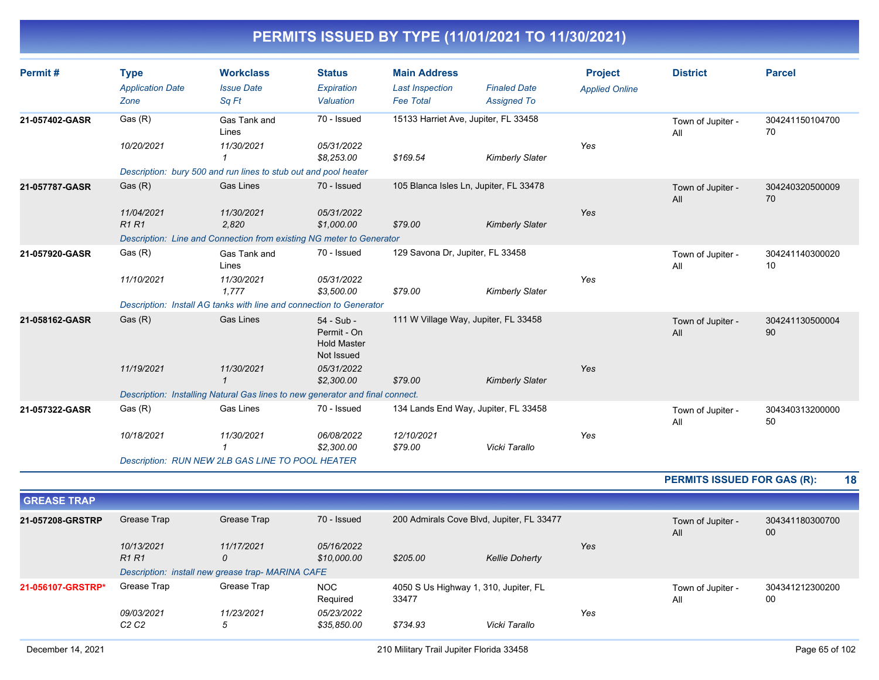| Permit#            | <b>Type</b><br><b>Application Date</b><br>Zone | <b>Workclass</b><br><b>Issue Date</b><br>Sq Ft                                | <b>Status</b><br>Expiration<br>Valuation                      | <b>Main Address</b><br><b>Last Inspection</b><br><b>Fee Total</b> | <b>Finaled Date</b><br><b>Assigned To</b> | <b>Project</b><br><b>Applied Online</b> | <b>District</b>                    | <b>Parcel</b>         |
|--------------------|------------------------------------------------|-------------------------------------------------------------------------------|---------------------------------------------------------------|-------------------------------------------------------------------|-------------------------------------------|-----------------------------------------|------------------------------------|-----------------------|
| 21-057402-GASR     | Gas(R)                                         | Gas Tank and<br>Lines                                                         | 70 - Issued                                                   |                                                                   | 15133 Harriet Ave, Jupiter, FL 33458      |                                         | Town of Jupiter -<br>All           | 304241150104700<br>70 |
|                    | 10/20/2021                                     | 11/30/2021<br>$\mathbf 1$                                                     | 05/31/2022<br>\$8,253.00                                      | \$169.54                                                          | <b>Kimberly Slater</b>                    | Yes                                     |                                    |                       |
|                    |                                                | Description: bury 500 and run lines to stub out and pool heater               |                                                               |                                                                   |                                           |                                         |                                    |                       |
| 21-057787-GASR     | Gas(R)                                         | Gas Lines                                                                     | 70 - Issued                                                   |                                                                   | 105 Blanca Isles Ln, Jupiter, FL 33478    |                                         | Town of Jupiter -<br>All           | 304240320500009<br>70 |
|                    | 11/04/2021<br><b>R1 R1</b>                     | 11/30/2021<br>2,820                                                           | 05/31/2022<br>\$1,000.00                                      | \$79.00                                                           | <b>Kimberly Slater</b>                    | Yes                                     |                                    |                       |
|                    |                                                | Description: Line and Connection from existing NG meter to Generator          |                                                               |                                                                   |                                           |                                         |                                    |                       |
| 21-057920-GASR     | Gas(R)                                         | Gas Tank and<br>Lines                                                         | 70 - Issued                                                   | 129 Savona Dr, Jupiter, FL 33458                                  |                                           |                                         | Town of Jupiter -<br>All           | 304241140300020<br>10 |
|                    | 11/10/2021                                     | 11/30/2021<br>1.777                                                           | 05/31/2022<br>\$3,500.00                                      | \$79.00                                                           | <b>Kimberly Slater</b>                    | Yes                                     |                                    |                       |
|                    |                                                | Description: Install AG tanks with line and connection to Generator           |                                                               |                                                                   |                                           |                                         |                                    |                       |
| 21-058162-GASR     | Gas (R)                                        | <b>Gas Lines</b>                                                              | 54 - Sub -<br>Permit - On<br><b>Hold Master</b><br>Not Issued |                                                                   | 111 W Village Way, Jupiter, FL 33458      |                                         | Town of Jupiter -<br>All           | 304241130500004<br>90 |
|                    | 11/19/2021                                     | 11/30/2021<br>$\mathbf{1}$                                                    | 05/31/2022<br>\$2,300.00                                      | \$79.00                                                           | <b>Kimberly Slater</b>                    | Yes                                     |                                    |                       |
|                    |                                                | Description: Installing Natural Gas lines to new generator and final connect. |                                                               |                                                                   |                                           |                                         |                                    |                       |
| 21-057322-GASR     | Gas (R)                                        | Gas Lines                                                                     | 70 - Issued                                                   |                                                                   | 134 Lands End Way, Jupiter, FL 33458      |                                         | Town of Jupiter -<br>All           | 304340313200000<br>50 |
|                    | 10/18/2021                                     | 11/30/2021<br>$\mathbf{1}$                                                    | 06/08/2022<br>\$2,300.00                                      | 12/10/2021<br>\$79.00                                             | Vicki Tarallo                             | Yes                                     |                                    |                       |
|                    |                                                | Description: RUN NEW 2LB GAS LINE TO POOL HEATER                              |                                                               |                                                                   |                                           |                                         |                                    |                       |
|                    |                                                |                                                                               |                                                               |                                                                   |                                           |                                         | <b>PERMITS ISSUED FOR GAS (R):</b> | 18                    |
| <b>GREASE TRAP</b> |                                                |                                                                               |                                                               |                                                                   |                                           |                                         |                                    |                       |
| 21-057208-GRSTRP   | Grease Trap                                    | <b>Grease Trap</b>                                                            | 70 - Issued                                                   |                                                                   | 200 Admirals Cove Blvd, Jupiter, FL 33477 |                                         |                                    | 304341180300700       |
|                    |                                                |                                                                               |                                                               |                                                                   |                                           |                                         | Town of Jupiter -<br>All           | $00\,$                |
|                    | 10/13/2021<br><b>R1R1</b>                      | 11/17/2021<br>$\mathcal{O}$                                                   | 05/16/2022<br>\$10,000.00                                     | \$205.00                                                          | <b>Kellie Doherty</b>                     | Yes                                     |                                    |                       |
|                    |                                                | Description: install new grease trap- MARINA CAFE                             |                                                               |                                                                   |                                           |                                         |                                    |                       |
| 21-056107-GRSTRP*  | Grease Trap                                    | Grease Trap                                                                   | <b>NOC</b>                                                    |                                                                   | 4050 S Us Highway 1, 310, Jupiter, FL     |                                         | Town of Jupiter -                  | 304341212300200       |
|                    |                                                |                                                                               | Required                                                      | 33477                                                             |                                           |                                         | All                                | 00                    |

*09/03/2021 11/23/2021 05/23/2022*

*Yes*

*C2 C2 5 \$35,850.00 \$734.93 Vicki Tarallo*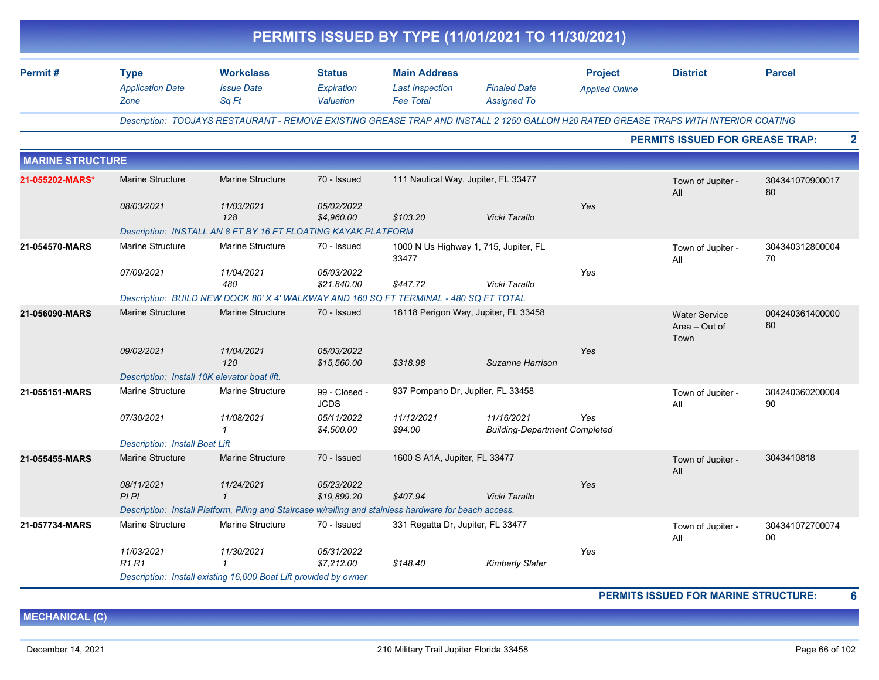|                         |                                              |                                                                                                        |                              |                                                | PERMITS ISSUED BY TYPE (11/01/2021 TO 11/30/2021)                                                                                    |                       |                                               |                       |
|-------------------------|----------------------------------------------|--------------------------------------------------------------------------------------------------------|------------------------------|------------------------------------------------|--------------------------------------------------------------------------------------------------------------------------------------|-----------------------|-----------------------------------------------|-----------------------|
| Permit#                 | <b>Type</b><br><b>Application Date</b>       | <b>Workclass</b><br><b>Issue Date</b>                                                                  | <b>Status</b><br>Expiration  | <b>Main Address</b><br><b>Last Inspection</b>  | <b>Finaled Date</b>                                                                                                                  | <b>Project</b>        | <b>District</b>                               | <b>Parcel</b>         |
|                         | Zone                                         | Sq Ft                                                                                                  | Valuation                    | <b>Fee Total</b>                               | <b>Assigned To</b>                                                                                                                   | <b>Applied Online</b> |                                               |                       |
|                         |                                              |                                                                                                        |                              |                                                | Description: TOOJAYS RESTAURANT - REMOVE EXISTING GREASE TRAP AND INSTALL 2 1250 GALLON H20 RATED GREASE TRAPS WITH INTERIOR COATING |                       |                                               |                       |
|                         |                                              |                                                                                                        |                              |                                                |                                                                                                                                      |                       | <b>PERMITS ISSUED FOR GREASE TRAP:</b>        |                       |
| <b>MARINE STRUCTURE</b> |                                              |                                                                                                        |                              |                                                |                                                                                                                                      |                       |                                               |                       |
| 21-055202-MARS*         | <b>Marine Structure</b>                      | <b>Marine Structure</b>                                                                                | 70 - Issued                  | 111 Nautical Way, Jupiter, FL 33477            |                                                                                                                                      |                       | Town of Jupiter -<br>All                      | 304341070900017<br>80 |
|                         | 08/03/2021                                   | 11/03/2021<br>128                                                                                      | 05/02/2022<br>\$4,960.00     | \$103.20                                       | Vicki Tarallo                                                                                                                        | Yes                   |                                               |                       |
|                         |                                              | Description: INSTALL AN 8 FT BY 16 FT FLOATING KAYAK PLATFORM                                          |                              |                                                |                                                                                                                                      |                       |                                               |                       |
| 21-054570-MARS          | <b>Marine Structure</b>                      | <b>Marine Structure</b>                                                                                | 70 - Issued                  | 1000 N Us Highway 1, 715, Jupiter, FL<br>33477 |                                                                                                                                      |                       | Town of Jupiter -<br>All                      | 304340312800004<br>70 |
|                         | 07/09/2021                                   | 11/04/2021<br>480                                                                                      | 05/03/2022<br>\$21,840.00    | \$447.72                                       | Vicki Tarallo                                                                                                                        | Yes                   |                                               |                       |
|                         |                                              | Description: BUILD NEW DOCK 80' X 4' WALKWAY AND 160 SQ FT TERMINAL - 480 SQ FT TOTAL                  |                              |                                                |                                                                                                                                      |                       |                                               |                       |
| 21-056090-MARS          | <b>Marine Structure</b>                      | <b>Marine Structure</b>                                                                                | 70 - Issued                  | 18118 Perigon Way, Jupiter, FL 33458           |                                                                                                                                      |                       | <b>Water Service</b><br>Area - Out of<br>Town | 004240361400000<br>80 |
|                         | 09/02/2021                                   | 11/04/2021<br>120                                                                                      | 05/03/2022<br>\$15,560.00    | \$318.98                                       | Suzanne Harrison                                                                                                                     | Yes                   |                                               |                       |
|                         | Description: Install 10K elevator boat lift. |                                                                                                        |                              |                                                |                                                                                                                                      |                       |                                               |                       |
| 21-055151-MARS          | Marine Structure                             | Marine Structure                                                                                       | 99 - Closed -<br><b>JCDS</b> | 937 Pompano Dr, Jupiter, FL 33458              |                                                                                                                                      |                       | Town of Jupiter -<br>All                      | 304240360200004<br>90 |
|                         | 07/30/2021                                   | 11/08/2021<br>1                                                                                        | 05/11/2022<br>\$4,500.00     | 11/12/2021<br>\$94.00                          | 11/16/2021<br><b>Building-Department Completed</b>                                                                                   | Yes                   |                                               |                       |
|                         | <b>Description: Install Boat Lift</b>        |                                                                                                        |                              |                                                |                                                                                                                                      |                       |                                               |                       |
| 21-055455-MARS          | <b>Marine Structure</b>                      | <b>Marine Structure</b>                                                                                | 70 - Issued                  | 1600 S A1A, Jupiter, FL 33477                  |                                                                                                                                      |                       | Town of Jupiter -<br>All                      | 3043410818            |
|                         | 08/11/2021<br>PI PI                          | 11/24/2021<br>$\mathbf{1}$                                                                             | 05/23/2022<br>\$19,899.20    | \$407.94                                       | Vicki Tarallo                                                                                                                        | Yes                   |                                               |                       |
|                         |                                              | Description: Install Platform, Piling and Staircase w/railing and stainless hardware for beach access. |                              |                                                |                                                                                                                                      |                       |                                               |                       |
| 21-057734-MARS          | Marine Structure                             | <b>Marine Structure</b>                                                                                | 70 - Issued                  | 331 Regatta Dr, Jupiter, FL 33477              |                                                                                                                                      |                       | Town of Jupiter -<br>All                      | 304341072700074<br>00 |
|                         | 11/03/2021<br><b>R1 R1</b>                   | 11/30/2021<br>$\mathbf{1}$                                                                             | 05/31/2022<br>\$7,212.00     | \$148.40                                       | <b>Kimberly Slater</b>                                                                                                               | Yes                   |                                               |                       |
|                         |                                              | Description: Install existing 16,000 Boat Lift provided by owner                                       |                              |                                                |                                                                                                                                      |                       |                                               |                       |

**MECHANICAL (C)**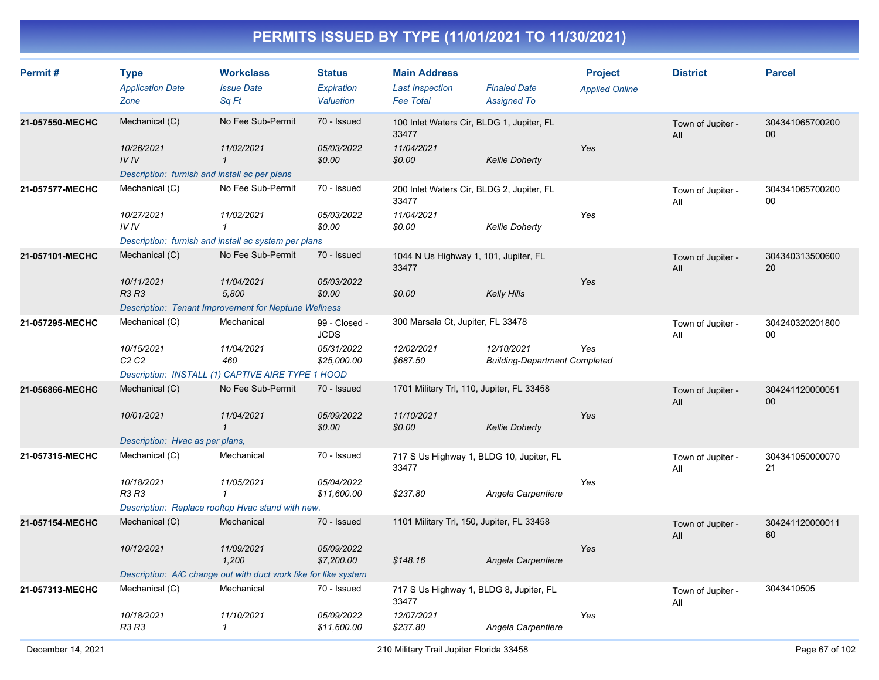| Permit#         | <b>Type</b><br><b>Application Date</b><br>Zone                                        | <b>Workclass</b><br><b>Issue Date</b><br>Sa Ft                                                          | <b>Status</b><br>Expiration<br>Valuation                  | <b>Main Address</b><br><b>Last Inspection</b><br><b>Fee Total</b>          | <b>Finaled Date</b><br><b>Assigned To</b>          | <b>Project</b><br><b>Applied Online</b> | <b>District</b>          | <b>Parcel</b>             |
|-----------------|---------------------------------------------------------------------------------------|---------------------------------------------------------------------------------------------------------|-----------------------------------------------------------|----------------------------------------------------------------------------|----------------------------------------------------|-----------------------------------------|--------------------------|---------------------------|
| 21-057550-MECHC | Mechanical (C)<br>10/26/2021<br>IVIV<br>Description: furnish and install ac per plans | No Fee Sub-Permit<br>11/02/2021<br>$\mathbf{1}$                                                         | 70 - Issued<br>05/03/2022<br>\$0.00                       | 100 Inlet Waters Cir, BLDG 1, Jupiter, FL<br>33477<br>11/04/2021<br>\$0.00 | <b>Kellie Doherty</b>                              | Yes                                     | Town of Jupiter -<br>All | 304341065700200<br>00     |
| 21-057577-MECHC | Mechanical (C)<br>10/27/2021<br>IVIV                                                  | No Fee Sub-Permit<br>11/02/2021<br>$\mathbf{1}$<br>Description: furnish and install ac system per plans | 70 - Issued<br>05/03/2022<br>\$0.00                       | 200 Inlet Waters Cir, BLDG 2, Jupiter, FL<br>33477<br>11/04/2021<br>\$0.00 | <b>Kellie Doherty</b>                              | Yes                                     | Town of Jupiter -<br>All | 304341065700200<br>00     |
| 21-057101-MECHC | Mechanical (C)<br>10/11/2021<br><b>R3 R3</b>                                          | No Fee Sub-Permit<br>11/04/2021<br>5,800<br><b>Description: Tenant Improvement for Neptune Wellness</b> | 70 - Issued<br>05/03/2022<br>\$0.00                       | 1044 N Us Highway 1, 101, Jupiter, FL<br>33477<br>\$0.00                   | <b>Kelly Hills</b>                                 | Yes                                     | Town of Jupiter -<br>All | 304340313500600<br>20     |
| 21-057295-MECHC | Mechanical (C)<br>10/15/2021<br>C <sub>2</sub> C <sub>2</sub>                         | Mechanical<br>11/04/2021<br>460<br>Description: INSTALL (1) CAPTIVE AIRE TYPE 1 HOOD                    | 99 - Closed -<br><b>JCDS</b><br>05/31/2022<br>\$25,000.00 | 300 Marsala Ct, Jupiter, FL 33478<br>12/02/2021<br>\$687.50                | 12/10/2021<br><b>Building-Department Completed</b> | Yes                                     | Town of Jupiter -<br>All | 304240320201800<br>$00\,$ |
| 21-056866-MECHC | Mechanical (C)<br>10/01/2021<br>Description: Hvac as per plans,                       | No Fee Sub-Permit<br>11/04/2021<br>$\mathbf{1}$                                                         | 70 - Issued<br>05/09/2022<br>\$0.00                       | 1701 Military Trl, 110, Jupiter, FL 33458<br>11/10/2021<br>\$0.00          | <b>Kellie Doherty</b>                              | Yes                                     | Town of Jupiter -<br>All | 304241120000051<br>00     |
| 21-057315-MECHC | Mechanical (C)<br>10/18/2021<br><b>R3 R3</b>                                          | Mechanical<br>11/05/2021<br>$\mathbf{1}$<br>Description: Replace rooftop Hvac stand with new.           | 70 - Issued<br>05/04/2022<br>\$11,600.00                  | 717 S Us Highway 1, BLDG 10, Jupiter, FL<br>33477<br>\$237.80              | Angela Carpentiere                                 | Yes                                     | Town of Jupiter -<br>All | 304341050000070<br>21     |
| 21-057154-MECHC | Mechanical (C)<br>10/12/2021                                                          | Mechanical<br>11/09/2021<br>1,200<br>Description: A/C change out with duct work like for like system    | 70 - Issued<br>05/09/2022<br>\$7,200.00                   | 1101 Military Trl, 150, Jupiter, FL 33458<br>\$148.16                      | Angela Carpentiere                                 | Yes                                     | Town of Jupiter -<br>All | 304241120000011<br>60     |
| 21-057313-MECHC | Mechanical (C)<br>10/18/2021<br><b>R3 R3</b>                                          | Mechanical<br>11/10/2021<br>$\mathcal I$                                                                | 70 - Issued<br>05/09/2022<br>\$11,600.00                  | 717 S Us Highway 1, BLDG 8, Jupiter, FL<br>33477<br>12/07/2021<br>\$237.80 | Angela Carpentiere                                 | Yes                                     | Town of Jupiter -<br>All | 3043410505                |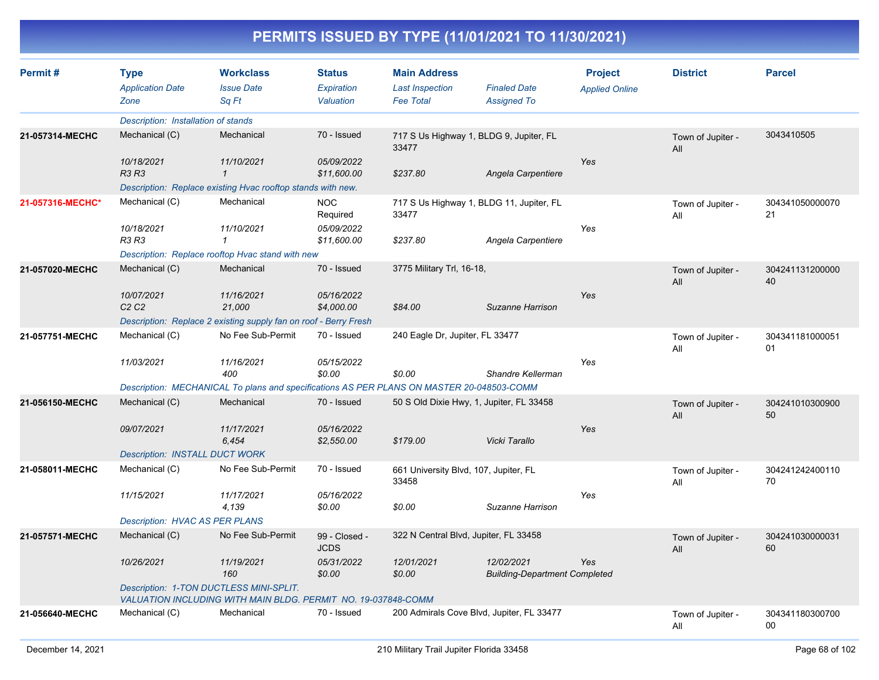| Permit#          | <b>Type</b><br><b>Application Date</b><br>Zone                                                           | <b>Workclass</b><br><b>Issue Date</b><br>Sq Ft                                            | <b>Status</b><br>Expiration<br>Valuation | <b>Main Address</b><br><b>Last Inspection</b><br><b>Fee Total</b> | <b>Finaled Date</b><br><b>Assigned To</b>          | <b>Project</b><br><b>Applied Online</b> | <b>District</b>          | <b>Parcel</b>         |  |  |
|------------------|----------------------------------------------------------------------------------------------------------|-------------------------------------------------------------------------------------------|------------------------------------------|-------------------------------------------------------------------|----------------------------------------------------|-----------------------------------------|--------------------------|-----------------------|--|--|
|                  | Description: Installation of stands                                                                      |                                                                                           |                                          |                                                                   |                                                    |                                         |                          |                       |  |  |
| 21-057314-MECHC  | Mechanical (C)                                                                                           | Mechanical                                                                                | 70 - Issued                              | 717 S Us Highway 1, BLDG 9, Jupiter, FL<br>33477                  |                                                    |                                         | Town of Jupiter -<br>All | 3043410505            |  |  |
|                  | 10/18/2021<br><b>R3 R3</b>                                                                               | 11/10/2021<br>$\mathbf{1}$                                                                | 05/09/2022<br>\$11,600.00                | \$237.80                                                          | Yes<br>Angela Carpentiere                          |                                         |                          |                       |  |  |
|                  |                                                                                                          | Description: Replace existing Hvac rooftop stands with new.                               |                                          |                                                                   |                                                    |                                         |                          |                       |  |  |
| 21-057316-MECHC* | Mechanical (C)                                                                                           | Mechanical                                                                                | <b>NOC</b><br>Required                   | 717 S Us Highway 1, BLDG 11, Jupiter, FL<br>33477                 |                                                    |                                         | Town of Jupiter -<br>All | 304341050000070<br>21 |  |  |
|                  | 10/18/2021<br><b>R3 R3</b>                                                                               | 11/10/2021                                                                                | 05/09/2022<br>\$11,600.00                | \$237.80                                                          | Angela Carpentiere                                 | Yes                                     |                          |                       |  |  |
|                  |                                                                                                          | Description: Replace rooftop Hvac stand with new                                          |                                          |                                                                   |                                                    |                                         |                          |                       |  |  |
| 21-057020-MECHC  | Mechanical (C)                                                                                           | Mechanical                                                                                | 70 - Issued                              | 3775 Military Trl, 16-18,                                         |                                                    |                                         | Town of Jupiter -<br>All | 304241131200000<br>40 |  |  |
|                  | 10/07/2021<br>C2C2                                                                                       | 11/16/2021<br>21,000                                                                      | 05/16/2022<br>\$4,000.00                 | \$84.00                                                           | Suzanne Harrison                                   | Yes                                     |                          |                       |  |  |
|                  |                                                                                                          | Description: Replace 2 existing supply fan on roof - Berry Fresh                          |                                          |                                                                   |                                                    |                                         |                          |                       |  |  |
| 21-057751-MECHC  | Mechanical (C)                                                                                           | No Fee Sub-Permit                                                                         | 70 - Issued                              | 240 Eagle Dr, Jupiter, FL 33477                                   |                                                    |                                         | Town of Jupiter -<br>All | 304341181000051<br>01 |  |  |
|                  | 11/03/2021                                                                                               | 11/16/2021<br>400                                                                         | 05/15/2022<br>\$0.00                     | \$0.00                                                            | Shandre Kellerman                                  | Yes                                     |                          |                       |  |  |
|                  |                                                                                                          | Description: MECHANICAL To plans and specifications AS PER PLANS ON MASTER 20-048503-COMM |                                          |                                                                   |                                                    |                                         |                          |                       |  |  |
| 21-056150-MECHC  | Mechanical (C)                                                                                           | Mechanical                                                                                | 70 - Issued                              | 50 S Old Dixie Hwy, 1, Jupiter, FL 33458                          |                                                    |                                         | Town of Jupiter -<br>All | 304241010300900<br>50 |  |  |
|                  | 09/07/2021                                                                                               | 11/17/2021<br>6,454                                                                       | 05/16/2022<br>\$2,550.00                 | \$179.00                                                          | Vicki Tarallo                                      | Yes                                     |                          |                       |  |  |
|                  | <b>Description: INSTALL DUCT WORK</b>                                                                    |                                                                                           |                                          |                                                                   |                                                    |                                         |                          |                       |  |  |
| 21-058011-MECHC  | Mechanical (C)                                                                                           | No Fee Sub-Permit                                                                         | 70 - Issued                              | 661 University Blvd, 107, Jupiter, FL<br>33458                    |                                                    |                                         | Town of Jupiter -<br>All | 304241242400110<br>70 |  |  |
|                  | 11/15/2021                                                                                               | 11/17/2021<br>4,139                                                                       | 05/16/2022<br>\$0.00                     | \$0.00                                                            | Suzanne Harrison                                   | Yes                                     |                          |                       |  |  |
|                  | <b>Description: HVAC AS PER PLANS</b>                                                                    |                                                                                           |                                          |                                                                   |                                                    |                                         |                          |                       |  |  |
| 21-057571-MECHC  | Mechanical (C)                                                                                           | No Fee Sub-Permit                                                                         | 99 - Closed -<br><b>JCDS</b>             | 322 N Central Blvd, Jupiter, FL 33458                             |                                                    |                                         | Town of Jupiter -<br>All | 304241030000031<br>60 |  |  |
|                  | 10/26/2021                                                                                               | 11/19/2021<br>160                                                                         | 05/31/2022<br>\$0.00                     | 12/01/2021<br>\$0.00                                              | 12/02/2021<br><b>Building-Department Completed</b> | <b>Yes</b>                              |                          |                       |  |  |
|                  | Description: 1-TON DUCTLESS MINI-SPLIT.<br>VALUATION INCLUDING WITH MAIN BLDG. PERMIT NO. 19-037848-COMM |                                                                                           |                                          |                                                                   |                                                    |                                         |                          |                       |  |  |
| 21-056640-MECHC  | Mechanical (C)                                                                                           | Mechanical                                                                                | 70 - Issued                              | 200 Admirals Cove Blvd, Jupiter, FL 33477                         |                                                    |                                         | Town of Jupiter -<br>All | 304341180300700<br>00 |  |  |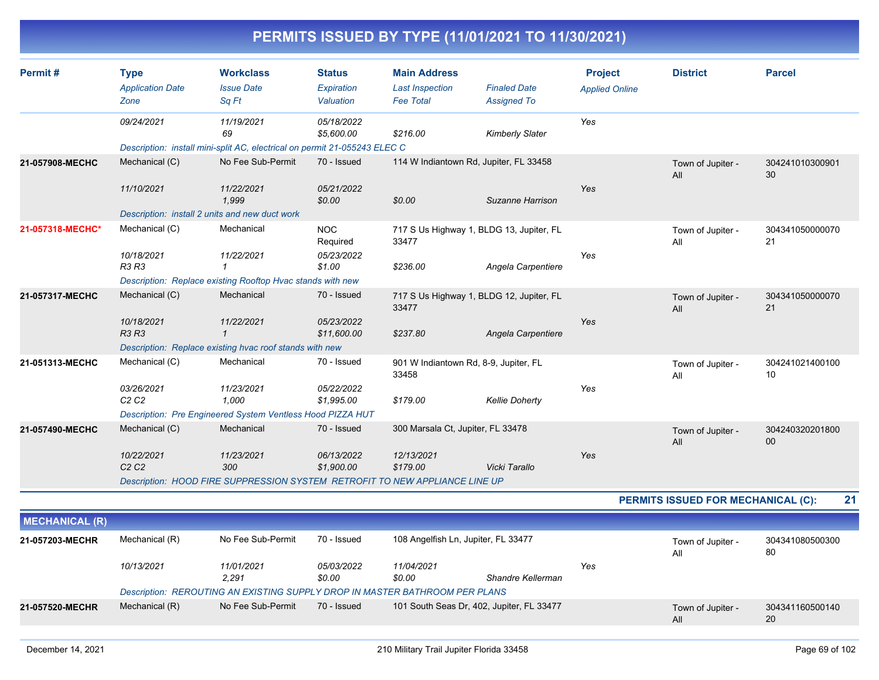| Permit#               | <b>Type</b><br><b>Application Date</b><br>Zone | <b>Workclass</b><br><b>Issue Date</b><br>Sq Ft                                                | <b>Status</b><br>Expiration<br>Valuation | <b>Main Address</b><br><b>Last Inspection</b><br><b>Fee Total</b> | <b>Finaled Date</b><br><b>Assigned To</b> | <b>Project</b><br><b>Applied Online</b> | <b>District</b>                    | <b>Parcel</b>         |
|-----------------------|------------------------------------------------|-----------------------------------------------------------------------------------------------|------------------------------------------|-------------------------------------------------------------------|-------------------------------------------|-----------------------------------------|------------------------------------|-----------------------|
|                       | 09/24/2021                                     | 11/19/2021<br>69<br>Description: install mini-split AC, electrical on permit 21-055243 ELEC C | 05/18/2022<br>\$5,600.00                 | \$216.00                                                          | <b>Kimberly Slater</b>                    | Yes                                     |                                    |                       |
| 21-057908-MECHC       | Mechanical (C)                                 | No Fee Sub-Permit                                                                             | 70 - Issued                              |                                                                   | 114 W Indiantown Rd, Jupiter, FL 33458    |                                         |                                    | 304241010300901       |
|                       |                                                |                                                                                               |                                          |                                                                   |                                           |                                         | Town of Jupiter -<br>All           | 30                    |
|                       | 11/10/2021                                     | 11/22/2021<br>1,999                                                                           | 05/21/2022<br>\$0.00                     | \$0.00                                                            | Suzanne Harrison                          | Yes                                     |                                    |                       |
|                       |                                                | Description: install 2 units and new duct work                                                |                                          |                                                                   |                                           |                                         |                                    |                       |
| 21-057318-MECHC*      | Mechanical (C)                                 | Mechanical                                                                                    | <b>NOC</b><br>Required                   | 33477                                                             | 717 S Us Highway 1, BLDG 13, Jupiter, FL  |                                         | Town of Jupiter -<br>All           | 304341050000070<br>21 |
|                       | 10/18/2021<br><b>R3 R3</b>                     | 11/22/2021<br>1                                                                               | 05/23/2022<br>\$1.00                     | \$236.00                                                          | Angela Carpentiere                        | Yes                                     |                                    |                       |
|                       |                                                | Description: Replace existing Rooftop Hvac stands with new                                    |                                          |                                                                   |                                           |                                         |                                    |                       |
| 21-057317-MECHC       | Mechanical (C)                                 | Mechanical                                                                                    | 70 - Issued                              | 33477                                                             | 717 S Us Highway 1, BLDG 12, Jupiter, FL  |                                         | Town of Jupiter -<br>All           | 304341050000070<br>21 |
|                       | 10/18/2021<br><b>R3 R3</b>                     | 11/22/2021                                                                                    | 05/23/2022<br>\$11,600.00                | \$237.80                                                          | Angela Carpentiere                        | Yes                                     |                                    |                       |
|                       |                                                | Description: Replace existing hvac roof stands with new                                       |                                          |                                                                   |                                           |                                         |                                    |                       |
| 21-051313-MECHC       | Mechanical (C)                                 | Mechanical                                                                                    | 70 - Issued                              | 901 W Indiantown Rd, 8-9, Jupiter, FL<br>33458                    |                                           |                                         | Town of Jupiter -<br>All           | 304241021400100<br>10 |
|                       | 03/26/2021<br>C2C2                             | 11/23/2021<br>1,000                                                                           | 05/22/2022<br>\$1,995.00                 | \$179.00                                                          | <b>Kellie Doherty</b>                     | Yes                                     |                                    |                       |
|                       |                                                | Description: Pre Engineered System Ventless Hood PIZZA HUT                                    |                                          |                                                                   |                                           |                                         |                                    |                       |
| 21-057490-MECHC       | Mechanical (C)                                 | Mechanical                                                                                    | 70 - Issued                              | 300 Marsala Ct, Jupiter, FL 33478                                 |                                           |                                         | Town of Jupiter -<br>All           | 304240320201800<br>00 |
|                       | 10/22/2021                                     | 11/23/2021                                                                                    | 06/13/2022                               | 12/13/2021                                                        |                                           | Yes                                     |                                    |                       |
|                       | C2C2                                           | 300                                                                                           | \$1,900.00                               | \$179.00                                                          | Vicki Tarallo                             |                                         |                                    |                       |
|                       |                                                | Description: HOOD FIRE SUPPRESSION SYSTEM RETROFIT TO NEW APPLIANCE LINE UP                   |                                          |                                                                   |                                           |                                         |                                    |                       |
|                       |                                                |                                                                                               |                                          |                                                                   |                                           |                                         | PERMITS ISSUED FOR MECHANICAL (C): | 21                    |
| <b>MECHANICAL (R)</b> |                                                |                                                                                               |                                          |                                                                   |                                           |                                         |                                    |                       |
| 21-057203-MECHR       | Mechanical (R)                                 | No Fee Sub-Permit                                                                             | 70 - Issued                              | 108 Angelfish Ln, Jupiter, FL 33477                               |                                           |                                         | Town of Jupiter -<br>All           | 304341080500300<br>80 |
|                       | 10/13/2021                                     | 11/01/2021<br>2.291                                                                           | 05/03/2022<br>\$0.00                     | 11/04/2021<br>\$0.00                                              | Shandre Kellerman                         | Yes                                     |                                    |                       |

20

All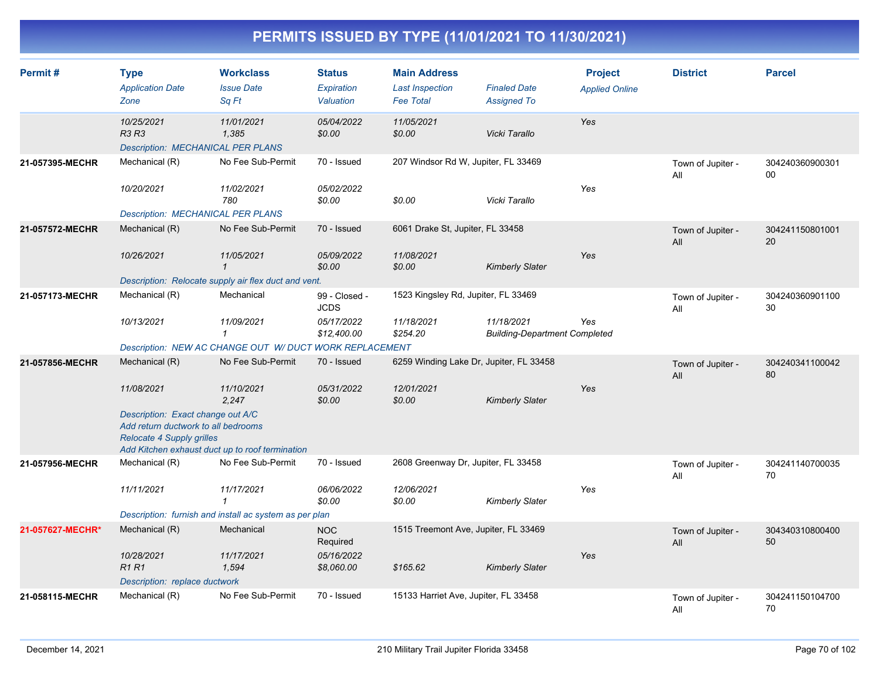| Permit#          | <b>Type</b><br><b>Application Date</b><br>Zone                                                                                                                  | <b>Workclass</b><br><b>Issue Date</b><br>Sq Ft          | <b>Status</b><br>Expiration<br>Valuation | <b>Main Address</b><br><b>Last Inspection</b><br><b>Fee Total</b> | <b>Finaled Date</b><br><b>Assigned To</b>          | <b>Project</b><br><b>Applied Online</b> | <b>District</b>          | <b>Parcel</b>             |
|------------------|-----------------------------------------------------------------------------------------------------------------------------------------------------------------|---------------------------------------------------------|------------------------------------------|-------------------------------------------------------------------|----------------------------------------------------|-----------------------------------------|--------------------------|---------------------------|
|                  | 10/25/2021<br><b>R3 R3</b><br><b>Description: MECHANICAL PER PLANS</b>                                                                                          | 11/01/2021<br>1,385                                     | 05/04/2022<br>\$0.00                     | 11/05/2021<br>\$0.00                                              | Vicki Tarallo                                      | Yes                                     |                          |                           |
| 21-057395-MECHR  | Mechanical (R)                                                                                                                                                  | No Fee Sub-Permit                                       | 70 - Issued                              | 207 Windsor Rd W, Jupiter, FL 33469                               |                                                    |                                         | Town of Jupiter -<br>All | 304240360900301<br>$00\,$ |
|                  | 10/20/2021<br><b>Description: MECHANICAL PER PLANS</b>                                                                                                          | 11/02/2021<br>780                                       | 05/02/2022<br>\$0.00                     | \$0.00                                                            | Vicki Tarallo                                      | Yes                                     |                          |                           |
| 21-057572-MECHR  | Mechanical (R)                                                                                                                                                  | No Fee Sub-Permit                                       | 70 - Issued                              | 6061 Drake St, Jupiter, FL 33458                                  |                                                    |                                         | Town of Jupiter -<br>All | 304241150801001<br>20     |
|                  | 10/26/2021                                                                                                                                                      | 11/05/2021<br>$\mathbf{1}$                              | 05/09/2022<br>\$0.00                     | 11/08/2021<br>\$0.00                                              | <b>Kimberly Slater</b>                             | Yes                                     |                          |                           |
|                  |                                                                                                                                                                 | Description: Relocate supply air flex duct and vent.    |                                          |                                                                   |                                                    |                                         |                          |                           |
| 21-057173-MECHR  | Mechanical (R)                                                                                                                                                  | Mechanical                                              | 99 - Closed -<br><b>JCDS</b>             | 1523 Kingsley Rd, Jupiter, FL 33469                               |                                                    |                                         | Town of Jupiter -<br>All | 304240360901100<br>30     |
|                  | 10/13/2021                                                                                                                                                      | 11/09/2021<br>$\mathbf{1}$                              | 05/17/2022<br>\$12,400.00                | 11/18/2021<br>\$254.20                                            | 11/18/2021<br><b>Building-Department Completed</b> | Yes                                     |                          |                           |
|                  |                                                                                                                                                                 | Description: NEW AC CHANGE OUT W/ DUCT WORK REPLACEMENT |                                          |                                                                   |                                                    |                                         |                          |                           |
| 21-057856-MECHR  | Mechanical (R)                                                                                                                                                  | No Fee Sub-Permit                                       | 70 - Issued                              | 6259 Winding Lake Dr, Jupiter, FL 33458                           |                                                    |                                         | Town of Jupiter -<br>All | 304240341100042<br>80     |
|                  | 11/08/2021                                                                                                                                                      | 11/10/2021<br>2,247                                     | 05/31/2022<br>\$0.00                     | 12/01/2021<br>\$0.00                                              | <b>Kimberly Slater</b>                             | Yes                                     |                          |                           |
|                  | Description: Exact change out A/C<br>Add return ductwork to all bedrooms<br><b>Relocate 4 Supply grilles</b><br>Add Kitchen exhaust duct up to roof termination |                                                         |                                          |                                                                   |                                                    |                                         |                          |                           |
| 21-057956-MECHR  | Mechanical (R)                                                                                                                                                  | No Fee Sub-Permit                                       | 70 - Issued                              | 2608 Greenway Dr, Jupiter, FL 33458                               |                                                    |                                         | Town of Jupiter -<br>All | 304241140700035<br>70     |
|                  | 11/11/2021                                                                                                                                                      | 11/17/2021<br>1                                         | 06/06/2022<br>\$0.00                     | 12/06/2021<br>\$0.00                                              | Kimberly Slater                                    | Yes                                     |                          |                           |
|                  |                                                                                                                                                                 | Description: furnish and install ac system as per plan  |                                          |                                                                   |                                                    |                                         |                          |                           |
| 21-057627-MECHR* | Mechanical (R)                                                                                                                                                  | Mechanical                                              | <b>NOC</b><br>Required                   | 1515 Treemont Ave, Jupiter, FL 33469                              |                                                    |                                         | Town of Jupiter -<br>All | 304340310800400<br>50     |
|                  | 10/28/2021<br><b>R1R1</b>                                                                                                                                       | 11/17/2021<br>1,594                                     | 05/16/2022<br>\$8,060.00                 | \$165.62                                                          | <b>Kimberly Slater</b>                             | Yes                                     |                          |                           |
|                  | Description: replace ductwork                                                                                                                                   |                                                         |                                          |                                                                   |                                                    |                                         |                          |                           |
| 21-058115-MECHR  | Mechanical (R)                                                                                                                                                  | No Fee Sub-Permit                                       | 70 - Issued                              | 15133 Harriet Ave, Jupiter, FL 33458                              |                                                    |                                         | Town of Jupiter -<br>All | 304241150104700<br>70     |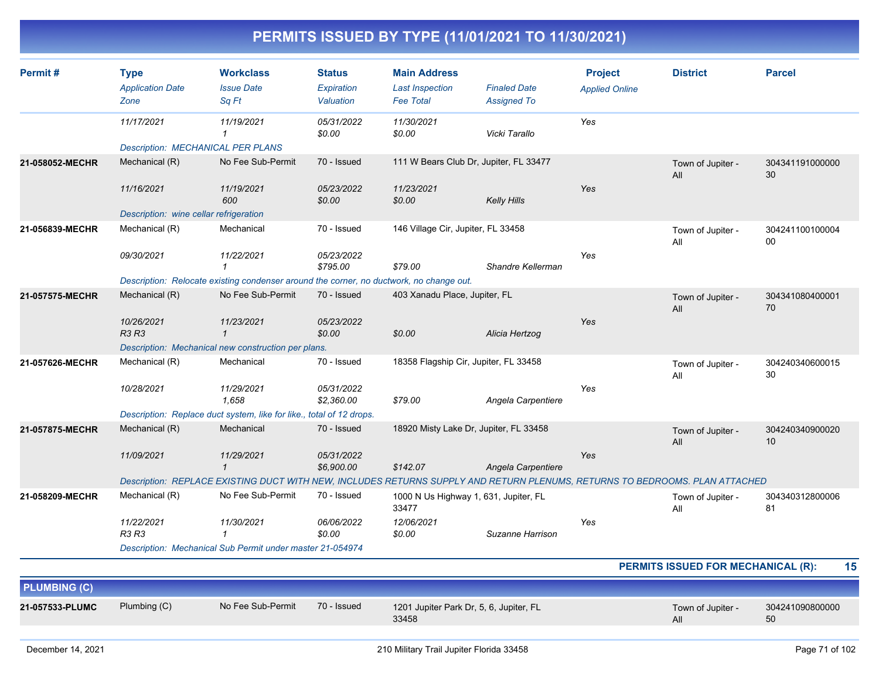| Permit#             | <b>Type</b><br><b>Application Date</b><br>Zone | <b>Workclass</b><br><b>Issue Date</b><br>Sq Ft                                                                              | <b>Status</b><br>Expiration<br>Valuation | <b>Main Address</b><br><b>Last Inspection</b><br><b>Fee Total</b> | <b>Finaled Date</b><br><b>Assigned To</b> | <b>Project</b><br><b>Applied Online</b> | <b>District</b>                    | <b>Parcel</b>         |
|---------------------|------------------------------------------------|-----------------------------------------------------------------------------------------------------------------------------|------------------------------------------|-------------------------------------------------------------------|-------------------------------------------|-----------------------------------------|------------------------------------|-----------------------|
|                     | 11/17/2021                                     | 11/19/2021<br>$\mathbf{1}$                                                                                                  | 05/31/2022<br>\$0.00                     | 11/30/2021<br>\$0.00                                              | Vicki Tarallo                             | Yes                                     |                                    |                       |
|                     | <b>Description: MECHANICAL PER PLANS</b>       |                                                                                                                             |                                          |                                                                   |                                           |                                         |                                    |                       |
| 21-058052-MECHR     | Mechanical (R)                                 | No Fee Sub-Permit                                                                                                           | 70 - Issued                              | 111 W Bears Club Dr, Jupiter, FL 33477                            |                                           |                                         | Town of Jupiter -<br>All           | 304341191000000<br>30 |
|                     | 11/16/2021                                     | 11/19/2021<br>600                                                                                                           | 05/23/2022<br>\$0.00                     | 11/23/2021<br>\$0.00                                              | <b>Kelly Hills</b>                        | Yes                                     |                                    |                       |
|                     | Description: wine cellar refrigeration         |                                                                                                                             |                                          |                                                                   |                                           |                                         |                                    |                       |
| 21-056839-MECHR     | Mechanical (R)                                 | Mechanical                                                                                                                  | 70 - Issued                              | 146 Village Cir, Jupiter, FL 33458                                |                                           |                                         | Town of Jupiter -<br>All           | 304241100100004<br>00 |
|                     | 09/30/2021                                     | 11/22/2021<br>1                                                                                                             | 05/23/2022<br>\$795.00                   | \$79.00                                                           | Shandre Kellerman                         | Yes                                     |                                    |                       |
|                     |                                                | Description: Relocate existing condenser around the corner, no ductwork, no change out.                                     |                                          |                                                                   |                                           |                                         |                                    |                       |
| 21-057575-MECHR     | Mechanical (R)                                 | No Fee Sub-Permit                                                                                                           | 70 - Issued                              | 403 Xanadu Place, Jupiter, FL                                     |                                           |                                         | Town of Jupiter -<br>All           | 304341080400001<br>70 |
|                     | 10/26/2021<br><b>R3 R3</b>                     | 11/23/2021<br>$\mathbf{1}$                                                                                                  | 05/23/2022<br>\$0.00                     | \$0.00                                                            | Alicia Hertzog                            | Yes                                     |                                    |                       |
|                     |                                                | Description: Mechanical new construction per plans.                                                                         |                                          |                                                                   |                                           |                                         |                                    |                       |
| 21-057626-MECHR     | Mechanical (R)                                 | Mechanical                                                                                                                  | 70 - Issued                              | 18358 Flagship Cir, Jupiter, FL 33458                             |                                           |                                         | Town of Jupiter -<br>All           | 304240340600015<br>30 |
|                     | 10/28/2021                                     | 11/29/2021<br>1.658                                                                                                         | 05/31/2022<br>\$2,360.00                 | \$79.00                                                           | Angela Carpentiere                        | Yes                                     |                                    |                       |
|                     |                                                | Description: Replace duct system, like for like., total of 12 drops.                                                        |                                          |                                                                   |                                           |                                         |                                    |                       |
| 21-057875-MECHR     | Mechanical (R)                                 | Mechanical                                                                                                                  | 70 - Issued                              | 18920 Misty Lake Dr, Jupiter, FL 33458                            |                                           |                                         | Town of Jupiter -<br>All           | 304240340900020<br>10 |
|                     | 11/09/2021                                     | 11/29/2021<br>$\mathbf{1}$                                                                                                  | 05/31/2022<br>\$6,900.00                 | \$142.07                                                          | Angela Carpentiere                        | Yes                                     |                                    |                       |
|                     |                                                | Description: REPLACE EXISTING DUCT WITH NEW, INCLUDES RETURNS SUPPLY AND RETURN PLENUMS, RETURNS TO BEDROOMS. PLAN ATTACHED |                                          |                                                                   |                                           |                                         |                                    |                       |
| 21-058209-MECHR     | Mechanical (R)                                 | No Fee Sub-Permit                                                                                                           | 70 - Issued                              | 1000 N Us Highway 1, 631, Jupiter, FL<br>33477                    |                                           |                                         | Town of Jupiter -<br>All           | 304340312800006<br>81 |
|                     | 11/22/2021<br><b>R3 R3</b>                     | 11/30/2021<br>$\mathbf{1}$                                                                                                  | 06/06/2022<br>\$0.00                     | 12/06/2021<br>\$0.00                                              | Suzanne Harrison                          | Yes                                     |                                    |                       |
|                     |                                                | Description: Mechanical Sub Permit under master 21-054974                                                                   |                                          |                                                                   |                                           |                                         |                                    |                       |
|                     |                                                |                                                                                                                             |                                          |                                                                   |                                           |                                         | PERMITS ISSUED FOR MECHANICAL (R): | 15                    |
| <b>PLUMBING (C)</b> |                                                |                                                                                                                             |                                          |                                                                   |                                           |                                         |                                    |                       |
| 21-057533-PLUMC     | Plumbing (C)                                   | No Fee Sub-Permit                                                                                                           | 70 - Issued                              | 1201 Jupiter Park Dr, 5, 6, Jupiter, FL<br>33458                  |                                           |                                         | Town of Jupiter -<br>All           | 304241090800000<br>50 |
|                     |                                                |                                                                                                                             |                                          |                                                                   |                                           |                                         |                                    |                       |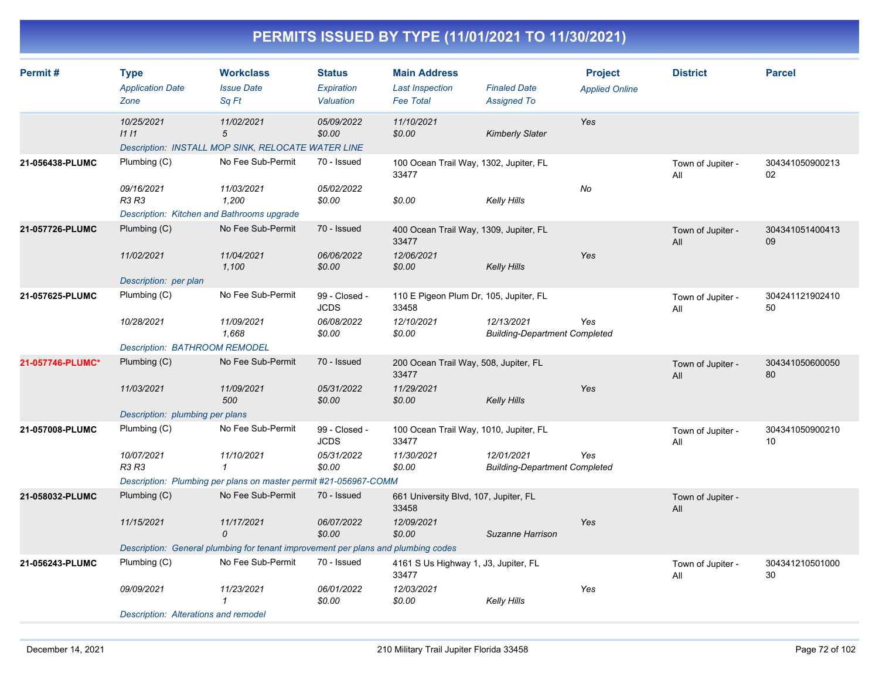| Permit#          | <b>Type</b><br><b>Application Date</b><br>Zone                    | <b>Workclass</b><br><b>Issue Date</b><br>Sq Ft                                    | <b>Status</b><br>Expiration<br>Valuation | <b>Main Address</b><br><b>Last Inspection</b><br><b>Fee Total</b> | <b>Finaled Date</b><br><b>Assigned To</b>          | <b>Project</b><br><b>Applied Online</b> | <b>District</b>          | <b>Parcel</b>         |  |
|------------------|-------------------------------------------------------------------|-----------------------------------------------------------------------------------|------------------------------------------|-------------------------------------------------------------------|----------------------------------------------------|-----------------------------------------|--------------------------|-----------------------|--|
|                  | 10/25/2021<br>1111                                                | 11/02/2021<br>5<br>Description: INSTALL MOP SINK, RELOCATE WATER LINE             | 05/09/2022<br>\$0.00                     | 11/10/2021<br>\$0.00                                              | <b>Kimberly Slater</b>                             | Yes                                     |                          |                       |  |
| 21-056438-PLUMC  | Plumbing (C)                                                      | No Fee Sub-Permit                                                                 | 70 - Issued                              | 100 Ocean Trail Way, 1302, Jupiter, FL<br>33477                   |                                                    |                                         | Town of Jupiter -<br>All | 304341050900213<br>02 |  |
|                  | 09/16/2021<br>R3 R3<br>Description: Kitchen and Bathrooms upgrade | 11/03/2021<br>1,200                                                               | 05/02/2022<br>\$0.00                     | \$0.00                                                            | Kelly Hills                                        | No                                      |                          |                       |  |
| 21-057726-PLUMC  | Plumbing $(C)$                                                    | No Fee Sub-Permit                                                                 | 70 - Issued                              | 400 Ocean Trail Way, 1309, Jupiter, FL<br>33477                   |                                                    |                                         | Town of Jupiter -<br>All | 304341051400413<br>09 |  |
|                  | 11/02/2021                                                        | 11/04/2021<br>1,100                                                               | 06/06/2022<br>\$0.00                     | 12/06/2021<br>\$0.00                                              | <b>Kelly Hills</b>                                 | Yes                                     |                          |                       |  |
| 21-057625-PLUMC  | Description: per plan<br>Plumbing (C)                             | No Fee Sub-Permit                                                                 | 99 - Closed -<br><b>JCDS</b>             | 110 E Pigeon Plum Dr, 105, Jupiter, FL<br>33458                   |                                                    |                                         | Town of Jupiter -<br>All | 304241121902410<br>50 |  |
|                  | 10/28/2021                                                        | 11/09/2021<br>1,668                                                               | 06/08/2022<br>\$0.00                     | 12/10/2021<br>\$0.00                                              | 12/13/2021<br><b>Building-Department Completed</b> | Yes                                     |                          |                       |  |
|                  | <b>Description: BATHROOM REMODEL</b>                              |                                                                                   |                                          |                                                                   |                                                    |                                         |                          |                       |  |
| 21-057746-PLUMC* | Plumbing $(C)$                                                    | No Fee Sub-Permit                                                                 | 70 - Issued                              | 200 Ocean Trail Way, 508, Jupiter, FL<br>33477                    |                                                    |                                         | Town of Jupiter -<br>All | 304341050600050<br>80 |  |
|                  | 11/03/2021                                                        | 11/09/2021<br>500                                                                 | 05/31/2022<br>\$0.00                     | 11/29/2021<br>\$0.00                                              | <b>Kelly Hills</b>                                 | Yes                                     |                          |                       |  |
|                  | Description: plumbing per plans                                   |                                                                                   |                                          |                                                                   |                                                    |                                         |                          |                       |  |
| 21-057008-PLUMC  | Plumbing (C)                                                      | No Fee Sub-Permit                                                                 | 99 - Closed -<br><b>JCDS</b>             | 100 Ocean Trail Way, 1010, Jupiter, FL<br>33477                   |                                                    |                                         | Town of Jupiter -<br>All | 304341050900210<br>10 |  |
|                  | 10/07/2021<br><b>R3 R3</b>                                        | 11/10/2021<br>$\mathbf{1}$                                                        | 05/31/2022<br>\$0.00                     | 11/30/2021<br>\$0.00                                              | 12/01/2021<br><b>Building-Department Completed</b> | Yes                                     |                          |                       |  |
|                  | Description: Plumbing per plans on master permit #21-056967-COMM  |                                                                                   |                                          |                                                                   |                                                    |                                         |                          |                       |  |
| 21-058032-PLUMC  | Plumbing (C)                                                      | No Fee Sub-Permit                                                                 | 70 - Issued                              | 661 University Blvd, 107, Jupiter, FL<br>33458                    |                                                    |                                         | Town of Jupiter -<br>All |                       |  |
|                  | 11/15/2021                                                        | 11/17/2021<br>$\Omega$                                                            | 06/07/2022<br>\$0.00                     | 12/09/2021<br>\$0.00                                              | Suzanne Harrison                                   | Yes                                     |                          |                       |  |
|                  |                                                                   | Description: General plumbing for tenant improvement per plans and plumbing codes |                                          |                                                                   |                                                    |                                         |                          |                       |  |
| 21-056243-PLUMC  | Plumbing (C)                                                      | No Fee Sub-Permit                                                                 | 70 - Issued                              | 4161 S Us Highway 1, J3, Jupiter, FL<br>33477                     |                                                    |                                         | Town of Jupiter -<br>All | 304341210501000<br>30 |  |
|                  | 09/09/2021                                                        | 11/23/2021<br>1                                                                   | 06/01/2022<br>\$0.00                     | 12/03/2021<br>\$0.00                                              | Kelly Hills                                        | Yes                                     |                          |                       |  |
|                  | Description: Alterations and remodel                              |                                                                                   |                                          |                                                                   |                                                    |                                         |                          |                       |  |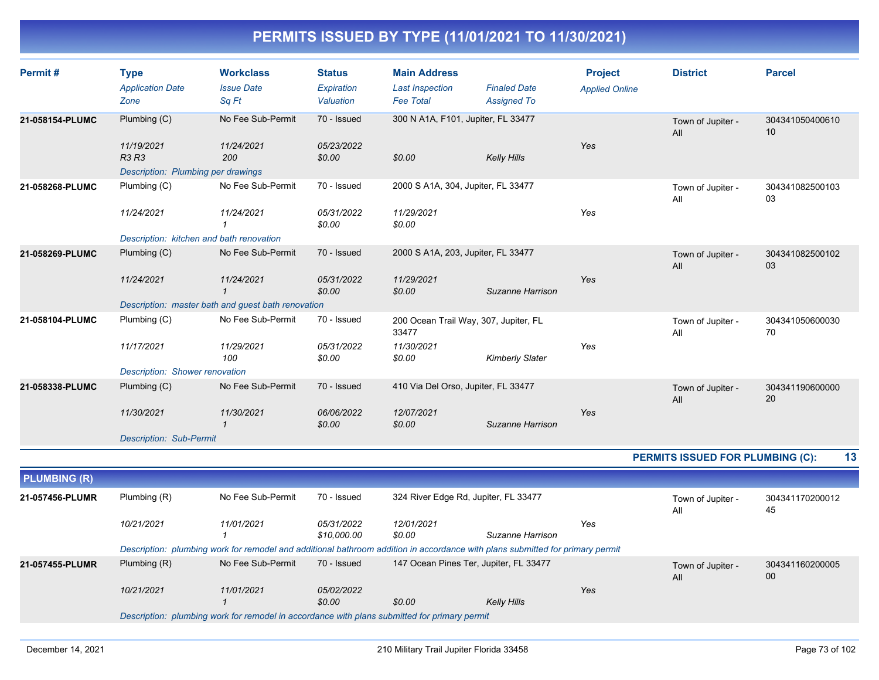| Permit#             | <b>Type</b><br><b>Application Date</b><br>Zone | <b>Workclass</b><br><b>Issue Date</b><br>Sq Ft                                                                                | <b>Status</b><br>Expiration<br>Valuation | <b>Main Address</b><br><b>Last Inspection</b><br><b>Fee Total</b> | <b>Finaled Date</b><br><b>Assigned To</b> | <b>Project</b><br><b>Applied Online</b> | <b>District</b>                         | <b>Parcel</b>         |
|---------------------|------------------------------------------------|-------------------------------------------------------------------------------------------------------------------------------|------------------------------------------|-------------------------------------------------------------------|-------------------------------------------|-----------------------------------------|-----------------------------------------|-----------------------|
| 21-058154-PLUMC     | Plumbing (C)<br>11/19/2021<br>R3 R3            | No Fee Sub-Permit<br>11/24/2021<br>200                                                                                        | 70 - Issued<br>05/23/2022<br>\$0.00      | 300 N A1A, F101, Jupiter, FL 33477<br>\$0.00                      | <b>Kelly Hills</b>                        | Yes                                     | Town of Jupiter -<br>All                | 304341050400610<br>10 |
|                     | Description: Plumbing per drawings             |                                                                                                                               |                                          |                                                                   |                                           |                                         |                                         |                       |
| 21-058268-PLUMC     | Plumbing (C)                                   | No Fee Sub-Permit                                                                                                             | 70 - Issued                              | 2000 S A1A, 304, Jupiter, FL 33477                                |                                           |                                         | Town of Jupiter -<br>All                | 304341082500103<br>03 |
|                     | 11/24/2021                                     | 11/24/2021<br>$\mathbf{1}$                                                                                                    | 05/31/2022<br>\$0.00                     | 11/29/2021<br>\$0.00                                              |                                           | Yes                                     |                                         |                       |
|                     | Description: kitchen and bath renovation       |                                                                                                                               |                                          |                                                                   |                                           |                                         |                                         |                       |
| 21-058269-PLUMC     | Plumbing (C)                                   | No Fee Sub-Permit                                                                                                             | 70 - Issued                              | 2000 S A1A, 203, Jupiter, FL 33477                                |                                           |                                         | Town of Jupiter -<br>All                | 304341082500102<br>03 |
|                     | 11/24/2021                                     | 11/24/2021<br>$\mathcal I$                                                                                                    | 05/31/2022<br>\$0.00                     | 11/29/2021<br>\$0.00                                              | Suzanne Harrison                          | Yes                                     |                                         |                       |
|                     |                                                | Description: master bath and guest bath renovation                                                                            |                                          |                                                                   |                                           |                                         |                                         |                       |
| 21-058104-PLUMC     | Plumbing (C)                                   | No Fee Sub-Permit                                                                                                             | 70 - Issued                              | 200 Ocean Trail Way, 307, Jupiter, FL<br>33477                    |                                           |                                         | Town of Jupiter -<br>All                | 304341050600030<br>70 |
|                     | 11/17/2021                                     | 11/29/2021<br>100                                                                                                             | 05/31/2022<br>\$0.00                     | 11/30/2021<br>\$0.00                                              | <b>Kimberly Slater</b>                    | Yes                                     |                                         |                       |
|                     | Description: Shower renovation                 |                                                                                                                               |                                          |                                                                   |                                           |                                         |                                         |                       |
| 21-058338-PLUMC     | Plumbing (C)                                   | No Fee Sub-Permit                                                                                                             | 70 - Issued                              | 410 Via Del Orso, Jupiter, FL 33477                               |                                           |                                         | Town of Jupiter -<br>All                | 304341190600000<br>20 |
|                     | 11/30/2021                                     | 11/30/2021<br>$\mathcal I$                                                                                                    | 06/06/2022<br>\$0.00                     | 12/07/2021<br>\$0.00                                              | Suzanne Harrison                          | Yes                                     |                                         |                       |
|                     | <b>Description: Sub-Permit</b>                 |                                                                                                                               |                                          |                                                                   |                                           |                                         |                                         |                       |
|                     |                                                |                                                                                                                               |                                          |                                                                   |                                           |                                         | <b>PERMITS ISSUED FOR PLUMBING (C):</b> | 13                    |
| <b>PLUMBING (R)</b> |                                                |                                                                                                                               |                                          |                                                                   |                                           |                                         |                                         |                       |
| 21-057456-PLUMR     | Plumbing (R)                                   | No Fee Sub-Permit                                                                                                             | 70 - Issued                              | 324 River Edge Rd, Jupiter, FL 33477                              |                                           |                                         | Town of Jupiter -<br>All                | 304341170200012<br>45 |
|                     | 10/21/2021                                     | 11/01/2021<br>1                                                                                                               | 05/31/2022<br>\$10,000.00                | 12/01/2021<br>\$0.00                                              | Suzanne Harrison                          | Yes                                     |                                         |                       |
|                     |                                                | Description: plumbing work for remodel and additional bathroom addition in accordance with plans submitted for primary permit |                                          |                                                                   |                                           |                                         |                                         |                       |
| 21-057455-PLUMR     | Plumbing $(R)$                                 | No Fee Sub-Permit                                                                                                             | 70 - Issued                              |                                                                   | 147 Ocean Pines Ter, Jupiter, FL 33477    |                                         | Town of Jupiter -<br>All                | 304341160200005<br>00 |
|                     | 10/21/2021                                     | 11/01/2021                                                                                                                    | 05/02/2022<br>\$0.00                     | \$0.00                                                            | <b>Kelly Hills</b>                        | Yes                                     |                                         |                       |
|                     |                                                | Description: plumbing work for remodel in accordance with plans submitted for primary permit                                  |                                          |                                                                   |                                           |                                         |                                         |                       |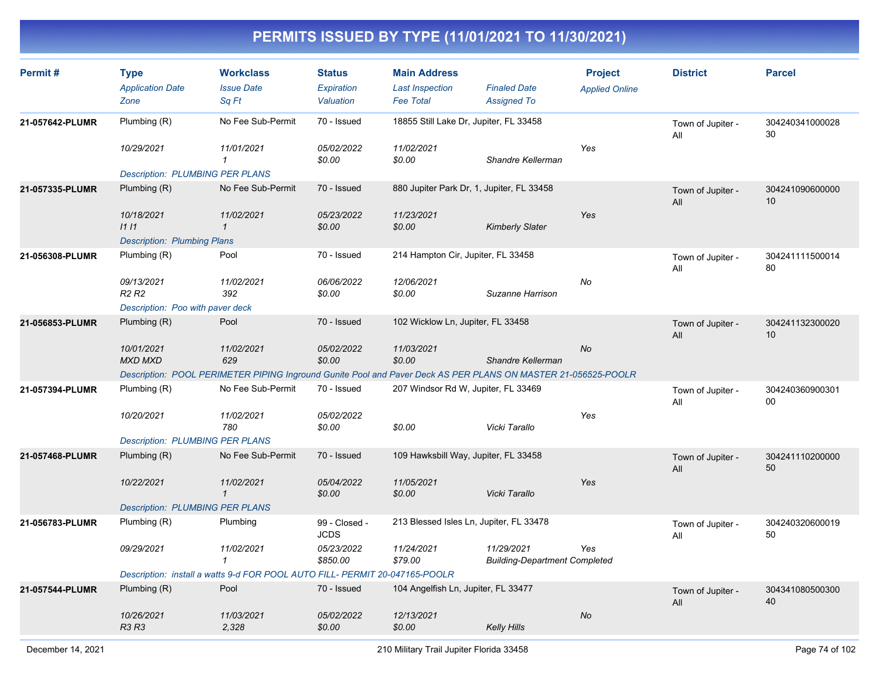| Permit#         | <b>Type</b><br><b>Application Date</b><br>Zone | <b>Workclass</b><br><b>Issue Date</b><br>Sq Ft                                                                | <b>Status</b><br><b>Expiration</b><br>Valuation | <b>Main Address</b><br><b>Last Inspection</b><br><b>Fee Total</b> | <b>Finaled Date</b><br><b>Assigned To</b>          | <b>Project</b><br><b>Applied Online</b> | <b>District</b>          | <b>Parcel</b>         |
|-----------------|------------------------------------------------|---------------------------------------------------------------------------------------------------------------|-------------------------------------------------|-------------------------------------------------------------------|----------------------------------------------------|-----------------------------------------|--------------------------|-----------------------|
| 21-057642-PLUMR | Plumbing (R)                                   | No Fee Sub-Permit                                                                                             | 70 - Issued                                     | 18855 Still Lake Dr, Jupiter, FL 33458                            |                                                    |                                         | Town of Jupiter -<br>All | 304240341000028<br>30 |
|                 | 10/29/2021                                     | 11/01/2021<br>$\mathcal I$                                                                                    | 05/02/2022<br>\$0.00                            | 11/02/2021<br>\$0.00                                              | Shandre Kellerman                                  | Yes                                     |                          |                       |
|                 | <b>Description: PLUMBING PER PLANS</b>         |                                                                                                               |                                                 |                                                                   |                                                    |                                         |                          |                       |
| 21-057335-PLUMR | Plumbing (R)                                   | No Fee Sub-Permit                                                                                             | 70 - Issued                                     | 880 Jupiter Park Dr, 1, Jupiter, FL 33458                         |                                                    |                                         | Town of Jupiter -<br>All | 304241090600000<br>10 |
|                 | 10/18/2021<br>1111                             | 11/02/2021<br>$\mathbf{1}$                                                                                    | 05/23/2022<br>\$0.00                            | 11/23/2021<br>\$0.00                                              | <b>Kimberly Slater</b>                             | Yes                                     |                          |                       |
|                 | <b>Description: Plumbing Plans</b>             |                                                                                                               |                                                 |                                                                   |                                                    |                                         |                          |                       |
| 21-056308-PLUMR | Plumbing (R)                                   | Pool                                                                                                          | 70 - Issued                                     | 214 Hampton Cir, Jupiter, FL 33458                                |                                                    |                                         | Town of Jupiter -<br>All | 304241111500014<br>80 |
|                 | 09/13/2021<br>R <sub>2</sub> R <sub>2</sub>    | 11/02/2021<br>392                                                                                             | 06/06/2022<br>\$0.00                            | 12/06/2021<br>\$0.00                                              | Suzanne Harrison                                   | No                                      |                          |                       |
|                 | Description: Poo with paver deck               |                                                                                                               |                                                 |                                                                   |                                                    |                                         |                          |                       |
| 21-056853-PLUMR | Plumbing (R)                                   | Pool                                                                                                          | 70 - Issued                                     | 102 Wicklow Ln, Jupiter, FL 33458                                 |                                                    |                                         | Town of Jupiter -<br>All | 304241132300020<br>10 |
|                 | 10/01/2021<br><b>MXD MXD</b>                   | 11/02/2021<br>629                                                                                             | 05/02/2022<br>\$0.00                            | 11/03/2021<br>\$0.00                                              | Shandre Kellerman                                  | <b>No</b>                               |                          |                       |
|                 |                                                | Description: POOL PERIMETER PIPING Inground Gunite Pool and Paver Deck AS PER PLANS ON MASTER 21-056525-POOLR |                                                 |                                                                   |                                                    |                                         |                          |                       |
| 21-057394-PLUMR | Plumbing (R)                                   | No Fee Sub-Permit                                                                                             | 70 - Issued                                     | 207 Windsor Rd W, Jupiter, FL 33469                               |                                                    |                                         | Town of Jupiter -<br>All | 304240360900301<br>00 |
|                 | 10/20/2021                                     | 11/02/2021<br>780                                                                                             | 05/02/2022<br>\$0.00                            | \$0.00                                                            | Vicki Tarallo                                      | Yes                                     |                          |                       |
|                 | <b>Description: PLUMBING PER PLANS</b>         |                                                                                                               |                                                 |                                                                   |                                                    |                                         |                          |                       |
| 21-057468-PLUMR | Plumbing $(R)$                                 | No Fee Sub-Permit                                                                                             | 70 - Issued                                     | 109 Hawksbill Way, Jupiter, FL 33458                              |                                                    |                                         | Town of Jupiter -<br>All | 304241110200000<br>50 |
|                 | 10/22/2021                                     | 11/02/2021<br>$\mathbf{1}$                                                                                    | 05/04/2022<br>\$0.00                            | 11/05/2021<br>\$0.00                                              | Vicki Tarallo                                      | Yes                                     |                          |                       |
|                 | <b>Description: PLUMBING PER PLANS</b>         |                                                                                                               |                                                 |                                                                   |                                                    |                                         |                          |                       |
| 21-056783-PLUMR | Plumbing (R)                                   | Plumbing                                                                                                      | 99 - Closed -<br><b>JCDS</b>                    | 213 Blessed Isles Ln, Jupiter, FL 33478                           |                                                    |                                         | Town of Jupiter -<br>All | 304240320600019<br>50 |
|                 | 09/29/2021                                     | 11/02/2021<br>$\mathbf{1}$                                                                                    | 05/23/2022<br>\$850.00                          | 11/24/2021<br>\$79.00                                             | 11/29/2021<br><b>Building-Department Completed</b> | Yes                                     |                          |                       |
|                 |                                                | Description: install a watts 9-d FOR POOL AUTO FILL- PERMIT 20-047165-POOLR                                   |                                                 |                                                                   |                                                    |                                         |                          |                       |
| 21-057544-PLUMR | Plumbing (R)                                   | Pool                                                                                                          | 70 - Issued                                     | 104 Angelfish Ln, Jupiter, FL 33477                               |                                                    |                                         | Town of Jupiter -<br>All | 304341080500300<br>40 |
|                 | 10/26/2021<br><b>R3 R3</b>                     | 11/03/2021<br>2,328                                                                                           | 05/02/2022<br>\$0.00                            | 12/13/2021<br>\$0.00                                              | <b>Kelly Hills</b>                                 | No                                      |                          |                       |
|                 |                                                |                                                                                                               |                                                 |                                                                   |                                                    |                                         |                          |                       |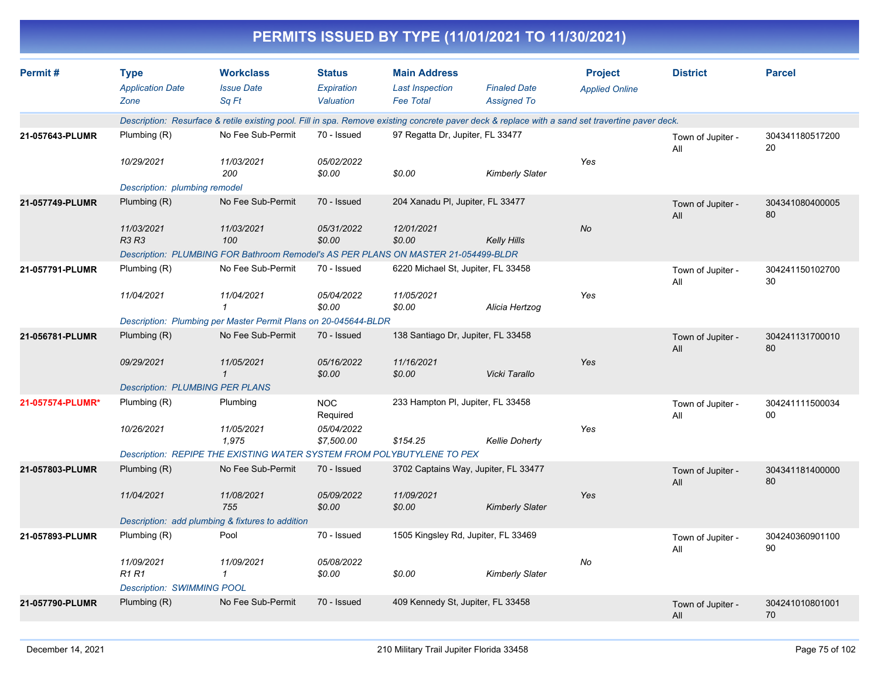|                  |                                                |                                                                                                                                                  |                                          |                                                                   | PERMITS ISSUED BY TYPE (11/01/2021 TO 11/30/2021) |                                         |                          |                       |
|------------------|------------------------------------------------|--------------------------------------------------------------------------------------------------------------------------------------------------|------------------------------------------|-------------------------------------------------------------------|---------------------------------------------------|-----------------------------------------|--------------------------|-----------------------|
| Permit#          | <b>Type</b><br><b>Application Date</b><br>Zone | <b>Workclass</b><br><b>Issue Date</b><br>Sq Ft                                                                                                   | <b>Status</b><br>Expiration<br>Valuation | <b>Main Address</b><br><b>Last Inspection</b><br><b>Fee Total</b> | <b>Finaled Date</b><br><b>Assigned To</b>         | <b>Project</b><br><b>Applied Online</b> | <b>District</b>          | <b>Parcel</b>         |
|                  |                                                | Description: Resurface & retile existing pool. Fill in spa. Remove existing concrete paver deck & replace with a sand set travertine paver deck. |                                          |                                                                   |                                                   |                                         |                          |                       |
| 21-057643-PLUMR  | Plumbing (R)                                   | No Fee Sub-Permit                                                                                                                                | 70 - Issued                              | 97 Regatta Dr, Jupiter, FL 33477                                  |                                                   |                                         | Town of Jupiter -<br>All | 304341180517200<br>20 |
|                  | 10/29/2021                                     | 11/03/2021<br>200                                                                                                                                | 05/02/2022<br>\$0.00                     | \$0.00                                                            | <b>Kimberly Slater</b>                            | Yes                                     |                          |                       |
|                  | Description: plumbing remodel                  |                                                                                                                                                  |                                          |                                                                   |                                                   |                                         |                          |                       |
| 21-057749-PLUMR  | Plumbing (R)                                   | No Fee Sub-Permit                                                                                                                                | 70 - Issued                              | 204 Xanadu PI, Jupiter, FL 33477                                  |                                                   |                                         | Town of Jupiter -<br>All | 304341080400005<br>80 |
|                  | 11/03/2021<br><b>R3 R3</b>                     | 11/03/2021<br>100                                                                                                                                | 05/31/2022<br>\$0.00                     | 12/01/2021<br>\$0.00                                              | <b>Kelly Hills</b>                                | No                                      |                          |                       |
|                  |                                                | Description: PLUMBING FOR Bathroom Remodel's AS PER PLANS ON MASTER 21-054499-BLDR                                                               |                                          |                                                                   |                                                   |                                         |                          |                       |
| 21-057791-PLUMR  | Plumbing (R)                                   | No Fee Sub-Permit                                                                                                                                | 70 - Issued                              | 6220 Michael St, Jupiter, FL 33458                                |                                                   |                                         | Town of Jupiter -<br>All | 304241150102700<br>30 |
|                  | 11/04/2021                                     | 11/04/2021                                                                                                                                       | 05/04/2022<br>\$0.00                     | 11/05/2021<br>\$0.00                                              | Alicia Hertzog                                    | Yes                                     |                          |                       |
|                  |                                                | Description: Plumbing per Master Permit Plans on 20-045644-BLDR                                                                                  |                                          |                                                                   |                                                   |                                         |                          |                       |
| 21-056781-PLUMR  | Plumbing (R)                                   | No Fee Sub-Permit                                                                                                                                | 70 - Issued                              | 138 Santiago Dr, Jupiter, FL 33458                                |                                                   |                                         | Town of Jupiter -<br>All | 304241131700010<br>80 |
|                  | 09/29/2021                                     | 11/05/2021<br>$\mathbf{1}$                                                                                                                       | 05/16/2022<br>\$0.00                     | 11/16/2021<br>\$0.00                                              | Vicki Tarallo                                     | Yes                                     |                          |                       |
|                  | <b>Description: PLUMBING PER PLANS</b>         |                                                                                                                                                  |                                          |                                                                   |                                                   |                                         |                          |                       |
| 21-057574-PLUMR* | Plumbing (R)                                   | Plumbing                                                                                                                                         | <b>NOC</b><br>Required                   | 233 Hampton PI, Jupiter, FL 33458                                 |                                                   |                                         | Town of Jupiter -<br>All | 304241111500034<br>00 |
|                  | 10/26/2021                                     | 11/05/2021<br>1,975                                                                                                                              | 05/04/2022<br>\$7,500.00                 | \$154.25                                                          | <b>Kellie Doherty</b>                             | Yes                                     |                          |                       |
|                  |                                                | Description: REPIPE THE EXISTING WATER SYSTEM FROM POLYBUTYLENE TO PEX                                                                           |                                          |                                                                   |                                                   |                                         |                          |                       |
| 21-057803-PLUMR  | Plumbing (R)                                   | No Fee Sub-Permit                                                                                                                                | 70 - Issued                              |                                                                   | 3702 Captains Way, Jupiter, FL 33477              |                                         | Town of Jupiter -<br>All | 304341181400000<br>80 |
|                  | 11/04/2021                                     | 11/08/2021<br>755                                                                                                                                | 05/09/2022<br>\$0.00                     | 11/09/2021<br>\$0.00                                              | <b>Kimberly Slater</b>                            | Yes                                     |                          |                       |
|                  |                                                | Description: add plumbing & fixtures to addition                                                                                                 |                                          |                                                                   |                                                   |                                         |                          |                       |
| 21-057893-PLUMR  | Plumbing (R)                                   | Pool                                                                                                                                             | 70 - Issued                              | 1505 Kingsley Rd, Jupiter, FL 33469                               |                                                   |                                         | Town of Jupiter -<br>ail | 304240360901100<br>90 |
|                  | 11/09/2021<br><b>R1 R1</b>                     | 11/09/2021<br>$\mathbf{1}$                                                                                                                       | 05/08/2022<br>\$0.00                     | \$0.00                                                            | <b>Kimberly Slater</b>                            | No                                      |                          |                       |
|                  | <b>Description: SWIMMING POOL</b>              |                                                                                                                                                  |                                          |                                                                   |                                                   |                                         |                          |                       |
| 21-057790-PLUMR  | Plumbing (R)                                   | No Fee Sub-Permit                                                                                                                                | 70 - Issued                              | 409 Kennedy St, Jupiter, FL 33458                                 |                                                   |                                         | Town of Jupiter -<br>All | 304241010801001<br>70 |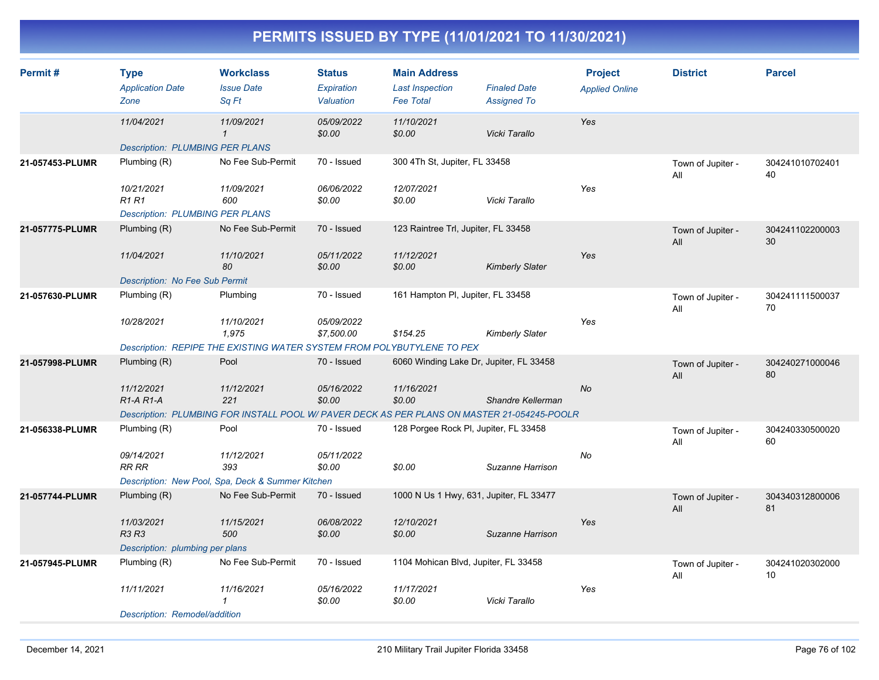| Permit#         | <b>Type</b><br><b>Application Date</b><br>Zone   | <b>Workclass</b><br><b>Issue Date</b><br>Sa Ft                                              | <b>Status</b><br>Expiration<br>Valuation | <b>Main Address</b><br><b>Last Inspection</b><br><b>Fee Total</b> | <b>Finaled Date</b><br><b>Assigned To</b> | <b>Project</b><br><b>Applied Online</b> | <b>District</b>          | <b>Parcel</b>         |
|-----------------|--------------------------------------------------|---------------------------------------------------------------------------------------------|------------------------------------------|-------------------------------------------------------------------|-------------------------------------------|-----------------------------------------|--------------------------|-----------------------|
|                 | 11/04/2021                                       | 11/09/2021<br>$\mathbf{1}$                                                                  | 05/09/2022<br>\$0.00                     | 11/10/2021<br>\$0.00                                              | Vicki Tarallo                             | Yes                                     |                          |                       |
|                 | <b>Description: PLUMBING PER PLANS</b>           |                                                                                             |                                          |                                                                   |                                           |                                         |                          |                       |
| 21-057453-PLUMR | Plumbing (R)                                     | No Fee Sub-Permit                                                                           | 70 - Issued                              | 300 4Th St, Jupiter, FL 33458                                     |                                           |                                         | Town of Jupiter -<br>All | 304241010702401<br>40 |
|                 | 10/21/2021<br><b>R1R1</b>                        | 11/09/2021<br>600                                                                           | 06/06/2022<br>\$0.00                     | 12/07/2021<br>\$0.00                                              | Vicki Tarallo                             | Yes                                     |                          |                       |
|                 | <b>Description: PLUMBING PER PLANS</b>           |                                                                                             |                                          |                                                                   |                                           |                                         |                          |                       |
| 21-057775-PLUMR | Plumbing (R)                                     | No Fee Sub-Permit                                                                           | 70 - Issued                              | 123 Raintree Trl, Jupiter, FL 33458                               |                                           |                                         | Town of Jupiter -<br>All | 304241102200003<br>30 |
|                 | 11/04/2021                                       | 11/10/2021<br>80                                                                            | 05/11/2022<br>\$0.00                     | 11/12/2021<br>\$0.00                                              | <b>Kimberly Slater</b>                    | Yes                                     |                          |                       |
|                 | <b>Description: No Fee Sub Permit</b>            |                                                                                             |                                          |                                                                   |                                           |                                         |                          |                       |
| 21-057630-PLUMR | Plumbing (R)                                     | Plumbing                                                                                    | 70 - Issued                              | 161 Hampton PI, Jupiter, FL 33458                                 |                                           |                                         | Town of Jupiter -<br>All | 304241111500037<br>70 |
|                 | 10/28/2021                                       | 11/10/2021<br>1,975                                                                         | 05/09/2022<br>\$7,500.00                 | \$154.25                                                          | <b>Kimberly Slater</b>                    | Yes                                     |                          |                       |
|                 |                                                  | Description: REPIPE THE EXISTING WATER SYSTEM FROM POLYBUTYLENE TO PEX                      |                                          |                                                                   |                                           |                                         |                          |                       |
| 21-057998-PLUMR | Plumbing (R)                                     | Pool                                                                                        | 70 - Issued                              | 6060 Winding Lake Dr, Jupiter, FL 33458                           |                                           |                                         | Town of Jupiter -<br>All | 304240271000046<br>80 |
|                 | 11/12/2021<br>R <sub>1</sub> -A <sub>R1</sub> -A | 11/12/2021<br>221                                                                           | 05/16/2022<br>\$0.00                     | 11/16/2021<br>\$0.00                                              | Shandre Kellerman                         | No                                      |                          |                       |
|                 |                                                  | Description: PLUMBING FOR INSTALL POOL W/ PAVER DECK AS PER PLANS ON MASTER 21-054245-POOLR |                                          |                                                                   |                                           |                                         |                          |                       |
| 21-056338-PLUMR | Plumbing (R)                                     | Pool                                                                                        | 70 - Issued                              | 128 Porgee Rock PI, Jupiter, FL 33458                             |                                           |                                         | Town of Jupiter -<br>All | 304240330500020<br>60 |
|                 | 09/14/2021<br><b>RR RR</b>                       | 11/12/2021<br>393                                                                           | 05/11/2022<br>\$0.00                     | \$0.00                                                            | Suzanne Harrison                          | No                                      |                          |                       |
|                 |                                                  | Description: New Pool, Spa, Deck & Summer Kitchen                                           |                                          |                                                                   |                                           |                                         |                          |                       |
| 21-057744-PLUMR | Plumbing $(R)$                                   | No Fee Sub-Permit                                                                           | 70 - Issued                              | 1000 N Us 1 Hwy, 631, Jupiter, FL 33477                           |                                           |                                         | Town of Jupiter -<br>All | 304340312800006<br>81 |
|                 | 11/03/2021<br><b>R3 R3</b>                       | 11/15/2021<br>500                                                                           | 06/08/2022<br>\$0.00                     | 12/10/2021<br>\$0.00                                              | Suzanne Harrison                          | Yes                                     |                          |                       |
|                 | Description: plumbing per plans                  |                                                                                             |                                          |                                                                   |                                           |                                         |                          |                       |
| 21-057945-PLUMR | Plumbing (R)                                     | No Fee Sub-Permit                                                                           | 70 - Issued                              | 1104 Mohican Blvd, Jupiter, FL 33458                              |                                           |                                         | Town of Jupiter -<br>All | 304241020302000<br>10 |
|                 | 11/11/2021                                       | 11/16/2021<br>1                                                                             | 05/16/2022<br>\$0.00                     | 11/17/2021<br>\$0.00                                              | Vicki Tarallo                             | Yes                                     |                          |                       |
|                 | Description: Remodel/addition                    |                                                                                             |                                          |                                                                   |                                           |                                         |                          |                       |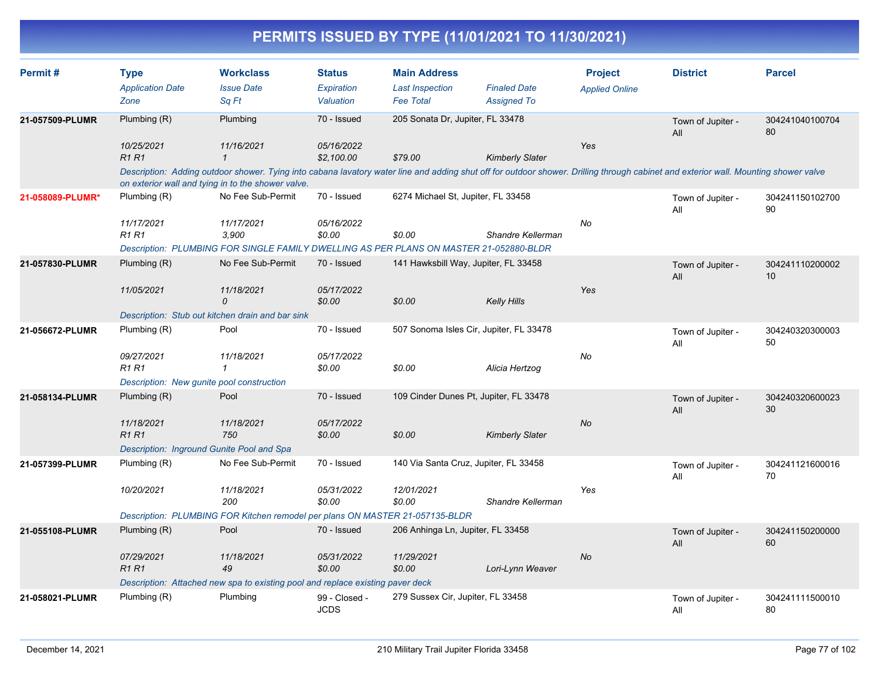| Permit#          | <b>Type</b><br><b>Application Date</b><br>Zone | <b>Workclass</b><br><b>Issue Date</b><br>Sq Ft                                         | <b>Status</b><br><b>Expiration</b><br>Valuation | <b>Main Address</b><br><b>Last Inspection</b><br><b>Fee Total</b> | <b>Finaled Date</b><br><b>Assigned To</b>                                                                                                                                           | <b>Project</b><br><b>Applied Online</b> | <b>District</b>          | <b>Parcel</b>                      |
|------------------|------------------------------------------------|----------------------------------------------------------------------------------------|-------------------------------------------------|-------------------------------------------------------------------|-------------------------------------------------------------------------------------------------------------------------------------------------------------------------------------|-----------------------------------------|--------------------------|------------------------------------|
| 21-057509-PLUMR  | Plumbing (R)                                   | Plumbing                                                                               | 70 - Issued                                     | 205 Sonata Dr, Jupiter, FL 33478                                  |                                                                                                                                                                                     |                                         | Town of Jupiter -<br>All | 304241040100704<br>80              |
|                  | 10/25/2021<br>R1R1                             | 11/16/2021                                                                             | 05/16/2022<br>\$2.100.00                        | \$79.00                                                           | <b>Kimberly Slater</b>                                                                                                                                                              | Yes                                     |                          |                                    |
|                  |                                                | on exterior wall and tying in to the shower valve.                                     |                                                 |                                                                   | Description: Adding outdoor shower. Tying into cabana lavatory water line and adding shut off for outdoor shower. Drilling through cabinet and exterior wall. Mounting shower valve |                                         |                          |                                    |
| 21-058089-PLUMR* | Plumbing (R)                                   | No Fee Sub-Permit                                                                      | 70 - Issued                                     | 6274 Michael St, Jupiter, FL 33458                                |                                                                                                                                                                                     |                                         | Town of Jupiter -<br>All | 304241150102700<br>90              |
|                  | 11/17/2021<br><b>R1 R1</b>                     | 11/17/2021<br>3,900                                                                    | 05/16/2022<br>\$0.00                            | \$0.00                                                            | Shandre Kellerman                                                                                                                                                                   | No                                      |                          |                                    |
|                  |                                                | Description: PLUMBING FOR SINGLE FAMILY DWELLING AS PER PLANS ON MASTER 21-052880-BLDR |                                                 |                                                                   |                                                                                                                                                                                     |                                         |                          |                                    |
| 21-057830-PLUMR  | Plumbing (R)                                   | No Fee Sub-Permit                                                                      | 70 - Issued                                     | 141 Hawksbill Way, Jupiter, FL 33458                              |                                                                                                                                                                                     |                                         | Town of Jupiter -<br>All | 304241110200002<br>10 <sup>1</sup> |
|                  | 11/05/2021                                     | 11/18/2021<br>$\Omega$                                                                 | 05/17/2022<br>\$0.00                            | \$0.00                                                            | <b>Kelly Hills</b>                                                                                                                                                                  | Yes                                     |                          |                                    |
|                  |                                                | Description: Stub out kitchen drain and bar sink                                       |                                                 |                                                                   |                                                                                                                                                                                     |                                         |                          |                                    |
| 21-056672-PLUMR  | Plumbing (R)                                   | Pool                                                                                   | 70 - Issued                                     |                                                                   | 507 Sonoma Isles Cir, Jupiter, FL 33478                                                                                                                                             |                                         | Town of Jupiter -<br>All | 304240320300003<br>50              |
|                  | 09/27/2021<br><b>R1R1</b>                      | 11/18/2021<br>1                                                                        | 05/17/2022<br>\$0.00                            | \$0.00                                                            | Alicia Hertzog                                                                                                                                                                      | No                                      |                          |                                    |
|                  |                                                | Description: New gunite pool construction                                              |                                                 |                                                                   |                                                                                                                                                                                     |                                         |                          |                                    |
| 21-058134-PLUMR  | Plumbing $(R)$                                 | Pool                                                                                   | 70 - Issued                                     |                                                                   | 109 Cinder Dunes Pt, Jupiter, FL 33478                                                                                                                                              |                                         | Town of Jupiter -<br>All | 304240320600023<br>30              |
|                  | 11/18/2021<br><b>R1R1</b>                      | 11/18/2021<br>750                                                                      | 05/17/2022<br>\$0.00                            | \$0.00                                                            | <b>Kimberly Slater</b>                                                                                                                                                              | <b>No</b>                               |                          |                                    |
|                  |                                                | Description: Inground Gunite Pool and Spa                                              |                                                 |                                                                   |                                                                                                                                                                                     |                                         |                          |                                    |
| 21-057399-PLUMR  | Plumbing (R)                                   | No Fee Sub-Permit                                                                      | 70 - Issued                                     |                                                                   | 140 Via Santa Cruz, Jupiter, FL 33458                                                                                                                                               |                                         | Town of Jupiter -<br>All | 304241121600016<br>70              |
|                  | 10/20/2021                                     | 11/18/2021<br>200                                                                      | 05/31/2022<br>\$0.00                            | 12/01/2021<br>\$0.00                                              | Shandre Kellerman                                                                                                                                                                   | Yes                                     |                          |                                    |
|                  |                                                | Description: PLUMBING FOR Kitchen remodel per plans ON MASTER 21-057135-BLDR           |                                                 |                                                                   |                                                                                                                                                                                     |                                         |                          |                                    |
| 21-055108-PLUMR  | Plumbing (R)                                   | Pool                                                                                   | 70 - Issued                                     | 206 Anhinga Ln, Jupiter, FL 33458                                 |                                                                                                                                                                                     |                                         | Town of Jupiter -<br>All | 304241150200000<br>60              |
|                  | 07/29/2021<br><b>R1R1</b>                      | 11/18/2021<br>49                                                                       | 05/31/2022<br>\$0.00                            | 11/29/2021<br>\$0.00                                              | Lori-Lynn Weaver                                                                                                                                                                    | No                                      |                          |                                    |
|                  |                                                | Description: Attached new spa to existing pool and replace existing paver deck         |                                                 |                                                                   |                                                                                                                                                                                     |                                         |                          |                                    |
| 21-058021-PLUMR  | Plumbing (R)                                   | Plumbing                                                                               | 99 - Closed -<br><b>JCDS</b>                    | 279 Sussex Cir, Jupiter, FL 33458                                 |                                                                                                                                                                                     |                                         | Town of Jupiter -<br>All | 304241111500010<br>80              |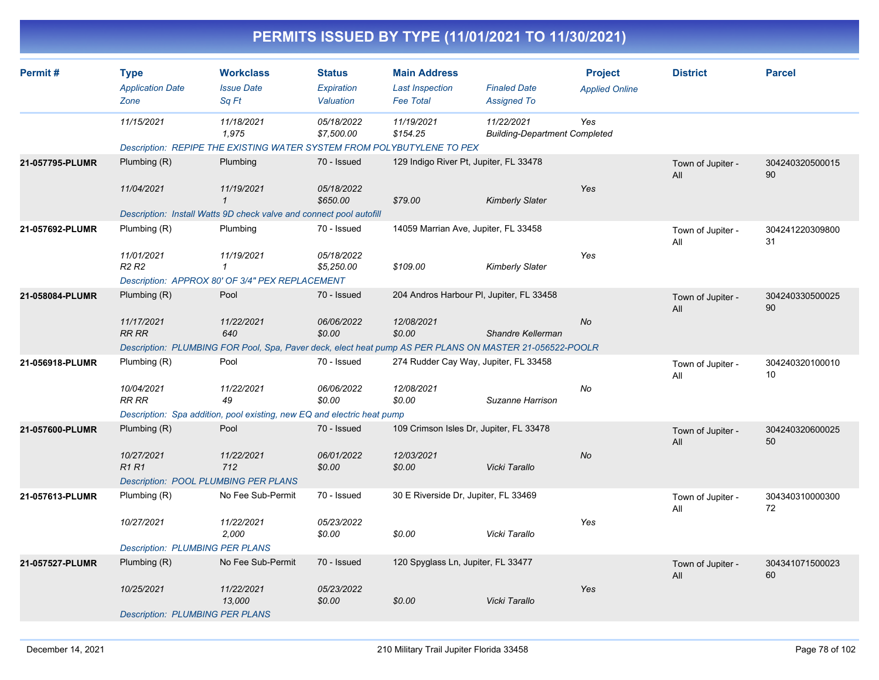|                 |                                                |                                                                                                                                                                                                                |                                          |                                                                   | PERMITS ISSUED BY TYPE (11/01/2021 TO 11/30/2021)                |                                         |                          |                       |
|-----------------|------------------------------------------------|----------------------------------------------------------------------------------------------------------------------------------------------------------------------------------------------------------------|------------------------------------------|-------------------------------------------------------------------|------------------------------------------------------------------|-----------------------------------------|--------------------------|-----------------------|
| Permit#         | <b>Type</b><br><b>Application Date</b><br>Zone | <b>Workclass</b><br><b>Issue Date</b><br>Sq Ft                                                                                                                                                                 | <b>Status</b><br>Expiration<br>Valuation | <b>Main Address</b><br><b>Last Inspection</b><br><b>Fee Total</b> | <b>Finaled Date</b><br><b>Assigned To</b>                        | <b>Project</b><br><b>Applied Online</b> | <b>District</b>          | <b>Parcel</b>         |
|                 | 11/15/2021                                     | 11/18/2021<br>1,975<br>Description: REPIPE THE EXISTING WATER SYSTEM FROM POLYBUTYLENE TO PEX                                                                                                                  | 05/18/2022<br>\$7,500.00                 | 11/19/2021<br>\$154.25                                            | 11/22/2021<br><b>Building-Department Completed</b>               | Yes                                     |                          |                       |
| 21-057795-PLUMR | Plumbing (R)<br>11/04/2021                     | Plumbing<br>11/19/2021                                                                                                                                                                                         | 70 - Issued<br>05/18/2022<br>\$650.00    | \$79.00                                                           | 129 Indigo River Pt, Jupiter, FL 33478<br><b>Kimberly Slater</b> | Yes                                     | Town of Jupiter -<br>All | 304240320500015<br>90 |
| 21-057692-PLUMR | Plumbing (R)                                   | Description: Install Watts 9D check valve and connect pool autofill<br>Plumbing                                                                                                                                | 70 - Issued                              |                                                                   | 14059 Marrian Ave, Jupiter, FL 33458                             |                                         | Town of Jupiter -<br>All | 304241220309800<br>31 |
|                 | 11/01/2021<br>R <sub>2</sub> R <sub>2</sub>    | 11/19/2021<br>$\mathcal I$<br>Description: APPROX 80' OF 3/4" PEX REPLACEMENT                                                                                                                                  | 05/18/2022<br>\$5,250.00                 | \$109.00                                                          | <b>Kimberly Slater</b>                                           | Yes                                     |                          |                       |
| 21-058084-PLUMR | Plumbing (R)<br>11/17/2021<br><b>RR RR</b>     | Pool<br>11/22/2021<br>640                                                                                                                                                                                      | 70 - Issued<br>06/06/2022<br>\$0.00      | 12/08/2021<br>\$0.00                                              | 204 Andros Harbour PI, Jupiter, FL 33458<br>Shandre Kellerman    | No                                      | Town of Jupiter -<br>All | 304240330500025<br>90 |
| 21-056918-PLUMR | Plumbing (R)<br>10/04/2021<br><b>RR RR</b>     | Description: PLUMBING FOR Pool, Spa, Paver deck, elect heat pump AS PER PLANS ON MASTER 21-056522-POOLR<br>Pool<br>11/22/2021<br>49<br>Description: Spa addition, pool existing, new EQ and electric heat pump | 70 - Issued<br>06/06/2022<br>\$0.00      | 12/08/2021<br>\$0.00                                              | 274 Rudder Cay Way, Jupiter, FL 33458<br>Suzanne Harrison        | No                                      | Town of Jupiter -<br>All | 304240320100010<br>10 |
| 21-057600-PLUMR | Plumbing (R)<br>10/27/2021<br><b>R1 R1</b>     | Pool<br>11/22/2021<br>712<br><b>Description: POOL PLUMBING PER PLANS</b>                                                                                                                                       | 70 - Issued<br>06/01/2022<br>\$0.00      | 12/03/2021<br>\$0.00                                              | 109 Crimson Isles Dr, Jupiter, FL 33478<br>Vicki Tarallo         | No                                      | Town of Jupiter -<br>All | 304240320600025<br>50 |
| 21-057613-PLUMR | Plumbing (R)<br>10/27/2021                     | No Fee Sub-Permit<br>11/22/2021<br>2,000                                                                                                                                                                       | 70 - Issued<br>05/23/2022<br>\$0.00      | 30 E Riverside Dr, Jupiter, FL 33469<br>\$0.00                    | Vicki Tarallo                                                    | Yes                                     | Town of Jupiter -<br>All | 304340310000300<br>72 |
| 21-057527-PLUMR | Plumbing (R)<br>10/25/2021                     | <b>Description: PLUMBING PER PLANS</b><br>No Fee Sub-Permit<br>11/22/2021<br>13,000                                                                                                                            | 70 - Issued<br>05/23/2022<br>\$0.00      | 120 Spyglass Ln, Jupiter, FL 33477<br>\$0.00                      | Vicki Tarallo                                                    | Yes                                     | Town of Jupiter -<br>All | 304341071500023<br>60 |
|                 |                                                | <b>Description: PLUMBING PER PLANS</b>                                                                                                                                                                         |                                          |                                                                   |                                                                  |                                         |                          |                       |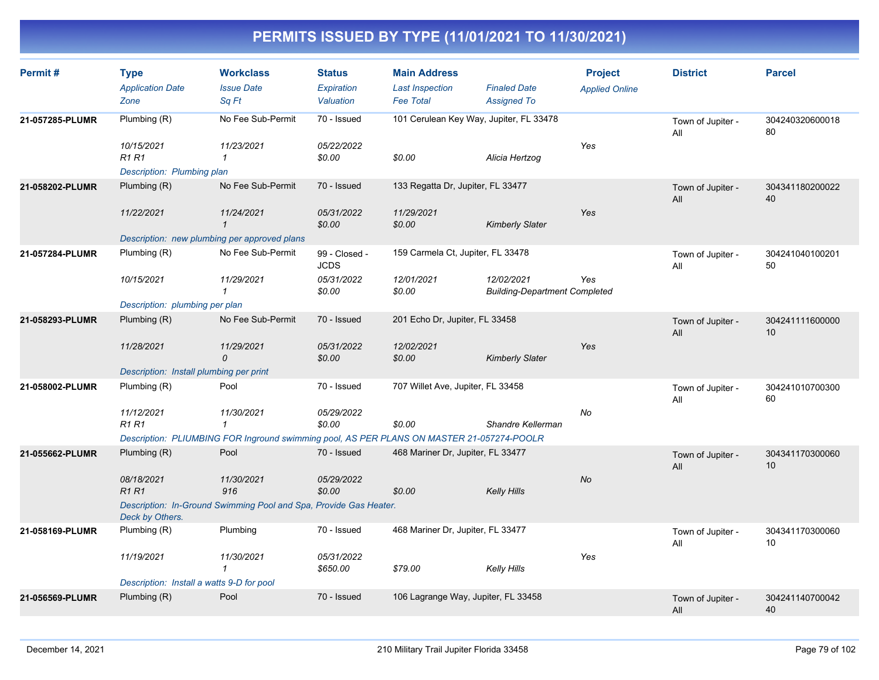| Permit#         | <b>Type</b><br><b>Application Date</b><br>Zone | <b>Workclass</b><br><b>Issue Date</b><br>Sq Ft                                            | <b>Status</b><br>Expiration<br>Valuation | <b>Main Address</b><br><b>Last Inspection</b><br><b>Fee Total</b> | <b>Finaled Date</b><br><b>Assigned To</b>          | <b>Project</b><br><b>Applied Online</b> | <b>District</b>          | <b>Parcel</b>         |
|-----------------|------------------------------------------------|-------------------------------------------------------------------------------------------|------------------------------------------|-------------------------------------------------------------------|----------------------------------------------------|-----------------------------------------|--------------------------|-----------------------|
| 21-057285-PLUMR | Plumbing (R)<br>10/15/2021<br><b>R1 R1</b>     | No Fee Sub-Permit<br>11/23/2021<br>1                                                      | 70 - Issued<br>05/22/2022<br>\$0.00      | 101 Cerulean Key Way, Jupiter, FL 33478<br>\$0.00                 | Alicia Hertzog                                     | Yes                                     | Town of Jupiter -<br>All | 304240320600018<br>80 |
|                 | Description: Plumbing plan                     |                                                                                           |                                          |                                                                   |                                                    |                                         |                          |                       |
| 21-058202-PLUMR | Plumbing (R)                                   | No Fee Sub-Permit                                                                         | 70 - Issued                              | 133 Regatta Dr, Jupiter, FL 33477                                 |                                                    |                                         | Town of Jupiter -<br>All | 304341180200022<br>40 |
|                 | 11/22/2021                                     | 11/24/2021<br>$\mathbf{1}$                                                                | 05/31/2022<br>\$0.00                     | 11/29/2021<br>\$0.00                                              | <b>Kimberly Slater</b>                             | Yes                                     |                          |                       |
|                 |                                                | Description: new plumbing per approved plans                                              |                                          |                                                                   |                                                    |                                         |                          |                       |
| 21-057284-PLUMR | Plumbing (R)                                   | No Fee Sub-Permit                                                                         | 99 - Closed -<br><b>JCDS</b>             | 159 Carmela Ct, Jupiter, FL 33478                                 |                                                    |                                         | Town of Jupiter -<br>All | 304241040100201<br>50 |
|                 | 10/15/2021                                     | 11/29/2021                                                                                | 05/31/2022<br>\$0.00                     | 12/01/2021<br>\$0.00                                              | 12/02/2021<br><b>Building-Department Completed</b> | Yes                                     |                          |                       |
|                 | Description: plumbing per plan                 |                                                                                           |                                          |                                                                   |                                                    |                                         |                          |                       |
| 21-058293-PLUMR | Plumbing $(R)$                                 | No Fee Sub-Permit                                                                         | 70 - Issued                              | 201 Echo Dr, Jupiter, FL 33458                                    |                                                    |                                         | Town of Jupiter -<br>All | 304241111600000<br>10 |
|                 | 11/28/2021                                     | 11/29/2021<br>0                                                                           | 05/31/2022<br>\$0.00                     | 12/02/2021<br>\$0.00                                              | <b>Kimberly Slater</b>                             | Yes                                     |                          |                       |
|                 | Description: Install plumbing per print        |                                                                                           |                                          |                                                                   |                                                    |                                         |                          |                       |
| 21-058002-PLUMR | Plumbing (R)                                   | Pool                                                                                      | 70 - Issued                              | 707 Willet Ave, Jupiter, FL 33458                                 |                                                    |                                         | Town of Jupiter -<br>All | 304241010700300<br>60 |
|                 | 11/12/2021<br><b>R1 R1</b>                     | 11/30/2021<br>$\mathbf{1}$                                                                | 05/29/2022<br>\$0.00                     | \$0.00                                                            | Shandre Kellerman                                  | No                                      |                          |                       |
|                 |                                                | Description: PLIUMBING FOR Inground swimming pool, AS PER PLANS ON MASTER 21-057274-POOLR |                                          |                                                                   |                                                    |                                         |                          |                       |
| 21-055662-PLUMR | Plumbing (R)                                   | Pool                                                                                      | 70 - Issued                              | 468 Mariner Dr, Jupiter, FL 33477                                 |                                                    |                                         | Town of Jupiter -<br>All | 304341170300060<br>10 |
|                 | 08/18/2021<br><b>R1R1</b>                      | 11/30/2021<br>916                                                                         | 05/29/2022<br>\$0.00                     | \$0.00                                                            | <b>Kelly Hills</b>                                 | <b>No</b>                               |                          |                       |
|                 | Deck by Others.                                | Description: In-Ground Swimming Pool and Spa, Provide Gas Heater.                         |                                          |                                                                   |                                                    |                                         |                          |                       |
| 21-058169-PLUMR | Plumbing (R)                                   | Plumbing                                                                                  | 70 - Issued                              | 468 Mariner Dr, Jupiter, FL 33477                                 |                                                    |                                         | Town of Jupiter -<br>All | 304341170300060<br>10 |
|                 | 11/19/2021                                     | 11/30/2021<br>$\mathcal I$                                                                | 05/31/2022<br>\$650.00                   | \$79.00                                                           | Kelly Hills                                        | Yes                                     |                          |                       |
|                 | Description: Install a watts 9-D for pool      |                                                                                           |                                          |                                                                   |                                                    |                                         |                          |                       |
| 21-056569-PLUMR | Plumbing $(R)$                                 | Pool                                                                                      | 70 - Issued                              | 106 Lagrange Way, Jupiter, FL 33458                               |                                                    |                                         | Town of Jupiter -<br>All | 304241140700042<br>40 |
|                 |                                                |                                                                                           |                                          |                                                                   |                                                    |                                         |                          |                       |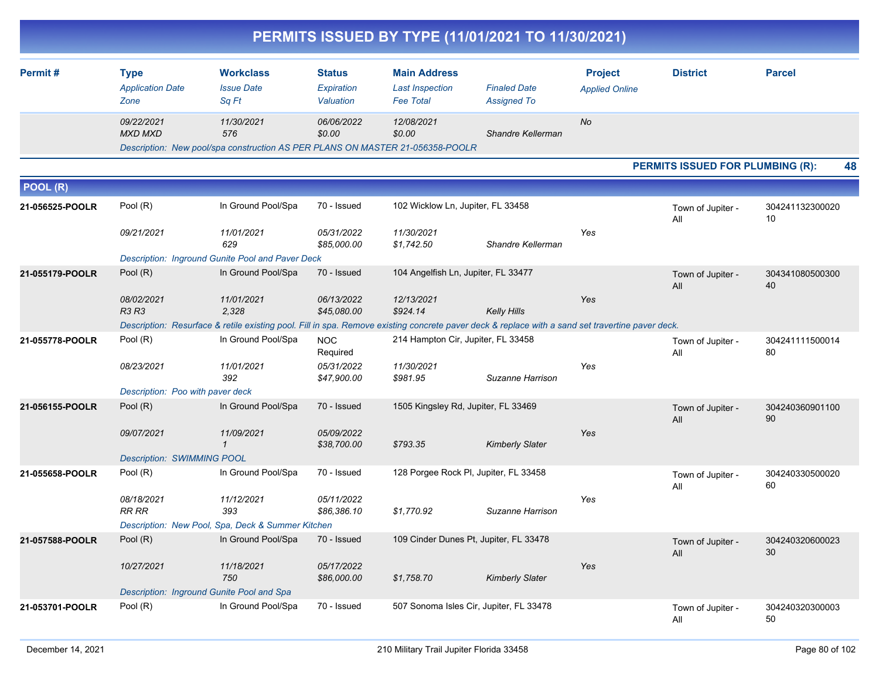|                 |                                                |                                                                                                                                                  |                                          |                                                                   | PERMITS ISSUED BY TYPE (11/01/2021 TO 11/30/2021) |                                         |                                         |                       |
|-----------------|------------------------------------------------|--------------------------------------------------------------------------------------------------------------------------------------------------|------------------------------------------|-------------------------------------------------------------------|---------------------------------------------------|-----------------------------------------|-----------------------------------------|-----------------------|
| Permit#         | <b>Type</b><br><b>Application Date</b><br>Zone | <b>Workclass</b><br><b>Issue Date</b><br>Sq Ft                                                                                                   | <b>Status</b><br>Expiration<br>Valuation | <b>Main Address</b><br><b>Last Inspection</b><br><b>Fee Total</b> | <b>Finaled Date</b><br><b>Assigned To</b>         | <b>Project</b><br><b>Applied Online</b> | <b>District</b>                         | <b>Parcel</b>         |
|                 | 09/22/2021<br><b>MXD MXD</b>                   | 11/30/2021<br>576<br>Description: New pool/spa construction AS PER PLANS ON MASTER 21-056358-POOLR                                               | 06/06/2022<br>\$0.00                     | 12/08/2021<br>\$0.00                                              | Shandre Kellerman                                 | <b>No</b>                               |                                         |                       |
|                 |                                                |                                                                                                                                                  |                                          |                                                                   |                                                   |                                         | <b>PERMITS ISSUED FOR PLUMBING (R):</b> | 48                    |
| POOL (R)        |                                                |                                                                                                                                                  |                                          |                                                                   |                                                   |                                         |                                         |                       |
| 21-056525-POOLR | Pool (R)                                       | In Ground Pool/Spa                                                                                                                               | 70 - Issued                              | 102 Wicklow Ln, Jupiter, FL 33458                                 |                                                   |                                         | Town of Jupiter -<br>All                | 304241132300020<br>10 |
|                 | 09/21/2021                                     | 11/01/2021<br>629                                                                                                                                | 05/31/2022<br>\$85,000.00                | 11/30/2021<br>\$1,742.50                                          | Shandre Kellerman                                 | Yes                                     |                                         |                       |
|                 |                                                | Description: Inground Gunite Pool and Paver Deck<br>In Ground Pool/Spa                                                                           | 70 - Issued                              | 104 Angelfish Ln, Jupiter, FL 33477                               |                                                   |                                         |                                         |                       |
| 21-055179-POOLR | Pool (R)                                       |                                                                                                                                                  |                                          |                                                                   |                                                   |                                         | Town of Jupiter -<br>All                | 304341080500300<br>40 |
|                 | 08/02/2021<br><b>R3 R3</b>                     | 11/01/2021<br>2,328                                                                                                                              | 06/13/2022<br>\$45,080.00                | 12/13/2021<br>\$924.14                                            | <b>Kelly Hills</b>                                | Yes                                     |                                         |                       |
|                 |                                                | Description: Resurface & retile existing pool. Fill in spa. Remove existing concrete paver deck & replace with a sand set travertine paver deck. |                                          |                                                                   |                                                   |                                         |                                         |                       |
| 21-055778-POOLR | Pool (R)                                       | In Ground Pool/Spa                                                                                                                               | <b>NOC</b><br>Required                   | 214 Hampton Cir, Jupiter, FL 33458                                |                                                   |                                         | Town of Jupiter -<br>All                | 304241111500014<br>80 |
|                 | 08/23/2021                                     | 11/01/2021<br>392                                                                                                                                | 05/31/2022<br>\$47,900.00                | 11/30/2021<br>\$981.95                                            | Suzanne Harrison                                  | Yes                                     |                                         |                       |
|                 | Description: Poo with paver deck               | In Ground Pool/Spa                                                                                                                               | 70 - Issued                              |                                                                   |                                                   |                                         |                                         |                       |
| 21-056155-POOLR | Pool (R)                                       |                                                                                                                                                  |                                          | 1505 Kingsley Rd, Jupiter, FL 33469                               |                                                   | Yes                                     | Town of Jupiter -<br>All                | 304240360901100<br>90 |
|                 | 09/07/2021                                     | 11/09/2021<br>$\mathcal I$                                                                                                                       | 05/09/2022<br>\$38,700.00                | \$793.35                                                          | <b>Kimberly Slater</b>                            |                                         |                                         |                       |
|                 | <b>Description: SWIMMING POOL</b>              |                                                                                                                                                  |                                          |                                                                   |                                                   |                                         |                                         |                       |
| 21-055658-POOLR | Pool (R)                                       | In Ground Pool/Spa                                                                                                                               | 70 - Issued                              |                                                                   | 128 Porgee Rock Pl, Jupiter, FL 33458             |                                         | Town of Jupiter -<br>All                | 304240330500020<br>60 |
|                 | 08/18/2021<br><b>RR RR</b>                     | 11/12/2021<br>393                                                                                                                                | 05/11/2022<br>\$86,386.10                | \$1,770.92                                                        | Suzanne Harrison                                  | Yes                                     |                                         |                       |
|                 |                                                | Description: New Pool, Spa, Deck & Summer Kitchen                                                                                                |                                          |                                                                   |                                                   |                                         |                                         |                       |
| 21-057588-POOLR | Pool (R)                                       | In Ground Pool/Spa                                                                                                                               | 70 - Issued                              |                                                                   | 109 Cinder Dunes Pt, Jupiter, FL 33478            |                                         | Town of Jupiter -<br>aii                | 304240320600023<br>30 |
|                 | 10/27/2021                                     | 11/18/2021<br>750                                                                                                                                | 05/17/2022<br>\$86,000.00                | \$1,758.70                                                        | <b>Kimberly Slater</b>                            | Yes                                     |                                         |                       |
| 21-053701-POOLR | Pool (R)                                       | Description: Inground Gunite Pool and Spa<br>In Ground Pool/Spa                                                                                  | 70 - Issued                              |                                                                   | 507 Sonoma Isles Cir, Jupiter, FL 33478           |                                         |                                         |                       |
|                 |                                                |                                                                                                                                                  |                                          |                                                                   |                                                   |                                         | Town of Jupiter -<br>All                | 304240320300003<br>50 |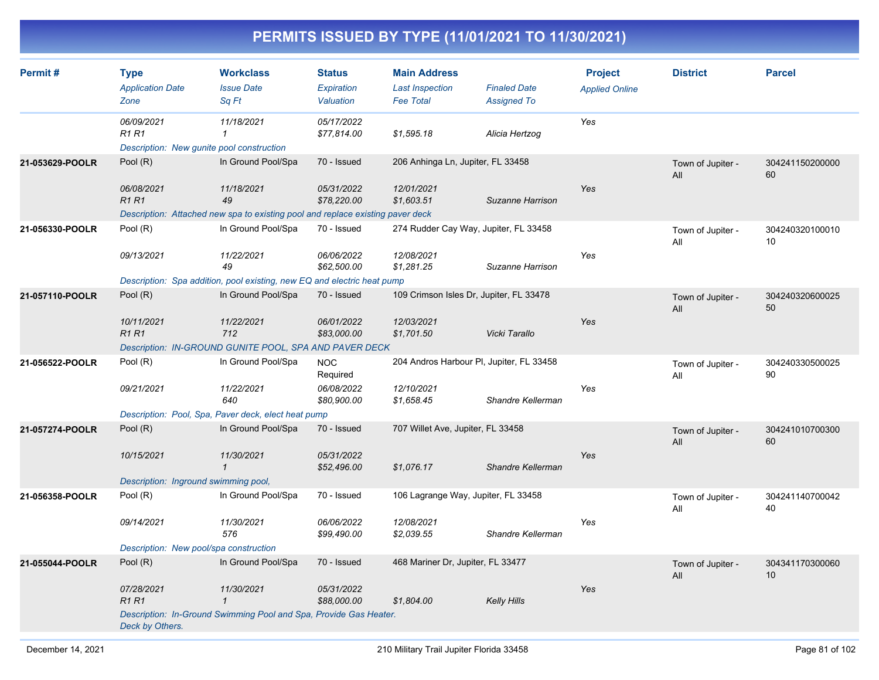| Permit#         | <b>Type</b><br><b>Application Date</b><br>Zone                          | <b>Workclass</b><br><b>Issue Date</b><br>Sq Ft                                 | <b>Status</b><br>Expiration<br>Valuation | <b>Main Address</b><br><b>Last Inspection</b><br><b>Fee Total</b> | <b>Finaled Date</b><br><b>Assigned To</b> | <b>Project</b><br><b>Applied Online</b> | <b>District</b>          | <b>Parcel</b>         |
|-----------------|-------------------------------------------------------------------------|--------------------------------------------------------------------------------|------------------------------------------|-------------------------------------------------------------------|-------------------------------------------|-----------------------------------------|--------------------------|-----------------------|
|                 | 06/09/2021<br><b>R1 R1</b><br>Description: New gunite pool construction | 11/18/2021<br>1                                                                | 05/17/2022<br>\$77,814.00                | \$1,595.18                                                        | Alicia Hertzog                            | Yes                                     |                          |                       |
| 21-053629-POOLR | Pool (R)                                                                | In Ground Pool/Spa                                                             | 70 - Issued                              | 206 Anhinga Ln, Jupiter, FL 33458                                 |                                           |                                         | Town of Jupiter -<br>All | 304241150200000<br>60 |
|                 | 06/08/2021<br><b>R1R1</b>                                               | 11/18/2021<br>49                                                               | 05/31/2022<br>\$78,220.00                | 12/01/2021<br>\$1,603.51                                          | Suzanne Harrison                          | Yes                                     |                          |                       |
|                 |                                                                         | Description: Attached new spa to existing pool and replace existing paver deck |                                          |                                                                   |                                           |                                         |                          |                       |
| 21-056330-POOLR | Pool (R)                                                                | In Ground Pool/Spa                                                             | 70 - Issued                              | 274 Rudder Cay Way, Jupiter, FL 33458                             |                                           |                                         | Town of Jupiter -<br>All | 304240320100010<br>10 |
|                 | 09/13/2021                                                              | 11/22/2021<br>49                                                               | 06/06/2022<br>\$62,500.00                | 12/08/2021<br>\$1,281.25                                          | Suzanne Harrison                          | Yes                                     |                          |                       |
|                 |                                                                         | Description: Spa addition, pool existing, new EQ and electric heat pump        |                                          |                                                                   |                                           |                                         |                          |                       |
| 21-057110-POOLR | Pool (R)                                                                | In Ground Pool/Spa                                                             | 70 - Issued                              | 109 Crimson Isles Dr, Jupiter, FL 33478                           |                                           |                                         | Town of Jupiter -<br>All | 304240320600025<br>50 |
|                 | 10/11/2021<br><b>R1 R1</b>                                              | 11/22/2021<br>712                                                              | 06/01/2022<br>\$83,000.00                | 12/03/2021<br>\$1,701.50                                          | Vicki Tarallo                             | Yes                                     |                          |                       |
|                 |                                                                         | Description: IN-GROUND GUNITE POOL, SPA AND PAVER DECK                         |                                          |                                                                   |                                           |                                         |                          |                       |
| 21-056522-POOLR | Pool (R)                                                                | In Ground Pool/Spa                                                             | <b>NOC</b><br>Required                   | 204 Andros Harbour PI, Jupiter, FL 33458                          |                                           |                                         | Town of Jupiter -<br>All | 304240330500025<br>90 |
|                 | 09/21/2021                                                              | 11/22/2021<br>640                                                              | 06/08/2022<br>\$80,900.00                | 12/10/2021<br>\$1,658.45                                          | Shandre Kellerman                         | Yes                                     |                          |                       |
|                 |                                                                         | Description: Pool, Spa, Paver deck, elect heat pump                            |                                          |                                                                   |                                           |                                         |                          |                       |
| 21-057274-POOLR | Pool (R)                                                                | In Ground Pool/Spa                                                             | 70 - Issued                              | 707 Willet Ave, Jupiter, FL 33458                                 |                                           |                                         | Town of Jupiter -<br>All | 304241010700300<br>60 |
|                 | 10/15/2021                                                              | 11/30/2021<br>$\mathbf{1}$                                                     | 05/31/2022<br>\$52,496.00                | \$1,076.17                                                        | Shandre Kellerman                         | Yes                                     |                          |                       |
|                 | Description: Inground swimming pool,                                    |                                                                                |                                          |                                                                   |                                           |                                         |                          |                       |
| 21-056358-POOLR | Pool (R)                                                                | In Ground Pool/Spa                                                             | 70 - Issued                              | 106 Lagrange Way, Jupiter, FL 33458                               |                                           |                                         | Town of Jupiter -<br>All | 304241140700042<br>40 |
|                 | 09/14/2021                                                              | 11/30/2021<br>576                                                              | 06/06/2022<br>\$99,490.00                | 12/08/2021<br>\$2,039.55                                          | Shandre Kellerman                         | Yes                                     |                          |                       |
|                 | Description: New pool/spa construction                                  |                                                                                |                                          |                                                                   |                                           |                                         |                          |                       |
| 21-055044-POOLR | Pool (R)                                                                | In Ground Pool/Spa                                                             | 70 - Issued                              | 468 Mariner Dr, Jupiter, FL 33477                                 |                                           |                                         | Town of Jupiter -<br>All | 304341170300060<br>10 |
|                 | 07/28/2021<br><b>R1R1</b>                                               | 11/30/2021<br>$\mathbf{1}$                                                     | 05/31/2022<br>\$88,000.00                | \$1,804.00                                                        | Kelly Hills                               | Yes                                     |                          |                       |
|                 | Deck by Others.                                                         | Description: In-Ground Swimming Pool and Spa, Provide Gas Heater.              |                                          |                                                                   |                                           |                                         |                          |                       |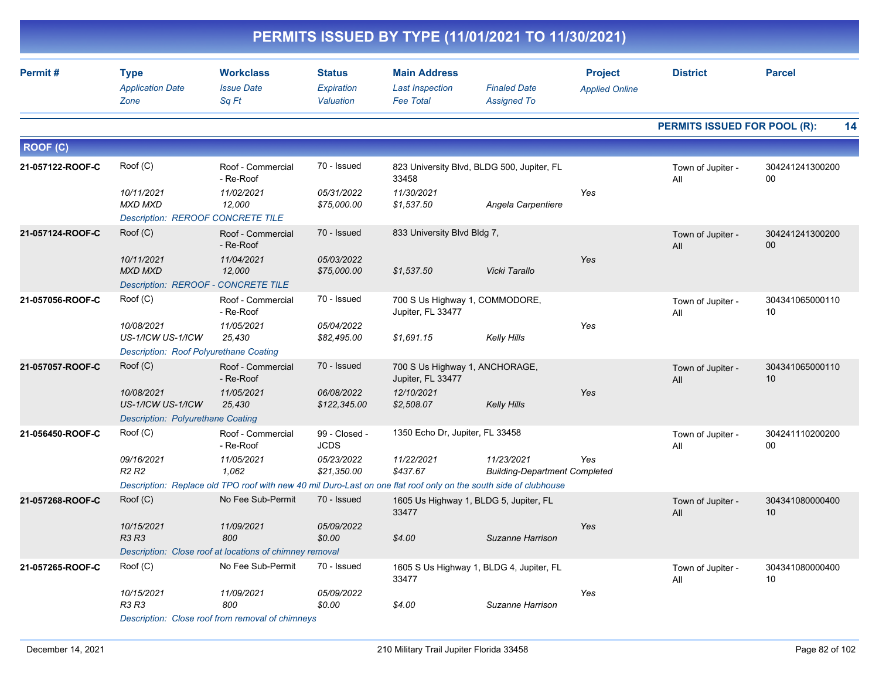|                  | PERMITS ISSUED BY TYPE (11/01/2021 TO 11/30/2021)                        |                                                         |                                          |                                                                   |                                                                                                                  |                                         |                              |                                    |  |  |  |
|------------------|--------------------------------------------------------------------------|---------------------------------------------------------|------------------------------------------|-------------------------------------------------------------------|------------------------------------------------------------------------------------------------------------------|-----------------------------------------|------------------------------|------------------------------------|--|--|--|
| Permit#          | <b>Type</b><br><b>Application Date</b><br>Zone                           | <b>Workclass</b><br><b>Issue Date</b><br>Sq Ft          | <b>Status</b><br>Expiration<br>Valuation | <b>Main Address</b><br><b>Last Inspection</b><br><b>Fee Total</b> | <b>Finaled Date</b><br><b>Assigned To</b>                                                                        | <b>Project</b><br><b>Applied Online</b> | <b>District</b>              | <b>Parcel</b>                      |  |  |  |
|                  |                                                                          |                                                         |                                          |                                                                   |                                                                                                                  |                                         | PERMITS ISSUED FOR POOL (R): | 14                                 |  |  |  |
| <b>ROOF (C)</b>  |                                                                          |                                                         |                                          |                                                                   |                                                                                                                  |                                         |                              |                                    |  |  |  |
| 21-057122-ROOF-C | Root(C)                                                                  | Roof - Commercial<br>- Re-Roof                          | 70 - Issued                              | 33458                                                             | 823 University Blvd, BLDG 500, Jupiter, FL                                                                       |                                         | Town of Jupiter -<br>All     | 304241241300200<br>00              |  |  |  |
|                  | 10/11/2021<br><b>MXD MXD</b><br><b>Description: REROOF CONCRETE TILE</b> | 11/02/2021<br>12,000                                    | 05/31/2022<br>\$75,000.00                | 11/30/2021<br>\$1,537.50                                          | Angela Carpentiere                                                                                               | Yes                                     |                              |                                    |  |  |  |
| 21-057124-ROOF-C | Root(C)                                                                  | Roof - Commercial<br>- Re-Roof                          | 70 - Issued                              | 833 University Blvd Bldg 7,                                       |                                                                                                                  |                                         | Town of Jupiter -<br>All     | 304241241300200<br>00 <sup>°</sup> |  |  |  |
|                  | 10/11/2021<br><b>MXD MXD</b><br>Description: REROOF - CONCRETE TILE      | 11/04/2021<br>12,000                                    | 05/03/2022<br>\$75,000.00                | \$1.537.50                                                        | Vicki Tarallo                                                                                                    | Yes                                     |                              |                                    |  |  |  |
| 21-057056-ROOF-C | Root(C)                                                                  | Roof - Commercial<br>- Re-Roof                          | 70 - Issued                              | 700 S Us Highway 1, COMMODORE,<br>Jupiter, FL 33477               |                                                                                                                  |                                         | Town of Jupiter -<br>All     | 304341065000110<br>10              |  |  |  |
|                  | 10/08/2021<br>US-1/ICW US-1/ICW                                          | 11/05/2021<br>25,430                                    | 05/04/2022<br>\$82,495.00                | \$1,691.15                                                        | <b>Kelly Hills</b>                                                                                               | Yes                                     |                              |                                    |  |  |  |
|                  | Description: Roof Polyurethane Coating                                   |                                                         |                                          |                                                                   |                                                                                                                  |                                         |                              |                                    |  |  |  |
| 21-057057-ROOF-C | Roof (C)                                                                 | Roof - Commercial<br>- Re-Roof                          | 70 - Issued                              | 700 S Us Highway 1, ANCHORAGE,<br>Jupiter, FL 33477               |                                                                                                                  |                                         | Town of Jupiter -<br>All     | 304341065000110<br>10 <sup>°</sup> |  |  |  |
|                  | 10/08/2021<br>US-1/ICW US-1/ICW                                          | 11/05/2021<br>25,430                                    | 06/08/2022<br>\$122,345.00               | 12/10/2021<br>\$2,508.07                                          | <b>Kelly Hills</b>                                                                                               | Yes                                     |                              |                                    |  |  |  |
|                  | <b>Description: Polyurethane Coating</b>                                 |                                                         |                                          |                                                                   |                                                                                                                  |                                         |                              |                                    |  |  |  |
| 21-056450-ROOF-C | Root(C)                                                                  | Roof - Commercial<br>- Re-Roof                          | 99 - Closed -<br><b>JCDS</b>             | 1350 Echo Dr, Jupiter, FL 33458                                   |                                                                                                                  |                                         | Town of Jupiter -<br>All     | 304241110200200<br>00              |  |  |  |
|                  | 09/16/2021<br>R2 R2                                                      | 11/05/2021<br>1,062                                     | 05/23/2022<br>\$21,350.00                | 11/22/2021<br>\$437.67                                            | 11/23/2021<br><b>Building-Department Completed</b>                                                               | Yes                                     |                              |                                    |  |  |  |
|                  |                                                                          |                                                         |                                          |                                                                   | Description: Replace old TPO roof with new 40 mil Duro-Last on one flat roof only on the south side of clubhouse |                                         |                              |                                    |  |  |  |
| 21-057268-ROOF-C | Roof (C)                                                                 | No Fee Sub-Permit                                       | 70 - Issued                              | 33477                                                             | 1605 Us Highway 1, BLDG 5, Jupiter, FL                                                                           |                                         | Town of Jupiter -<br>All     | 304341080000400<br>10              |  |  |  |
|                  | 10/15/2021<br>R3 R3                                                      | 11/09/2021<br>800                                       | <i>05/09/2022</i><br>\$0.00              | \$4.00                                                            | Suzanne Harrison                                                                                                 | Yes                                     |                              |                                    |  |  |  |
|                  |                                                                          | Description: Close roof at locations of chimney removal |                                          |                                                                   |                                                                                                                  |                                         |                              |                                    |  |  |  |
| 21-057265-ROOF-C | Root(C)                                                                  | No Fee Sub-Permit                                       | 70 - Issued                              | 33477                                                             | 1605 S Us Highway 1, BLDG 4, Jupiter, FL                                                                         |                                         | Town of Jupiter -<br>All     | 304341080000400<br>10              |  |  |  |
|                  | 10/15/2021<br>R3 R3                                                      | 11/09/2021<br>800                                       | 05/09/2022<br>\$0.00                     | \$4.00                                                            | Suzanne Harrison                                                                                                 | Yes                                     |                              |                                    |  |  |  |
|                  |                                                                          | Description: Close roof from removal of chimneys        |                                          |                                                                   |                                                                                                                  |                                         |                              |                                    |  |  |  |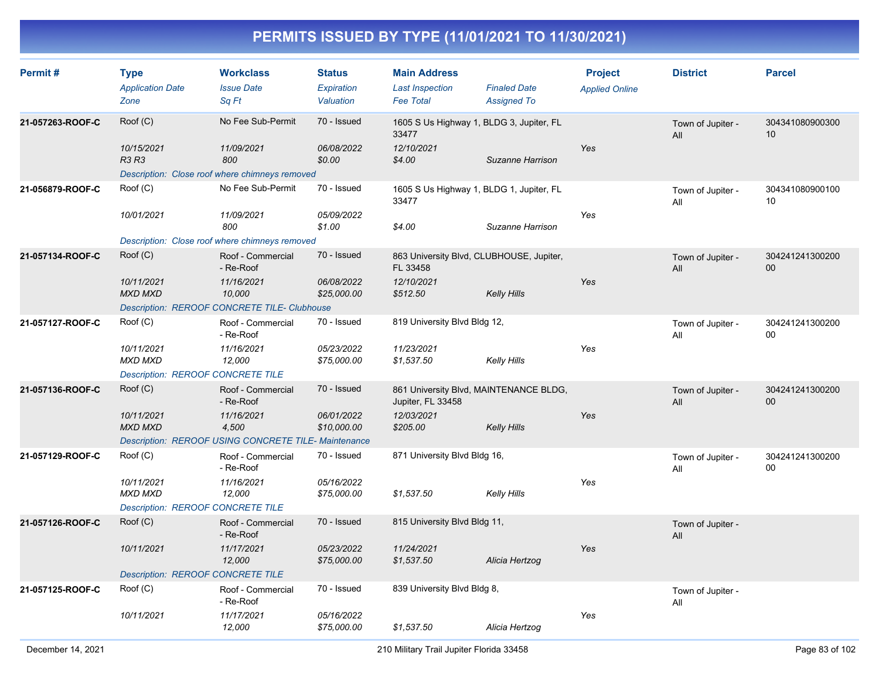| Permit#          | <b>Type</b><br><b>Application Date</b><br>Zone                               | <b>Workclass</b><br><b>Issue Date</b><br>Sq Ft                                                               | <b>Status</b><br>Expiration<br>Valuation | <b>Main Address</b><br><b>Last Inspection</b><br><b>Fee Total</b>              | <b>Finaled Date</b><br><b>Assigned To</b>             | <b>Project</b><br><b>Applied Online</b> | <b>District</b>          | <b>Parcel</b>         |
|------------------|------------------------------------------------------------------------------|--------------------------------------------------------------------------------------------------------------|------------------------------------------|--------------------------------------------------------------------------------|-------------------------------------------------------|-----------------------------------------|--------------------------|-----------------------|
| 21-057263-ROOF-C | Roof (C)<br>10/15/2021<br>R3 R3                                              | No Fee Sub-Permit<br>11/09/2021<br>800<br>Description: Close roof where chimneys removed                     | 70 - Issued<br>06/08/2022<br>\$0.00      | 1605 S Us Highway 1, BLDG 3, Jupiter, FL<br>33477<br>12/10/2021<br>\$4.00      | Suzanne Harrison                                      | Yes                                     | Town of Jupiter -<br>All | 304341080900300<br>10 |
| 21-056879-ROOF-C | Roof (C)<br>10/01/2021                                                       | No Fee Sub-Permit<br>11/09/2021<br>800<br>Description: Close roof where chimneys removed                     | 70 - Issued<br>05/09/2022<br>\$1.00      | 1605 S Us Highway 1, BLDG 1, Jupiter, FL<br>33477<br>\$4.00                    | Suzanne Harrison                                      | Yes                                     | Town of Jupiter -<br>All | 304341080900100<br>10 |
| 21-057134-ROOF-C | Root(C)<br>10/11/2021<br><b>MXD MXD</b>                                      | Roof - Commercial<br>- Re-Roof<br>11/16/2021<br>10,000<br>Description: REROOF CONCRETE TILE- Clubhouse       | 70 - Issued<br>06/08/2022<br>\$25,000.00 | 863 University Blvd, CLUBHOUSE, Jupiter,<br>FL 33458<br>12/10/2021<br>\$512.50 | Kelly Hills                                           | Yes                                     | Town of Jupiter -<br>All | 304241241300200<br>00 |
| 21-057127-ROOF-C | Root(C)<br>10/11/2021<br><b>MXD MXD</b><br>Description: REROOF CONCRETE TILE | Roof - Commercial<br>- Re-Roof<br>11/16/2021<br>12,000                                                       | 70 - Issued<br>05/23/2022<br>\$75,000.00 | 819 University Blvd Bldg 12,<br>11/23/2021<br>\$1,537.50                       | Kelly Hills                                           | Yes                                     | Town of Jupiter -<br>All | 304241241300200<br>00 |
| 21-057136-ROOF-C | Root(C)<br>10/11/2021<br><b>MXD MXD</b>                                      | Roof - Commercial<br>- Re-Roof<br>11/16/2021<br>4,500<br>Description: REROOF USING CONCRETE TILE-Maintenance | 70 - Issued<br>06/01/2022<br>\$10,000.00 | Jupiter, FL 33458<br>12/03/2021<br>\$205.00                                    | 861 University Blvd, MAINTENANCE BLDG,<br>Kelly Hills | Yes                                     | Town of Jupiter -<br>All | 304241241300200<br>00 |
| 21-057129-ROOF-C | Root(C)<br>10/11/2021<br><b>MXD MXD</b><br>Description: REROOF CONCRETE TILE | Roof - Commercial<br>- Re-Roof<br>11/16/2021<br>12,000                                                       | 70 - Issued<br>05/16/2022<br>\$75,000.00 | 871 University Blvd Bldg 16,<br>\$1,537.50                                     | Kelly Hills                                           | Yes                                     | Town of Jupiter -<br>All | 304241241300200<br>00 |
| 21-057126-ROOF-C | Root(C)<br>10/11/2021<br>Description: REROOF CONCRETE TILE                   | Roof - Commercial<br>- Re-Roof<br>11/17/2021<br>12,000                                                       | 70 - Issued<br>05/23/2022<br>\$75,000.00 | 815 University Blvd Bldg 11,<br>11/24/2021<br>\$1,537.50                       | Alicia Hertzog                                        | Yes                                     | Town of Jupiter -<br>All |                       |
| 21-057125-ROOF-C | Root(C)<br>10/11/2021                                                        | Roof - Commercial<br>- Re-Roof<br>11/17/2021<br>12,000                                                       | 70 - Issued<br>05/16/2022<br>\$75,000.00 | 839 University Blvd Bldg 8,<br>\$1,537.50                                      | Alicia Hertzog                                        | Yes                                     | Town of Jupiter -<br>All |                       |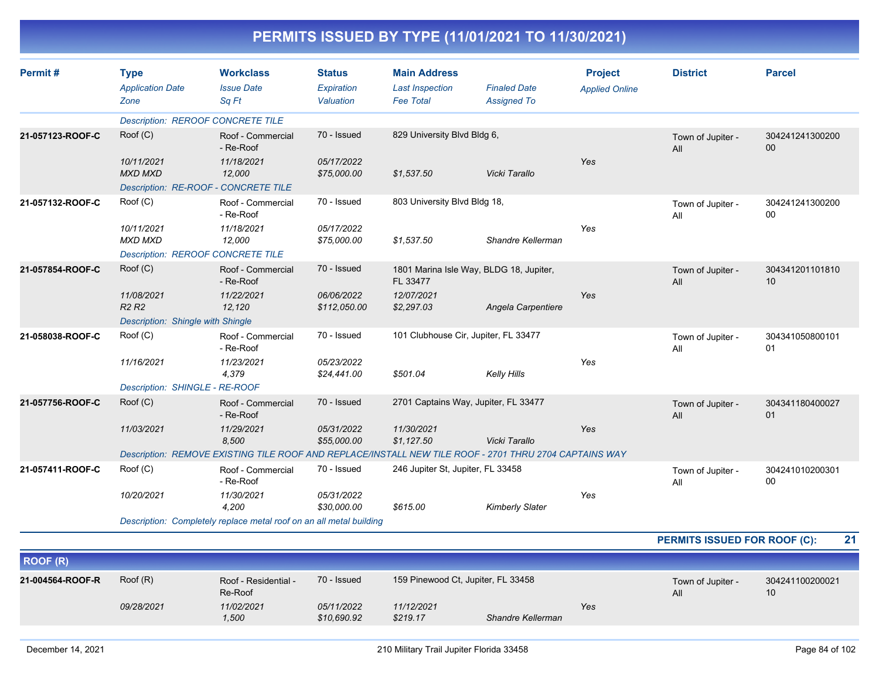| Permit#          | <b>Type</b><br><b>Application Date</b><br>Zone | <b>Workclass</b><br><b>Issue Date</b><br>Sq Ft                                                         | <b>Status</b><br>Expiration<br>Valuation | <b>Main Address</b><br><b>Last Inspection</b><br><b>Fee Total</b> | <b>Finaled Date</b><br><b>Assigned To</b> | <b>Project</b><br><b>Applied Online</b> | <b>District</b>          | <b>Parcel</b>             |
|------------------|------------------------------------------------|--------------------------------------------------------------------------------------------------------|------------------------------------------|-------------------------------------------------------------------|-------------------------------------------|-----------------------------------------|--------------------------|---------------------------|
|                  | <b>Description: REROOF CONCRETE TILE</b>       |                                                                                                        |                                          |                                                                   |                                           |                                         |                          |                           |
| 21-057123-ROOF-C | Root(C)                                        | Roof - Commercial<br>- Re-Roof                                                                         | 70 - Issued                              | 829 University Blvd Bldg 6,                                       |                                           |                                         | Town of Jupiter -<br>All | 304241241300200<br>00     |
|                  | 10/11/2021<br><b>MXD MXD</b>                   | 11/18/2021<br>12,000                                                                                   | 05/17/2022<br>\$75,000.00                | \$1,537.50                                                        | Vicki Tarallo                             | Yes                                     |                          |                           |
|                  | Description: RE-ROOF - CONCRETE TILE           |                                                                                                        |                                          |                                                                   |                                           |                                         |                          |                           |
| 21-057132-ROOF-C | Roof (C)                                       | Roof - Commercial<br>- Re-Roof                                                                         | 70 - Issued                              | 803 University Blvd Bldg 18,                                      |                                           |                                         | Town of Jupiter -<br>All | 304241241300200<br>00     |
|                  | 10/11/2021<br><b>MXD MXD</b>                   | 11/18/2021<br>12,000                                                                                   | 05/17/2022<br>\$75,000.00                | \$1,537.50                                                        | Shandre Kellerman                         | Yes                                     |                          |                           |
|                  | <b>Description: REROOF CONCRETE TILE</b>       |                                                                                                        |                                          |                                                                   |                                           |                                         |                          |                           |
| 21-057854-ROOF-C | Root(C)                                        | Roof - Commercial<br>- Re-Roof                                                                         | 70 - Issued                              | 1801 Marina Isle Way, BLDG 18, Jupiter,<br>FL 33477               |                                           |                                         | Town of Jupiter -<br>All | 304341201101810<br>10     |
|                  | 11/08/2021<br>R2R2                             | 11/22/2021<br>12,120                                                                                   | 06/06/2022<br>\$112,050.00               | 12/07/2021<br>\$2,297.03                                          | Angela Carpentiere                        | Yes                                     |                          |                           |
|                  | Description: Shingle with Shingle              |                                                                                                        |                                          |                                                                   |                                           |                                         |                          |                           |
| 21-058038-ROOF-C | Root(C)                                        | Roof - Commercial<br>- Re-Roof                                                                         | 70 - Issued                              | 101 Clubhouse Cir, Jupiter, FL 33477                              |                                           |                                         | Town of Jupiter -<br>All | 304341050800101<br>01     |
|                  | 11/16/2021                                     | 11/23/2021<br>4,379                                                                                    | 05/23/2022<br>\$24,441.00                | \$501.04                                                          | <b>Kelly Hills</b>                        | Yes                                     |                          |                           |
|                  | Description: SHINGLE - RE-ROOF                 |                                                                                                        |                                          |                                                                   |                                           |                                         |                          |                           |
| 21-057756-ROOF-C | Root(C)                                        | Roof - Commercial<br>- Re-Roof                                                                         | 70 - Issued                              | 2701 Captains Way, Jupiter, FL 33477                              |                                           |                                         | Town of Jupiter -<br>All | 304341180400027<br>01     |
|                  | 11/03/2021                                     | 11/29/2021<br>8,500                                                                                    | 05/31/2022<br>\$55,000.00                | 11/30/2021<br>\$1,127.50                                          | Vicki Tarallo                             | Yes                                     |                          |                           |
|                  |                                                | Description: REMOVE EXISTING TILE ROOF AND REPLACE/INSTALL NEW TILE ROOF - 2701 THRU 2704 CAPTAINS WAY |                                          |                                                                   |                                           |                                         |                          |                           |
| 21-057411-ROOF-C | Roof (C)                                       | Roof - Commercial<br>- Re-Roof                                                                         | 70 - Issued                              | 246 Jupiter St, Jupiter, FL 33458                                 |                                           |                                         | Town of Jupiter -<br>All | 304241010200301<br>$00\,$ |
|                  | 10/20/2021                                     | 11/30/2021<br>4,200                                                                                    | 05/31/2022<br>\$30,000.00                | \$615.00                                                          | <b>Kimberly Slater</b>                    | Yes                                     |                          |                           |
|                  |                                                | Description: Completely replace metal roof on an all metal building                                    |                                          |                                                                   |                                           |                                         |                          |                           |

**PERMITS ISSUED FOR ROOF (C): 21**

| <b>ROOF (R)</b>  |            |                                 |                                                   |                        |                   |                          |                       |  |
|------------------|------------|---------------------------------|---------------------------------------------------|------------------------|-------------------|--------------------------|-----------------------|--|
| 21-004564-ROOF-R | Root(R)    | Roof - Residential -<br>Re-Roof | 159 Pinewood Ct, Jupiter, FL 33458<br>70 - Issued |                        |                   | Town of Jupiter -<br>All | 304241100200021<br>10 |  |
|                  | 09/28/2021 | 11/02/2021<br>1,500             | 05/11/2022<br>\$10,690.92                         | 11/12/2021<br>\$219.17 | Shandre Kellerman | Yes                      |                       |  |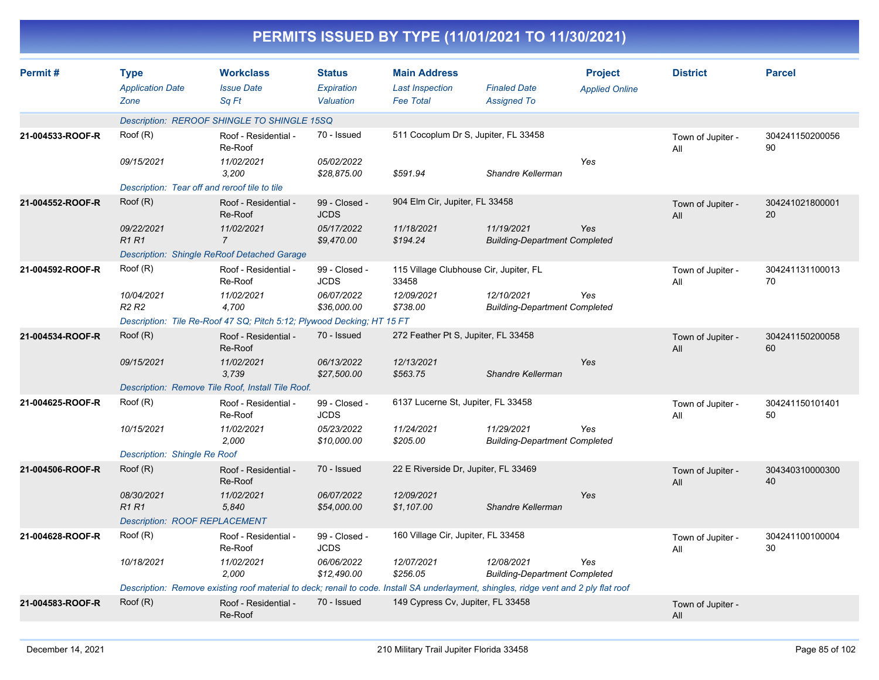|                  |                                                             |                                                                                                                                       |                                          |                                                                   | PERMITS ISSUED BY TYPE (11/01/2021 TO 11/30/2021)  |                                         |                          |                       |
|------------------|-------------------------------------------------------------|---------------------------------------------------------------------------------------------------------------------------------------|------------------------------------------|-------------------------------------------------------------------|----------------------------------------------------|-----------------------------------------|--------------------------|-----------------------|
| Permit#          | <b>Type</b><br><b>Application Date</b><br>Zone              | <b>Workclass</b><br><b>Issue Date</b><br>Sq Ft                                                                                        | <b>Status</b><br>Expiration<br>Valuation | <b>Main Address</b><br><b>Last Inspection</b><br><b>Fee Total</b> | <b>Finaled Date</b><br><b>Assigned To</b>          | <b>Project</b><br><b>Applied Online</b> | <b>District</b>          | <b>Parcel</b>         |
|                  |                                                             | Description: REROOF SHINGLE TO SHINGLE 15SQ                                                                                           |                                          |                                                                   |                                                    |                                         |                          |                       |
| 21-004533-ROOF-R | Root(R)                                                     | Roof - Residential -<br>Re-Roof                                                                                                       | 70 - Issued                              | 511 Cocoplum Dr S, Jupiter, FL 33458                              |                                                    |                                         | Town of Jupiter -<br>All | 304241150200056<br>90 |
|                  | 09/15/2021<br>Description: Tear off and reroof tile to tile | 11/02/2021<br>3,200                                                                                                                   | 05/02/2022<br>\$28,875.00                | \$591.94                                                          | Shandre Kellerman                                  | Yes                                     |                          |                       |
|                  | Root(R)                                                     |                                                                                                                                       | 99 - Closed -                            | 904 Elm Cir, Jupiter, FL 33458                                    |                                                    |                                         |                          |                       |
| 21-004552-ROOF-R |                                                             | Roof - Residential -<br>Re-Roof                                                                                                       | <b>JCDS</b>                              |                                                                   |                                                    |                                         | Town of Jupiter -<br>All | 304241021800001<br>20 |
|                  | 09/22/2021<br><b>R1 R1</b>                                  | 11/02/2021<br>$\overline{7}$                                                                                                          | 05/17/2022<br>\$9,470.00                 | 11/18/2021<br>\$194.24                                            | 11/19/2021<br><b>Building-Department Completed</b> | Yes                                     |                          |                       |
|                  | Description: Shingle ReRoof Detached Garage                 |                                                                                                                                       |                                          |                                                                   |                                                    |                                         |                          |                       |
| 21-004592-ROOF-R | Root(R)                                                     | Roof - Residential -<br>Re-Roof                                                                                                       | 99 - Closed -<br><b>JCDS</b>             | 115 Village Clubhouse Cir, Jupiter, FL<br>33458                   |                                                    |                                         | Town of Jupiter -<br>All | 304241131100013<br>70 |
|                  | 10/04/2021<br>R <sub>2</sub> R <sub>2</sub>                 | 11/02/2021<br>4,700                                                                                                                   | 06/07/2022<br>\$36,000.00                | 12/09/2021<br>\$738.00                                            | 12/10/2021<br><b>Building-Department Completed</b> | Yes                                     |                          |                       |
|                  |                                                             | Description: Tile Re-Roof 47 SQ; Pitch 5:12; Plywood Decking; HT 15 FT                                                                |                                          |                                                                   |                                                    |                                         |                          |                       |
| 21-004534-ROOF-R | Root(R)                                                     | Roof - Residential -<br>Re-Roof                                                                                                       | 70 - Issued                              | 272 Feather Pt S, Jupiter, FL 33458                               |                                                    |                                         | Town of Jupiter -<br>All | 304241150200058<br>60 |
|                  | 09/15/2021                                                  | 11/02/2021<br>3,739                                                                                                                   | 06/13/2022<br>\$27,500.00                | 12/13/2021<br>\$563.75                                            | Shandre Kellerman                                  | Yes                                     |                          |                       |
|                  |                                                             | Description: Remove Tile Roof, Install Tile Roof.                                                                                     |                                          |                                                                   |                                                    |                                         |                          |                       |
| 21-004625-ROOF-R | Root(R)                                                     | Roof - Residential -<br>Re-Roof                                                                                                       | 99 - Closed -<br><b>JCDS</b>             | 6137 Lucerne St, Jupiter, FL 33458                                |                                                    |                                         | Town of Jupiter -<br>All | 304241150101401<br>50 |
|                  | 10/15/2021                                                  | 11/02/2021<br>2,000                                                                                                                   | 05/23/2022<br>\$10,000.00                | 11/24/2021<br>\$205.00                                            | 11/29/2021<br><b>Building-Department Completed</b> | Yes                                     |                          |                       |
|                  | Description: Shingle Re Roof                                |                                                                                                                                       |                                          |                                                                   |                                                    |                                         |                          |                       |
| 21-004506-ROOF-R | Root(R)                                                     | Roof - Residential -<br>Re-Roof                                                                                                       | 70 - Issued                              | 22 E Riverside Dr, Jupiter, FL 33469                              |                                                    |                                         | Town of Jupiter -<br>All | 304340310000300<br>40 |
|                  | 08/30/2021<br>R1 R1                                         | 11/02/2021<br>5,840                                                                                                                   | 06/07/2022<br>\$54,000.00                | 12/09/2021<br>\$1,107.00                                          | Shandre Kellerman                                  | Yes                                     |                          |                       |
|                  | <b>Description: ROOF REPLACEMENT</b>                        |                                                                                                                                       |                                          |                                                                   |                                                    |                                         |                          |                       |
| 21-004628-ROOF-R | Roof (R)                                                    | Roof - Residential -<br>Re-Roof                                                                                                       | 99 - Closed -<br><b>JCDS</b>             | 160 Village Cir, Jupiter, FL 33458                                |                                                    |                                         | Town of Jupiter -<br>All | 304241100100004<br>30 |
|                  | 10/18/2021                                                  | 11/02/2021<br>2,000                                                                                                                   | 06/06/2022<br>\$12,490.00                | 12/07/2021<br>\$256.05                                            | 12/08/2021<br><b>Building-Department Completed</b> | Yes                                     |                          |                       |
|                  |                                                             | Description: Remove existing roof material to deck; renail to code. Install SA underlayment, shingles, ridge vent and 2 ply flat roof |                                          |                                                                   |                                                    |                                         |                          |                       |
| 21-004583-ROOF-R | Root(R)                                                     | Roof - Residential -<br>Re-Roof                                                                                                       | 70 - Issued                              | 149 Cypress Cv, Jupiter, FL 33458                                 |                                                    |                                         | Town of Jupiter -<br>All |                       |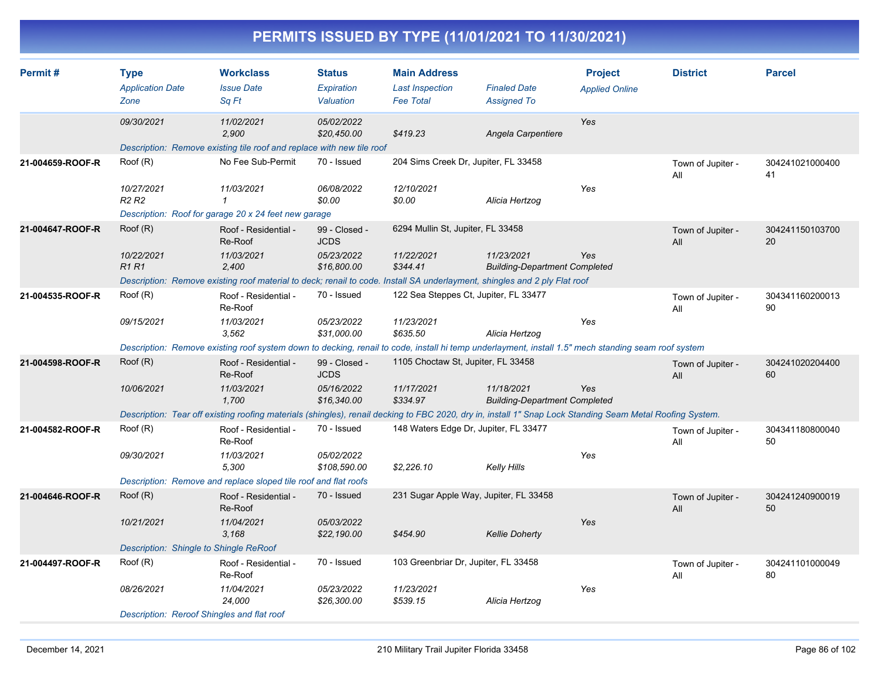| Permit#          | <b>Type</b><br><b>Application Date</b><br>Zone | <b>Workclass</b><br><b>Issue Date</b><br>Sq Ft                                                                                                            | <b>Status</b><br>Expiration<br>Valuation | <b>Main Address</b><br><b>Last Inspection</b><br><b>Fee Total</b> | <b>Finaled Date</b><br><b>Assigned To</b>          | <b>Project</b><br><b>Applied Online</b> | <b>District</b>          | <b>Parcel</b>         |
|------------------|------------------------------------------------|-----------------------------------------------------------------------------------------------------------------------------------------------------------|------------------------------------------|-------------------------------------------------------------------|----------------------------------------------------|-----------------------------------------|--------------------------|-----------------------|
|                  | 09/30/2021                                     | 11/02/2021<br>2,900                                                                                                                                       | 05/02/2022<br>\$20,450.00                | \$419.23                                                          | Angela Carpentiere                                 | Yes                                     |                          |                       |
|                  |                                                | Description: Remove existing tile roof and replace with new tile roof                                                                                     |                                          |                                                                   |                                                    |                                         |                          |                       |
| 21-004659-ROOF-R | Root(R)                                        | No Fee Sub-Permit                                                                                                                                         | 70 - Issued                              | 204 Sims Creek Dr, Jupiter, FL 33458                              |                                                    |                                         | Town of Jupiter -<br>All | 304241021000400<br>41 |
|                  | 10/27/2021<br>R <sub>2</sub> R <sub>2</sub>    | 11/03/2021<br>$\mathcal I$                                                                                                                                | 06/08/2022<br>\$0.00                     | 12/10/2021<br>\$0.00                                              | Alicia Hertzog                                     | Yes                                     |                          |                       |
|                  |                                                | Description: Roof for garage 20 x 24 feet new garage                                                                                                      |                                          |                                                                   |                                                    |                                         |                          |                       |
| 21-004647-ROOF-R | Root(R)                                        | Roof - Residential -<br>Re-Roof                                                                                                                           | 99 - Closed -<br><b>JCDS</b>             | 6294 Mullin St, Jupiter, FL 33458                                 |                                                    |                                         | Town of Jupiter -<br>All | 304241150103700<br>20 |
|                  | 10/22/2021<br><b>R1R1</b>                      | 11/03/2021<br>2,400                                                                                                                                       | 05/23/2022<br>\$16,800.00                | 11/22/2021<br>\$344.41                                            | 11/23/2021<br><b>Building-Department Completed</b> | Yes                                     |                          |                       |
|                  |                                                | Description: Remove existing roof material to deck; renail to code. Install SA underlayment, shingles and 2 ply Flat roof                                 |                                          |                                                                   |                                                    |                                         |                          |                       |
| 21-004535-ROOF-R | Root(R)                                        | Roof - Residential -<br>Re-Roof                                                                                                                           | 70 - Issued                              | 122 Sea Steppes Ct, Jupiter, FL 33477                             |                                                    |                                         | Town of Jupiter -<br>All | 304341160200013<br>90 |
|                  | 09/15/2021                                     | 11/03/2021<br>3.562                                                                                                                                       | 05/23/2022<br>\$31,000.00                | 11/23/2021<br>\$635.50                                            | Alicia Hertzog                                     | Yes                                     |                          |                       |
|                  |                                                | Description: Remove existing roof system down to decking, renail to code, install hi temp underlayment, install 1.5" mech standing seam roof system       |                                          |                                                                   |                                                    |                                         |                          |                       |
| 21-004598-ROOF-R | Root(R)                                        | Roof - Residential -<br>Re-Roof                                                                                                                           | 99 - Closed -<br><b>JCDS</b>             | 1105 Choctaw St, Jupiter, FL 33458                                |                                                    |                                         | Town of Jupiter -<br>All | 304241020204400<br>60 |
|                  | 10/06/2021                                     | 11/03/2021<br>1,700                                                                                                                                       | 05/16/2022<br>\$16,340.00                | 11/17/2021<br>\$334.97                                            | 11/18/2021<br><b>Building-Department Completed</b> | Yes                                     |                          |                       |
|                  |                                                | Description: Tear off existing roofing materials (shingles), renail decking to FBC 2020, dry in, install 1" Snap Lock Standing Seam Metal Roofing System. |                                          |                                                                   |                                                    |                                         |                          |                       |
| 21-004582-ROOF-R | Root(R)                                        | Roof - Residential -<br>Re-Roof                                                                                                                           | 70 - Issued                              | 148 Waters Edge Dr, Jupiter, FL 33477                             |                                                    |                                         | Town of Jupiter -<br>All | 304341180800040<br>50 |
|                  | 09/30/2021                                     | 11/03/2021<br>5,300                                                                                                                                       | 05/02/2022<br>\$108,590.00               | \$2,226.10                                                        | Kelly Hills                                        | Yes                                     |                          |                       |
|                  |                                                | Description: Remove and replace sloped tile roof and flat roofs                                                                                           |                                          |                                                                   |                                                    |                                         |                          |                       |
| 21-004646-ROOF-R | Root(R)                                        | Roof - Residential -<br>Re-Roof                                                                                                                           | 70 - Issued                              | 231 Sugar Apple Way, Jupiter, FL 33458                            |                                                    |                                         | Town of Jupiter -<br>All | 304241240900019<br>50 |
|                  | 10/21/2021                                     | 11/04/2021<br>3.168                                                                                                                                       | 05/03/2022<br>\$22,190.00                | \$454.90                                                          | <b>Kellie Doherty</b>                              | Yes                                     |                          |                       |
|                  | Description: Shingle to Shingle ReRoof         |                                                                                                                                                           |                                          |                                                                   |                                                    |                                         |                          |                       |
| 21-004497-ROOF-R | Root(R)                                        | Roof - Residential -<br>Re-Roof                                                                                                                           | 70 - Issued                              | 103 Greenbriar Dr, Jupiter, FL 33458                              |                                                    |                                         | Town of Jupiter -<br>All | 304241101000049<br>80 |
|                  | 08/26/2021                                     | 11/04/2021<br>24.000                                                                                                                                      | 05/23/2022<br>\$26,300.00                | 11/23/2021<br>\$539.15                                            | Alicia Hertzog                                     | Yes                                     |                          |                       |
|                  | Description: Reroof Shingles and flat roof     |                                                                                                                                                           |                                          |                                                                   |                                                    |                                         |                          |                       |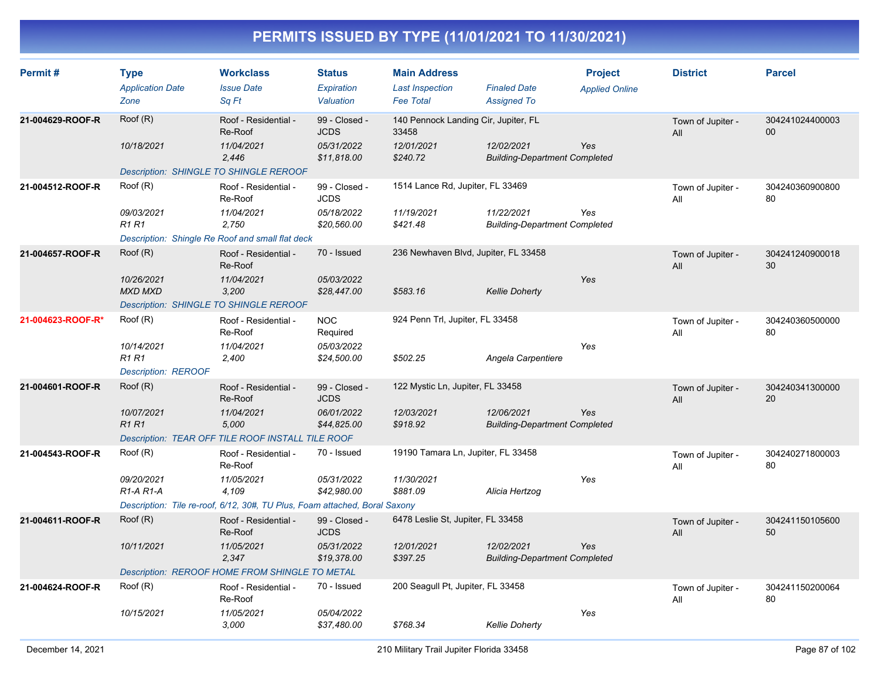| Permit#           | <b>Type</b><br><b>Application Date</b><br>Zone | <b>Workclass</b><br><b>Issue Date</b><br>Sq Ft                             | <b>Status</b><br>Expiration<br>Valuation | <b>Main Address</b><br><b>Last Inspection</b><br><b>Fee Total</b> | <b>Finaled Date</b><br><b>Assigned To</b>          | <b>Project</b><br><b>Applied Online</b> | <b>District</b>          | <b>Parcel</b>         |
|-------------------|------------------------------------------------|----------------------------------------------------------------------------|------------------------------------------|-------------------------------------------------------------------|----------------------------------------------------|-----------------------------------------|--------------------------|-----------------------|
| 21-004629-ROOF-R  | Root(R)                                        | Roof - Residential -<br>Re-Roof                                            | 99 - Closed -<br><b>JCDS</b>             | 140 Pennock Landing Cir, Jupiter, FL<br>33458                     |                                                    |                                         | Town of Jupiter -<br>All | 304241024400003<br>00 |
|                   | 10/18/2021                                     | 11/04/2021<br>2.446                                                        | 05/31/2022<br>\$11,818.00                | 12/01/2021<br>\$240.72                                            | 12/02/2021<br><b>Building-Department Completed</b> | Yes                                     |                          |                       |
|                   | Description: SHINGLE TO SHINGLE REROOF         |                                                                            |                                          |                                                                   |                                                    |                                         |                          |                       |
| 21-004512-ROOF-R  | Root(R)                                        | Roof - Residential -<br>Re-Roof                                            | 99 - Closed -<br><b>JCDS</b>             | 1514 Lance Rd, Jupiter, FL 33469                                  |                                                    |                                         | Town of Jupiter -<br>All | 304240360900800<br>80 |
|                   | 09/03/2021<br><b>R1 R1</b>                     | 11/04/2021<br>2.750                                                        | 05/18/2022<br>\$20,560.00                | 11/19/2021<br>\$421.48                                            | 11/22/2021<br><b>Building-Department Completed</b> | Yes                                     |                          |                       |
|                   |                                                | Description: Shingle Re Roof and small flat deck                           |                                          |                                                                   |                                                    |                                         |                          |                       |
| 21-004657-ROOF-R  | Root(R)                                        | Roof - Residential -<br>Re-Roof                                            | 70 - Issued                              | 236 Newhaven Blvd, Jupiter, FL 33458                              |                                                    |                                         | Town of Jupiter -<br>All | 304241240900018<br>30 |
|                   | 10/26/2021<br><b>MXD MXD</b>                   | 11/04/2021<br>3,200                                                        | 05/03/2022<br>\$28,447.00                | \$583.16                                                          | <b>Kellie Doherty</b>                              | Yes                                     |                          |                       |
|                   | <b>Description: SHINGLE TO SHINGLE REROOF</b>  |                                                                            |                                          |                                                                   |                                                    |                                         |                          |                       |
| 21-004623-ROOF-R* | Root(R)                                        | Roof - Residential -<br>Re-Roof                                            | <b>NOC</b><br>Required                   | 924 Penn Trl, Jupiter, FL 33458                                   |                                                    |                                         | Town of Jupiter -<br>All | 304240360500000<br>80 |
|                   | 10/14/2021<br><b>R1 R1</b>                     | 11/04/2021<br>2,400                                                        | 05/03/2022<br>\$24,500.00                | \$502.25                                                          | Angela Carpentiere                                 | Yes                                     |                          |                       |
|                   | <b>Description: REROOF</b>                     |                                                                            |                                          |                                                                   |                                                    |                                         |                          |                       |
| 21-004601-ROOF-R  | Root(R)                                        | Roof - Residential -<br>Re-Roof                                            | 99 - Closed -<br><b>JCDS</b>             | 122 Mystic Ln, Jupiter, FL 33458                                  |                                                    |                                         | Town of Jupiter -<br>All | 304240341300000<br>20 |
|                   | 10/07/2021<br><b>R1R1</b>                      | 11/04/2021<br>5,000                                                        | 06/01/2022<br>\$44,825.00                | 12/03/2021<br>\$918.92                                            | 12/06/2021<br><b>Building-Department Completed</b> | Yes                                     |                          |                       |
|                   |                                                | Description: TEAR OFF TILE ROOF INSTALL TILE ROOF                          |                                          |                                                                   |                                                    |                                         |                          |                       |
| 21-004543-ROOF-R  | Roof (R)                                       | Roof - Residential -<br>Re-Roof                                            | 70 - Issued                              | 19190 Tamara Ln, Jupiter, FL 33458                                |                                                    |                                         | Town of Jupiter -<br>All | 304240271800003<br>80 |
|                   | 09/20/2021<br>$R1-A R1-A$                      | 11/05/2021<br>4,109                                                        | 05/31/2022<br>\$42,980.00                | 11/30/2021<br>\$881.09                                            | Alicia Hertzog                                     | Yes                                     |                          |                       |
|                   |                                                | Description: Tile re-roof, 6/12, 30#, TU Plus, Foam attached, Boral Saxony |                                          |                                                                   |                                                    |                                         |                          |                       |
| 21-004611-ROOF-R  | Roof (R)                                       | Roof - Residential -<br>Re-Roof                                            | 99 - Closed -<br><b>JCDS</b>             | 6478 Leslie St, Jupiter, FL 33458                                 |                                                    |                                         | Town of Jupiter -<br>All | 304241150105600<br>50 |
|                   | 10/11/2021                                     | 11/05/2021<br>2,347                                                        | 05/31/2022<br>\$19,378.00                | 12/01/2021<br>\$397.25                                            | 12/02/2021<br><b>Building-Department Completed</b> | Yes                                     |                          |                       |
|                   |                                                | Description: REROOF HOME FROM SHINGLE TO METAL                             |                                          |                                                                   |                                                    |                                         |                          |                       |
| 21-004624-ROOF-R  | Root(R)                                        | Roof - Residential -<br>Re-Roof                                            | 70 - Issued                              | 200 Seagull Pt, Jupiter, FL 33458                                 |                                                    |                                         | Town of Jupiter -<br>All | 304241150200064<br>80 |
|                   | 10/15/2021                                     | 11/05/2021<br>3,000                                                        | 05/04/2022<br>\$37,480.00                | \$768.34                                                          | <b>Kellie Doherty</b>                              | Yes                                     |                          |                       |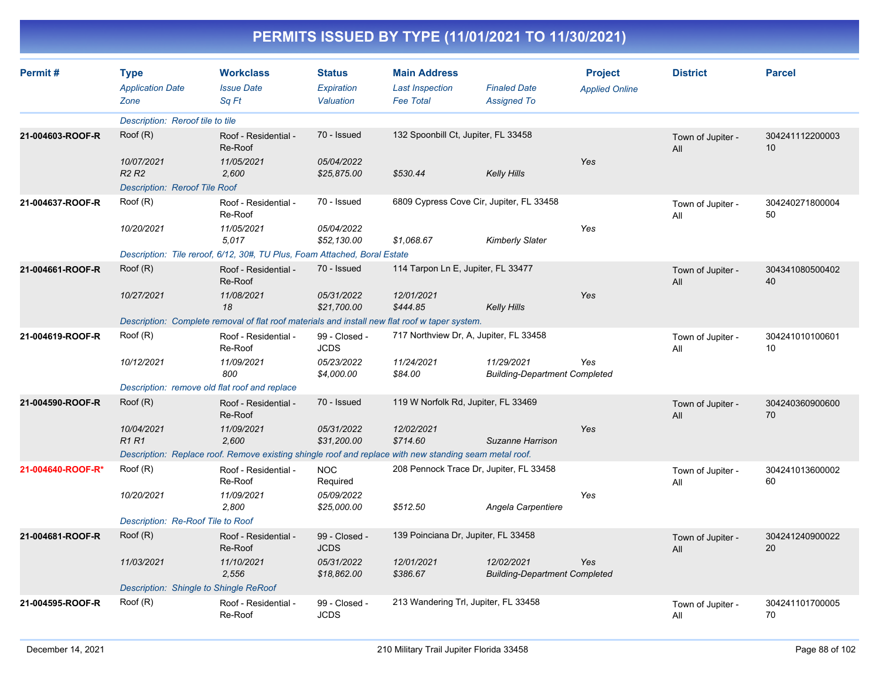| Permit#           | <b>Type</b><br><b>Application Date</b> | <b>Workclass</b><br><b>Issue Date</b>                                                                  | <b>Status</b><br>Expiration  | <b>Main Address</b><br><b>Last Inspection</b> | <b>Finaled Date</b>                                | <b>Project</b><br><b>Applied Online</b> | <b>District</b>          | <b>Parcel</b>         |
|-------------------|----------------------------------------|--------------------------------------------------------------------------------------------------------|------------------------------|-----------------------------------------------|----------------------------------------------------|-----------------------------------------|--------------------------|-----------------------|
|                   | Zone                                   | Sq Ft                                                                                                  | Valuation                    | <b>Fee Total</b>                              | <b>Assigned To</b>                                 |                                         |                          |                       |
|                   | Description: Reroof tile to tile       |                                                                                                        |                              |                                               |                                                    |                                         |                          |                       |
| 21-004603-ROOF-R  | Roof (R)                               | Roof - Residential -<br>Re-Roof                                                                        | 70 - Issued                  | 132 Spoonbill Ct, Jupiter, FL 33458           |                                                    |                                         | Town of Jupiter -<br>All | 304241112200003<br>10 |
|                   | 10/07/2021<br><b>R2 R2</b>             | 11/05/2021<br>2,600                                                                                    | 05/04/2022<br>\$25,875.00    | \$530.44                                      | <b>Kelly Hills</b>                                 | Yes                                     |                          |                       |
|                   | <b>Description: Reroof Tile Roof</b>   |                                                                                                        |                              |                                               |                                                    |                                         |                          |                       |
| 21-004637-ROOF-R  | Root(R)                                | Roof - Residential -<br>Re-Roof                                                                        | 70 - Issued                  |                                               | 6809 Cypress Cove Cir, Jupiter, FL 33458           |                                         | Town of Jupiter -<br>All | 304240271800004<br>50 |
|                   | 10/20/2021                             | 11/05/2021<br>5,017                                                                                    | 05/04/2022<br>\$52,130.00    | \$1,068.67                                    | <b>Kimberly Slater</b>                             | Yes                                     |                          |                       |
|                   |                                        | Description: Tile reroof, 6/12, 30#, TU Plus, Foam Attached, Boral Estate                              |                              |                                               |                                                    |                                         |                          |                       |
| 21-004661-ROOF-R  | Root(R)                                | Roof - Residential -<br>Re-Roof                                                                        | 70 - Issued                  | 114 Tarpon Ln E, Jupiter, FL 33477            |                                                    |                                         | Town of Jupiter -<br>All | 304341080500402<br>40 |
|                   | 10/27/2021                             | 11/08/2021<br>18                                                                                       | 05/31/2022<br>\$21,700.00    | 12/01/2021<br>\$444.85                        | Kelly Hills                                        | Yes                                     |                          |                       |
|                   |                                        | Description: Complete removal of flat roof materials and install new flat roof w taper system.         |                              |                                               |                                                    |                                         |                          |                       |
| 21-004619-ROOF-R  | Root(R)                                | Roof - Residential -<br>Re-Roof                                                                        | 99 - Closed -<br><b>JCDS</b> |                                               | 717 Northview Dr. A. Jupiter, FL 33458             |                                         | Town of Jupiter -<br>All | 304241010100601<br>10 |
|                   | 10/12/2021                             | 11/09/2021<br>800                                                                                      | 05/23/2022<br>\$4,000.00     | 11/24/2021<br>\$84.00                         | 11/29/2021<br><b>Building-Department Completed</b> | Yes                                     |                          |                       |
|                   |                                        | Description: remove old flat roof and replace                                                          |                              |                                               |                                                    |                                         |                          |                       |
| 21-004590-ROOF-R  | Root(R)                                | Roof - Residential -<br>Re-Roof                                                                        | 70 - Issued                  | 119 W Norfolk Rd, Jupiter, FL 33469           |                                                    |                                         | Town of Jupiter -<br>All | 304240360900600<br>70 |
|                   | 10/04/2021<br><b>R1R1</b>              | 11/09/2021<br>2,600                                                                                    | 05/31/2022<br>\$31,200.00    | 12/02/2021<br>\$714.60                        | Suzanne Harrison                                   | Yes                                     |                          |                       |
|                   |                                        | Description: Replace roof. Remove existing shingle roof and replace with new standing seam metal roof. |                              |                                               |                                                    |                                         |                          |                       |
| 21-004640-ROOF-R* | Root(R)                                | Roof - Residential -<br>Re-Roof                                                                        | <b>NOC</b><br>Required       |                                               | 208 Pennock Trace Dr, Jupiter, FL 33458            |                                         | Town of Jupiter -<br>All | 304241013600002<br>60 |
|                   | 10/20/2021                             | 11/09/2021<br>2,800                                                                                    | 05/09/2022<br>\$25,000.00    | \$512.50                                      | Angela Carpentiere                                 | Yes                                     |                          |                       |
|                   | Description: Re-Roof Tile to Roof      |                                                                                                        |                              |                                               |                                                    |                                         |                          |                       |
| 21-004681-ROOF-R  | Root(R)                                | Roof - Residential -<br>Re-Roof                                                                        | 99 - Closed -<br><b>JCDS</b> | 139 Poinciana Dr, Jupiter, FL 33458           |                                                    |                                         | Town of Jupiter -<br>All | 304241240900022<br>20 |
|                   | 11/03/2021                             | 11/10/2021<br>2,556                                                                                    | 05/31/2022<br>\$18,862.00    | 12/01/2021<br>\$386.67                        | 12/02/2021<br><b>Building-Department Completed</b> | Yes                                     |                          |                       |
|                   | Description: Shingle to Shingle ReRoof |                                                                                                        |                              |                                               |                                                    |                                         |                          |                       |
| 21-004595-ROOF-R  | Root(R)                                | Roof - Residential -<br>Re-Roof                                                                        | 99 - Closed -<br><b>JCDS</b> | 213 Wandering Trl, Jupiter, FL 33458          |                                                    |                                         | Town of Jupiter -<br>All | 304241101700005<br>70 |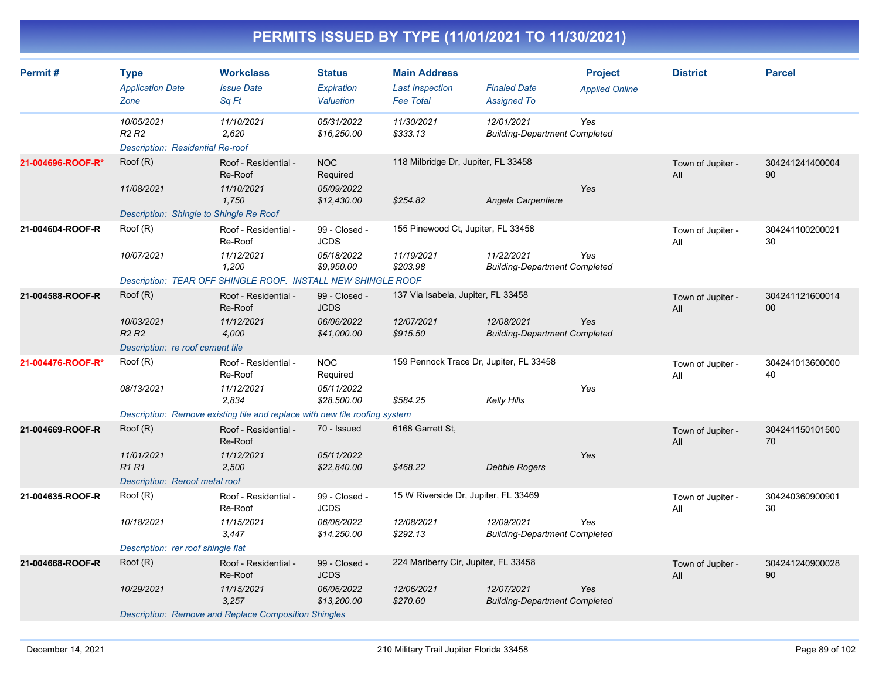| Permit#           | <b>Type</b><br><b>Application Date</b><br>Zone                                              | <b>Workclass</b><br><b>Issue Date</b><br>Sq Ft                                                                                       | <b>Status</b><br>Expiration<br>Valuation                  | <b>Main Address</b><br><b>Last Inspection</b><br><b>Fee Total</b> | <b>Finaled Date</b><br><b>Assigned To</b>          | <b>Project</b><br><b>Applied Online</b> | <b>District</b>          | <b>Parcel</b>             |
|-------------------|---------------------------------------------------------------------------------------------|--------------------------------------------------------------------------------------------------------------------------------------|-----------------------------------------------------------|-------------------------------------------------------------------|----------------------------------------------------|-----------------------------------------|--------------------------|---------------------------|
|                   | 10/05/2021<br>R <sub>2</sub> R <sub>2</sub><br>Description: Residential Re-roof             | 11/10/2021<br>2,620                                                                                                                  | 05/31/2022<br>\$16,250.00                                 | 11/30/2021<br>\$333.13                                            | 12/01/2021<br><b>Building-Department Completed</b> | Yes                                     |                          |                           |
| 21-004696-ROOF-R* | Root(R)<br>11/08/2021<br>Description: Shingle to Shingle Re Roof                            | Roof - Residential -<br>Re-Roof<br>11/10/2021<br>1,750                                                                               | <b>NOC</b><br>Required<br>05/09/2022<br>\$12,430.00       | 118 Milbridge Dr, Jupiter, FL 33458<br>\$254.82                   | Angela Carpentiere                                 | Yes                                     | Town of Jupiter -<br>All | 304241241400004<br>90     |
| 21-004604-ROOF-R  | Root(R)<br>10/07/2021                                                                       | Roof - Residential -<br>Re-Roof<br>11/12/2021<br>1,200<br>Description: TEAR OFF SHINGLE ROOF. INSTALL NEW SHINGLE ROOF               | 99 - Closed -<br><b>JCDS</b><br>05/18/2022<br>\$9,950.00  | 155 Pinewood Ct, Jupiter, FL 33458<br>11/19/2021<br>\$203.98      | 11/22/2021<br><b>Building-Department Completed</b> | Yes                                     | Town of Jupiter -<br>All | 304241100200021<br>30     |
| 21-004588-ROOF-R  | Roof (R)<br>10/03/2021<br>R <sub>2</sub> R <sub>2</sub><br>Description: re roof cement tile | Roof - Residential -<br>Re-Roof<br>11/12/2021<br>4,000                                                                               | 99 - Closed -<br><b>JCDS</b><br>06/06/2022<br>\$41,000.00 | 137 Via Isabela, Jupiter, FL 33458<br>12/07/2021<br>\$915.50      | 12/08/2021<br><b>Building-Department Completed</b> | Yes                                     | Town of Jupiter -<br>All | 304241121600014<br>$00\,$ |
| 21-004476-ROOF-R* | Root(R)<br>08/13/2021                                                                       | Roof - Residential -<br>Re-Roof<br>11/12/2021<br>2,834<br>Description: Remove existing tile and replace with new tile roofing system | <b>NOC</b><br>Required<br>05/11/2022<br>\$28,500.00       | 159 Pennock Trace Dr, Jupiter, FL 33458<br>\$584.25               | <b>Kelly Hills</b>                                 | Yes                                     | Town of Jupiter -<br>All | 304241013600000<br>40     |
| 21-004669-ROOF-R  | Root(R)<br>11/01/2021<br>R1 R1<br>Description: Reroof metal roof                            | Roof - Residential -<br>Re-Roof<br>11/12/2021<br>2,500                                                                               | 70 - Issued<br>05/11/2022<br>\$22,840.00                  | 6168 Garrett St,<br>\$468.22                                      | Debbie Rogers                                      | Yes                                     | Town of Jupiter -<br>All | 304241150101500<br>70     |
| 21-004635-ROOF-R  | Root(R)<br>10/18/2021<br>Description: rer roof shingle flat                                 | Roof - Residential -<br>Re-Roof<br>11/15/2021<br>3,447                                                                               | 99 - Closed -<br><b>JCDS</b><br>06/06/2022<br>\$14,250.00 | 15 W Riverside Dr, Jupiter, FL 33469<br>12/08/2021<br>\$292.13    | 12/09/2021<br><b>Building-Department Completed</b> | Yes                                     | Town of Jupiter -<br>All | 304240360900901<br>30     |
| 21-004668-ROOF-R  | Root(R)<br>10/29/2021                                                                       | Roof - Residential -<br>Re-Roof<br>11/15/2021<br>3,257<br>Description: Remove and Replace Composition Shingles                       | 99 - Closed -<br><b>JCDS</b><br>06/06/2022<br>\$13,200.00 | 224 Marlberry Cir, Jupiter, FL 33458<br>12/06/2021<br>\$270.60    | 12/07/2021<br><b>Building-Department Completed</b> | Yes                                     | Town of Jupiter -<br>All | 304241240900028<br>90     |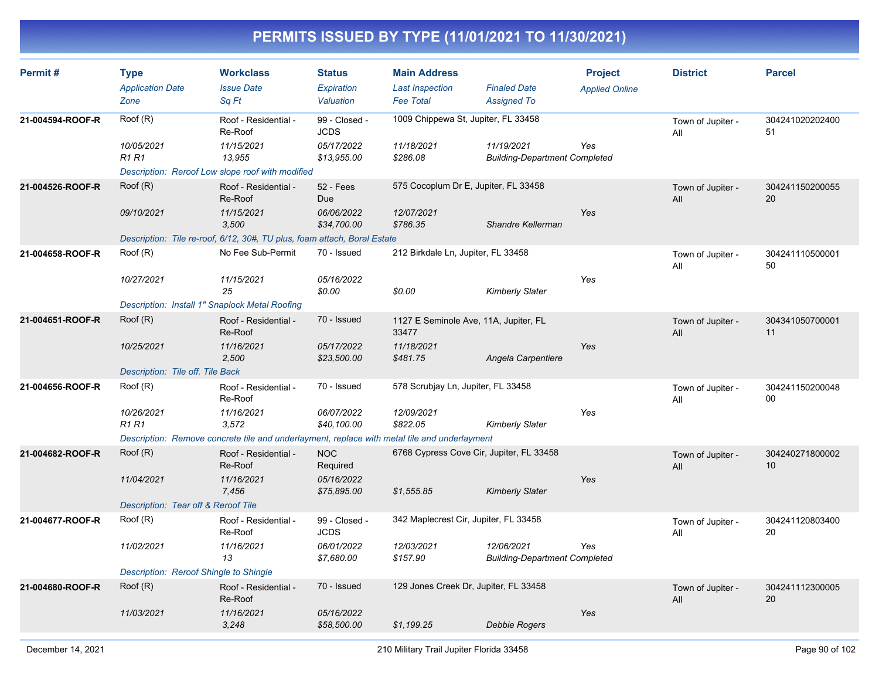| Permit#          | <b>Type</b><br><b>Application Date</b><br>Zone | <b>Workclass</b><br><b>Issue Date</b><br>Sa Ft                                               | <b>Status</b><br>Expiration<br>Valuation | <b>Main Address</b><br><b>Last Inspection</b><br><b>Fee Total</b> | <b>Finaled Date</b><br><b>Assigned To</b>          | <b>Project</b><br><b>Applied Online</b> | <b>District</b>          | <b>Parcel</b>         |
|------------------|------------------------------------------------|----------------------------------------------------------------------------------------------|------------------------------------------|-------------------------------------------------------------------|----------------------------------------------------|-----------------------------------------|--------------------------|-----------------------|
| 21-004594-ROOF-R | Roof (R)                                       | Roof - Residential -<br>Re-Roof                                                              | 99 - Closed -<br><b>JCDS</b>             |                                                                   | 1009 Chippewa St, Jupiter, FL 33458                |                                         | Town of Jupiter -<br>All | 304241020202400<br>51 |
|                  | 10/05/2021<br><b>R1 R1</b>                     | 11/15/2021<br>13,955                                                                         | 05/17/2022<br>\$13,955.00                | 11/18/2021<br>\$286.08                                            | 11/19/2021<br><b>Building-Department Completed</b> | Yes                                     |                          |                       |
|                  |                                                | Description: Reroof Low slope roof with modified                                             |                                          |                                                                   |                                                    |                                         |                          |                       |
| 21-004526-ROOF-R | Roof (R)                                       | Roof - Residential -<br>Re-Roof                                                              | <b>52 - Fees</b><br><b>Due</b>           | 575 Cocoplum Dr E, Jupiter, FL 33458                              |                                                    |                                         | Town of Jupiter -<br>All | 304241150200055<br>20 |
|                  | 09/10/2021                                     | 11/15/2021<br>3,500                                                                          | 06/06/2022<br>\$34,700.00                | 12/07/2021<br>\$786.35                                            | Shandre Kellerman                                  | Yes                                     |                          |                       |
|                  |                                                | Description: Tile re-roof, 6/12, 30#, TU plus, foam attach, Boral Estate                     |                                          |                                                                   |                                                    |                                         |                          |                       |
| 21-004658-ROOF-R | Root(R)                                        | No Fee Sub-Permit                                                                            | 70 - Issued                              | 212 Birkdale Ln, Jupiter, FL 33458                                |                                                    |                                         | Town of Jupiter -<br>All | 304241110500001<br>50 |
|                  | 10/27/2021                                     | 11/15/2021<br>25                                                                             | 05/16/2022<br>\$0.00                     | \$0.00                                                            | <b>Kimberly Slater</b>                             | Yes                                     |                          |                       |
|                  | Description: Install 1" Snaplock Metal Roofing |                                                                                              |                                          |                                                                   |                                                    |                                         |                          |                       |
| 21-004651-ROOF-R | Root(R)                                        | Roof - Residential -<br>Re-Roof                                                              | 70 - Issued                              | 1127 E Seminole Ave, 11A, Jupiter, FL<br>33477                    |                                                    |                                         | Town of Jupiter -<br>All | 304341050700001<br>11 |
|                  | 10/25/2021                                     | 11/16/2021<br>2,500                                                                          | 05/17/2022<br>\$23,500.00                | 11/18/2021<br>\$481.75                                            | Angela Carpentiere                                 | Yes                                     |                          |                       |
|                  | Description: Tile off. Tile Back               |                                                                                              |                                          |                                                                   |                                                    |                                         |                          |                       |
| 21-004656-ROOF-R | Root(R)                                        | Roof - Residential -<br>Re-Roof                                                              | 70 - Issued                              | 578 Scrubjay Ln, Jupiter, FL 33458                                |                                                    |                                         | Town of Jupiter -<br>All | 304241150200048<br>00 |
|                  | 10/26/2021<br><b>R1 R1</b>                     | 11/16/2021<br>3,572                                                                          | 06/07/2022<br>\$40,100.00                | 12/09/2021<br>\$822.05                                            | <b>Kimberly Slater</b>                             | Yes                                     |                          |                       |
|                  |                                                | Description: Remove concrete tile and underlayment, replace with metal tile and underlayment |                                          |                                                                   |                                                    |                                         |                          |                       |
| 21-004682-ROOF-R | Roof (R)                                       | Roof - Residential -<br>Re-Roof                                                              | <b>NOC</b><br>Required                   | 6768 Cypress Cove Cir, Jupiter, FL 33458                          |                                                    |                                         | Town of Jupiter -<br>All | 304240271800002<br>10 |
|                  | 11/04/2021                                     | 11/16/2021<br>7,456                                                                          | 05/16/2022<br>\$75,895.00                | \$1,555.85                                                        | <b>Kimberly Slater</b>                             | Yes                                     |                          |                       |
|                  | Description: Tear off & Reroof Tile            |                                                                                              |                                          |                                                                   |                                                    |                                         |                          |                       |
| 21-004677-ROOF-R | Root(R)                                        | Roof - Residential -<br>Re-Roof                                                              | 99 - Closed -<br><b>JCDS</b>             | 342 Maplecrest Cir, Jupiter, FL 33458                             |                                                    |                                         | Town of Jupiter -<br>All | 304241120803400<br>20 |
|                  | 11/02/2021                                     | 11/16/2021<br>13                                                                             | 06/01/2022<br>\$7,680.00                 | 12/03/2021<br>\$157.90                                            | 12/06/2021<br><b>Building-Department Completed</b> | Yes                                     |                          |                       |
|                  | Description: Reroof Shingle to Shingle         |                                                                                              |                                          |                                                                   |                                                    |                                         |                          |                       |
| 21-004680-ROOF-R | Root(R)                                        | Roof - Residential -<br>Re-Roof                                                              | 70 - Issued                              | 129 Jones Creek Dr, Jupiter, FL 33458                             |                                                    |                                         | Town of Jupiter -<br>All | 304241112300005<br>20 |
|                  | 11/03/2021                                     | 11/16/2021<br>3,248                                                                          | 05/16/2022<br>\$58,500.00                | \$1,199.25                                                        | Debbie Rogers                                      | Yes                                     |                          |                       |
|                  |                                                |                                                                                              |                                          |                                                                   |                                                    |                                         |                          |                       |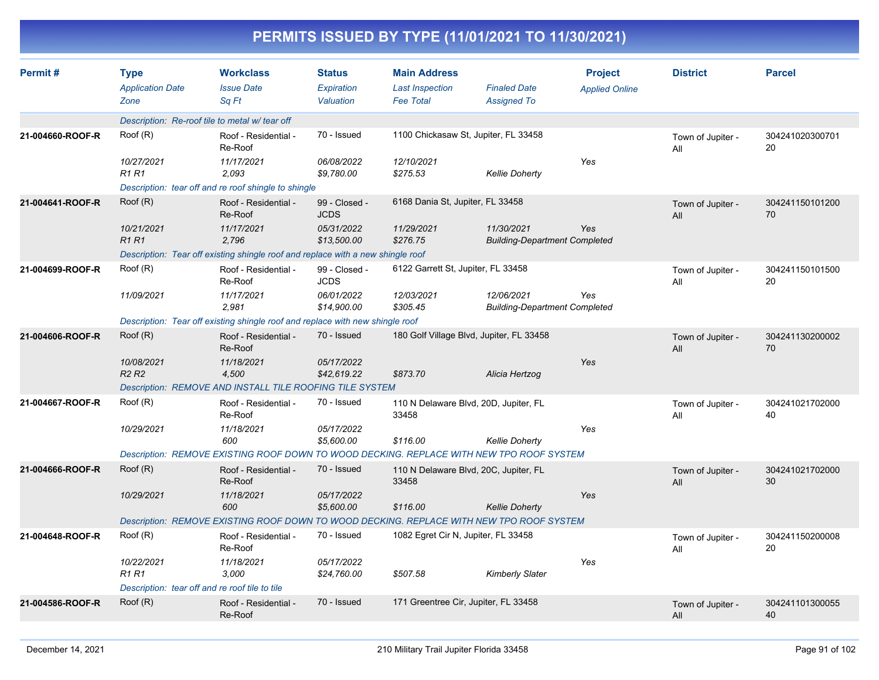|                  |                                                |                                                                                          |                                   | PERMITS ISSUED BY TYPE (11/01/2021 TO 11/30/2021)                 |                                                    |                                         |                          |                       |
|------------------|------------------------------------------------|------------------------------------------------------------------------------------------|-----------------------------------|-------------------------------------------------------------------|----------------------------------------------------|-----------------------------------------|--------------------------|-----------------------|
| Permit#          | <b>Type</b><br><b>Application Date</b><br>Zone | <b>Workclass</b><br><b>Issue Date</b><br>Sq Ft                                           | Status<br>Expiration<br>Valuation | <b>Main Address</b><br><b>Last Inspection</b><br><b>Fee Total</b> | <b>Finaled Date</b><br><b>Assigned To</b>          | <b>Project</b><br><b>Applied Online</b> | <b>District</b>          | <b>Parcel</b>         |
|                  |                                                | Description: Re-roof tile to metal w/ tear off                                           |                                   |                                                                   |                                                    |                                         |                          |                       |
| 21-004660-ROOF-R | Root(R)                                        | Roof - Residential -<br>Re-Roof                                                          | 70 - Issued                       | 1100 Chickasaw St, Jupiter, FL 33458                              |                                                    |                                         | Town of Jupiter -<br>All | 304241020300701<br>20 |
|                  | 10/27/2021<br><b>R1 R1</b>                     | 11/17/2021<br>2,093                                                                      | 06/08/2022<br>\$9,780.00          | 12/10/2021<br>\$275.53                                            | <b>Kellie Doherty</b>                              | Yes                                     |                          |                       |
|                  |                                                | Description: tear off and re roof shingle to shingle                                     |                                   |                                                                   |                                                    |                                         |                          |                       |
| 21-004641-ROOF-R | Root(R)                                        | Roof - Residential -<br>Re-Roof                                                          | 99 - Closed -<br><b>JCDS</b>      | 6168 Dania St, Jupiter, FL 33458                                  |                                                    |                                         | Town of Jupiter -<br>All | 304241150101200<br>70 |
|                  | 10/21/2021<br><b>R1 R1</b>                     | 11/17/2021<br>2,796                                                                      | 05/31/2022<br>\$13,500.00         | 11/29/2021<br>\$276.75                                            | 11/30/2021<br><b>Building-Department Completed</b> | Yes                                     |                          |                       |
|                  |                                                | Description: Tear off existing shingle roof and replace with a new shingle roof          |                                   |                                                                   |                                                    |                                         |                          |                       |
| 21-004699-ROOF-R | Root(R)                                        | Roof - Residential -<br>Re-Roof                                                          | 99 - Closed -<br><b>JCDS</b>      | 6122 Garrett St, Jupiter, FL 33458                                |                                                    |                                         | Town of Jupiter -<br>All | 304241150101500<br>20 |
|                  | 11/09/2021                                     | 11/17/2021<br>2,981                                                                      | 06/01/2022<br>\$14,900.00         | 12/03/2021<br>\$305.45                                            | 12/06/2021<br><b>Building-Department Completed</b> | Yes                                     |                          |                       |
|                  |                                                | Description: Tear off existing shingle roof and replace with new shingle roof            |                                   |                                                                   |                                                    |                                         |                          |                       |
| 21-004606-ROOF-R | Root(R)                                        | Roof - Residential -<br>Re-Roof                                                          | 70 - Issued                       | 180 Golf Village Blvd, Jupiter, FL 33458                          |                                                    |                                         | Town of Jupiter -<br>All | 304241130200002<br>70 |
|                  | 10/08/2021<br>R <sub>2</sub> R <sub>2</sub>    | 11/18/2021<br>4,500                                                                      | 05/17/2022<br>\$42,619.22         | \$873.70                                                          | Alicia Hertzog                                     | Yes                                     |                          |                       |
|                  |                                                | Description: REMOVE AND INSTALL TILE ROOFING TILE SYSTEM                                 |                                   |                                                                   |                                                    |                                         |                          |                       |
| 21-004667-ROOF-R | Root(R)                                        | Roof - Residential -<br>Re-Roof                                                          | 70 - Issued                       | 110 N Delaware Blvd, 20D, Jupiter, FL<br>33458                    |                                                    |                                         | Town of Jupiter -<br>All | 304241021702000<br>40 |
|                  | 10/29/2021                                     | 11/18/2021<br>600                                                                        | 05/17/2022<br>\$5,600.00          | \$116.00                                                          | <b>Kellie Doherty</b>                              | Yes                                     |                          |                       |
|                  |                                                | Description: REMOVE EXISTING ROOF DOWN TO WOOD DECKING. REPLACE WITH NEW TPO ROOF SYSTEM |                                   |                                                                   |                                                    |                                         |                          |                       |
| 21-004666-ROOF-R | Root(R)                                        | Roof - Residential -<br>Re-Roof                                                          | 70 - Issued                       | 110 N Delaware Blvd, 20C, Jupiter, FL<br>33458                    |                                                    |                                         | Town of Jupiter -<br>All | 304241021702000<br>30 |
|                  | 10/29/2021                                     | 11/18/2021<br>600                                                                        | 05/17/2022<br>\$5,600.00          | \$116.00                                                          | <b>Kellie Doherty</b>                              | Yes                                     |                          |                       |
|                  |                                                | Description: REMOVE EXISTING ROOF DOWN TO WOOD DECKING. REPLACE WITH NEW TPO ROOF SYSTEM |                                   |                                                                   |                                                    |                                         |                          |                       |
| 21-004648-ROOF-R | Root(R)                                        | Roof - Residential -<br>Re-Roof                                                          | 70 - Issued                       | 1082 Egret Cir N, Jupiter, FL 33458                               |                                                    |                                         | Town of Jupiter -<br>All | 304241150200008<br>20 |
|                  | 10/22/2021<br><b>R1 R1</b>                     | 11/18/2021<br>3,000                                                                      | 05/17/2022<br>\$24,760.00         | \$507.58                                                          | <b>Kimberly Slater</b>                             | Yes                                     |                          |                       |
|                  |                                                | Description: tear off and re roof tile to tile                                           |                                   |                                                                   |                                                    |                                         |                          |                       |
| 21-004586-ROOF-R | Root(R)                                        | Roof - Residential -<br>Re-Roof                                                          | 70 - Issued                       | 171 Greentree Cir, Jupiter, FL 33458                              |                                                    |                                         | Town of Jupiter -<br>All | 304241101300055<br>40 |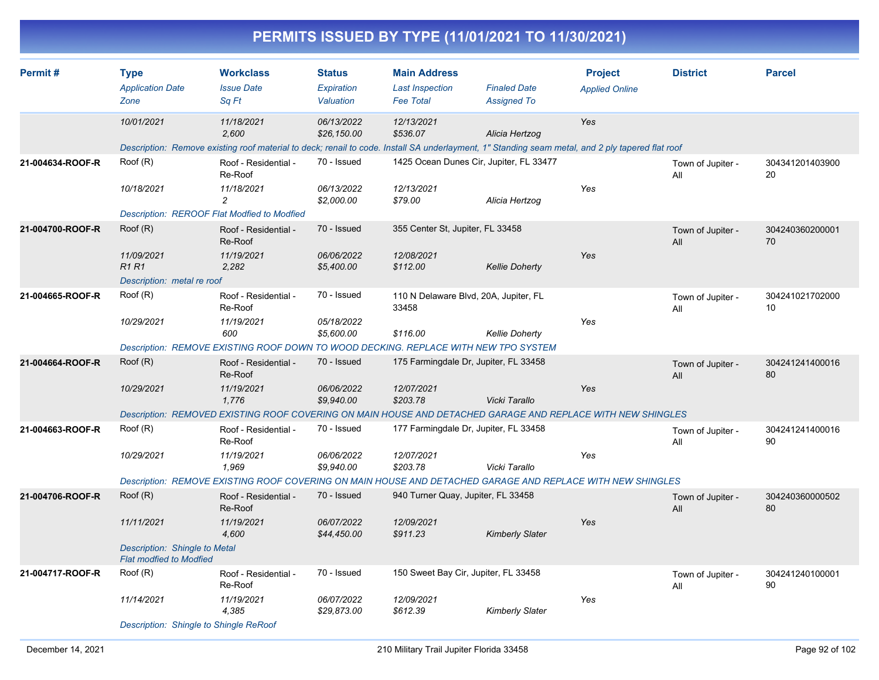|                  |                                                                                          |                                                                                                                                                                         |                                          |                                                                   | PERMITS ISSUED BY TYPE (11/01/2021 TO 11/30/2021)              |                                         |                          |                       |
|------------------|------------------------------------------------------------------------------------------|-------------------------------------------------------------------------------------------------------------------------------------------------------------------------|------------------------------------------|-------------------------------------------------------------------|----------------------------------------------------------------|-----------------------------------------|--------------------------|-----------------------|
| Permit#          | <b>Type</b><br><b>Application Date</b><br>Zone                                           | <b>Workclass</b><br><b>Issue Date</b><br>Sq Ft                                                                                                                          | <b>Status</b><br>Expiration<br>Valuation | <b>Main Address</b><br><b>Last Inspection</b><br><b>Fee Total</b> | <b>Finaled Date</b><br><b>Assigned To</b>                      | <b>Project</b><br><b>Applied Online</b> | <b>District</b>          | <b>Parcel</b>         |
|                  | 10/01/2021                                                                               | 11/18/2021<br>2,600<br>Description: Remove existing roof material to deck; renail to code. Install SA underlayment, 1" Standing seam metal, and 2 ply tapered flat roof | 06/13/2022<br>\$26,150.00                | 12/13/2021<br>\$536.07                                            | Alicia Hertzog                                                 | Yes                                     |                          |                       |
| 21-004634-ROOF-R | Roof (R)<br>10/18/2021                                                                   | Roof - Residential -<br>Re-Roof<br>11/18/2021<br>$\overline{c}$                                                                                                         | 70 - Issued<br>06/13/2022<br>\$2,000.00  | 12/13/2021<br>\$79.00                                             | 1425 Ocean Dunes Cir, Jupiter, FL 33477<br>Alicia Hertzog      | Yes                                     | Town of Jupiter -<br>All | 304341201403900<br>20 |
| 21-004700-ROOF-R | Root(R)                                                                                  | Description: REROOF Flat Modfied to Modfied<br>Roof - Residential -<br>Re-Roof                                                                                          | 70 - Issued                              | 355 Center St, Jupiter, FL 33458                                  |                                                                |                                         | Town of Jupiter -        | 304240360200001<br>70 |
|                  | 11/09/2021<br><b>R1R1</b><br>Description: metal re roof                                  | 11/19/2021<br>2,282                                                                                                                                                     | 06/06/2022<br>\$5,400.00                 | 12/08/2021<br>\$112.00                                            | <b>Kellie Doherty</b>                                          | Yes                                     | All                      |                       |
| 21-004665-ROOF-R | Root(R)<br>10/29/2021                                                                    | Roof - Residential -<br>Re-Roof<br>11/19/2021<br>600<br>Description: REMOVE EXISTING ROOF DOWN TO WOOD DECKING. REPLACE WITH NEW TPO SYSTEM                             | 70 - Issued<br>05/18/2022<br>\$5,600.00  | 33458<br>\$116.00                                                 | 110 N Delaware Blvd, 20A, Jupiter, FL<br><b>Kellie Doherty</b> | Yes                                     | Town of Jupiter -<br>All | 304241021702000<br>10 |
| 21-004664-ROOF-R | Root(R)<br>10/29/2021                                                                    | Roof - Residential -<br>Re-Roof<br>11/19/2021<br>1,776<br>Description: REMOVED EXISTING ROOF COVERING ON MAIN HOUSE AND DETACHED GARAGE AND REPLACE WITH NEW SHINGLES   | 70 - Issued<br>06/06/2022<br>\$9,940.00  | 12/07/2021<br>\$203.78                                            | 175 Farmingdale Dr, Jupiter, FL 33458<br>Vicki Tarallo         | Yes                                     | Town of Jupiter -<br>All | 304241241400016<br>80 |
| 21-004663-ROOF-R | Root(R)<br>10/29/2021                                                                    | Roof - Residential -<br>Re-Roof<br>11/19/2021<br>1,969<br>Description: REMOVE EXISTING ROOF COVERING ON MAIN HOUSE AND DETACHED GARAGE AND REPLACE WITH NEW SHINGLES    | 70 - Issued<br>06/06/2022<br>\$9,940.00  | 12/07/2021<br>\$203.78                                            | 177 Farmingdale Dr, Jupiter, FL 33458<br>Vicki Tarallo         | Yes                                     | Town of Jupiter -<br>All | 304241241400016<br>90 |
| 21-004706-ROOF-R | Root(R)<br>11/11/2021<br>Description: Shingle to Metal<br><b>Flat modfied to Modfied</b> | Roof - Residential -<br>Re-Roof<br>11/19/2021<br>4,600                                                                                                                  | 70 - Issued<br>06/07/2022<br>\$44,450.00 | 940 Turner Quay, Jupiter, FL 33458<br>12/09/2021<br>\$911.23      | <b>Kimberly Slater</b>                                         | Yes                                     | Town of Jupiter -<br>All | 304240360000502<br>80 |
| 21-004717-ROOF-R | Root(R)<br>11/14/2021                                                                    | Roof - Residential -<br>Re-Roof<br>11/19/2021<br>4,385                                                                                                                  | 70 - Issued<br>06/07/2022<br>\$29,873.00 | 12/09/2021<br>\$612.39                                            | 150 Sweet Bay Cir, Jupiter, FL 33458<br><b>Kimberly Slater</b> | Yes                                     | Town of Jupiter -<br>All | 304241240100001<br>90 |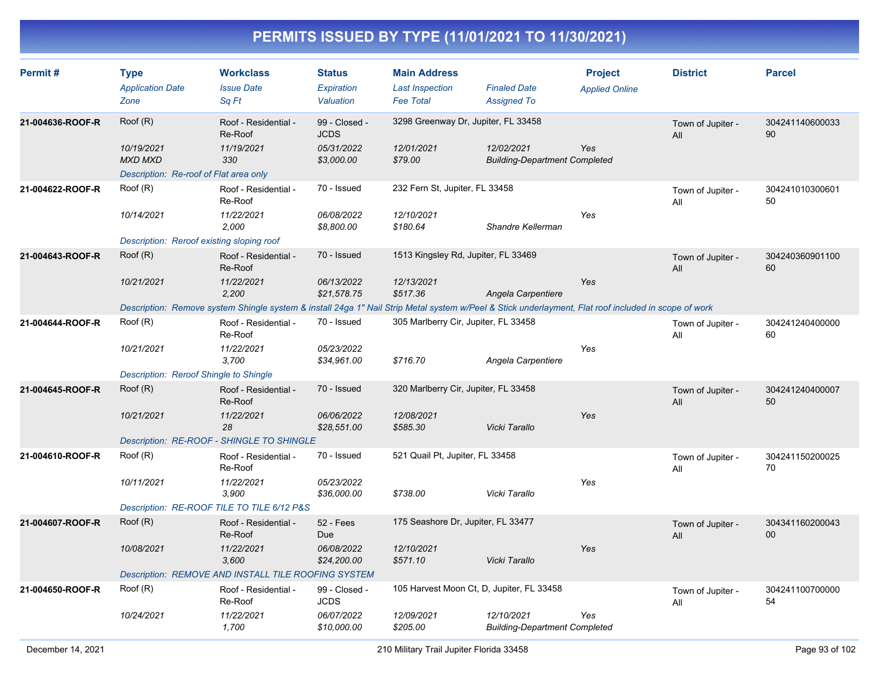| Permit#          | <b>Type</b><br><b>Application Date</b><br>Zone | <b>Workclass</b><br><b>Issue Date</b><br>Sq Ft                                                                                                       | <b>Status</b><br>Expiration<br>Valuation                 | <b>Main Address</b><br><b>Last Inspection</b><br><b>Fee Total</b> | <b>Finaled Date</b><br><b>Assigned To</b>          | <b>Project</b><br><b>Applied Online</b> | <b>District</b>          | <b>Parcel</b>         |
|------------------|------------------------------------------------|------------------------------------------------------------------------------------------------------------------------------------------------------|----------------------------------------------------------|-------------------------------------------------------------------|----------------------------------------------------|-----------------------------------------|--------------------------|-----------------------|
| 21-004636-ROOF-R | Root(R)<br>10/19/2021<br><b>MXD MXD</b>        | Roof - Residential -<br>Re-Roof<br>11/19/2021<br>330                                                                                                 | 99 - Closed -<br><b>JCDS</b><br>05/31/2022<br>\$3,000.00 | 3298 Greenway Dr, Jupiter, FL 33458<br>12/01/2021<br>\$79.00      | 12/02/2021<br><b>Building-Department Completed</b> | Yes                                     | Town of Jupiter -<br>All | 304241140600033<br>90 |
|                  | Description: Re-roof of Flat area only         |                                                                                                                                                      |                                                          |                                                                   |                                                    |                                         |                          |                       |
| 21-004622-ROOF-R | Root(R)                                        | Roof - Residential -<br>Re-Roof                                                                                                                      | 70 - Issued                                              | 232 Fern St, Jupiter, FL 33458                                    |                                                    |                                         | Town of Jupiter -<br>All | 304241010300601<br>50 |
|                  | 10/14/2021                                     | 11/22/2021<br>2,000                                                                                                                                  | 06/08/2022<br>\$8,800.00                                 | 12/10/2021<br>\$180.64                                            | Shandre Kellerman                                  | Yes                                     |                          |                       |
|                  | Description: Reroof existing sloping roof      |                                                                                                                                                      |                                                          |                                                                   |                                                    |                                         |                          |                       |
| 21-004643-ROOF-R | Root(R)                                        | Roof - Residential -<br>Re-Roof                                                                                                                      | 70 - Issued                                              | 1513 Kingsley Rd, Jupiter, FL 33469                               |                                                    |                                         | Town of Jupiter -<br>All | 304240360901100<br>60 |
|                  | 10/21/2021                                     | 11/22/2021<br>2,200                                                                                                                                  | 06/13/2022<br>\$21,578.75                                | 12/13/2021<br>\$517.36                                            | Angela Carpentiere                                 | Yes                                     |                          |                       |
|                  |                                                | Description: Remove system Shingle system & install 24ga 1" Nail Strip Metal system w/Peel & Stick underlayment, Flat roof included in scope of work |                                                          |                                                                   |                                                    |                                         |                          |                       |
| 21-004644-ROOF-R | Root(R)                                        | Roof - Residential -<br>Re-Roof                                                                                                                      | 70 - Issued                                              | 305 Marlberry Cir, Jupiter, FL 33458                              |                                                    |                                         | Town of Jupiter -<br>All | 304241240400000<br>60 |
|                  | 10/21/2021                                     | 11/22/2021<br>3,700                                                                                                                                  | 05/23/2022<br>\$34,961.00                                | \$716.70                                                          | Angela Carpentiere                                 | Yes                                     |                          |                       |
|                  | Description: Reroof Shingle to Shingle         |                                                                                                                                                      |                                                          |                                                                   |                                                    |                                         |                          |                       |
| 21-004645-ROOF-R | Root(R)                                        | Roof - Residential -<br>Re-Roof                                                                                                                      | 70 - Issued                                              | 320 Marlberry Cir, Jupiter, FL 33458                              |                                                    |                                         | Town of Jupiter -<br>All | 304241240400007<br>50 |
|                  | 10/21/2021                                     | 11/22/2021<br>28                                                                                                                                     | 06/06/2022<br>\$28,551.00                                | 12/08/2021<br>\$585.30                                            | Vicki Tarallo                                      | Yes                                     |                          |                       |
|                  |                                                | Description: RE-ROOF - SHINGLE TO SHINGLE                                                                                                            |                                                          |                                                                   |                                                    |                                         |                          |                       |
| 21-004610-ROOF-R | Root(R)                                        | Roof - Residential -<br>Re-Roof                                                                                                                      | 70 - Issued                                              | 521 Quail Pt, Jupiter, FL 33458                                   |                                                    |                                         | Town of Jupiter -<br>All | 304241150200025<br>70 |
|                  | 10/11/2021                                     | 11/22/2021<br>3,900                                                                                                                                  | 05/23/2022<br>\$36,000.00                                | \$738.00                                                          | Vicki Tarallo                                      | Yes                                     |                          |                       |
|                  |                                                | Description: RE-ROOF TILE TO TILE 6/12 P&S                                                                                                           |                                                          |                                                                   |                                                    |                                         |                          |                       |
| 21-004607-ROOF-R | Root(R)                                        | Roof - Residential -<br>Re-Roof                                                                                                                      | 52 - Fees<br><b>Due</b>                                  | 175 Seashore Dr, Jupiter, FL 33477                                |                                                    |                                         | Town of Jupiter -<br>All | 304341160200043<br>00 |
|                  | 10/08/2021                                     | 11/22/2021<br>3,600                                                                                                                                  | 06/08/2022<br>\$24,200.00                                | 12/10/2021<br>\$571.10                                            | Vicki Tarallo                                      | Yes                                     |                          |                       |
|                  |                                                | Description: REMOVE AND INSTALL TILE ROOFING SYSTEM                                                                                                  |                                                          |                                                                   |                                                    |                                         |                          |                       |
| 21-004650-ROOF-R | Root(R)                                        | Roof - Residential -<br>Re-Roof                                                                                                                      | 99 - Closed -<br><b>JCDS</b>                             |                                                                   | 105 Harvest Moon Ct, D, Jupiter, FL 33458          |                                         | Town of Jupiter -<br>All | 304241100700000<br>54 |
|                  | 10/24/2021                                     | 11/22/2021<br>1,700                                                                                                                                  | 06/07/2022<br>\$10,000.00                                | 12/09/2021<br>\$205.00                                            | 12/10/2021<br><b>Building-Department Completed</b> | Yes                                     |                          |                       |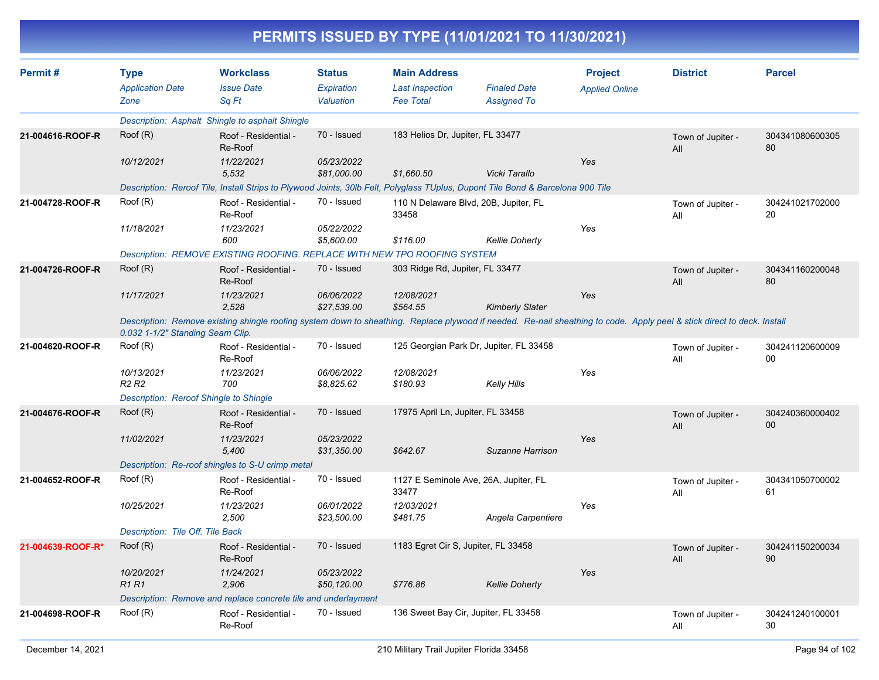|                   |                                                |                                                                                                                                                                         |                                          |                                                                   | PERMITS ISSUED BY TYPE (11/01/2021 TO 11/30/2021) |                                         |                          |                       |
|-------------------|------------------------------------------------|-------------------------------------------------------------------------------------------------------------------------------------------------------------------------|------------------------------------------|-------------------------------------------------------------------|---------------------------------------------------|-----------------------------------------|--------------------------|-----------------------|
| Permit#           | <b>Type</b><br><b>Application Date</b><br>Zone | <b>Workclass</b><br><b>Issue Date</b><br>Sq Ft                                                                                                                          | <b>Status</b><br>Expiration<br>Valuation | <b>Main Address</b><br><b>Last Inspection</b><br><b>Fee Total</b> | <b>Finaled Date</b><br><b>Assigned To</b>         | <b>Project</b><br><b>Applied Online</b> | <b>District</b>          | <b>Parcel</b>         |
|                   |                                                | Description: Asphalt Shingle to asphalt Shingle                                                                                                                         |                                          |                                                                   |                                                   |                                         |                          |                       |
| 21-004616-ROOF-R  | Root(R)                                        | Roof - Residential -<br>Re-Roof                                                                                                                                         | 70 - Issued                              | 183 Helios Dr, Jupiter, FL 33477                                  |                                                   |                                         | Town of Jupiter -<br>All | 304341080600305<br>80 |
|                   | 10/12/2021                                     | 11/22/2021<br>5,532                                                                                                                                                     | 05/23/2022<br>\$81,000.00                | \$1,660.50                                                        | Vicki Tarallo                                     | Yes                                     |                          |                       |
|                   |                                                | Description: Reroof Tile, Install Strips to Plywood Joints, 30lb Felt, Polyglass TUplus, Dupont Tile Bond & Barcelona 900 Tile                                          |                                          |                                                                   |                                                   |                                         |                          |                       |
| 21-004728-ROOF-R  | Root(R)                                        | Roof - Residential -<br>Re-Roof                                                                                                                                         | 70 - Issued                              | 33458                                                             | 110 N Delaware Blvd, 20B, Jupiter, FL             |                                         | Town of Jupiter -<br>All | 304241021702000<br>20 |
|                   | 11/18/2021                                     | 11/23/2021<br>600                                                                                                                                                       | 05/22/2022<br>\$5,600.00                 | \$116.00                                                          | <b>Kellie Doherty</b>                             | Yes                                     |                          |                       |
|                   |                                                | Description: REMOVE EXISTING ROOFING. REPLACE WITH NEW TPO ROOFING SYSTEM                                                                                               |                                          |                                                                   |                                                   |                                         |                          |                       |
| 21-004726-ROOF-R  | Root(R)                                        | Roof - Residential -<br>Re-Roof                                                                                                                                         | 70 - Issued                              | 303 Ridge Rd, Jupiter, FL 33477                                   |                                                   |                                         | Town of Jupiter -<br>All | 304341160200048<br>80 |
|                   | 11/17/2021                                     | 11/23/2021<br>2,528                                                                                                                                                     | 06/06/2022<br>\$27,539.00                | 12/08/2021<br>\$564.55                                            | <b>Kimberly Slater</b>                            | Yes                                     |                          |                       |
|                   | 0.032 1-1/2" Standing Seam Clip.               | Description: Remove existing shingle roofing system down to sheathing. Replace plywood if needed. Re-nail sheathing to code. Apply peel & stick direct to deck. Install |                                          |                                                                   |                                                   |                                         |                          |                       |
| 21-004620-ROOF-R  | Root(R)                                        | Roof - Residential -<br>Re-Roof                                                                                                                                         | 70 - Issued                              |                                                                   | 125 Georgian Park Dr, Jupiter, FL 33458           |                                         | Town of Jupiter -<br>All | 304241120600009<br>00 |
|                   | 10/13/2021<br>R <sub>2</sub> R <sub>2</sub>    | 11/23/2021<br>700                                                                                                                                                       | 06/06/2022<br>\$8,825.62                 | 12/08/2021<br>\$180.93                                            | <b>Kelly Hills</b>                                | Yes                                     |                          |                       |
|                   | Description: Reroof Shingle to Shingle         |                                                                                                                                                                         |                                          |                                                                   |                                                   |                                         |                          |                       |
| 21-004676-ROOF-R  | Root(R)                                        | Roof - Residential -<br>Re-Roof                                                                                                                                         | 70 - Issued                              | 17975 April Ln, Jupiter, FL 33458                                 |                                                   |                                         | Town of Jupiter -<br>All | 304240360000402<br>00 |
|                   | 11/02/2021                                     | 11/23/2021<br>5,400                                                                                                                                                     | 05/23/2022<br>\$31,350.00                | \$642.67                                                          | Suzanne Harrison                                  | Yes                                     |                          |                       |
|                   |                                                | Description: Re-roof shingles to S-U crimp metal                                                                                                                        |                                          |                                                                   |                                                   |                                         |                          |                       |
| 21-004652-ROOF-R  | Root(R)                                        | Roof - Residential -<br>Re-Roof                                                                                                                                         | 70 - Issued                              | 33477                                                             | 1127 E Seminole Ave, 26A, Jupiter, FL             |                                         | Town of Jupiter -<br>All | 304341050700002<br>61 |
|                   | 10/25/2021                                     | 11/23/2021<br>2,500                                                                                                                                                     | 06/01/2022<br>\$23,500.00                | 12/03/2021<br>\$481.75                                            | Angela Carpentiere                                | Yes                                     |                          |                       |
|                   | Description: Tile Off. Tile Back               |                                                                                                                                                                         |                                          |                                                                   |                                                   |                                         |                          |                       |
| 21-004639-ROOF-R* | Root(R)                                        | Roof - Residential -<br>Re-Roof                                                                                                                                         | 70 - Issued                              | 1183 Egret Cir S, Jupiter, FL 33458                               |                                                   |                                         | Town of Jupiter -<br>All | 304241150200034<br>90 |
|                   | 10/20/2021<br><b>R1 R1</b>                     | 11/24/2021<br>2,906                                                                                                                                                     | 05/23/2022<br>\$50,120.00                | \$776.86                                                          | <b>Kellie Doherty</b>                             | Yes                                     |                          |                       |
|                   |                                                | Description: Remove and replace concrete tile and underlayment                                                                                                          |                                          |                                                                   |                                                   |                                         |                          |                       |
| 21-004698-ROOF-R  | Root(R)                                        | Roof - Residential -<br>Re-Roof                                                                                                                                         | 70 - Issued                              | 136 Sweet Bay Cir, Jupiter, FL 33458                              |                                                   |                                         | Town of Jupiter -<br>All | 304241240100001<br>30 |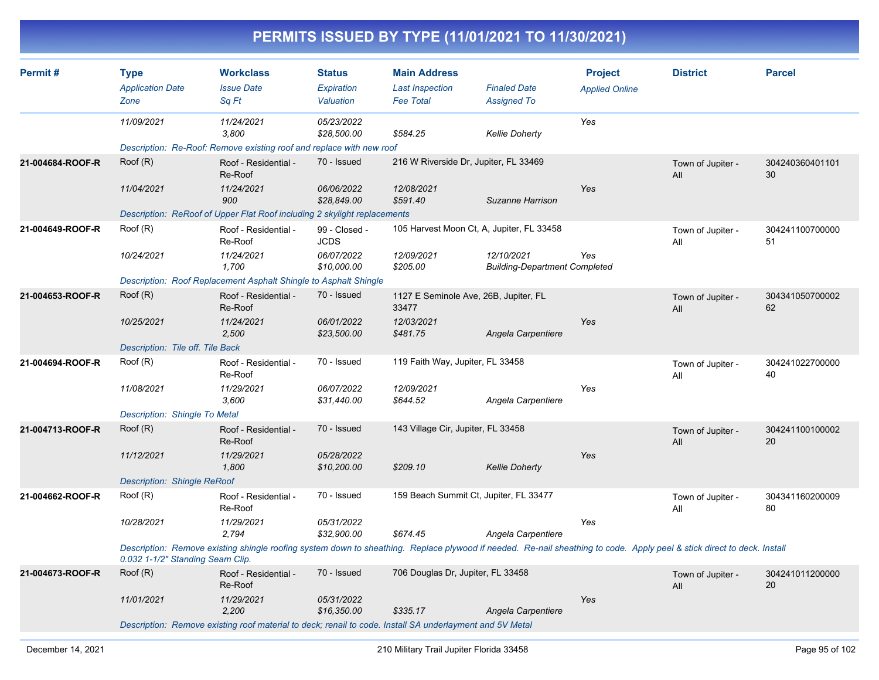| Permit#          | <b>Type</b><br><b>Application Date</b><br>Zone | <b>Workclass</b><br><b>Issue Date</b><br>Sq Ft                                                                                                                          | <b>Status</b><br>Expiration<br>Valuation | <b>Main Address</b><br><b>Last Inspection</b><br><b>Fee Total</b> | <b>Finaled Date</b><br><b>Assigned To</b>          | <b>Project</b><br><b>Applied Online</b> | <b>District</b>          | <b>Parcel</b>         |
|------------------|------------------------------------------------|-------------------------------------------------------------------------------------------------------------------------------------------------------------------------|------------------------------------------|-------------------------------------------------------------------|----------------------------------------------------|-----------------------------------------|--------------------------|-----------------------|
|                  | 11/09/2021                                     | 11/24/2021<br>3,800                                                                                                                                                     | 05/23/2022<br>\$28,500.00                | \$584.25                                                          | <b>Kellie Doherty</b>                              | Yes                                     |                          |                       |
|                  |                                                | Description: Re-Roof: Remove existing roof and replace with new roof                                                                                                    |                                          |                                                                   |                                                    |                                         |                          |                       |
| 21-004684-ROOF-R | Root(R)                                        | Roof - Residential -<br>Re-Roof                                                                                                                                         | 70 - Issued                              | 216 W Riverside Dr, Jupiter, FL 33469                             |                                                    |                                         | Town of Jupiter -<br>All | 304240360401101<br>30 |
|                  | 11/04/2021                                     | 11/24/2021<br>900                                                                                                                                                       | 06/06/2022<br>\$28,849.00                | 12/08/2021<br>\$591.40                                            | Suzanne Harrison                                   | Yes                                     |                          |                       |
|                  |                                                | Description: ReRoof of Upper Flat Roof including 2 skylight replacements                                                                                                |                                          |                                                                   |                                                    |                                         |                          |                       |
| 21-004649-ROOF-R | Root(R)                                        | Roof - Residential -<br>Re-Roof                                                                                                                                         | 99 - Closed -<br><b>JCDS</b>             | 105 Harvest Moon Ct, A, Jupiter, FL 33458                         |                                                    |                                         | Town of Jupiter -<br>All | 304241100700000<br>51 |
|                  | 10/24/2021                                     | 11/24/2021<br>1,700                                                                                                                                                     | 06/07/2022<br>\$10,000.00                | 12/09/2021<br>\$205.00                                            | 12/10/2021<br><b>Building-Department Completed</b> | Yes                                     |                          |                       |
|                  |                                                | Description: Roof Replacement Asphalt Shingle to Asphalt Shingle                                                                                                        |                                          |                                                                   |                                                    |                                         |                          |                       |
| 21-004653-ROOF-R | Root(R)                                        | Roof - Residential -<br>Re-Roof                                                                                                                                         | 70 - Issued                              | 1127 E Seminole Ave, 26B, Jupiter, FL<br>33477                    |                                                    |                                         | Town of Jupiter -<br>All | 304341050700002<br>62 |
|                  | 10/25/2021                                     | 11/24/2021<br>2,500                                                                                                                                                     | 06/01/2022<br>\$23,500.00                | 12/03/2021<br>\$481.75                                            | Angela Carpentiere                                 | Yes                                     |                          |                       |
|                  | Description: Tile off. Tile Back               |                                                                                                                                                                         |                                          |                                                                   |                                                    |                                         |                          |                       |
| 21-004694-ROOF-R | Root(R)                                        | Roof - Residential -<br>Re-Roof                                                                                                                                         | 70 - Issued                              | 119 Faith Way, Jupiter, FL 33458                                  |                                                    |                                         | Town of Jupiter -<br>All | 304241022700000<br>40 |
|                  | 11/08/2021                                     | 11/29/2021<br>3.600                                                                                                                                                     | 06/07/2022<br>\$31,440.00                | 12/09/2021<br>\$644.52                                            | Angela Carpentiere                                 | Yes                                     |                          |                       |
|                  | Description: Shingle To Metal                  |                                                                                                                                                                         |                                          |                                                                   |                                                    |                                         |                          |                       |
| 21-004713-ROOF-R | Root(R)                                        | Roof - Residential -<br>Re-Roof                                                                                                                                         | 70 - Issued                              | 143 Village Cir, Jupiter, FL 33458                                |                                                    |                                         | Town of Jupiter -<br>All | 304241100100002<br>20 |
|                  | 11/12/2021                                     | 11/29/2021<br>1,800                                                                                                                                                     | 05/28/2022<br>\$10,200.00                | \$209.10                                                          | <b>Kellie Doherty</b>                              | Yes                                     |                          |                       |
|                  | <b>Description: Shingle ReRoof</b>             |                                                                                                                                                                         |                                          |                                                                   |                                                    |                                         |                          |                       |
| 21-004662-ROOF-R | Roof (R)                                       | Roof - Residential -<br>Re-Roof                                                                                                                                         | 70 - Issued                              | 159 Beach Summit Ct, Jupiter, FL 33477                            |                                                    |                                         | Town of Jupiter -<br>All | 304341160200009<br>80 |
|                  | 10/28/2021                                     | 11/29/2021<br>2,794                                                                                                                                                     | 05/31/2022<br>\$32,900.00                | \$674.45                                                          | Angela Carpentiere                                 | Yes                                     |                          |                       |
|                  | 0.032 1-1/2" Standing Seam Clip.               | Description: Remove existing shingle roofing system down to sheathing. Replace plywood if needed. Re-nail sheathing to code. Apply peel & stick direct to deck. Install |                                          |                                                                   |                                                    |                                         |                          |                       |
| 21-004673-ROOF-R | Root(R)                                        | Roof - Residential -<br>Re-Roof                                                                                                                                         | 70 - Issued                              | 706 Douglas Dr, Jupiter, FL 33458                                 |                                                    |                                         | Town of Jupiter -<br>All | 304241011200000<br>20 |
|                  | 11/01/2021                                     | 11/29/2021<br>2.200                                                                                                                                                     | 05/31/2022<br>\$16,350.00                | \$335.17                                                          | Angela Carpentiere                                 | Yes                                     |                          |                       |
|                  |                                                | Description: Remove existing roof material to deck; renail to code. Install SA underlayment and 5V Metal                                                                |                                          |                                                                   |                                                    |                                         |                          |                       |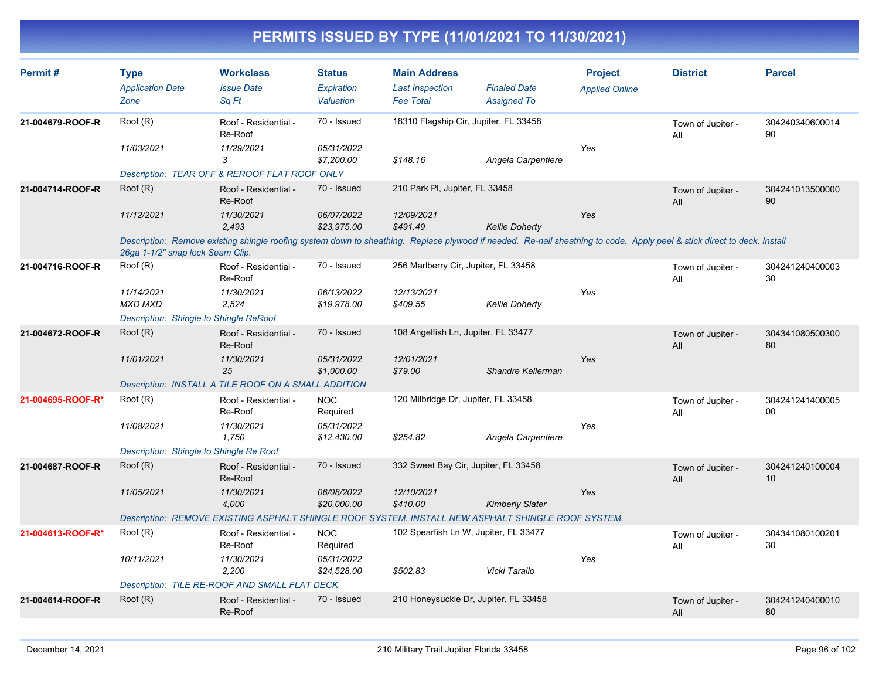| Permit#           | <b>Type</b>                                   | <b>Workclass</b>                                     | <b>Status</b>             | <b>Main Address</b>                        |                                                                                                                                                                         | <b>Project</b>        | <b>District</b>          | <b>Parcel</b>         |
|-------------------|-----------------------------------------------|------------------------------------------------------|---------------------------|--------------------------------------------|-------------------------------------------------------------------------------------------------------------------------------------------------------------------------|-----------------------|--------------------------|-----------------------|
|                   | <b>Application Date</b><br>Zone               | <b>Issue Date</b><br>Sq Ft                           | Expiration<br>Valuation   | <b>Last Inspection</b><br><b>Fee Total</b> | <b>Finaled Date</b><br><b>Assigned To</b>                                                                                                                               | <b>Applied Online</b> |                          |                       |
| 21-004679-ROOF-R  | Root(R)                                       | Roof - Residential -<br>Re-Roof                      | 70 - Issued               |                                            | 18310 Flagship Cir, Jupiter, FL 33458                                                                                                                                   |                       | Town of Jupiter -<br>All | 304240340600014<br>90 |
|                   | 11/03/2021                                    | 11/29/2021<br>3                                      | 05/31/2022<br>\$7,200.00  | \$148.16                                   | Angela Carpentiere                                                                                                                                                      | Yes                   |                          |                       |
|                   |                                               | Description: TEAR OFF & REROOF FLAT ROOF ONLY        |                           |                                            |                                                                                                                                                                         |                       |                          |                       |
| 21-004714-ROOF-R  | Root(R)                                       | Roof - Residential -<br>Re-Roof                      | 70 - Issued               | 210 Park PI, Jupiter, FL 33458             |                                                                                                                                                                         |                       | Town of Jupiter -<br>All | 304241013500000<br>90 |
|                   | 11/12/2021                                    | 11/30/2021<br>2,493                                  | 06/07/2022<br>\$23,975.00 | 12/09/2021<br>\$491.49                     | <b>Kellie Doherty</b>                                                                                                                                                   | Yes                   |                          |                       |
|                   | 26ga 1-1/2" snap lock Seam Clip.              |                                                      |                           |                                            | Description: Remove existing shingle roofing system down to sheathing. Replace plywood if needed. Re-nail sheathing to code. Apply peel & stick direct to deck. Install |                       |                          |                       |
| 21-004716-ROOF-R  | Roof (R)                                      | Roof - Residential -<br>Re-Roof                      | 70 - Issued               | 256 Marlberry Cir, Jupiter, FL 33458       |                                                                                                                                                                         |                       | Town of Jupiter -<br>All | 304241240400003<br>30 |
|                   | 11/14/2021<br><b>MXD MXD</b>                  | 11/30/2021<br>2.524                                  | 06/13/2022<br>\$19,978.00 | 12/13/2021<br>\$409.55                     | <b>Kellie Doherty</b>                                                                                                                                                   | Yes                   |                          |                       |
|                   | <b>Description: Shingle to Shingle ReRoof</b> |                                                      |                           |                                            |                                                                                                                                                                         |                       |                          |                       |
| 21-004672-ROOF-R  | Root(R)                                       | Roof - Residential -<br>Re-Roof                      | 70 - Issued               | 108 Angelfish Ln, Jupiter, FL 33477        |                                                                                                                                                                         |                       | Town of Jupiter -<br>All | 304341080500300<br>80 |
|                   | 11/01/2021                                    | 11/30/2021<br>25                                     | 05/31/2022<br>\$1,000.00  | 12/01/2021<br>\$79.00                      | Shandre Kellerman                                                                                                                                                       | Yes                   |                          |                       |
|                   |                                               | Description: INSTALL A TILE ROOF ON A SMALL ADDITION |                           |                                            |                                                                                                                                                                         |                       |                          |                       |
| 21-004695-ROOF-R* | Root(R)                                       | Roof - Residential -<br>Re-Roof                      | <b>NOC</b><br>Required    | 120 Milbridge Dr, Jupiter, FL 33458        |                                                                                                                                                                         |                       | Town of Jupiter -<br>All | 304241241400005<br>00 |
|                   | 11/08/2021                                    | 11/30/2021<br>1.750                                  | 05/31/2022<br>\$12,430.00 | \$254.82                                   | Angela Carpentiere                                                                                                                                                      | Yes                   |                          |                       |
|                   | Description: Shingle to Shingle Re Roof       |                                                      |                           |                                            |                                                                                                                                                                         |                       |                          |                       |
| 21-004687-ROOF-R  | Root(R)                                       | Roof - Residential -<br>Re-Roof                      | 70 - Issued               |                                            | 332 Sweet Bay Cir, Jupiter, FL 33458                                                                                                                                    |                       | Town of Jupiter -<br>All | 304241240100004<br>10 |
|                   | 11/05/2021                                    | 11/30/2021<br>4,000                                  | 06/08/2022<br>\$20,000.00 | 12/10/2021<br>\$410.00                     | <b>Kimberly Slater</b>                                                                                                                                                  | Yes                   |                          |                       |
|                   |                                               |                                                      |                           |                                            | Description: REMOVE EXISTING ASPHALT SHINGLE ROOF SYSTEM. INSTALL NEW ASPHALT SHINGLE ROOF SYSTEM.                                                                      |                       |                          |                       |
| 21-004613-ROOF-R* | Root(R)                                       | Roof - Residential -<br>Re-Roof                      | <b>NOC</b><br>Required    |                                            | 102 Spearfish Ln W, Jupiter, FL 33477                                                                                                                                   |                       | Town of Jupiter -<br>All | 304341080100201<br>30 |
|                   | 10/11/2021                                    | 11/30/2021<br>2,200                                  | 05/31/2022<br>\$24,528.00 | \$502.83                                   | Vicki Tarallo                                                                                                                                                           | Yes                   |                          |                       |
|                   |                                               | Description: TILE RE-ROOF AND SMALL FLAT DECK        |                           |                                            |                                                                                                                                                                         |                       |                          |                       |
| 21-004614-ROOF-R  | Root(R)                                       | Roof - Residential -<br>Re-Roof                      | 70 - Issued               |                                            | 210 Honeysuckle Dr, Jupiter, FL 33458                                                                                                                                   |                       | Town of Jupiter -<br>All | 304241240400010<br>80 |
|                   |                                               |                                                      |                           |                                            |                                                                                                                                                                         |                       |                          |                       |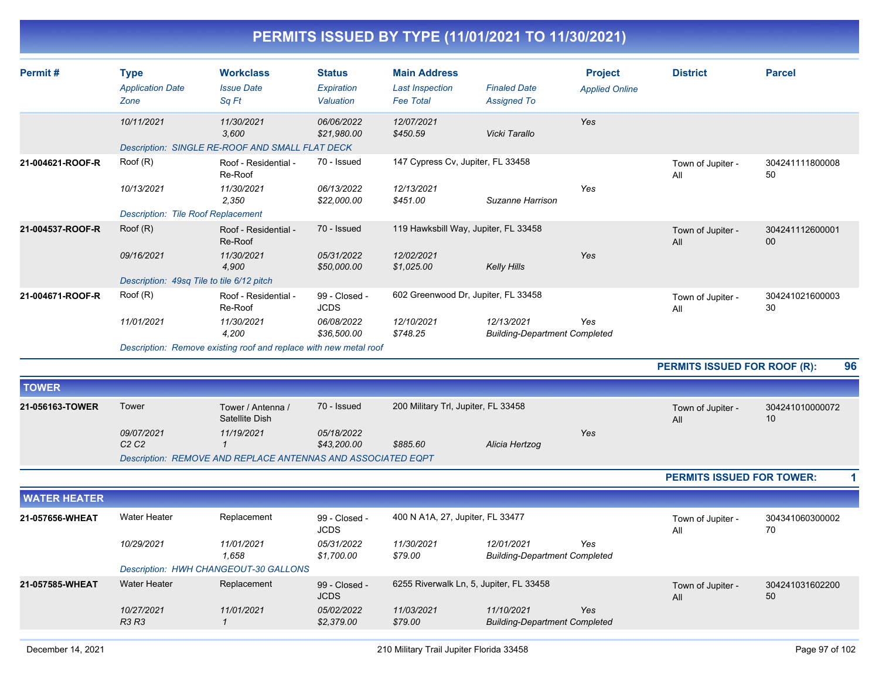| Permit#             | <b>Type</b><br><b>Application Date</b><br>Zone | <b>Workclass</b><br><b>Issue Date</b><br>Sa Ft                         | <b>Status</b><br>Expiration<br>Valuation | <b>Main Address</b><br><b>Last Inspection</b><br><b>Fee Total</b> | <b>Finaled Date</b><br><b>Assigned To</b>          | <b>Project</b><br><b>Applied Online</b> | <b>District</b>                  | <b>Parcel</b>         |
|---------------------|------------------------------------------------|------------------------------------------------------------------------|------------------------------------------|-------------------------------------------------------------------|----------------------------------------------------|-----------------------------------------|----------------------------------|-----------------------|
|                     | 10/11/2021                                     | 11/30/2021<br>3,600<br>Description: SINGLE RE-ROOF AND SMALL FLAT DECK | 06/06/2022<br>\$21,980.00                | 12/07/2021<br>\$450.59                                            | Vicki Tarallo                                      | Yes                                     |                                  |                       |
| 21-004621-ROOF-R    | Root(R)                                        | Roof - Residential -<br>Re-Roof                                        | 70 - Issued                              | 147 Cypress Cv, Jupiter, FL 33458                                 |                                                    |                                         | Town of Jupiter -<br>All         | 304241111800008<br>50 |
|                     | 10/13/2021                                     | 11/30/2021<br>2,350                                                    | 06/13/2022<br>\$22,000.00                | 12/13/2021<br>\$451.00                                            | Suzanne Harrison                                   | Yes                                     |                                  |                       |
|                     | <b>Description: Tile Roof Replacement</b>      |                                                                        |                                          |                                                                   |                                                    |                                         |                                  |                       |
| 21-004537-ROOF-R    | Root(R)                                        | Roof - Residential -<br>Re-Roof                                        | 70 - Issued                              | 119 Hawksbill Way, Jupiter, FL 33458                              |                                                    |                                         | Town of Jupiter -<br>All         | 304241112600001<br>00 |
|                     | 09/16/2021                                     | 11/30/2021<br>4.900                                                    | 05/31/2022<br>\$50,000.00                | 12/02/2021<br>\$1,025.00                                          | <b>Kelly Hills</b>                                 | Yes                                     |                                  |                       |
|                     | Description: 49sq Tile to tile 6/12 pitch      |                                                                        |                                          |                                                                   |                                                    |                                         |                                  |                       |
| 21-004671-ROOF-R    | Root(R)                                        | Roof - Residential -<br>Re-Roof                                        | 99 - Closed -<br><b>JCDS</b>             | 602 Greenwood Dr, Jupiter, FL 33458                               |                                                    |                                         | Town of Jupiter -<br>All         | 304241021600003<br>30 |
|                     | 11/01/2021                                     | 11/30/2021<br>4.200                                                    | 06/08/2022<br>\$36,500.00                | 12/10/2021<br>\$748.25                                            | 12/13/2021<br><b>Building-Department Completed</b> | Yes                                     |                                  |                       |
|                     |                                                | Description: Remove existing roof and replace with new metal roof      |                                          |                                                                   |                                                    |                                         |                                  |                       |
|                     |                                                |                                                                        |                                          |                                                                   |                                                    |                                         | PERMITS ISSUED FOR ROOF (R):     | 96                    |
| <b>TOWER</b>        |                                                |                                                                        |                                          |                                                                   |                                                    |                                         |                                  |                       |
| 21-056163-TOWER     | Tower                                          | Tower / Antenna /<br>Satellite Dish                                    | 70 - Issued                              | 200 Military Trl, Jupiter, FL 33458                               |                                                    |                                         | Town of Jupiter -<br>All         | 304241010000072<br>10 |
|                     | 09/07/2021                                     | 11/19/2021                                                             | 05/18/2022                               |                                                                   |                                                    | <b>Yes</b>                              |                                  |                       |
|                     | C2C2                                           | $\mathbf{1}$                                                           | \$43,200.00                              | \$885.60                                                          | Alicia Hertzog                                     |                                         |                                  |                       |
|                     |                                                | Description: REMOVE AND REPLACE ANTENNAS AND ASSOCIATED EQPT           |                                          |                                                                   |                                                    |                                         |                                  |                       |
|                     |                                                |                                                                        |                                          |                                                                   |                                                    |                                         | <b>PERMITS ISSUED FOR TOWER:</b> | 1                     |
| <b>WATER HEATER</b> |                                                |                                                                        |                                          |                                                                   |                                                    |                                         |                                  |                       |
| 21-057656-WHEAT     | <b>Water Heater</b>                            | Replacement                                                            | 99 - Closed -<br><b>JCDS</b>             | 400 N A1A, 27, Jupiter, FL 33477                                  |                                                    |                                         | Town of Jupiter -<br>All         | 304341060300002<br>70 |

**21-057585-WHEAT**

*Yes*

*Yes*

All

 *1,658 \$1,700.00 \$79.00 Building-Department Completed*

Water Heater **Replacement** 99 - Closed - 6255 Riverwalk Ln, 5, Jupiter, FL 33458 Town of Jupiter -

*10/29/2021 11/01/2021 05/31/2022 11/30/2021 12/01/2021*

*10/27/2021 11/01/2021 05/02/2022 11/03/2021 11/10/2021*

99 - Closed - JCDS

*R3 R3 1 \$2,379.00 \$79.00 Building-Department Completed*

*Description: HWH CHANGEOUT-30 GALLONS*

304241031602200

50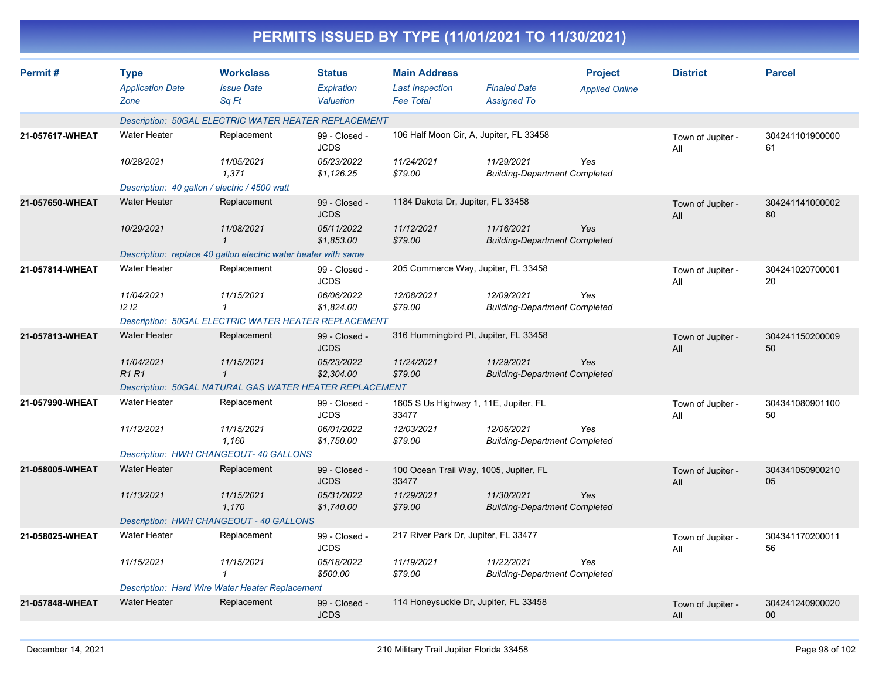| PERMITS ISSUED BY TYPE (11/01/2021 TO 11/30/2021) |                                                |                                                                |                                          |                                                                   |                                                    |                                         |                          |                           |  |  |
|---------------------------------------------------|------------------------------------------------|----------------------------------------------------------------|------------------------------------------|-------------------------------------------------------------------|----------------------------------------------------|-----------------------------------------|--------------------------|---------------------------|--|--|
| Permit#                                           | <b>Type</b><br><b>Application Date</b><br>Zone | <b>Workclass</b><br><b>Issue Date</b><br>Sq Ft                 | <b>Status</b><br>Expiration<br>Valuation | <b>Main Address</b><br><b>Last Inspection</b><br><b>Fee Total</b> | <b>Finaled Date</b><br><b>Assigned To</b>          | <b>Project</b><br><b>Applied Online</b> | <b>District</b>          | <b>Parcel</b>             |  |  |
|                                                   |                                                | Description: 50GAL ELECTRIC WATER HEATER REPLACEMENT           |                                          |                                                                   |                                                    |                                         |                          |                           |  |  |
| 21-057617-WHEAT                                   | Water Heater                                   | Replacement                                                    | 99 - Closed -<br><b>JCDS</b>             | 106 Half Moon Cir, A, Jupiter, FL 33458                           |                                                    |                                         | Town of Jupiter -<br>All | 304241101900000<br>61     |  |  |
|                                                   | 10/28/2021                                     | 11/05/2021<br>1,371                                            | 05/23/2022<br>\$1,126.25                 | 11/24/2021<br>\$79.00                                             | 11/29/2021<br><b>Building-Department Completed</b> | Yes                                     |                          |                           |  |  |
|                                                   |                                                | Description: 40 gallon / electric / 4500 watt                  |                                          |                                                                   |                                                    |                                         |                          |                           |  |  |
| 21-057650-WHEAT                                   | <b>Water Heater</b>                            | Replacement                                                    | 99 - Closed -<br><b>JCDS</b>             | 1184 Dakota Dr, Jupiter, FL 33458                                 |                                                    |                                         | Town of Jupiter -<br>All | 304241141000002<br>80     |  |  |
|                                                   | 10/29/2021                                     | 11/08/2021                                                     | 05/11/2022<br>\$1,853.00                 | 11/12/2021<br>\$79.00                                             | 11/16/2021<br><b>Building-Department Completed</b> | Yes                                     |                          |                           |  |  |
|                                                   |                                                | Description: replace 40 gallon electric water heater with same |                                          |                                                                   |                                                    |                                         |                          |                           |  |  |
| 21-057814-WHEAT                                   | <b>Water Heater</b>                            | Replacement                                                    | 99 - Closed -<br><b>JCDS</b>             | 205 Commerce Way, Jupiter, FL 33458                               |                                                    |                                         | Town of Jupiter -<br>All | 304241020700001<br>20     |  |  |
|                                                   | 11/04/2021<br>1212                             | 11/15/2021<br>1                                                | 06/06/2022<br>\$1,824.00                 | 12/08/2021<br>\$79.00                                             | 12/09/2021<br><b>Building-Department Completed</b> | Yes                                     |                          |                           |  |  |
|                                                   |                                                | Description: 50GAL ELECTRIC WATER HEATER REPLACEMENT           |                                          |                                                                   |                                                    |                                         |                          |                           |  |  |
| 21-057813-WHEAT                                   | <b>Water Heater</b>                            | Replacement                                                    | 99 - Closed -<br><b>JCDS</b>             | 316 Hummingbird Pt, Jupiter, FL 33458                             |                                                    |                                         | Town of Jupiter -<br>All | 304241150200009<br>50     |  |  |
|                                                   | 11/04/2021<br><b>R1 R1</b>                     | 11/15/2021<br>$\mathbf 1$                                      | 05/23/2022<br>\$2,304.00                 | 11/24/2021<br>\$79.00                                             | 11/29/2021<br><b>Building-Department Completed</b> | Yes                                     |                          |                           |  |  |
|                                                   |                                                | Description: 50GAL NATURAL GAS WATER HEATER REPLACEMENT        |                                          |                                                                   |                                                    |                                         |                          |                           |  |  |
| 21-057990-WHEAT                                   | <b>Water Heater</b>                            | Replacement                                                    | 99 - Closed -<br><b>JCDS</b>             | 1605 S Us Highway 1, 11E, Jupiter, FL<br>33477                    |                                                    |                                         | Town of Jupiter -<br>All | 304341080901100<br>50     |  |  |
|                                                   | 11/12/2021                                     | 11/15/2021<br>1,160                                            | 06/01/2022<br>\$1,750.00                 | 12/03/2021<br>\$79.00                                             | 12/06/2021<br><b>Building-Department Completed</b> | Yes                                     |                          |                           |  |  |
|                                                   |                                                | Description: HWH CHANGEOUT- 40 GALLONS                         |                                          |                                                                   |                                                    |                                         |                          |                           |  |  |
| 21-058005-WHEAT                                   | <b>Water Heater</b>                            | Replacement                                                    | 99 - Closed -<br><b>JCDS</b>             | 100 Ocean Trail Way, 1005, Jupiter, FL<br>33477                   |                                                    |                                         | Town of Jupiter -<br>All | 304341050900210<br>05     |  |  |
|                                                   | 11/13/2021                                     | 11/15/2021<br>1,170                                            | 05/31/2022<br>\$1,740.00                 | 11/29/2021<br>\$79.00                                             | 11/30/2021<br><b>Building-Department Completed</b> | Yes                                     |                          |                           |  |  |
|                                                   |                                                | Description: HWH CHANGEOUT - 40 GALLONS                        |                                          |                                                                   |                                                    |                                         |                          |                           |  |  |
| 21-058025-WHEAT                                   | Water Heater                                   | Replacement                                                    | 99 - Closed -<br><b>JCDS</b>             | 217 River Park Dr, Jupiter, FL 33477                              |                                                    |                                         | Town of Jupiter -<br>All | 304341170200011<br>56     |  |  |
|                                                   | 11/15/2021                                     | 11/15/2021<br>$\mathbf{1}$                                     | 05/18/2022<br>\$500.00                   | 11/19/2021<br>\$79.00                                             | 11/22/2021<br><b>Building-Department Completed</b> | Yes                                     |                          |                           |  |  |
|                                                   |                                                | Description: Hard Wire Water Heater Replacement                |                                          |                                                                   |                                                    |                                         |                          |                           |  |  |
| 21-057848-WHEAT                                   | <b>Water Heater</b>                            | Replacement                                                    | 99 - Closed -<br><b>JCDS</b>             | 114 Honeysuckle Dr, Jupiter, FL 33458                             |                                                    |                                         | Town of Jupiter -<br>All | 304241240900020<br>$00\,$ |  |  |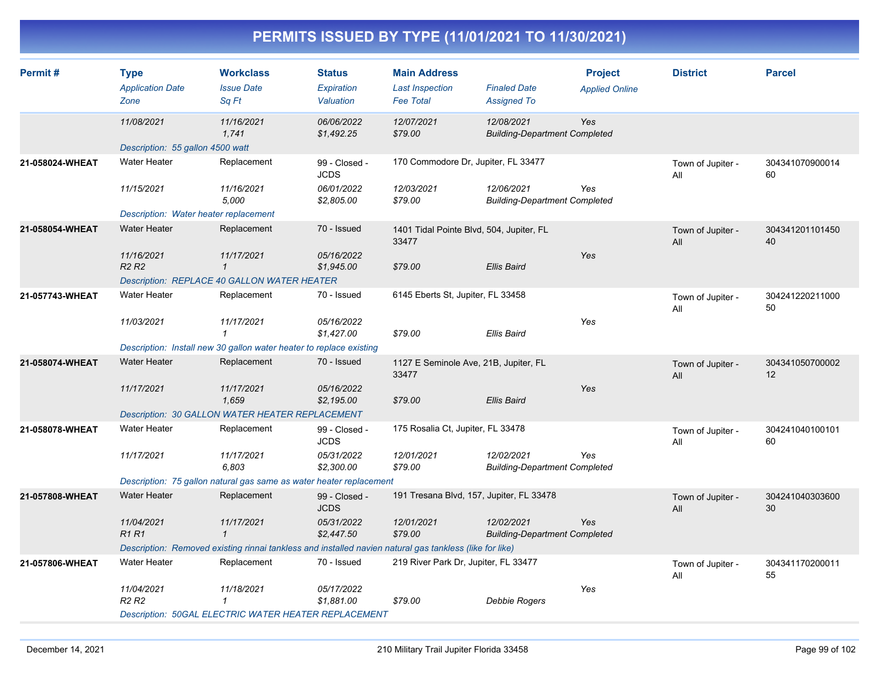| Permit#         | <b>Type</b><br><b>Application Date</b><br>Zone | <b>Workclass</b><br><b>Issue Date</b><br>Sq Ft                                                          | <b>Status</b><br>Expiration<br>Valuation | <b>Main Address</b><br><b>Last Inspection</b><br><b>Fee Total</b> | <b>Finaled Date</b><br><b>Assigned To</b>          | <b>Project</b><br><b>Applied Online</b> | <b>District</b>          | <b>Parcel</b>         |
|-----------------|------------------------------------------------|---------------------------------------------------------------------------------------------------------|------------------------------------------|-------------------------------------------------------------------|----------------------------------------------------|-----------------------------------------|--------------------------|-----------------------|
|                 | 11/08/2021                                     | 11/16/2021<br>1,741                                                                                     | 06/06/2022<br>\$1,492.25                 | 12/07/2021<br>\$79.00                                             | 12/08/2021<br><b>Building-Department Completed</b> | Yes                                     |                          |                       |
|                 | Description: 55 gallon 4500 watt               |                                                                                                         |                                          |                                                                   |                                                    |                                         |                          |                       |
| 21-058024-WHEAT | <b>Water Heater</b>                            | Replacement                                                                                             | 99 - Closed -<br><b>JCDS</b>             | 170 Commodore Dr, Jupiter, FL 33477                               |                                                    |                                         | Town of Jupiter -<br>All | 304341070900014<br>60 |
|                 | 11/15/2021                                     | 11/16/2021<br>5.000                                                                                     | 06/01/2022<br>\$2,805.00                 | 12/03/2021<br>\$79.00                                             | 12/06/2021<br><b>Building-Department Completed</b> | Yes                                     |                          |                       |
|                 | Description: Water heater replacement          |                                                                                                         |                                          |                                                                   |                                                    |                                         |                          |                       |
| 21-058054-WHEAT | <b>Water Heater</b>                            | Replacement                                                                                             | 70 - Issued                              | 1401 Tidal Pointe Blvd, 504, Jupiter, FL<br>33477                 |                                                    |                                         | Town of Jupiter -<br>All | 304341201101450<br>40 |
|                 | 11/16/2021<br>R <sub>2</sub> R <sub>2</sub>    | 11/17/2021<br>$\mathbf{1}$                                                                              | 05/16/2022<br>\$1,945.00                 | \$79.00                                                           | <b>Ellis Baird</b>                                 | Yes                                     |                          |                       |
|                 |                                                | Description: REPLACE 40 GALLON WATER HEATER                                                             |                                          |                                                                   |                                                    |                                         |                          |                       |
| 21-057743-WHEAT | Water Heater                                   | Replacement                                                                                             | 70 - Issued                              | 6145 Eberts St, Jupiter, FL 33458                                 |                                                    |                                         | Town of Jupiter -<br>All | 304241220211000<br>50 |
|                 | 11/03/2021                                     | 11/17/2021<br>$\mathcal I$                                                                              | 05/16/2022<br>\$1,427.00                 | \$79.00                                                           | <b>Ellis Baird</b>                                 | Yes                                     |                          |                       |
|                 |                                                | Description: Install new 30 gallon water heater to replace existing                                     |                                          |                                                                   |                                                    |                                         |                          |                       |
| 21-058074-WHEAT | <b>Water Heater</b>                            | Replacement                                                                                             | 70 - Issued                              | 1127 E Seminole Ave, 21B, Jupiter, FL<br>33477                    |                                                    |                                         | Town of Jupiter -<br>All | 304341050700002<br>12 |
|                 | 11/17/2021                                     | 11/17/2021<br>1,659                                                                                     | 05/16/2022<br>\$2,195.00                 | \$79.00                                                           | <b>Ellis Baird</b>                                 | Yes                                     |                          |                       |
|                 |                                                | Description: 30 GALLON WATER HEATER REPLACEMENT                                                         |                                          |                                                                   |                                                    |                                         |                          |                       |
| 21-058078-WHEAT | <b>Water Heater</b>                            | Replacement                                                                                             | 99 - Closed -<br><b>JCDS</b>             | 175 Rosalia Ct, Jupiter, FL 33478                                 |                                                    |                                         | Town of Jupiter -<br>All | 304241040100101<br>60 |
|                 | 11/17/2021                                     | 11/17/2021<br>6,803                                                                                     | 05/31/2022<br>\$2,300.00                 | 12/01/2021<br>\$79.00                                             | 12/02/2021<br><b>Building-Department Completed</b> | Yes                                     |                          |                       |
|                 |                                                | Description: 75 gallon natural gas same as water heater replacement                                     |                                          |                                                                   |                                                    |                                         |                          |                       |
| 21-057808-WHEAT | <b>Water Heater</b>                            | Replacement                                                                                             | 99 - Closed -<br><b>JCDS</b>             | 191 Tresana Blvd, 157, Jupiter, FL 33478                          |                                                    |                                         | Town of Jupiter -<br>All | 304241040303600<br>30 |
|                 | 11/04/2021<br><b>R1R1</b>                      | 11/17/2021<br>$\mathbf{1}$                                                                              | 05/31/2022<br>\$2,447.50                 | 12/01/2021<br>\$79.00                                             | 12/02/2021<br><b>Building-Department Completed</b> | Yes                                     |                          |                       |
|                 |                                                | Description: Removed existing rinnai tankless and installed navien natural gas tankless (like for like) |                                          |                                                                   |                                                    |                                         |                          |                       |
| 21-057806-WHEAT | <b>Water Heater</b>                            | Replacement                                                                                             | 70 - Issued                              | 219 River Park Dr, Jupiter, FL 33477                              |                                                    |                                         | Town of Jupiter -<br>All | 304341170200011<br>55 |
|                 | 11/04/2021<br>R <sub>2</sub> R <sub>2</sub>    | 11/18/2021<br>1                                                                                         | 05/17/2022<br>\$1,881.00                 | \$79.00                                                           | Debbie Rogers                                      | Yes                                     |                          |                       |
|                 |                                                | <b>Description: 50GAL ELECTRIC WATER HEATER REPLACEMENT</b>                                             |                                          |                                                                   |                                                    |                                         |                          |                       |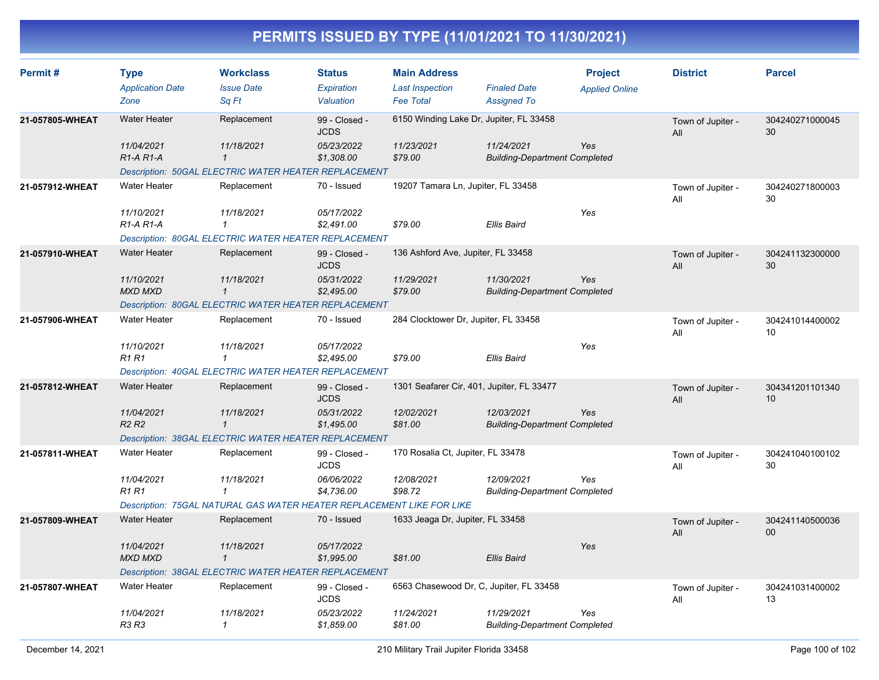| Permit#         | <b>Type</b><br><b>Application Date</b>           | <b>Workclass</b><br><b>Issue Date</b>                                 | <b>Status</b><br><b>Expiration</b> | <b>Main Address</b><br><b>Last Inspection</b> | <b>Finaled Date</b>                                | <b>Project</b><br><b>Applied Online</b> | <b>District</b>          | <b>Parcel</b>         |
|-----------------|--------------------------------------------------|-----------------------------------------------------------------------|------------------------------------|-----------------------------------------------|----------------------------------------------------|-----------------------------------------|--------------------------|-----------------------|
|                 | Zone                                             | Sq Ft                                                                 | Valuation                          | <b>Fee Total</b>                              | <b>Assigned To</b>                                 |                                         |                          |                       |
| 21-057805-WHEAT | <b>Water Heater</b>                              | Replacement                                                           | 99 - Closed -<br><b>JCDS</b>       | 6150 Winding Lake Dr, Jupiter, FL 33458       |                                                    |                                         | Town of Jupiter -<br>All | 304240271000045<br>30 |
|                 | 11/04/2021<br>R <sub>1</sub> -A <sub>R1</sub> -A | 11/18/2021<br>$\mathbf{1}$                                            | 05/23/2022<br>\$1,308.00           | 11/23/2021<br>\$79.00                         | 11/24/2021<br><b>Building-Department Completed</b> | Yes                                     |                          |                       |
|                 |                                                  | <b>Description: 50GAL ELECTRIC WATER HEATER REPLACEMENT</b>           |                                    |                                               |                                                    |                                         |                          |                       |
| 21-057912-WHEAT | <b>Water Heater</b>                              | Replacement                                                           | 70 - Issued                        | 19207 Tamara Ln, Jupiter, FL 33458            |                                                    |                                         | Town of Jupiter -<br>All | 304240271800003<br>30 |
|                 | 11/10/2021<br>$R1-A R1-A$                        | 11/18/2021<br>$\mathbf{1}$                                            | 05/17/2022<br>\$2,491.00           | \$79.00                                       | Ellis Baird                                        | Yes                                     |                          |                       |
|                 |                                                  | Description: 80GAL ELECTRIC WATER HEATER REPLACEMENT                  |                                    |                                               |                                                    |                                         |                          |                       |
| 21-057910-WHEAT | <b>Water Heater</b>                              | Replacement                                                           | 99 - Closed -<br><b>JCDS</b>       | 136 Ashford Ave, Jupiter, FL 33458            |                                                    |                                         | Town of Jupiter -<br>All | 304241132300000<br>30 |
|                 | 11/10/2021<br><b>MXD MXD</b>                     | 11/18/2021<br>$\mathbf{1}$                                            | 05/31/2022<br>\$2,495.00           | 11/29/2021<br>\$79.00                         | 11/30/2021<br><b>Building-Department Completed</b> | Yes                                     |                          |                       |
|                 |                                                  | Description: 80GAL ELECTRIC WATER HEATER REPLACEMENT                  |                                    |                                               |                                                    |                                         |                          |                       |
| 21-057906-WHEAT | <b>Water Heater</b>                              | Replacement                                                           | 70 - Issued                        | 284 Clocktower Dr, Jupiter, FL 33458          |                                                    |                                         | Town of Jupiter -<br>All | 304241014400002<br>10 |
|                 | 11/10/2021<br><b>R1R1</b>                        | 11/18/2021<br>$\mathbf{1}$                                            | 05/17/2022<br>\$2,495.00           | \$79.00                                       | Ellis Baird                                        | Yes                                     |                          |                       |
|                 |                                                  | <b>Description: 40GAL ELECTRIC WATER HEATER REPLACEMENT</b>           |                                    |                                               |                                                    |                                         |                          |                       |
| 21-057812-WHEAT | <b>Water Heater</b>                              | Replacement                                                           | 99 - Closed -<br><b>JCDS</b>       | 1301 Seafarer Cir, 401, Jupiter, FL 33477     |                                                    |                                         | Town of Jupiter -<br>All | 304341201101340<br>10 |
|                 | 11/04/2021<br>R <sub>2</sub> R <sub>2</sub>      | 11/18/2021<br>$\mathbf{1}$                                            | 05/31/2022<br>\$1,495.00           | 12/02/2021<br>\$81.00                         | 12/03/2021<br><b>Building-Department Completed</b> | Yes                                     |                          |                       |
|                 |                                                  | Description: 38GAL ELECTRIC WATER HEATER REPLACEMENT                  |                                    |                                               |                                                    |                                         |                          |                       |
| 21-057811-WHEAT | <b>Water Heater</b>                              | Replacement                                                           | 99 - Closed -<br><b>JCDS</b>       | 170 Rosalia Ct, Jupiter, FL 33478             |                                                    |                                         | Town of Jupiter -<br>All | 304241040100102<br>30 |
|                 | 11/04/2021<br><b>R1 R1</b>                       | 11/18/2021<br>$\mathbf{1}$                                            | 06/06/2022<br>\$4,736.00           | 12/08/2021<br>\$98.72                         | 12/09/2021<br><b>Building-Department Completed</b> | Yes                                     |                          |                       |
|                 |                                                  | Description: 75GAL NATURAL GAS WATER HEATER REPLACEMENT LIKE FOR LIKE |                                    |                                               |                                                    |                                         |                          |                       |
| 21-057809-WHEAT | <b>Water Heater</b>                              | Replacement                                                           | 70 - Issued                        | 1633 Jeaga Dr, Jupiter, FL 33458              |                                                    |                                         | Town of Jupiter -<br>All | 304241140500036<br>00 |
|                 | 11/04/2021<br><b>MXD MXD</b>                     | 11/18/2021<br>$\mathbf{1}$                                            | 05/17/2022<br>\$1,995.00           | \$81.00                                       | Ellis Baird                                        | Yes                                     |                          |                       |
|                 |                                                  | Description: 38GAL ELECTRIC WATER HEATER REPLACEMENT                  |                                    |                                               |                                                    |                                         |                          |                       |
| 21-057807-WHEAT | <b>Water Heater</b>                              | Replacement                                                           | 99 - Closed -<br><b>JCDS</b>       | 6563 Chasewood Dr, C, Jupiter, FL 33458       |                                                    |                                         | Town of Jupiter -<br>All | 304241031400002<br>13 |
|                 | 11/04/2021<br><b>R3 R3</b>                       | 11/18/2021<br>$\mathcal I$                                            | 05/23/2022<br>\$1,859.00           | 11/24/2021<br>\$81.00                         | 11/29/2021<br><b>Building-Department Completed</b> | Yes                                     |                          |                       |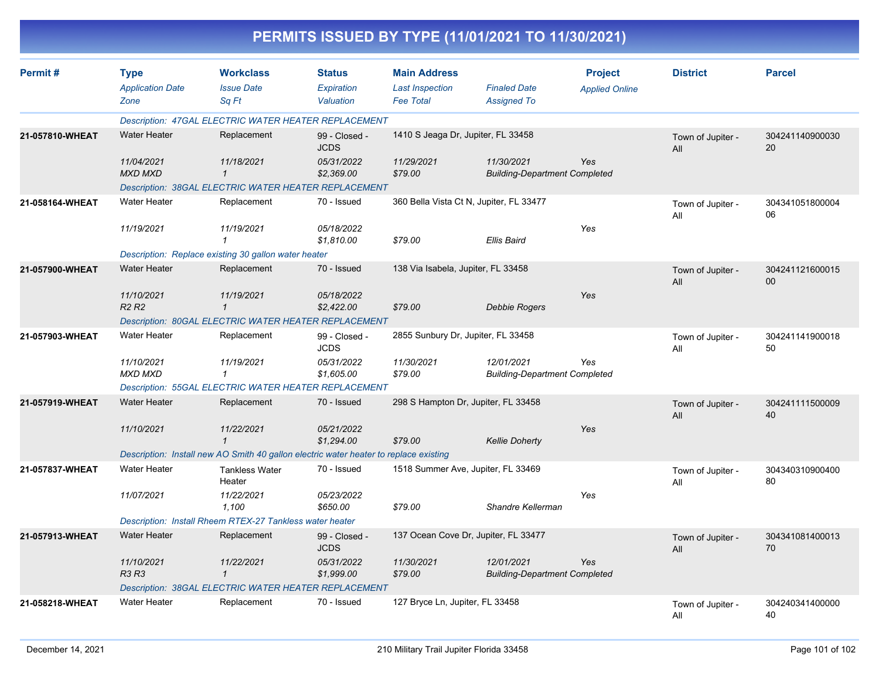|                 |                                                |                                                                                       |                                          |                                                                   | PERMITS ISSUED BY TYPE (11/01/2021 TO 11/30/2021)  |                                         |                          |                       |
|-----------------|------------------------------------------------|---------------------------------------------------------------------------------------|------------------------------------------|-------------------------------------------------------------------|----------------------------------------------------|-----------------------------------------|--------------------------|-----------------------|
| Permit#         | <b>Type</b><br><b>Application Date</b><br>Zone | <b>Workclass</b><br><b>Issue Date</b><br>Sq Ft                                        | <b>Status</b><br>Expiration<br>Valuation | <b>Main Address</b><br><b>Last Inspection</b><br><b>Fee Total</b> | <b>Finaled Date</b><br><b>Assigned To</b>          | <b>Project</b><br><b>Applied Online</b> | <b>District</b>          | <b>Parcel</b>         |
|                 |                                                | Description: 47GAL ELECTRIC WATER HEATER REPLACEMENT                                  |                                          |                                                                   |                                                    |                                         |                          |                       |
| 21-057810-WHEAT | <b>Water Heater</b>                            | Replacement                                                                           | 99 - Closed -<br><b>JCDS</b>             | 1410 S Jeaga Dr, Jupiter, FL 33458                                |                                                    |                                         | Town of Jupiter -<br>All | 304241140900030<br>20 |
|                 | 11/04/2021<br><b>MXD MXD</b>                   | 11/18/2021<br>$\mathbf{1}$                                                            | 05/31/2022<br>\$2,369.00                 | 11/29/2021<br>\$79.00                                             | 11/30/2021<br><b>Building-Department Completed</b> | Yes                                     |                          |                       |
|                 |                                                | Description: 38GAL ELECTRIC WATER HEATER REPLACEMENT                                  |                                          |                                                                   |                                                    |                                         |                          |                       |
| 21-058164-WHEAT | Water Heater                                   | Replacement                                                                           | 70 - Issued                              |                                                                   | 360 Bella Vista Ct N, Jupiter, FL 33477            |                                         | Town of Jupiter -<br>All | 304341051800004<br>06 |
|                 | 11/19/2021                                     | 11/19/2021                                                                            | 05/18/2022<br>\$1,810.00                 | \$79.00                                                           | Ellis Baird                                        | Yes                                     |                          |                       |
|                 |                                                | Description: Replace existing 30 gallon water heater                                  |                                          |                                                                   |                                                    |                                         |                          |                       |
| 21-057900-WHEAT | <b>Water Heater</b>                            | Replacement                                                                           | 70 - Issued                              | 138 Via Isabela, Jupiter, FL 33458                                |                                                    |                                         | Town of Jupiter -<br>All | 304241121600015<br>00 |
|                 | 11/10/2021<br>R <sub>2</sub> R <sub>2</sub>    | 11/19/2021<br>$\mathbf{1}$                                                            | 05/18/2022<br>\$2,422.00                 | \$79.00                                                           | <b>Debbie Rogers</b>                               | Yes                                     |                          |                       |
|                 |                                                | Description: 80GAL ELECTRIC WATER HEATER REPLACEMENT                                  |                                          |                                                                   |                                                    |                                         |                          |                       |
| 21-057903-WHEAT | <b>Water Heater</b>                            | Replacement                                                                           | 99 - Closed -<br><b>JCDS</b>             | 2855 Sunbury Dr, Jupiter, FL 33458                                |                                                    |                                         | Town of Jupiter -<br>All | 304241141900018<br>50 |
|                 | 11/10/2021<br><b>MXD MXD</b>                   | 11/19/2021<br>1                                                                       | 05/31/2022<br>\$1,605.00                 | 11/30/2021<br>\$79.00                                             | 12/01/2021<br><b>Building-Department Completed</b> | Yes                                     |                          |                       |
|                 |                                                | Description: 55GAL ELECTRIC WATER HEATER REPLACEMENT                                  |                                          |                                                                   |                                                    |                                         |                          |                       |
| 21-057919-WHEAT | <b>Water Heater</b>                            | Replacement                                                                           | 70 - Issued                              |                                                                   | 298 S Hampton Dr, Jupiter, FL 33458                |                                         | Town of Jupiter -<br>All | 304241111500009<br>40 |
|                 | 11/10/2021                                     | 11/22/2021<br>$\mathcal I$                                                            | 05/21/2022<br>\$1,294.00                 | \$79.00                                                           | <b>Kellie Doherty</b>                              | Yes                                     |                          |                       |
|                 |                                                | Description: Install new AO Smith 40 gallon electric water heater to replace existing |                                          |                                                                   |                                                    |                                         |                          |                       |
| 21-057837-WHEAT | <b>Water Heater</b>                            | Tankless Water<br>Heater                                                              | 70 - Issued                              |                                                                   | 1518 Summer Ave, Jupiter, FL 33469                 |                                         | Town of Jupiter -<br>All | 304340310900400<br>80 |
|                 | 11/07/2021                                     | 11/22/2021<br>1,100                                                                   | 05/23/2022<br>\$650.00                   | \$79.00                                                           | Shandre Kellerman                                  | Yes                                     |                          |                       |
|                 |                                                | Description: Install Rheem RTEX-27 Tankless water heater                              |                                          |                                                                   |                                                    |                                         |                          |                       |
| 21-057913-WHEAT | <b>Water Heater</b>                            | Replacement                                                                           | 99 - Closed -<br><b>JCDS</b>             |                                                                   | 137 Ocean Cove Dr, Jupiter, FL 33477               |                                         | Town of Jupiter -<br>All | 304341081400013<br>70 |
|                 | 11/10/2021<br>R3 R3                            | 11/22/2021<br>$\mathbf{1}$                                                            | 05/31/2022<br>\$1,999.00                 | 11/30/2021<br>\$79.00                                             | 12/01/2021<br><b>Building-Department Completed</b> | Yes                                     |                          |                       |
|                 |                                                | <b>Description: 38GAL ELECTRIC WATER HEATER REPLACEMENT</b>                           |                                          |                                                                   |                                                    |                                         |                          |                       |
| 21-058218-WHEAT | Water Heater                                   | Replacement                                                                           | 70 - Issued                              | 127 Bryce Ln, Jupiter, FL 33458                                   |                                                    |                                         | Town of Jupiter -<br>ail | 304240341400000<br>40 |